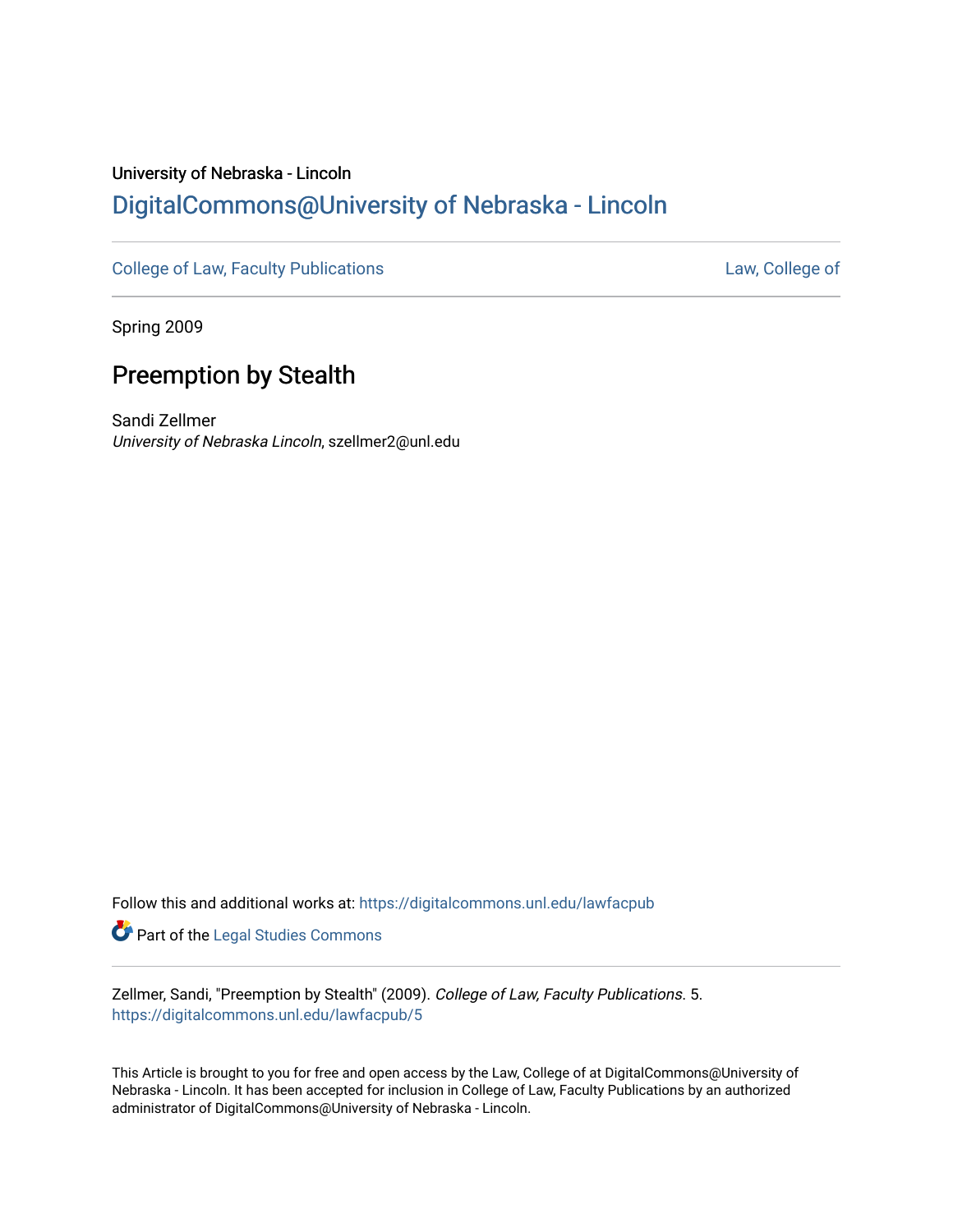# University of Nebraska - Lincoln [DigitalCommons@University of Nebraska - Lincoln](https://digitalcommons.unl.edu/)

[College of Law, Faculty Publications](https://digitalcommons.unl.edu/lawfacpub) **[Law, College of](https://digitalcommons.unl.edu/law) Law, College of** 

Spring 2009

# Preemption by Stealth

Sandi Zellmer University of Nebraska Lincoln, szellmer2@unl.edu

Follow this and additional works at: [https://digitalcommons.unl.edu/lawfacpub](https://digitalcommons.unl.edu/lawfacpub?utm_source=digitalcommons.unl.edu%2Flawfacpub%2F5&utm_medium=PDF&utm_campaign=PDFCoverPages) 

Part of the [Legal Studies Commons](http://network.bepress.com/hgg/discipline/366?utm_source=digitalcommons.unl.edu%2Flawfacpub%2F5&utm_medium=PDF&utm_campaign=PDFCoverPages) 

Zellmer, Sandi, "Preemption by Stealth" (2009). College of Law, Faculty Publications. 5. [https://digitalcommons.unl.edu/lawfacpub/5](https://digitalcommons.unl.edu/lawfacpub/5?utm_source=digitalcommons.unl.edu%2Flawfacpub%2F5&utm_medium=PDF&utm_campaign=PDFCoverPages) 

This Article is brought to you for free and open access by the Law, College of at DigitalCommons@University of Nebraska - Lincoln. It has been accepted for inclusion in College of Law, Faculty Publications by an authorized administrator of DigitalCommons@University of Nebraska - Lincoln.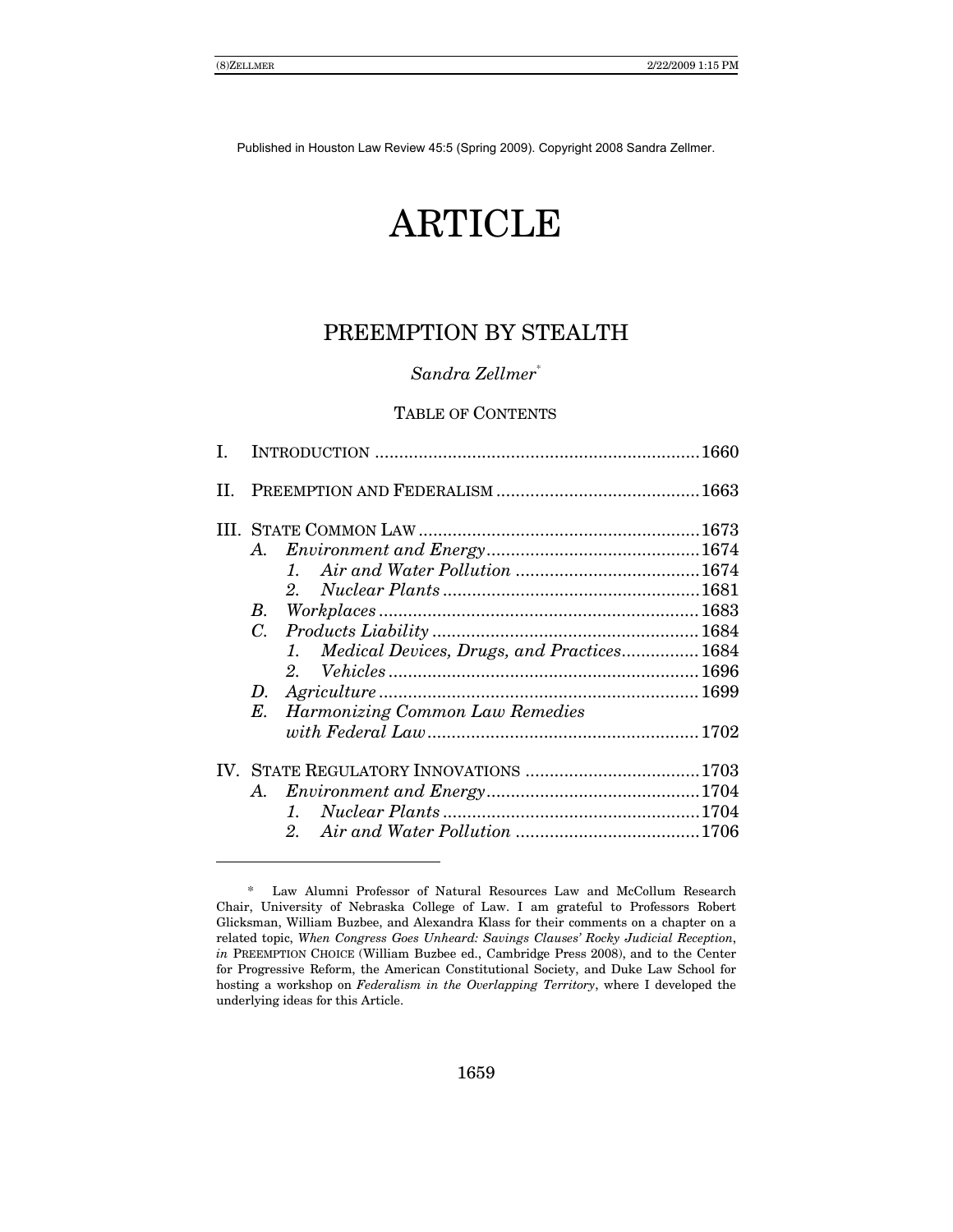# ARTICLE

## PREEMPTION BY STEALTH

## *Sandra Zellmer*\*

## TABLE OF CONTENTS

|  | A.                                                                                                                                                                                                                                                            |  |
|--|---------------------------------------------------------------------------------------------------------------------------------------------------------------------------------------------------------------------------------------------------------------|--|
|  |                                                                                                                                                                                                                                                               |  |
|  |                                                                                                                                                                                                                                                               |  |
|  | $\label{thm:2} \emph{Workplaces} \normalsize \ldots \normalsize \ldots \normalsize \ldots \normalsize \ldots \normalsize \ldots \normalsize \ldots \normalsize \ldots \normalsize \ldots \normalsize \ldots \normalsize \ldots \normalsize \text{1683}$<br>B. |  |
|  | $C_{\cdot}$                                                                                                                                                                                                                                                   |  |
|  | 1. Medical Devices, Drugs, and Practices 1684                                                                                                                                                                                                                 |  |
|  |                                                                                                                                                                                                                                                               |  |
|  | D.                                                                                                                                                                                                                                                            |  |
|  | <b>Harmonizing Common Law Remedies</b><br>Е.                                                                                                                                                                                                                  |  |
|  |                                                                                                                                                                                                                                                               |  |
|  |                                                                                                                                                                                                                                                               |  |
|  | A.                                                                                                                                                                                                                                                            |  |
|  |                                                                                                                                                                                                                                                               |  |
|  | 2 <sup>1</sup>                                                                                                                                                                                                                                                |  |
|  |                                                                                                                                                                                                                                                               |  |

 $\overline{a}$ 

 <sup>\*</sup> Law Alumni Professor of Natural Resources Law and McCollum Research Chair, University of Nebraska College of Law. I am grateful to Professors Robert Glicksman, William Buzbee, and Alexandra Klass for their comments on a chapter on a related topic, *When Congress Goes Unheard: Savings Clausesí Rocky Judicial Reception*, *in* PREEMPTION CHOICE (William Buzbee ed., Cambridge Press 2008), and to the Center for Progressive Reform, the American Constitutional Society, and Duke Law School for hosting a workshop on *Federalism in the Overlapping Territory*, where I developed the underlying ideas for this Article.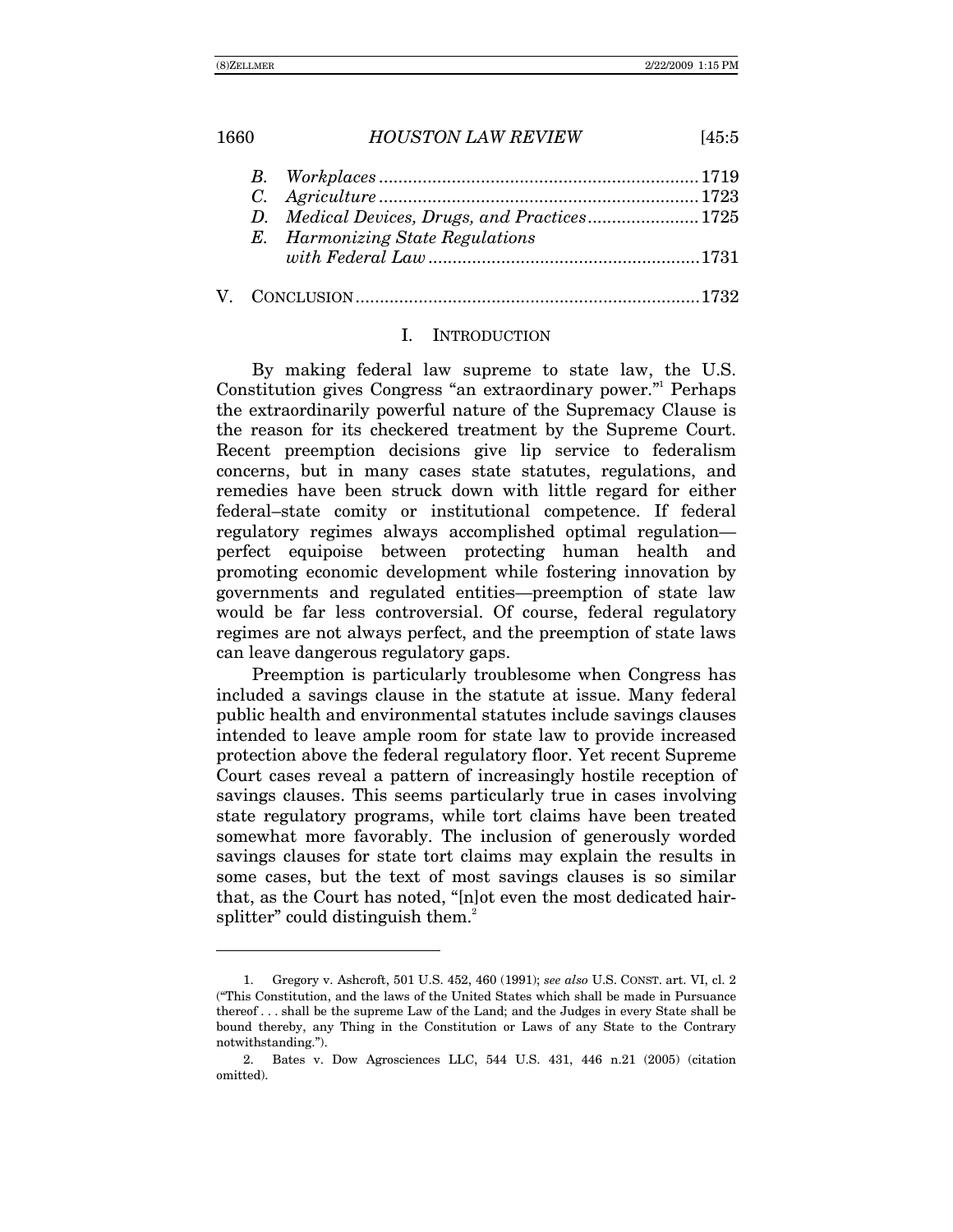|  | E. Harmonizing State Regulations |  |
|--|----------------------------------|--|
|  |                                  |  |
|  |                                  |  |

#### I. INTRODUCTION

By making federal law supreme to state law, the U.S. Constitution gives Congress "an extraordinary power."<sup>1</sup> Perhaps the extraordinarily powerful nature of the Supremacy Clause is the reason for its checkered treatment by the Supreme Court. Recent preemption decisions give lip service to federalism concerns, but in many cases state statutes, regulations, and remedies have been struck down with little regard for either federal–state comity or institutional competence. If federal regulatory regimes always accomplished optimal regulation perfect equipoise between protecting human health and promoting economic development while fostering innovation by governments and regulated entities—preemption of state law would be far less controversial. Of course, federal regulatory regimes are not always perfect, and the preemption of state laws can leave dangerous regulatory gaps.

Preemption is particularly troublesome when Congress has included a savings clause in the statute at issue. Many federal public health and environmental statutes include savings clauses intended to leave ample room for state law to provide increased protection above the federal regulatory floor. Yet recent Supreme Court cases reveal a pattern of increasingly hostile reception of savings clauses. This seems particularly true in cases involving state regulatory programs, while tort claims have been treated somewhat more favorably. The inclusion of generously worded savings clauses for state tort claims may explain the results in some cases, but the text of most savings clauses is so similar that, as the Court has noted, "[n]ot even the most dedicated hairsplitter" could distinguish them. $^{2}$ 

 <sup>1.</sup> Gregory v. Ashcroft, 501 U.S. 452, 460 (1991); *see also* U.S. CONST. art. VI, cl. 2 ("This Constitution, and the laws of the United States which shall be made in Pursuance thereof . . . shall be the supreme Law of the Land; and the Judges in every State shall be bound thereby, any Thing in the Constitution or Laws of any State to the Contrary notwithstanding.").

 <sup>2.</sup> Bates v. Dow Agrosciences LLC, 544 U.S. 431, 446 n.21 (2005) (citation omitted).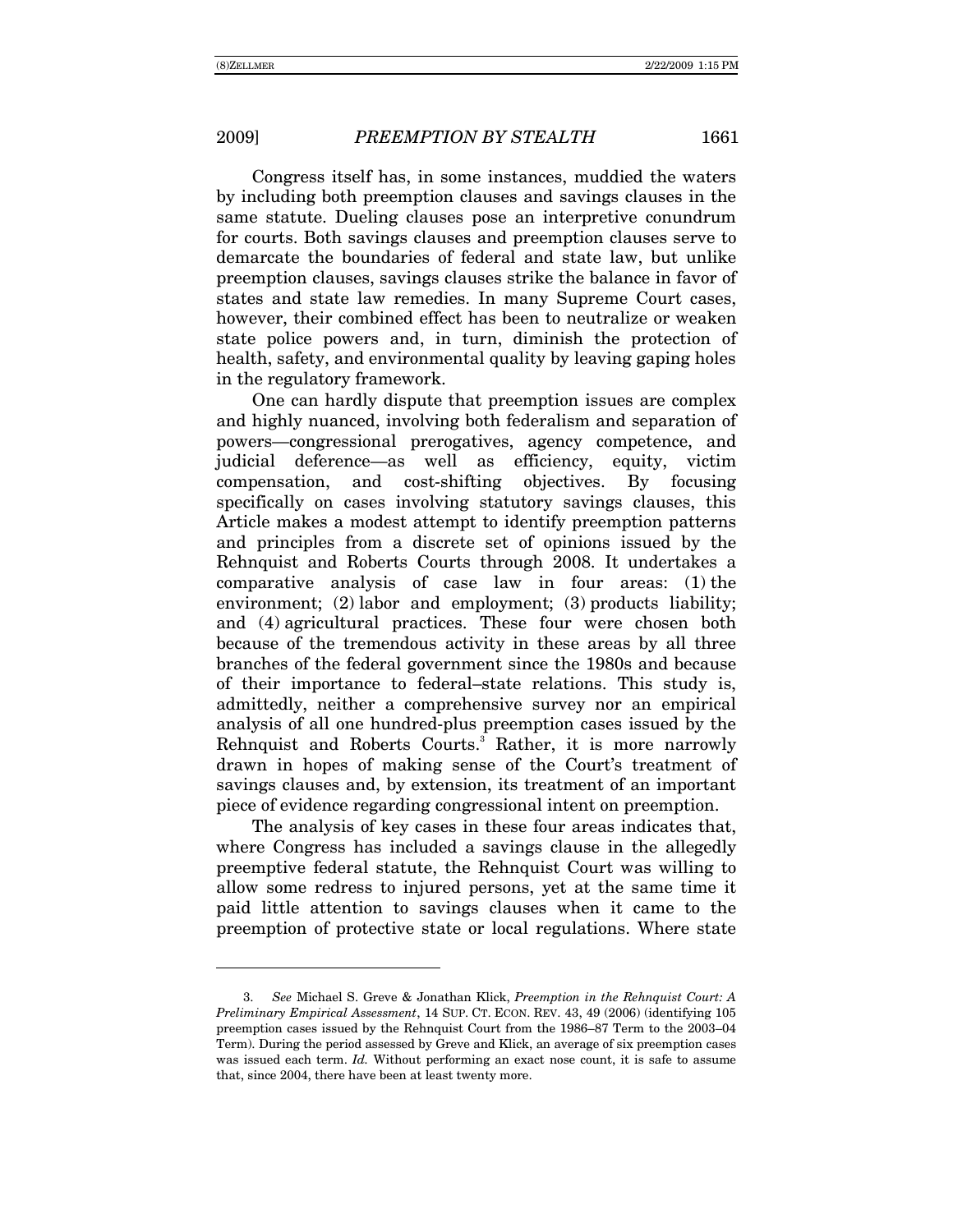$\overline{a}$ 

Congress itself has, in some instances, muddied the waters by including both preemption clauses and savings clauses in the same statute. Dueling clauses pose an interpretive conundrum for courts. Both savings clauses and preemption clauses serve to demarcate the boundaries of federal and state law, but unlike preemption clauses, savings clauses strike the balance in favor of states and state law remedies. In many Supreme Court cases, however, their combined effect has been to neutralize or weaken state police powers and, in turn, diminish the protection of health, safety, and environmental quality by leaving gaping holes in the regulatory framework.

One can hardly dispute that preemption issues are complex and highly nuanced, involving both federalism and separation of powers—congressional prerogatives, agency competence, and judicial deference—as well as efficiency, equity, victim compensation, and cost-shifting objectives. By focusing specifically on cases involving statutory savings clauses, this Article makes a modest attempt to identify preemption patterns and principles from a discrete set of opinions issued by the Rehnquist and Roberts Courts through 2008. It undertakes a comparative analysis of case law in four areas: (1) the environment; (2) labor and employment; (3) products liability; and (4) agricultural practices. These four were chosen both because of the tremendous activity in these areas by all three branches of the federal government since the 1980s and because of their importance to federal–state relations. This study is, admittedly, neither a comprehensive survey nor an empirical analysis of all one hundred-plus preemption cases issued by the Rehnquist and Roberts Courts.<sup>3</sup> Rather, it is more narrowly drawn in hopes of making sense of the Court's treatment of savings clauses and, by extension, its treatment of an important piece of evidence regarding congressional intent on preemption.

The analysis of key cases in these four areas indicates that, where Congress has included a savings clause in the allegedly preemptive federal statute, the Rehnquist Court was willing to allow some redress to injured persons, yet at the same time it paid little attention to savings clauses when it came to the preemption of protective state or local regulations. Where state

<sup>3.</sup> *See* Michael S. Greve & Jonathan Klick, *Preemption in the Rehnquist Court: A Preliminary Empirical Assessment*, 14 SUP. CT. ECON. REV. 43, 49 (2006) (identifying 105 preemption cases issued by the Rehnquist Court from the 1986–87 Term to the 2003–04 Term). During the period assessed by Greve and Klick, an average of six preemption cases was issued each term. *Id.* Without performing an exact nose count, it is safe to assume that, since 2004, there have been at least twenty more.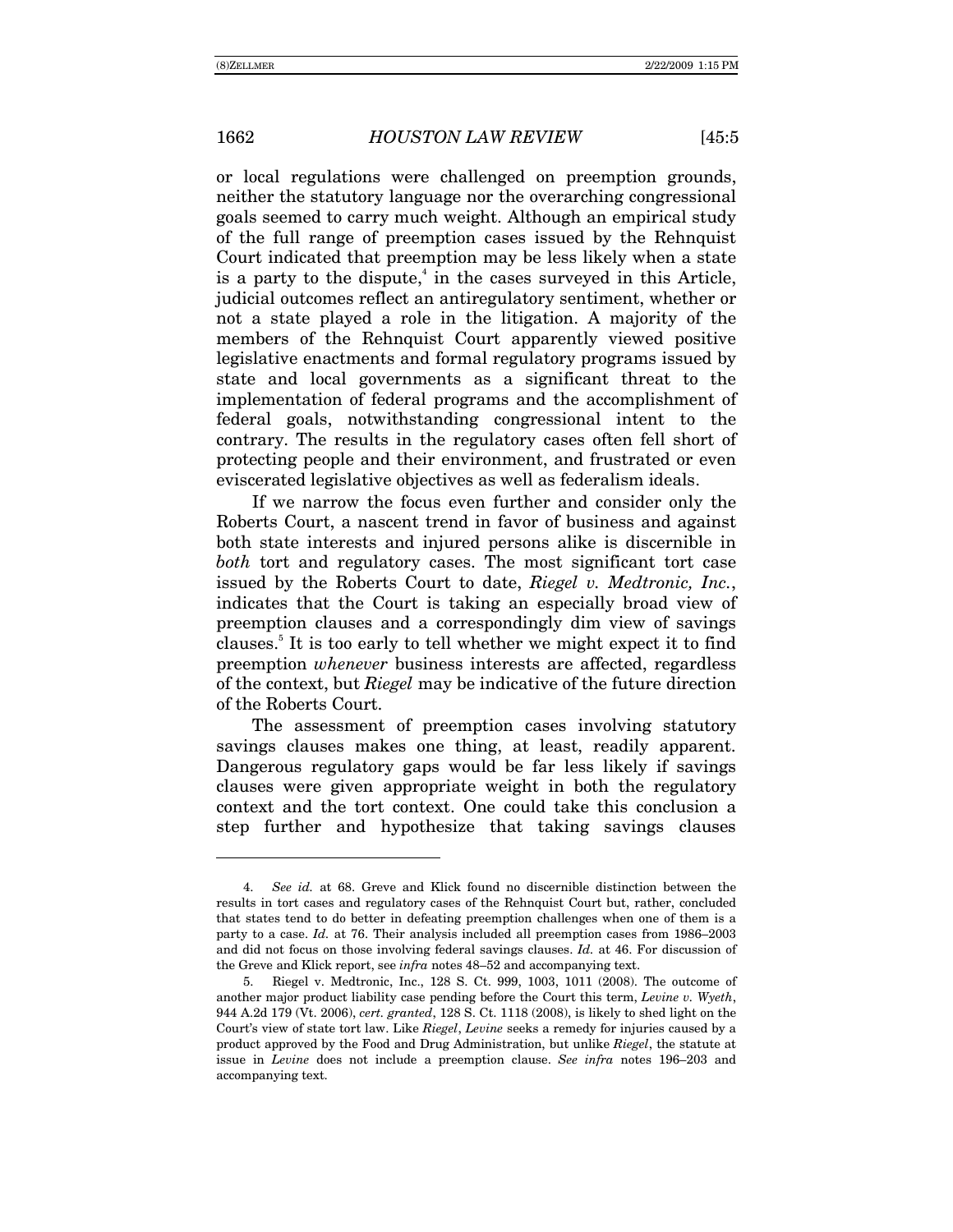or local regulations were challenged on preemption grounds, neither the statutory language nor the overarching congressional goals seemed to carry much weight. Although an empirical study of the full range of preemption cases issued by the Rehnquist Court indicated that preemption may be less likely when a state is a party to the dispute, $\alpha$  in the cases surveyed in this Article, judicial outcomes reflect an antiregulatory sentiment, whether or not a state played a role in the litigation. A majority of the members of the Rehnquist Court apparently viewed positive legislative enactments and formal regulatory programs issued by state and local governments as a significant threat to the implementation of federal programs and the accomplishment of federal goals, notwithstanding congressional intent to the contrary. The results in the regulatory cases often fell short of protecting people and their environment, and frustrated or even eviscerated legislative objectives as well as federalism ideals.

If we narrow the focus even further and consider only the Roberts Court, a nascent trend in favor of business and against both state interests and injured persons alike is discernible in *both* tort and regulatory cases. The most significant tort case issued by the Roberts Court to date, *Riegel v. Medtronic, Inc.*, indicates that the Court is taking an especially broad view of preemption clauses and a correspondingly dim view of savings clauses.<sup>5</sup> It is too early to tell whether we might expect it to find preemption *whenever* business interests are affected, regardless of the context, but *Riegel* may be indicative of the future direction of the Roberts Court.

The assessment of preemption cases involving statutory savings clauses makes one thing, at least, readily apparent. Dangerous regulatory gaps would be far less likely if savings clauses were given appropriate weight in both the regulatory context and the tort context. One could take this conclusion a step further and hypothesize that taking savings clauses

<sup>4.</sup> *See id.* at 68. Greve and Klick found no discernible distinction between the results in tort cases and regulatory cases of the Rehnquist Court but, rather, concluded that states tend to do better in defeating preemption challenges when one of them is a party to a case. *Id.* at 76. Their analysis included all preemption cases from 1986–2003 and did not focus on those involving federal savings clauses. *Id.* at 46. For discussion of the Greve and Klick report, see *infra* notes 48–52 and accompanying text.

 <sup>5.</sup> Riegel v. Medtronic, Inc., 128 S. Ct. 999, 1003, 1011 (2008). The outcome of another major product liability case pending before the Court this term, *Levine v. Wyeth*, 944 A.2d 179 (Vt. 2006), *cert. granted*, 128 S. Ct. 1118 (2008), is likely to shed light on the Court's view of state tort law. Like *Riegel*, *Levine* seeks a remedy for injuries caused by a product approved by the Food and Drug Administration, but unlike *Riegel*, the statute at issue in *Levine* does not include a preemption clause. *See infra* notes 196–203 and accompanying text.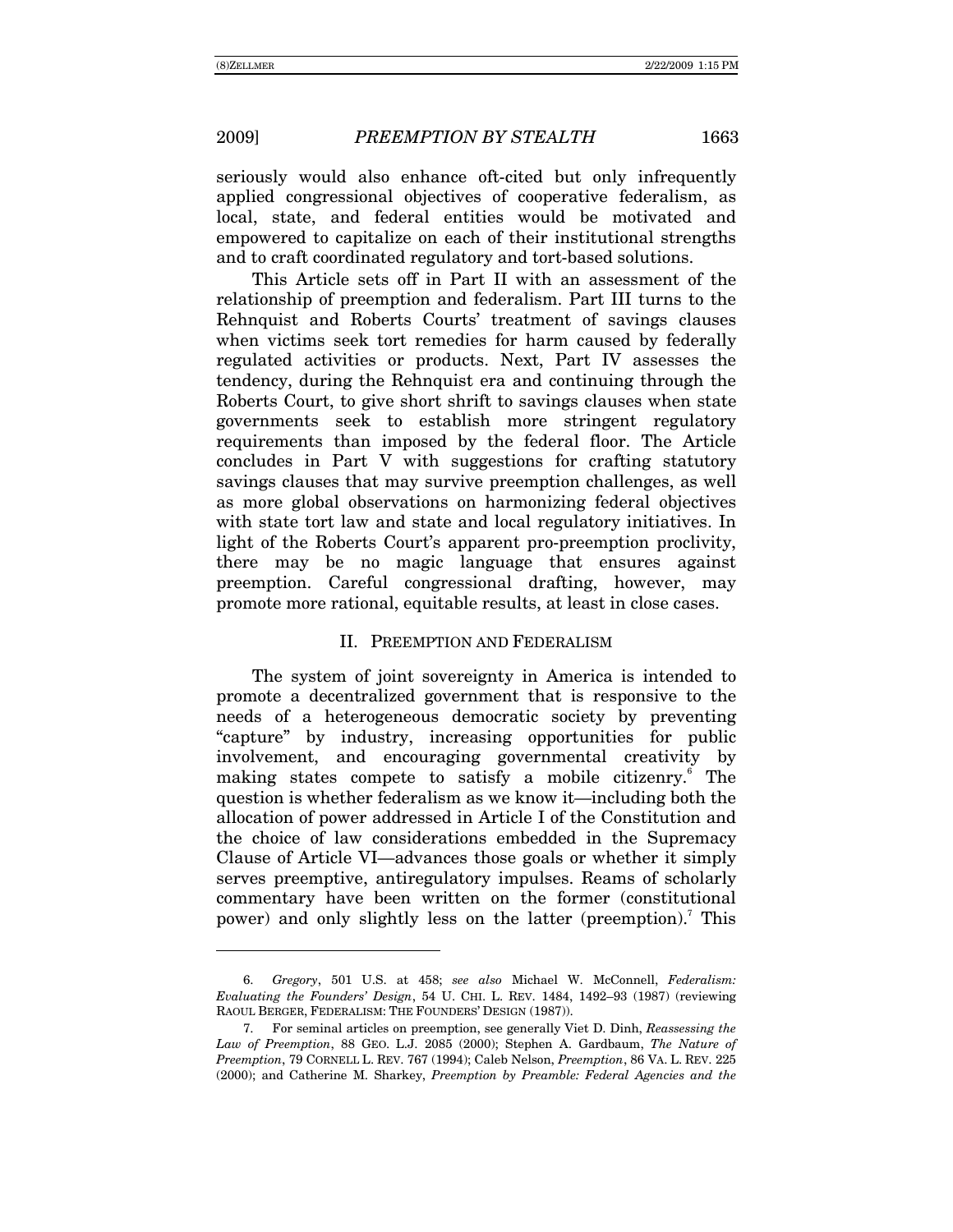-

seriously would also enhance oft-cited but only infrequently applied congressional objectives of cooperative federalism, as local, state, and federal entities would be motivated and empowered to capitalize on each of their institutional strengths and to craft coordinated regulatory and tort-based solutions.

This Article sets off in Part II with an assessment of the relationship of preemption and federalism. Part III turns to the Rehnquist and Roberts Courts' treatment of savings clauses when victims seek tort remedies for harm caused by federally regulated activities or products. Next, Part IV assesses the tendency, during the Rehnquist era and continuing through the Roberts Court, to give short shrift to savings clauses when state governments seek to establish more stringent regulatory requirements than imposed by the federal floor. The Article concludes in Part V with suggestions for crafting statutory savings clauses that may survive preemption challenges, as well as more global observations on harmonizing federal objectives with state tort law and state and local regulatory initiatives. In light of the Roberts Court's apparent pro-preemption proclivity, there may be no magic language that ensures against preemption. Careful congressional drafting, however, may promote more rational, equitable results, at least in close cases.

### II. PREEMPTION AND FEDERALISM

The system of joint sovereignty in America is intended to promote a decentralized government that is responsive to the needs of a heterogeneous democratic society by preventing ìcaptureî by industry, increasing opportunities for public involvement, and encouraging governmental creativity by making states compete to satisfy a mobile citizenry.<sup>6</sup> The question is whether federalism as we know it—including both the allocation of power addressed in Article I of the Constitution and the choice of law considerations embedded in the Supremacy Clause of Article VI—advances those goals or whether it simply serves preemptive, antiregulatory impulses. Reams of scholarly commentary have been written on the former (constitutional power) and only slightly less on the latter (preemption).<sup>7</sup> This

<sup>6.</sup> *Gregory*, 501 U.S. at 458; *see also* Michael W. McConnell, *Federalism: Evaluating the Founders' Design*, 54 U. CHI. L. REV. 1484, 1492–93 (1987) (reviewing RAOUL BERGER, FEDERALISM: THE FOUNDERS' DESIGN (1987)).

 <sup>7.</sup> For seminal articles on preemption, see generally Viet D. Dinh, *Reassessing the Law of Preemption*, 88 GEO. L.J. 2085 (2000); Stephen A. Gardbaum, *The Nature of Preemption*, 79 CORNELL L. REV. 767 (1994); Caleb Nelson, *Preemption*, 86 VA. L. REV. 225 (2000); and Catherine M. Sharkey, *Preemption by Preamble: Federal Agencies and the*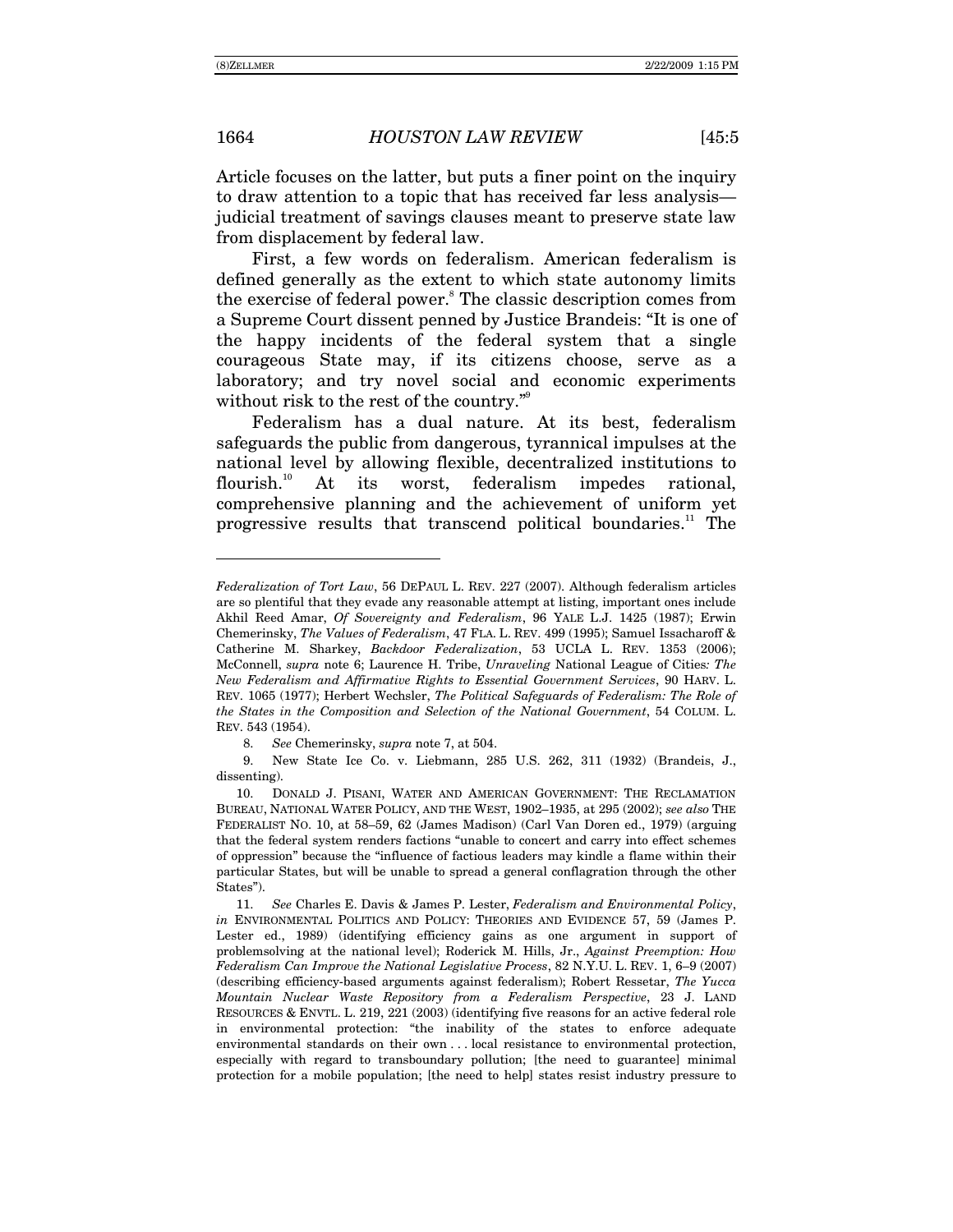Article focuses on the latter, but puts a finer point on the inquiry to draw attention to a topic that has received far less analysis judicial treatment of savings clauses meant to preserve state law from displacement by federal law.

First, a few words on federalism. American federalism is defined generally as the extent to which state autonomy limits the exercise of federal power.<sup>8</sup> The classic description comes from a Supreme Court dissent penned by Justice Brandeis: "It is one of the happy incidents of the federal system that a single courageous State may, if its citizens choose, serve as a laboratory; and try novel social and economic experiments without risk to the rest of the country. $\mathbb{R}^9$ 

Federalism has a dual nature. At its best, federalism safeguards the public from dangerous, tyrannical impulses at the national level by allowing flexible, decentralized institutions to flourish.<sup>10</sup> At its worst, federalism impedes rational, comprehensive planning and the achievement of uniform yet progressive results that transcend political boundaries.<sup>11</sup> The

8. *See* Chemerinsky, *supra* note 7, at 504.

 9. New State Ice Co. v. Liebmann, 285 U.S. 262, 311 (1932) (Brandeis, J., dissenting).

 10. DONALD J. PISANI, WATER AND AMERICAN GOVERNMENT: THE RECLAMATION BUREAU, NATIONAL WATER POLICY, AND THE WEST, 1902-1935, at 295 (2002); see also THE FEDERALIST NO. 10, at 58–59, 62 (James Madison) (Carl Van Doren ed., 1979) (arguing that the federal system renders factions "unable to concert and carry into effect schemes of oppression" because the "influence of factious leaders may kindle a flame within their particular States, but will be unable to spread a general conflagration through the other States").

11. *See* Charles E. Davis & James P. Lester, *Federalism and Environmental Policy*, *in* ENVIRONMENTAL POLITICS AND POLICY: THEORIES AND EVIDENCE 57, 59 (James P. Lester ed., 1989) (identifying efficiency gains as one argument in support of problemsolving at the national level); Roderick M. Hills, Jr., *Against Preemption: How Federalism Can Improve the National Legislative Process*, 82 N.Y.U. L. REV. 1, 6-9 (2007) (describing efficiency-based arguments against federalism); Robert Ressetar, *The Yucca Mountain Nuclear Waste Repository from a Federalism Perspective*, 23 J. LAND RESOURCES & ENVTL. L. 219, 221 (2003) (identifying five reasons for an active federal role in environmental protection: "the inability of the states to enforce adequate environmental standards on their own . . . local resistance to environmental protection, especially with regard to transboundary pollution; [the need to guarantee] minimal protection for a mobile population; [the need to help] states resist industry pressure to

*Federalization of Tort Law*, 56 DEPAUL L. REV. 227 (2007). Although federalism articles are so plentiful that they evade any reasonable attempt at listing, important ones include Akhil Reed Amar, *Of Sovereignty and Federalism*, 96 YALE L.J. 1425 (1987); Erwin Chemerinsky, *The Values of Federalism*, 47 FLA. L. REV. 499 (1995); Samuel Issacharoff & Catherine M. Sharkey, *Backdoor Federalization*, 53 UCLA L. REV. 1353 (2006); McConnell, *supra* note 6; Laurence H. Tribe, *Unraveling* National League of Cities*: The New Federalism and Affirmative Rights to Essential Government Services*, 90 HARV. L. REV. 1065 (1977); Herbert Wechsler, *The Political Safeguards of Federalism: The Role of the States in the Composition and Selection of the National Government*, 54 COLUM. L. REV. 543 (1954).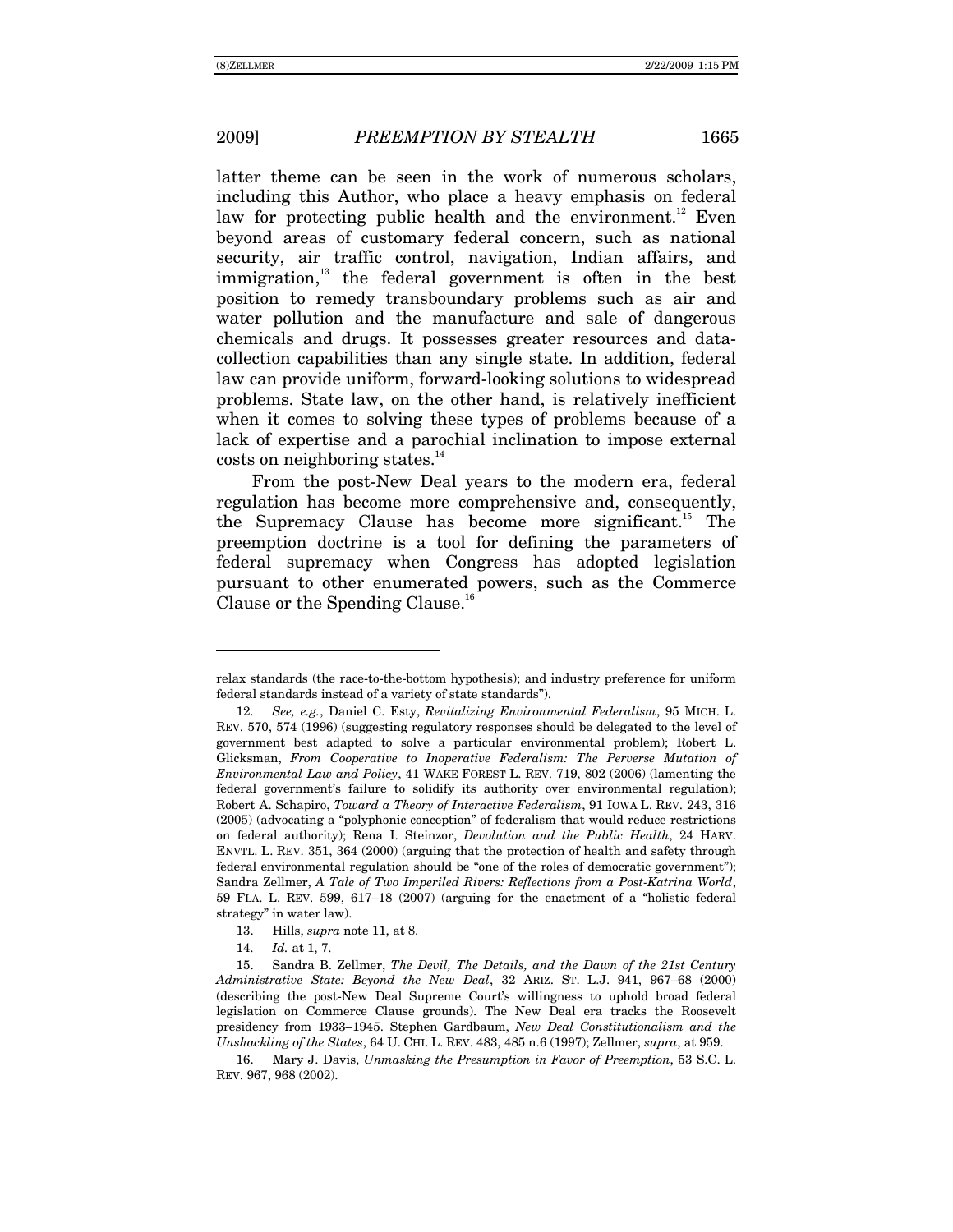$\overline{a}$ 

latter theme can be seen in the work of numerous scholars, including this Author, who place a heavy emphasis on federal law for protecting public health and the environment.<sup>12</sup> Even beyond areas of customary federal concern, such as national security, air traffic control, navigation, Indian affairs, and immigration,<sup>13</sup> the federal government is often in the best position to remedy transboundary problems such as air and water pollution and the manufacture and sale of dangerous chemicals and drugs. It possesses greater resources and datacollection capabilities than any single state. In addition, federal law can provide uniform, forward-looking solutions to widespread problems. State law, on the other hand, is relatively inefficient when it comes to solving these types of problems because of a lack of expertise and a parochial inclination to impose external costs on neighboring states.<sup>14</sup>

From the post-New Deal years to the modern era, federal regulation has become more comprehensive and, consequently, the Supremacy Clause has become more significant.<sup>15</sup> The preemption doctrine is a tool for defining the parameters of federal supremacy when Congress has adopted legislation pursuant to other enumerated powers, such as the Commerce Clause or the Spending Clause.<sup>16</sup>

relax standards (the race-to-the-bottom hypothesis); and industry preference for uniform federal standards instead of a variety of state standards").

<sup>12.</sup> *See, e.g.*, Daniel C. Esty, *Revitalizing Environmental Federalism*, 95 MICH. L. REV. 570, 574 (1996) (suggesting regulatory responses should be delegated to the level of government best adapted to solve a particular environmental problem); Robert L. Glicksman, *From Cooperative to Inoperative Federalism: The Perverse Mutation of Environmental Law and Policy*, 41 WAKE FOREST L. REV. 719, 802 (2006) (lamenting the federal government's failure to solidify its authority over environmental regulation); Robert A. Schapiro, *Toward a Theory of Interactive Federalism*, 91 IOWA L. REV. 243, 316  $(2005)$  (advocating a "polyphonic conception" of federalism that would reduce restrictions on federal authority); Rena I. Steinzor, *Devolution and the Public Health*, 24 HARV. ENVTL. L. REV. 351, 364 (2000) (arguing that the protection of health and safety through federal environmental regulation should be "one of the roles of democratic government"); Sandra Zellmer, *A Tale of Two Imperiled Rivers: Reflections from a Post-Katrina World*, 59 FLA. L. REV. 599, 617–18 (2007) (arguing for the enactment of a "holistic federal strategy" in water law).

 <sup>13.</sup> Hills, *supra* note 11, at 8.

<sup>14.</sup> *Id.* at 1, 7.

 <sup>15.</sup> Sandra B. Zellmer, *The Devil, The Details, and the Dawn of the 21st Century Administrative State: Beyond the New Deal*, 32 ARIZ. ST. L.J. 941, 967-68 (2000) (describing the post-New Deal Supreme Courtís willingness to uphold broad federal legislation on Commerce Clause grounds). The New Deal era tracks the Roosevelt presidency from 1933-1945. Stephen Gardbaum, *New Deal Constitutionalism and the Unshackling of the States*, 64 U. CHI. L. REV. 483, 485 n.6 (1997); Zellmer, *supra*, at 959.

 <sup>16.</sup> Mary J. Davis, *Unmasking the Presumption in Favor of Preemption*, 53 S.C. L. REV. 967, 968 (2002).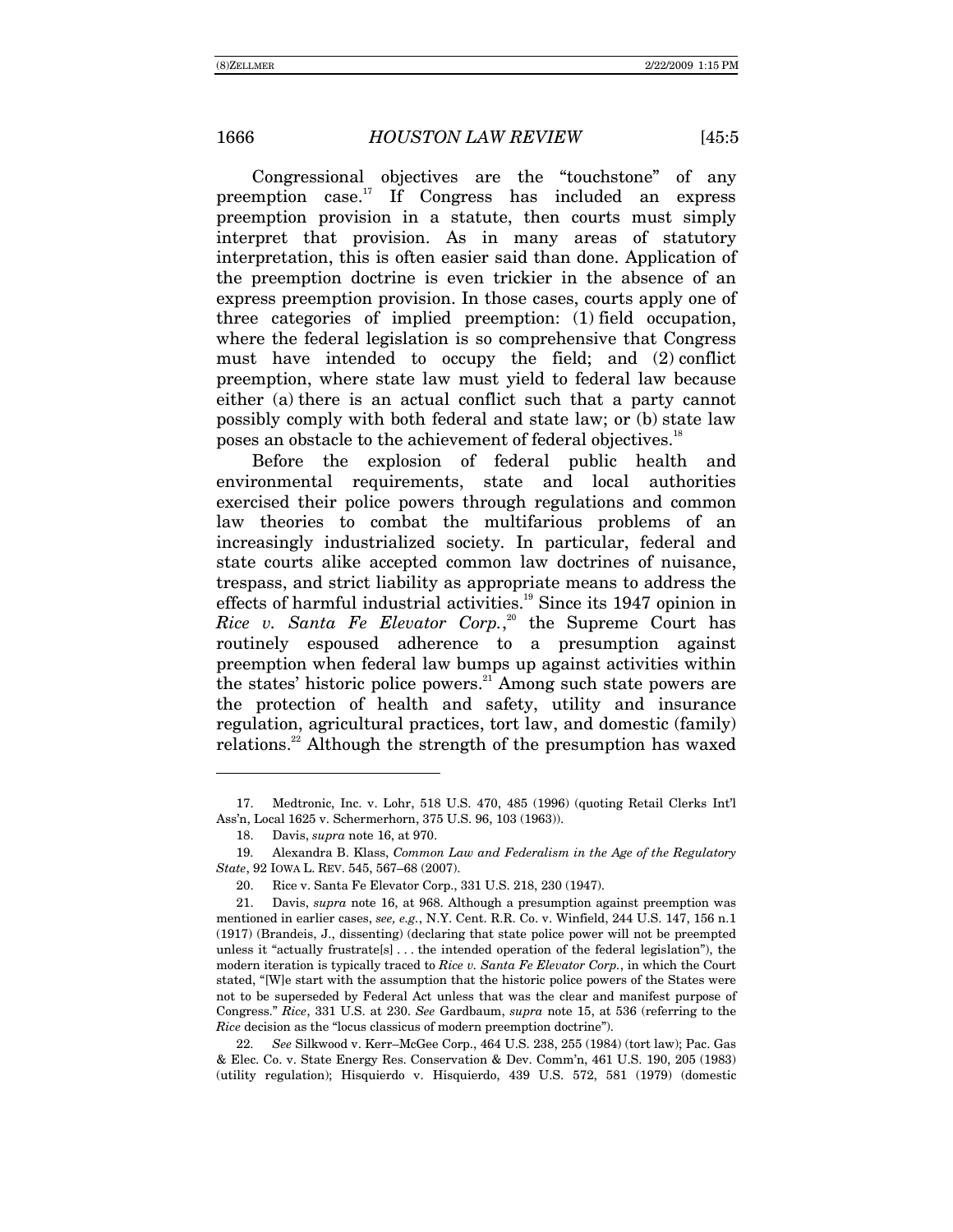Congressional objectives are the "touchstone" of any preemption case.<sup>17</sup> If Congress has included an express preemption provision in a statute, then courts must simply interpret that provision. As in many areas of statutory interpretation, this is often easier said than done. Application of the preemption doctrine is even trickier in the absence of an express preemption provision. In those cases, courts apply one of three categories of implied preemption: (1) field occupation, where the federal legislation is so comprehensive that Congress must have intended to occupy the field; and (2) conflict preemption, where state law must yield to federal law because either (a) there is an actual conflict such that a party cannot possibly comply with both federal and state law; or (b) state law poses an obstacle to the achievement of federal objectives.<sup>18</sup>

Before the explosion of federal public health and environmental requirements, state and local authorities exercised their police powers through regulations and common law theories to combat the multifarious problems of an increasingly industrialized society. In particular, federal and state courts alike accepted common law doctrines of nuisance, trespass, and strict liability as appropriate means to address the effects of harmful industrial activities.<sup>19</sup> Since its 1947 opinion in Rice v. Santa Fe Elevator Corp.,<sup>20</sup> the Supreme Court has routinely espoused adherence to a presumption against preemption when federal law bumps up against activities within the states' historic police powers.<sup>21</sup> Among such state powers are the protection of health and safety, utility and insurance regulation, agricultural practices, tort law, and domestic (family) relations.<sup>22</sup> Although the strength of the presumption has waxed

 <sup>17.</sup> Medtronic, Inc. v. Lohr, 518 U.S. 470, 485 (1996) (quoting Retail Clerks Intíl Assín, Local 1625 v. Schermerhorn, 375 U.S. 96, 103 (1963)).

 <sup>18.</sup> Davis, *supra* note 16, at 970.

 <sup>19.</sup> Alexandra B. Klass, *Common Law and Federalism in the Age of the Regulatory State*, 92 IOWA L. REV. 545, 567-68 (2007).

 <sup>20.</sup> Rice v. Santa Fe Elevator Corp., 331 U.S. 218, 230 (1947).

 <sup>21.</sup> Davis, *supra* note 16, at 968. Although a presumption against preemption was mentioned in earlier cases, *see, e.g.*, N.Y. Cent. R.R. Co. v. Winfield, 244 U.S. 147, 156 n.1 (1917) (Brandeis, J., dissenting) (declaring that state police power will not be preempted unless it "actually frustrate $[s]$ ... the intended operation of the federal legislation"), the modern iteration is typically traced to *Rice v. Santa Fe Elevator Corp.*, in which the Court stated, "[W]e start with the assumption that the historic police powers of the States were not to be superseded by Federal Act unless that was the clear and manifest purpose of Congress.î *Rice*, 331 U.S. at 230. *See* Gardbaum, *supra* note 15, at 536 (referring to the *Rice* decision as the "locus classicus of modern preemption doctrine").

<sup>22.</sup> *See* Silkwood v. Kerr–McGee Corp., 464 U.S. 238, 255 (1984) (tort law); Pac. Gas & Elec. Co. v. State Energy Res. Conservation & Dev. Commín, 461 U.S. 190, 205 (1983) (utility regulation); Hisquierdo v. Hisquierdo, 439 U.S. 572, 581 (1979) (domestic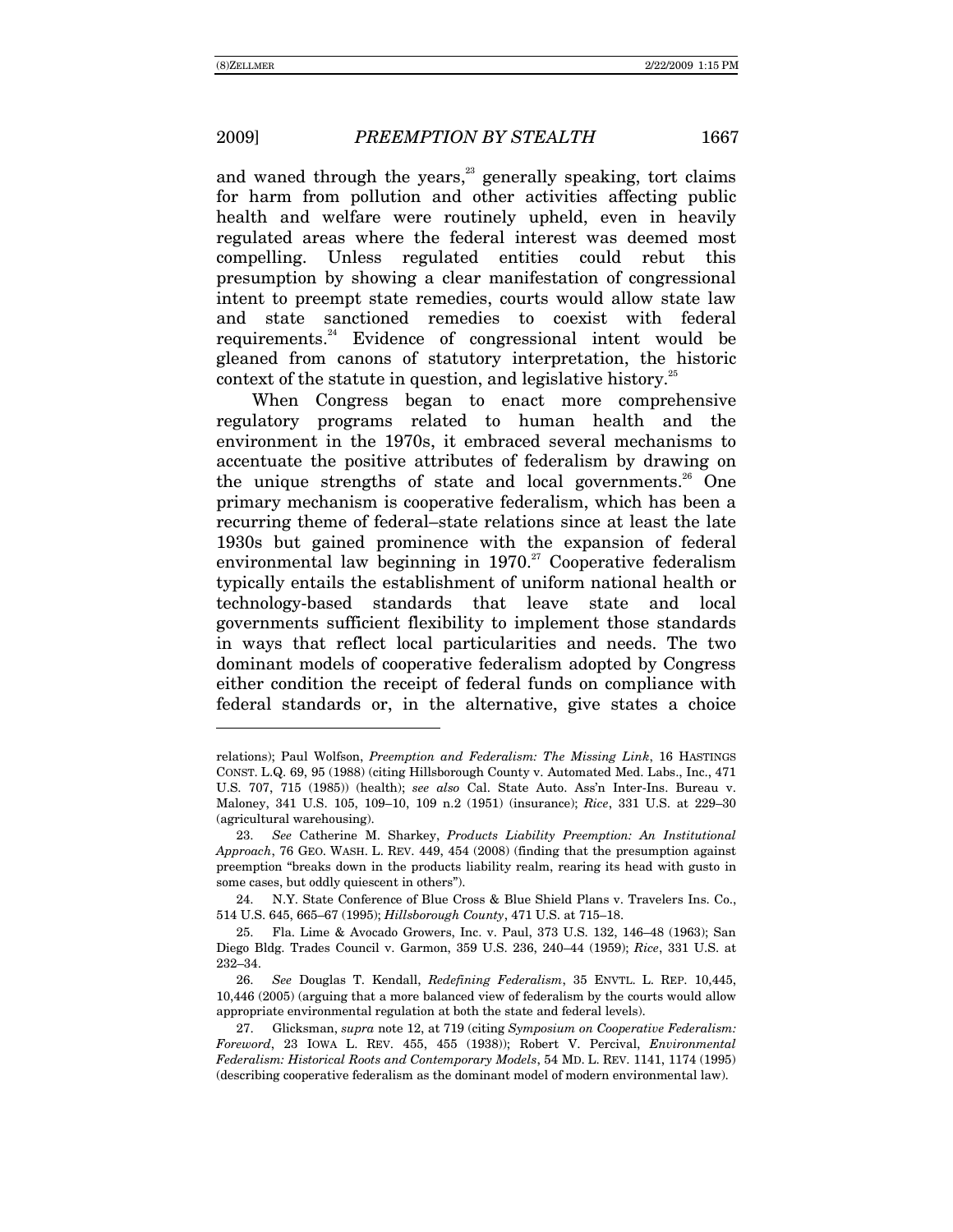-

and waned through the years,<sup>23</sup> generally speaking, tort claims for harm from pollution and other activities affecting public health and welfare were routinely upheld, even in heavily regulated areas where the federal interest was deemed most compelling. Unless regulated entities could rebut this presumption by showing a clear manifestation of congressional intent to preempt state remedies, courts would allow state law and state sanctioned remedies to coexist with federal requirements.<sup>24</sup> Evidence of congressional intent would be gleaned from canons of statutory interpretation, the historic context of the statute in question, and legislative history. $25$ 

When Congress began to enact more comprehensive regulatory programs related to human health and the environment in the 1970s, it embraced several mechanisms to accentuate the positive attributes of federalism by drawing on the unique strengths of state and local governments.<sup>26</sup> One primary mechanism is cooperative federalism, which has been a recurring theme of federal–state relations since at least the late 1930s but gained prominence with the expansion of federal environmental law beginning in  $1970.^{27}$  Cooperative federalism typically entails the establishment of uniform national health or technology-based standards that leave state and local governments sufficient flexibility to implement those standards in ways that reflect local particularities and needs. The two dominant models of cooperative federalism adopted by Congress either condition the receipt of federal funds on compliance with federal standards or, in the alternative, give states a choice

relations); Paul Wolfson, *Preemption and Federalism: The Missing Link*, 16 HASTINGS CONST. L.Q. 69, 95 (1988) (citing Hillsborough County v. Automated Med. Labs., Inc., 471 U.S. 707, 715 (1985)) (health); *see also* Cal. State Auto. Assín Inter-Ins. Bureau v. Maloney, 341 U.S. 105, 109-10, 109 n.2 (1951) (insurance); *Rice*, 331 U.S. at 229-30 (agricultural warehousing).

<sup>23.</sup> *See* Catherine M. Sharkey, *Products Liability Preemption: An Institutional Approach*, 76 GEO. WASH. L. REV. 449, 454 (2008) (finding that the presumption against preemption "breaks down in the products liability realm, rearing its head with gusto in some cases, but oddly quiescent in others").

 <sup>24.</sup> N.Y. State Conference of Blue Cross & Blue Shield Plans v. Travelers Ins. Co., 514 U.S. 645, 665-67 (1995); *Hillsborough County*, 471 U.S. at 715-18.

Fla. Lime & Avocado Growers, Inc. v. Paul, 373 U.S. 132, 146-48 (1963); San Diego Bldg. Trades Council v. Garmon, 359 U.S. 236, 240-44 (1959); *Rice*, 331 U.S. at 232-34.

<sup>26.</sup> *See* Douglas T. Kendall, *Redefining Federalism*, 35 ENVTL. L. REP. 10,445, 10,446 (2005) (arguing that a more balanced view of federalism by the courts would allow appropriate environmental regulation at both the state and federal levels).

 <sup>27.</sup> Glicksman, *supra* note 12, at 719 (citing *Symposium on Cooperative Federalism: Foreword*, 23 IOWA L. REV. 455, 455 (1938)); Robert V. Percival, *Environmental Federalism: Historical Roots and Contemporary Models*, 54 MD. L. REV. 1141, 1174 (1995) (describing cooperative federalism as the dominant model of modern environmental law).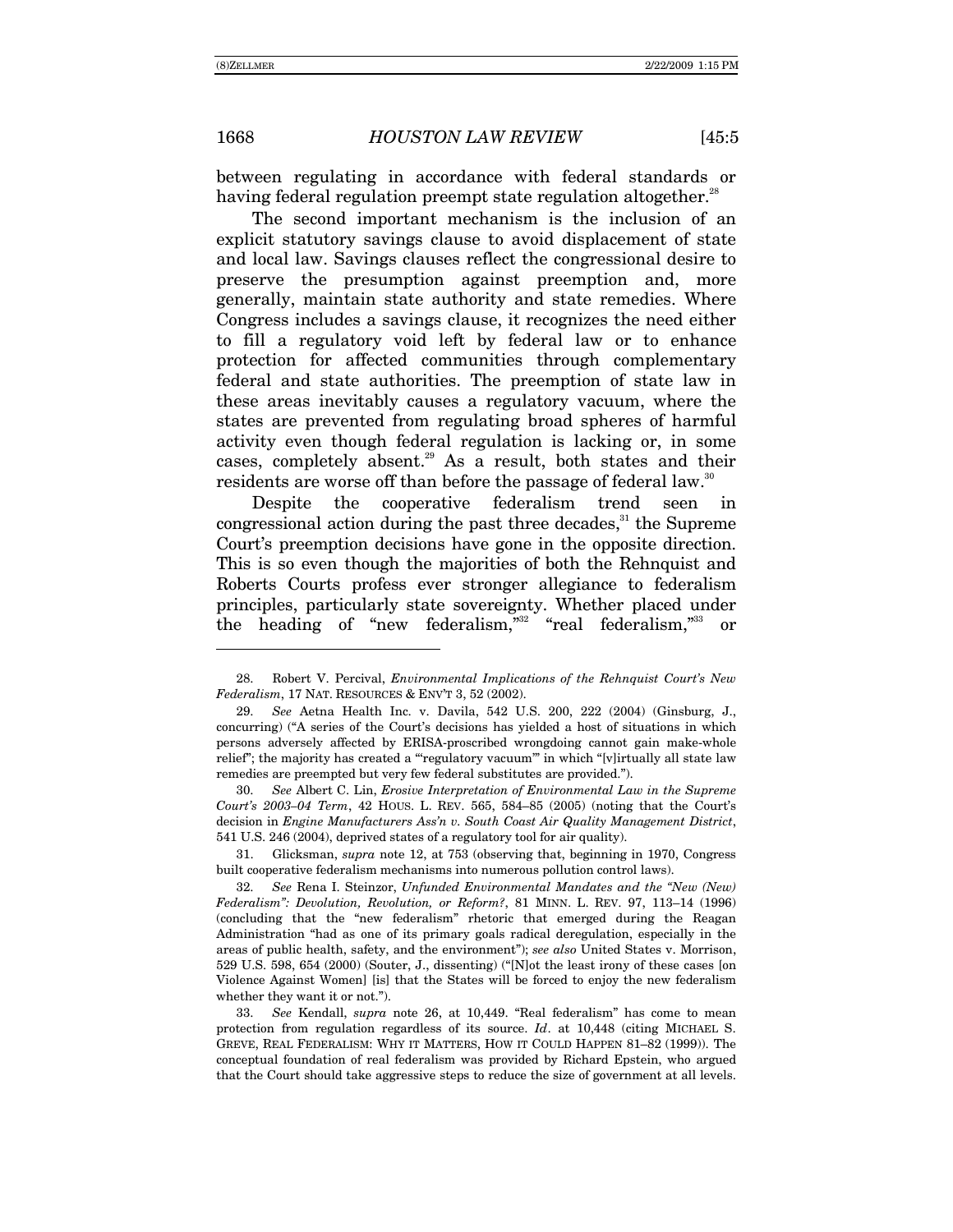between regulating in accordance with federal standards or having federal regulation preempt state regulation altogether.<sup>28</sup>

The second important mechanism is the inclusion of an explicit statutory savings clause to avoid displacement of state and local law. Savings clauses reflect the congressional desire to preserve the presumption against preemption and, more generally, maintain state authority and state remedies. Where Congress includes a savings clause, it recognizes the need either to fill a regulatory void left by federal law or to enhance protection for affected communities through complementary federal and state authorities. The preemption of state law in these areas inevitably causes a regulatory vacuum, where the states are prevented from regulating broad spheres of harmful activity even though federal regulation is lacking or, in some cases, completely absent.<sup>29</sup> As a result, both states and their residents are worse off than before the passage of federal law.<sup>30</sup>

Despite the cooperative federalism trend seen in congressional action during the past three decades, $31$  the Supreme Court's preemption decisions have gone in the opposite direction. This is so even though the majorities of both the Rehnquist and Roberts Courts profess ever stronger allegiance to federalism principles, particularly state sovereignty. Whether placed under the heading of "new federalism," $32$  "real federalism," $33$ or

30. *See* Albert C. Lin, *Erosive Interpretation of Environmental Law in the Supreme Court's 2003-04 Term, 42 HOUS. L. REV. 565, 584-85 (2005) (noting that the Court's* decision in *Engine Manufacturers Assín v. South Coast Air Quality Management District*, 541 U.S. 246 (2004), deprived states of a regulatory tool for air quality).

 31. Glicksman, *supra* note 12, at 753 (observing that, beginning in 1970, Congress built cooperative federalism mechanisms into numerous pollution control laws).

32. *See Rena I. Steinzor, Unfunded Environmental Mandates and the "New (New) Federalism*": Devolution, Revolution, or Reform?, 81 MINN. L. REV. 97, 113-14 (1996) (concluding that the "new federalism" rhetoric that emerged during the Reagan Administration "had as one of its primary goals radical deregulation, especially in the areas of public health, safety, and the environment"); *see also* United States v. Morrison, 529 U.S. 598, 654 (2000) (Souter, J., dissenting) ("Not the least irony of these cases [on Violence Against Women] [is] that the States will be forced to enjoy the new federalism whether they want it or not.").

33. *See* Kendall, *supra* note 26, at 10,449. "Real federalism" has come to mean protection from regulation regardless of its source. *Id*. at 10,448 (citing MICHAEL S. GREVE, REAL FEDERALISM: WHY IT MATTERS, HOW IT COULD HAPPEN 81-82 (1999)). The conceptual foundation of real federalism was provided by Richard Epstein, who argued that the Court should take aggressive steps to reduce the size of government at all levels.

 <sup>28.</sup> Robert V. Percival, *Environmental Implications of the Rehnquist Courtís New Federalism*, 17 NAT. RESOURCES & ENVíT 3, 52 (2002).

<sup>29.</sup> *See* Aetna Health Inc. v. Davila, 542 U.S. 200, 222 (2004) (Ginsburg, J., concurring) ("A series of the Court's decisions has yielded a host of situations in which persons adversely affected by ERISA-proscribed wrongdoing cannot gain make-whole relief"; the majority has created a "regulatory vacuum" in which "[v]irtually all state law remedies are preempted but very few federal substitutes are provided.î).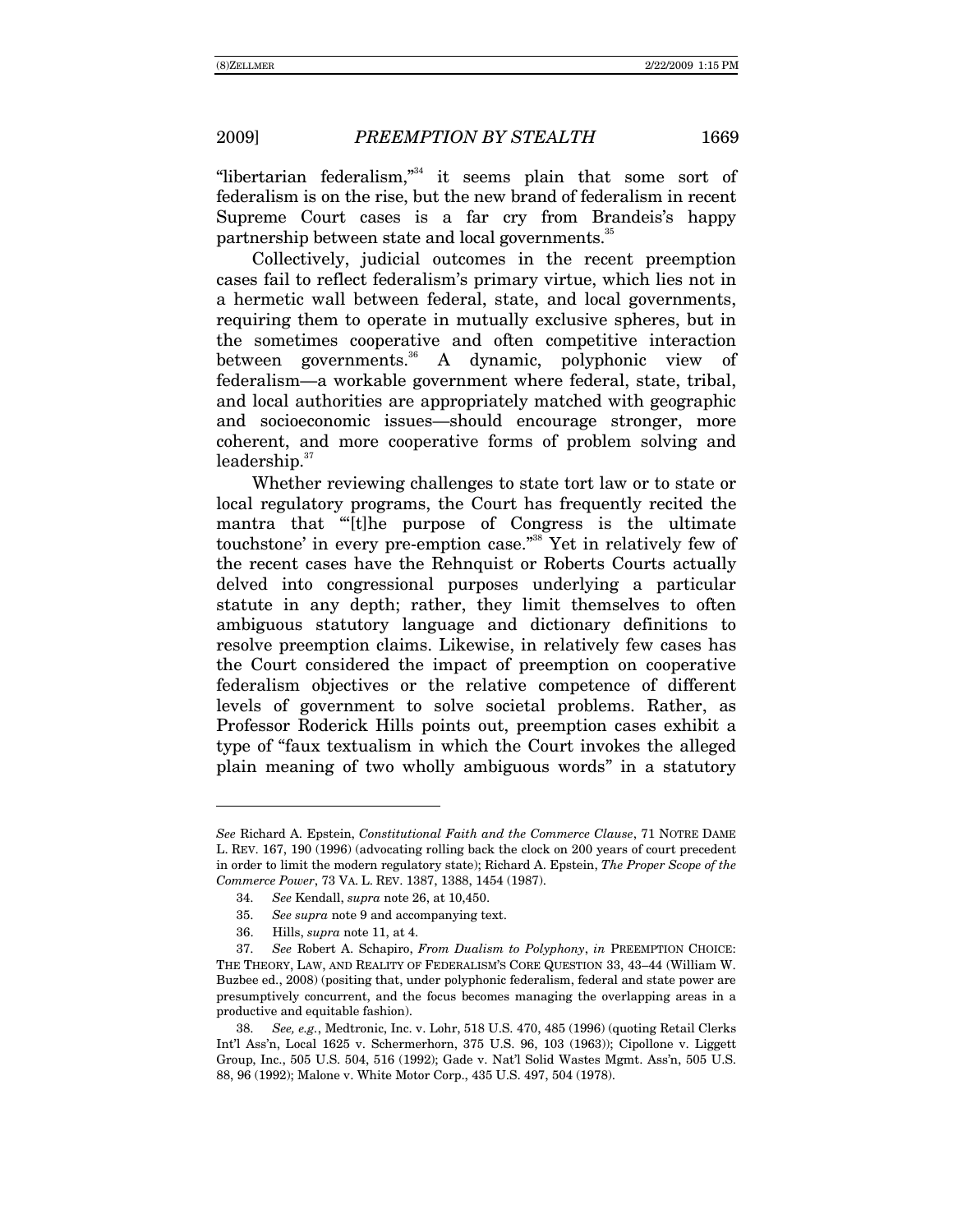"libertarian federalism," $34$  it seems plain that some sort of federalism is on the rise, but the new brand of federalism in recent Supreme Court cases is a far cry from Brandeis's happy partnership between state and local governments.<sup>35</sup>

Collectively, judicial outcomes in the recent preemption cases fail to reflect federalismís primary virtue, which lies not in a hermetic wall between federal, state, and local governments, requiring them to operate in mutually exclusive spheres, but in the sometimes cooperative and often competitive interaction between governments. $36$  A dynamic, polyphonic view of federalism—a workable government where federal, state, tribal, and local authorities are appropriately matched with geographic and socioeconomic issues—should encourage stronger, more coherent, and more cooperative forms of problem solving and  $leadership.<sup>37</sup>$ 

Whether reviewing challenges to state tort law or to state or local regulatory programs, the Court has frequently recited the mantra that "[t]he purpose of Congress is the ultimate touchstone' in every pre-emption case."<sup>38</sup> Yet in relatively few of the recent cases have the Rehnquist or Roberts Courts actually delved into congressional purposes underlying a particular statute in any depth; rather, they limit themselves to often ambiguous statutory language and dictionary definitions to resolve preemption claims. Likewise, in relatively few cases has the Court considered the impact of preemption on cooperative federalism objectives or the relative competence of different levels of government to solve societal problems. Rather, as Professor Roderick Hills points out, preemption cases exhibit a type of "faux textualism in which the Court invokes the alleged plain meaning of two wholly ambiguous words" in a statutory

*See* Richard A. Epstein, *Constitutional Faith and the Commerce Clause*, 71 NOTRE DAME L. REV. 167, 190 (1996) (advocating rolling back the clock on 200 years of court precedent in order to limit the modern regulatory state); Richard A. Epstein, *The Proper Scope of the Commerce Power*, 73 VA. L. REV. 1387, 1388, 1454 (1987).

<sup>34.</sup> *See* Kendall, *supra* note 26, at 10,450.

<sup>35.</sup> *See supra* note 9 and accompanying text.

 <sup>36.</sup> Hills, *supra* note 11, at 4.

<sup>37.</sup> *See* Robert A. Schapiro, *From Dualism to Polyphony*, *in* PREEMPTION CHOICE: THE THEORY, LAW, AND REALITY OF FEDERALISM'S CORE QUESTION 33, 43-44 (William W. Buzbee ed., 2008) (positing that, under polyphonic federalism, federal and state power are presumptively concurrent, and the focus becomes managing the overlapping areas in a productive and equitable fashion).

<sup>38.</sup> *See, e.g.*, Medtronic, Inc. v. Lohr, 518 U.S. 470, 485 (1996) (quoting Retail Clerks Intíl Assín, Local 1625 v. Schermerhorn, 375 U.S. 96, 103 (1963)); Cipollone v. Liggett Group, Inc., 505 U.S. 504, 516 (1992); Gade v. Natíl Solid Wastes Mgmt. Assín, 505 U.S. 88, 96 (1992); Malone v. White Motor Corp., 435 U.S. 497, 504 (1978).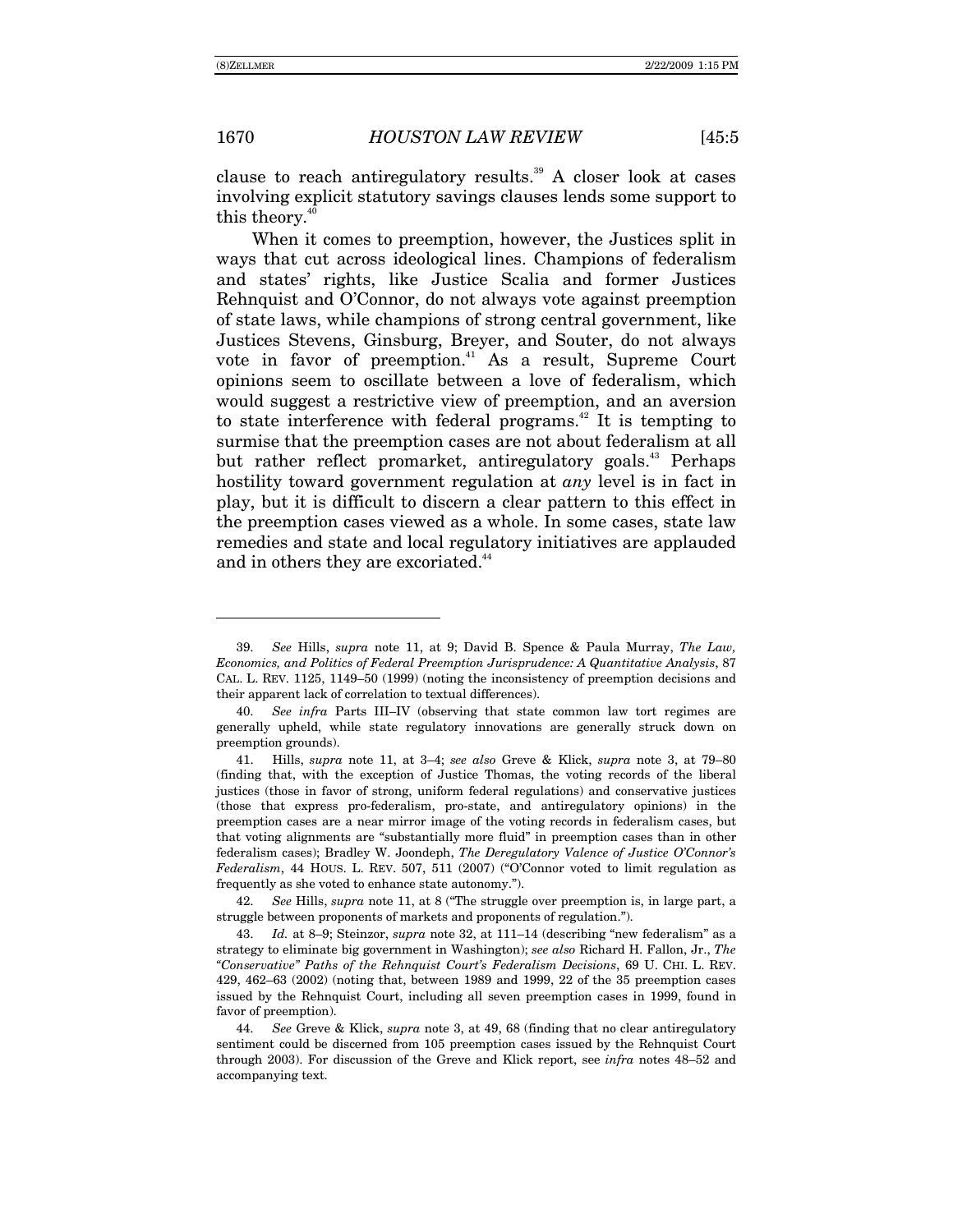clause to reach antiregulatory results.<sup>39</sup> A closer look at cases involving explicit statutory savings clauses lends some support to this theory.<sup>40</sup>

When it comes to preemption, however, the Justices split in ways that cut across ideological lines. Champions of federalism and statesí rights, like Justice Scalia and former Justices Rehnquist and O'Connor, do not always vote against preemption of state laws, while champions of strong central government, like Justices Stevens, Ginsburg, Breyer, and Souter, do not always vote in favor of preemption.<sup>41</sup> As a result, Supreme Court opinions seem to oscillate between a love of federalism, which would suggest a restrictive view of preemption, and an aversion to state interference with federal programs. $^{42}$  It is tempting to surmise that the preemption cases are not about federalism at all but rather reflect promarket, antiregulatory goals.<sup>43</sup> Perhaps hostility toward government regulation at *any* level is in fact in play, but it is difficult to discern a clear pattern to this effect in the preemption cases viewed as a whole. In some cases, state law remedies and state and local regulatory initiatives are applauded and in others they are excoriated.<sup>44</sup>

 $\overline{a}$ 

42. *See Hills, supra* note 11, at 8 ("The struggle over preemption is, in large part, a struggle between proponents of markets and proponents of regulation.").

43. *Id.* at 8–9; Steinzor, *supra* note 32, at 111–14 (describing "new federalism" as a strategy to eliminate big government in Washington); *see also* Richard H. Fallon, Jr., *The ìConservativeî Paths of the Rehnquist Courtís Federalism Decisions*, 69 U. CHI. L. REV.  $429, 462–63$  (2002) (noting that, between 1989 and 1999, 22 of the 35 preemption cases issued by the Rehnquist Court, including all seven preemption cases in 1999, found in favor of preemption).

<sup>39.</sup> *See* Hills, *supra* note 11, at 9; David B. Spence & Paula Murray, *The Law, Economics, and Politics of Federal Preemption Jurisprudence: A Quantitative Analysis*, 87 CAL. L. REV.  $1125$ ,  $1149-50$  (1999) (noting the inconsistency of preemption decisions and their apparent lack of correlation to textual differences).

<sup>40.</sup> *See infra* Parts III-IV (observing that state common law tort regimes are generally upheld, while state regulatory innovations are generally struck down on preemption grounds).

<sup>41.</sup> Hills, *supra* note 11, at 3-4; *see also* Greve & Klick, *supra* note 3, at 79-80 (finding that, with the exception of Justice Thomas, the voting records of the liberal justices (those in favor of strong, uniform federal regulations) and conservative justices (those that express pro-federalism, pro-state, and antiregulatory opinions) in the preemption cases are a near mirror image of the voting records in federalism cases, but that voting alignments are "substantially more fluid" in preemption cases than in other federalism cases); Bradley W. Joondeph, *The Deregulatory Valence of Justice O'Connor's*  $Federalism$ , 44 HOUS. L. REV. 507, 511 (2007) ( $\degree$ O'Connor voted to limit regulation as frequently as she voted to enhance state autonomy.").

<sup>44.</sup> *See* Greve & Klick, *supra* note 3, at 49, 68 (finding that no clear antiregulatory sentiment could be discerned from 105 preemption cases issued by the Rehnquist Court through 2003). For discussion of the Greve and Klick report, see *infra* notes 48–52 and accompanying text.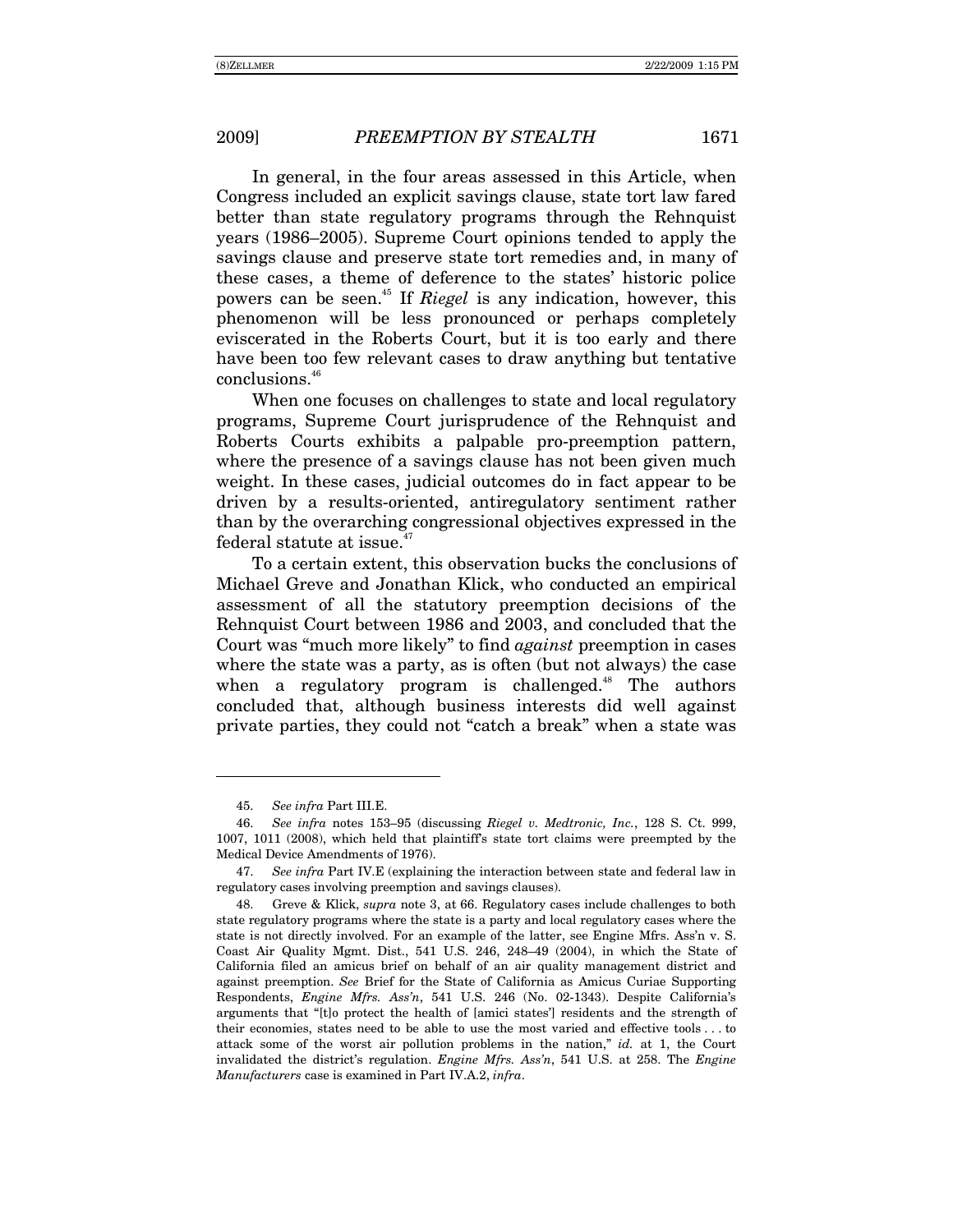In general, in the four areas assessed in this Article, when Congress included an explicit savings clause, state tort law fared better than state regulatory programs through the Rehnquist years (1986–2005). Supreme Court opinions tended to apply the savings clause and preserve state tort remedies and, in many of these cases, a theme of deference to the states' historic police powers can be seen.45 If *Riegel* is any indication, however, this phenomenon will be less pronounced or perhaps completely eviscerated in the Roberts Court, but it is too early and there have been too few relevant cases to draw anything but tentative conclusions.46

When one focuses on challenges to state and local regulatory programs, Supreme Court jurisprudence of the Rehnquist and Roberts Courts exhibits a palpable pro-preemption pattern, where the presence of a savings clause has not been given much weight. In these cases, judicial outcomes do in fact appear to be driven by a results-oriented, antiregulatory sentiment rather than by the overarching congressional objectives expressed in the federal statute at issue.<sup> $4$ </sup>

To a certain extent, this observation bucks the conclusions of Michael Greve and Jonathan Klick, who conducted an empirical assessment of all the statutory preemption decisions of the Rehnquist Court between 1986 and 2003, and concluded that the Court was "much more likely" to find *against* preemption in cases where the state was a party, as is often (but not always) the case when a regulatory program is challenged.<sup>48</sup> The authors concluded that, although business interests did well against private parties, they could not "catch a break" when a state was

 $\overline{a}$ 

<sup>45.</sup> *See infra* Part III.E.

<sup>46.</sup> *See infra notes 153–95 (discussing Riegel v. Medtronic, Inc., 128 S. Ct. 999,* 1007, 1011 (2008), which held that plaintiffís state tort claims were preempted by the Medical Device Amendments of 1976).

<sup>47.</sup> *See infra* Part IV.E (explaining the interaction between state and federal law in regulatory cases involving preemption and savings clauses).

 <sup>48.</sup> Greve & Klick, *supra* note 3, at 66. Regulatory cases include challenges to both state regulatory programs where the state is a party and local regulatory cases where the state is not directly involved. For an example of the latter, see Engine Mfrs. Ass'n v. S. Coast Air Quality Mgmt. Dist., 541 U.S. 246, 248-49 (2004), in which the State of California filed an amicus brief on behalf of an air quality management district and against preemption. *See* Brief for the State of California as Amicus Curiae Supporting Respondents, *Engine Mfrs. Assín*, 541 U.S. 246 (No. 02-1343). Despite Californiaís arguments that "[t]o protect the health of [amici states'] residents and the strength of their economies, states need to be able to use the most varied and effective tools . . . to attack some of the worst air pollution problems in the nation," *id.* at 1, the Court invalidated the district's regulation. *Engine Mfrs. Ass'n*, 541 U.S. at 258. The *Engine Manufacturers* case is examined in Part IV.A.2, *infra*.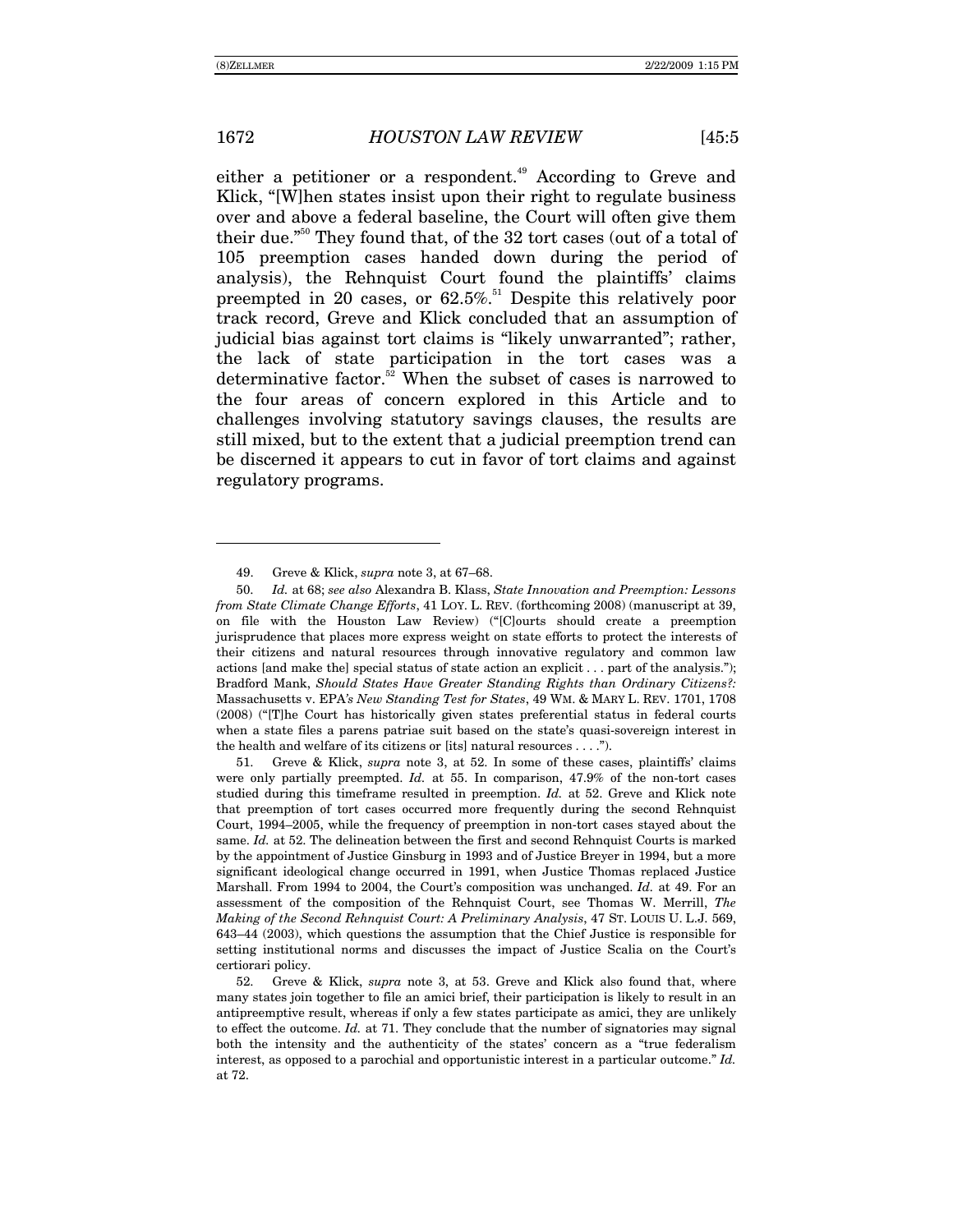either a petitioner or a respondent.<sup>49</sup> According to Greve and Klick, "When states insist upon their right to regulate business over and above a federal baseline, the Court will often give them their due.<sup> $50$ </sup> They found that, of the 32 tort cases (out of a total of 105 preemption cases handed down during the period of analysis), the Rehnquist Court found the plaintiffs' claims preempted in 20 cases, or  $62.5\%$ .<sup>51</sup> Despite this relatively poor track record, Greve and Klick concluded that an assumption of judicial bias against tort claims is "likely unwarranted"; rather, the lack of state participation in the tort cases was a determinative factor. $52$  When the subset of cases is narrowed to the four areas of concern explored in this Article and to challenges involving statutory savings clauses, the results are still mixed, but to the extent that a judicial preemption trend can be discerned it appears to cut in favor of tort claims and against regulatory programs.

 51. Greve & Klick, *supra* note 3, at 52. In some of these cases, plaintiffsí claims were only partially preempted. *Id.* at 55. In comparison, 47.9% of the non-tort cases studied during this timeframe resulted in preemption. *Id.* at 52. Greve and Klick note that preemption of tort cases occurred more frequently during the second Rehnquist Court, 1994–2005, while the frequency of preemption in non-tort cases stayed about the same. *Id.* at 52. The delineation between the first and second Rehnquist Courts is marked by the appointment of Justice Ginsburg in 1993 and of Justice Breyer in 1994, but a more significant ideological change occurred in 1991, when Justice Thomas replaced Justice Marshall. From 1994 to 2004, the Court's composition was unchanged. *Id.* at 49. For an assessment of the composition of the Rehnquist Court, see Thomas W. Merrill, *The Making of the Second Rehnquist Court: A Preliminary Analysis*, 47 ST. LOUIS U. L.J. 569,  $643-44$  (2003), which questions the assumption that the Chief Justice is responsible for setting institutional norms and discusses the impact of Justice Scalia on the Court's certiorari policy.

52. Greve & Klick, *supra* note 3, at 53. Greve and Klick also found that, where many states join together to file an amici brief, their participation is likely to result in an antipreemptive result, whereas if only a few states participate as amici, they are unlikely to effect the outcome. *Id.* at 71. They conclude that the number of signatories may signal both the intensity and the authenticity of the states' concern as a "true federalism" interest, as opposed to a parochial and opportunistic interest in a particular outcome." *Id.* at 72.

 $\overline{a}$ 

<sup>49.</sup> Greve & Klick, *supra* note 3, at 67-68.

<sup>50.</sup> *Id.* at 68; *see also* Alexandra B. Klass, *State Innovation and Preemption: Lessons from State Climate Change Efforts*, 41 LOY. L. REV. (forthcoming 2008) (manuscript at 39, on file with the Houston Law Review) ("[C]ourts should create a preemption jurisprudence that places more express weight on state efforts to protect the interests of their citizens and natural resources through innovative regulatory and common law actions [and make the] special status of state action an explicit  $\dots$  part of the analysis."); Bradford Mank, *Should States Have Greater Standing Rights than Ordinary Citizens?:*  Massachusetts v. EPA*ís New Standing Test for States*, 49 WM. & MARY L. REV. 1701, 1708 (2008) ("[T]he Court has historically given states preferential status in federal courts when a state files a parens patriae suit based on the state's quasi-sovereign interest in the health and welfare of its citizens or [its] natural resources  $\dots$ .").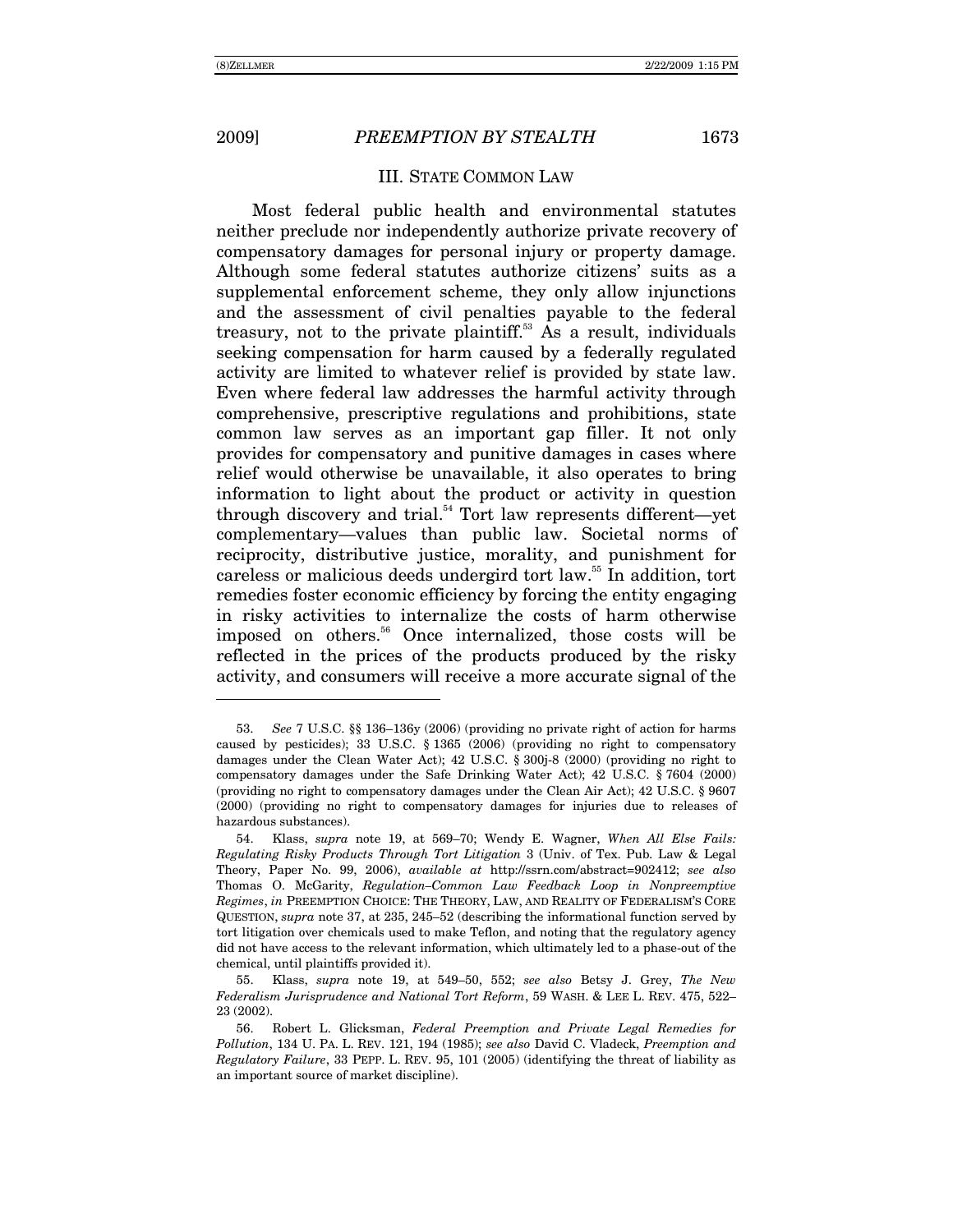-

#### III. STATE COMMON LAW

Most federal public health and environmental statutes neither preclude nor independently authorize private recovery of compensatory damages for personal injury or property damage. Although some federal statutes authorize citizens' suits as a supplemental enforcement scheme, they only allow injunctions and the assessment of civil penalties payable to the federal treasury, not to the private plaintiff.<sup>53</sup> As a result, individuals seeking compensation for harm caused by a federally regulated activity are limited to whatever relief is provided by state law. Even where federal law addresses the harmful activity through comprehensive, prescriptive regulations and prohibitions, state common law serves as an important gap filler. It not only provides for compensatory and punitive damages in cases where relief would otherwise be unavailable, it also operates to bring information to light about the product or activity in question through discovery and trial.<sup>54</sup> Tort law represents different—yet complementary—values than public law. Societal norms of reciprocity, distributive justice, morality, and punishment for careless or malicious deeds undergird tort law.<sup>55</sup> In addition, tort remedies foster economic efficiency by forcing the entity engaging in risky activities to internalize the costs of harm otherwise imposed on others.<sup>56</sup> Once internalized, those costs will be reflected in the prices of the products produced by the risky activity, and consumers will receive a more accurate signal of the

<sup>53.</sup> *See* 7 U.S.C. §§ 136–136y (2006) (providing no private right of action for harms caused by pesticides); 33 U.S.C. ß 1365 (2006) (providing no right to compensatory damages under the Clean Water Act); 42 U.S.C. ß 300j-8 (2000) (providing no right to compensatory damages under the Safe Drinking Water Act); 42 U.S.C. ß 7604 (2000) (providing no right to compensatory damages under the Clean Air Act); 42 U.S.C. ß 9607 (2000) (providing no right to compensatory damages for injuries due to releases of hazardous substances).

<sup>54.</sup> Klass, *supra* note 19, at 569–70; Wendy E. Wagner, *When All Else Fails: Regulating Risky Products Through Tort Litigation* 3 (Univ. of Tex. Pub. Law & Legal Theory, Paper No. 99, 2006), *available at* http://ssrn.com/abstract=902412; *see also* Thomas O. McGarity, *Regulation-Common Law Feedback Loop in Nonpreemptive Regimes*, *in* PREEMPTION CHOICE: THE THEORY, LAW, AND REALITY OF FEDERALISMíS CORE QUESTION, *supra* note 37, at 235, 245–52 (describing the informational function served by tort litigation over chemicals used to make Teflon, and noting that the regulatory agency did not have access to the relevant information, which ultimately led to a phase-out of the chemical, until plaintiffs provided it).

<sup>55.</sup> Klass, *supra* note 19, at 549–50, 552; *see also* Betsy J. Grey, *The New Federalism Jurisprudence and National Tort Reform*, 59 WASH. & LEE L. REV. 475, 522-23 (2002).

 <sup>56.</sup> Robert L. Glicksman, *Federal Preemption and Private Legal Remedies for Pollution*, 134 U. PA. L. REV. 121, 194 (1985); *see also* David C. Vladeck, *Preemption and Regulatory Failure*, 33 PEPP. L. REV. 95, 101 (2005) (identifying the threat of liability as an important source of market discipline).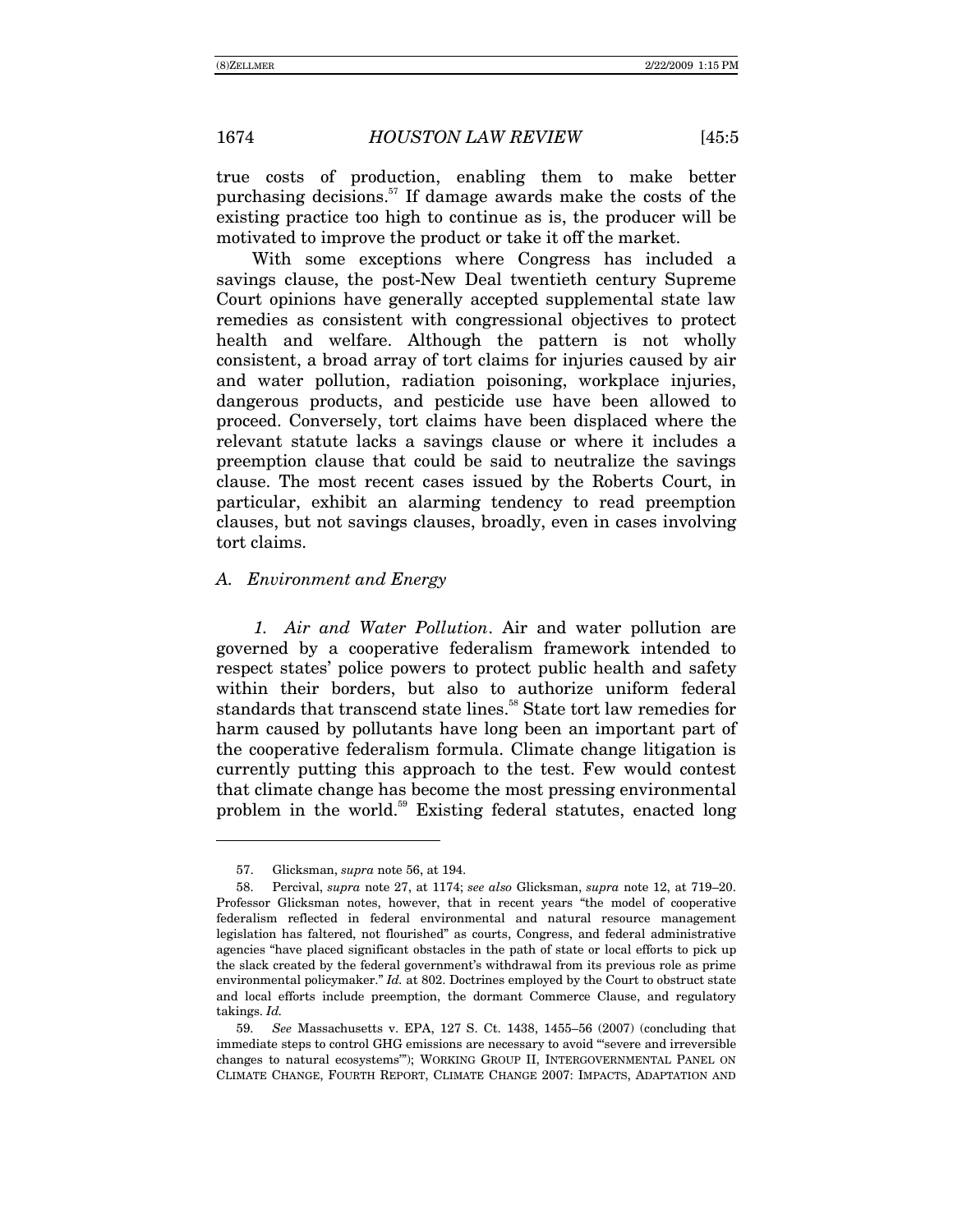true costs of production, enabling them to make better purchasing decisions.<sup>57</sup> If damage awards make the costs of the existing practice too high to continue as is, the producer will be motivated to improve the product or take it off the market.

With some exceptions where Congress has included a savings clause, the post-New Deal twentieth century Supreme Court opinions have generally accepted supplemental state law remedies as consistent with congressional objectives to protect health and welfare. Although the pattern is not wholly consistent, a broad array of tort claims for injuries caused by air and water pollution, radiation poisoning, workplace injuries, dangerous products, and pesticide use have been allowed to proceed. Conversely, tort claims have been displaced where the relevant statute lacks a savings clause or where it includes a preemption clause that could be said to neutralize the savings clause. The most recent cases issued by the Roberts Court, in particular, exhibit an alarming tendency to read preemption clauses, but not savings clauses, broadly, even in cases involving tort claims.

#### *A. Environment and Energy*

*1. Air and Water Pollution*. Air and water pollution are governed by a cooperative federalism framework intended to respect states' police powers to protect public health and safety within their borders, but also to authorize uniform federal standards that transcend state lines.<sup>58</sup> State tort law remedies for harm caused by pollutants have long been an important part of the cooperative federalism formula. Climate change litigation is currently putting this approach to the test. Few would contest that climate change has become the most pressing environmental problem in the world.59 Existing federal statutes, enacted long

 <sup>57.</sup> Glicksman, *supra* note 56, at 194.

<sup>58.</sup> Percival, *supra* note 27, at 1174; *see also Glicksman, supra note 12, at 719-20.* Professor Glicksman notes, however, that in recent years "the model of cooperative federalism reflected in federal environmental and natural resource management legislation has faltered, not flourishedî as courts, Congress, and federal administrative agencies "have placed significant obstacles in the path of state or local efforts to pick up the slack created by the federal governmentís withdrawal from its previous role as prime environmental policymaker.<sup>"</sup> *Id.* at 802. Doctrines employed by the Court to obstruct state and local efforts include preemption, the dormant Commerce Clause, and regulatory takings. *Id.*

<sup>59.</sup> *See* Massachusetts v. EPA, 127 S. Ct. 1438, 1455–56 (2007) (concluding that immediate steps to control GHG emissions are necessary to avoid "severe and irreversible changes to natural ecosystems"); WORKING GROUP II, INTERGOVERNMENTAL PANEL ON CLIMATE CHANGE, FOURTH REPORT, CLIMATE CHANGE 2007: IMPACTS, ADAPTATION AND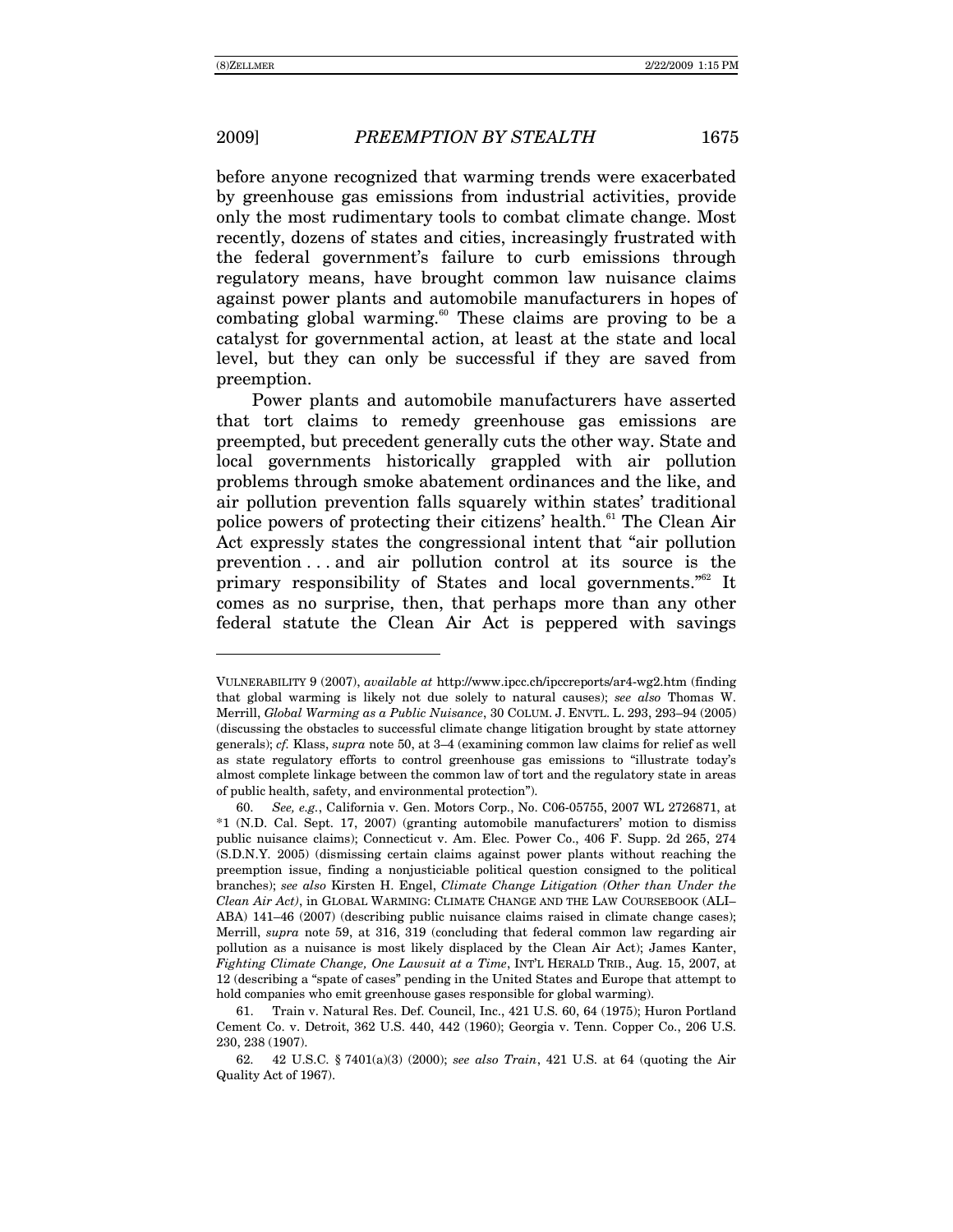-

before anyone recognized that warming trends were exacerbated by greenhouse gas emissions from industrial activities, provide only the most rudimentary tools to combat climate change. Most recently, dozens of states and cities, increasingly frustrated with the federal government's failure to curb emissions through regulatory means, have brought common law nuisance claims against power plants and automobile manufacturers in hopes of combating global warming.<sup>60</sup> These claims are proving to be a catalyst for governmental action, at least at the state and local level, but they can only be successful if they are saved from preemption.

Power plants and automobile manufacturers have asserted that tort claims to remedy greenhouse gas emissions are preempted, but precedent generally cuts the other way. State and local governments historically grappled with air pollution problems through smoke abatement ordinances and the like, and air pollution prevention falls squarely within states' traditional police powers of protecting their citizens' health.<sup>61</sup> The Clean Air Act expressly states the congressional intent that "air pollution" prevention . . . and air pollution control at its source is the primary responsibility of States and local governments.<sup> $562$ </sup> It comes as no surprise, then, that perhaps more than any other federal statute the Clean Air Act is peppered with savings

VULNERABILITY 9 (2007), *available at* http://www.ipcc.ch/ipccreports/ar4-wg2.htm (finding that global warming is likely not due solely to natural causes); *see also* Thomas W. Merrill, *Global Warming as a Public Nuisance*, 30 COLUM. J. ENVTL. L. 293, 293–94 (2005) (discussing the obstacles to successful climate change litigation brought by state attorney generals); *cf.* Klass, *supra* note 50, at 3–4 (examining common law claims for relief as well as state regulatory efforts to control greenhouse gas emissions to "illustrate today's almost complete linkage between the common law of tort and the regulatory state in areas of public health, safety, and environmental protectionî).

<sup>60.</sup> *See, e.g.*, California v. Gen. Motors Corp., No. C06-05755, 2007 WL 2726871, at \*1 (N.D. Cal. Sept. 17, 2007) (granting automobile manufacturersí motion to dismiss public nuisance claims); Connecticut v. Am. Elec. Power Co., 406 F. Supp. 2d 265, 274 (S.D.N.Y. 2005) (dismissing certain claims against power plants without reaching the preemption issue, finding a nonjusticiable political question consigned to the political branches); *see also* Kirsten H. Engel, *Climate Change Litigation (Other than Under the Clean Air Act)*, in GLOBAL WARMING: CLIMATE CHANGE AND THE LAW COURSEBOOK (ALIñ ABA) 141–46 (2007) (describing public nuisance claims raised in climate change cases); Merrill, *supra* note 59, at 316, 319 (concluding that federal common law regarding air pollution as a nuisance is most likely displaced by the Clean Air Act); James Kanter, *Fighting Climate Change, One Lawsuit at a Time, INT'L HERALD TRIB., Aug. 15, 2007, at* 12 (describing a "spate of cases" pending in the United States and Europe that attempt to hold companies who emit greenhouse gases responsible for global warming).

 <sup>61.</sup> Train v. Natural Res. Def. Council, Inc., 421 U.S. 60, 64 (1975); Huron Portland Cement Co. v. Detroit, 362 U.S. 440, 442 (1960); Georgia v. Tenn. Copper Co., 206 U.S. 230, 238 (1907).

 <sup>62. 42</sup> U.S.C. ß 7401(a)(3) (2000); *see also Train*, 421 U.S. at 64 (quoting the Air Quality Act of 1967).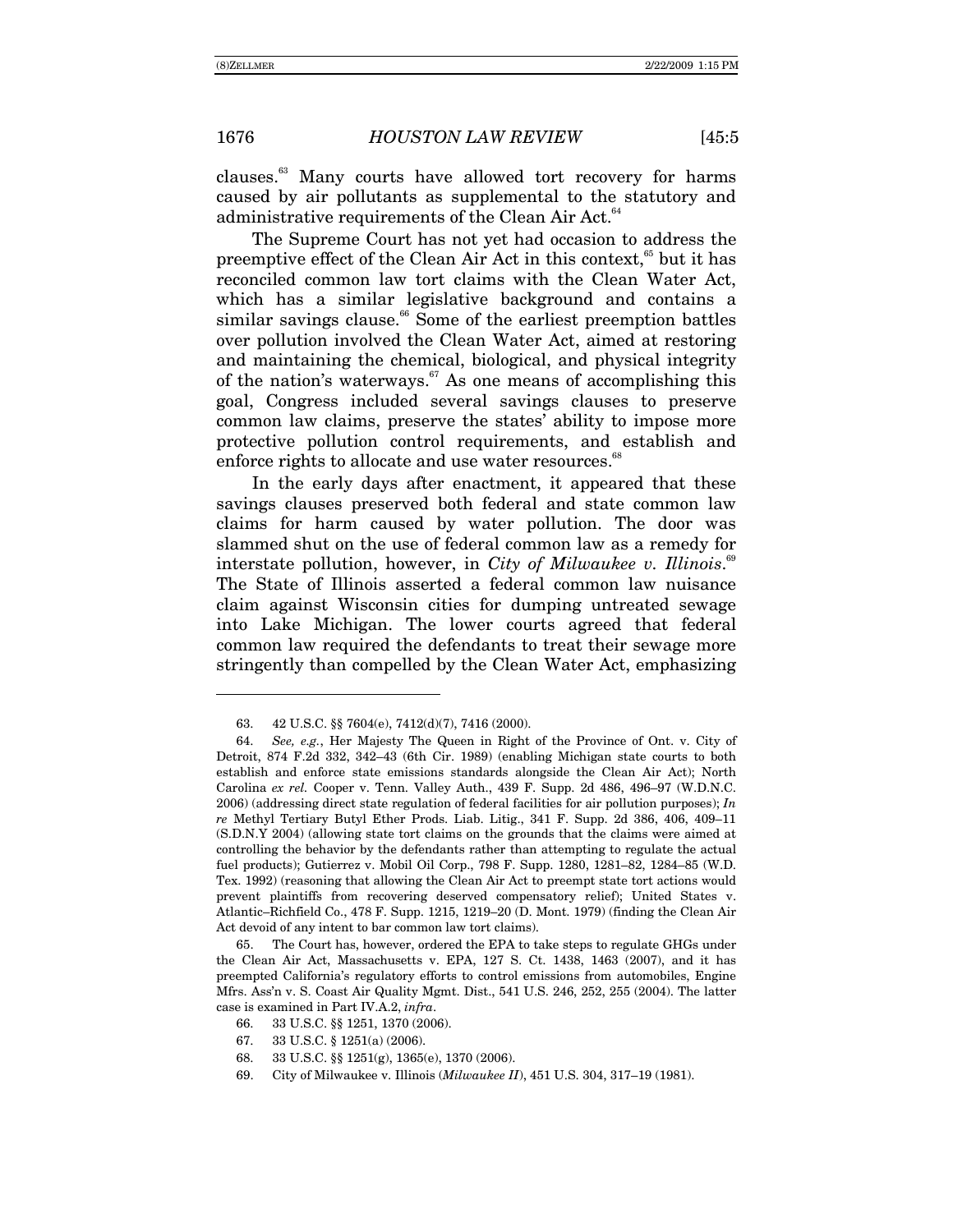clauses.63 Many courts have allowed tort recovery for harms caused by air pollutants as supplemental to the statutory and administrative requirements of the Clean Air Act.<sup>64</sup>

The Supreme Court has not yet had occasion to address the preemptive effect of the Clean Air Act in this context, $65$  but it has reconciled common law tort claims with the Clean Water Act, which has a similar legislative background and contains a similar savings clause.<sup>66</sup> Some of the earliest preemption battles over pollution involved the Clean Water Act, aimed at restoring and maintaining the chemical, biological, and physical integrity of the nation's waterways. $67$  As one means of accomplishing this goal, Congress included several savings clauses to preserve common law claims, preserve the states' ability to impose more protective pollution control requirements, and establish and enforce rights to allocate and use water resources.<sup>68</sup>

In the early days after enactment, it appeared that these savings clauses preserved both federal and state common law claims for harm caused by water pollution. The door was slammed shut on the use of federal common law as a remedy for interstate pollution, however, in *City of Milwaukee v. Illinois*.<sup>69</sup> The State of Illinois asserted a federal common law nuisance claim against Wisconsin cities for dumping untreated sewage into Lake Michigan. The lower courts agreed that federal common law required the defendants to treat their sewage more stringently than compelled by the Clean Water Act, emphasizing

 <sup>63. 42</sup> U.S.C. ßß 7604(e), 7412(d)(7), 7416 (2000).

<sup>64.</sup> *See, e.g.*, Her Majesty The Queen in Right of the Province of Ont. v. City of Detroit, 874 F.2d 332, 342-43 (6th Cir. 1989) (enabling Michigan state courts to both establish and enforce state emissions standards alongside the Clean Air Act); North Carolina ex rel. Cooper v. Tenn. Valley Auth., 439 F. Supp. 2d 486, 496-97 (W.D.N.C. 2006) (addressing direct state regulation of federal facilities for air pollution purposes); *In re* Methyl Tertiary Butyl Ether Prods. Liab. Litig., 341 F. Supp. 2d 386, 406, 409–11 (S.D.N.Y 2004) (allowing state tort claims on the grounds that the claims were aimed at controlling the behavior by the defendants rather than attempting to regulate the actual fuel products); Gutierrez v. Mobil Oil Corp., 798 F. Supp. 1280, 1281-82, 1284-85 (W.D. Tex. 1992) (reasoning that allowing the Clean Air Act to preempt state tort actions would prevent plaintiffs from recovering deserved compensatory relief); United States v. Atlantic-Richfield Co., 478 F. Supp. 1215, 1219-20 (D. Mont. 1979) (finding the Clean Air Act devoid of any intent to bar common law tort claims).

 <sup>65.</sup> The Court has, however, ordered the EPA to take steps to regulate GHGs under the Clean Air Act, Massachusetts v. EPA, 127 S. Ct. 1438, 1463 (2007), and it has preempted Californiaís regulatory efforts to control emissions from automobiles, Engine Mfrs. Assín v. S. Coast Air Quality Mgmt. Dist., 541 U.S. 246, 252, 255 (2004). The latter case is examined in Part IV.A.2, *infra*.

 <sup>66. 33</sup> U.S.C. ßß 1251, 1370 (2006).

 <sup>67. 33</sup> U.S.C. ß 1251(a) (2006).

 <sup>68. 33</sup> U.S.C. ßß 1251(g), 1365(e), 1370 (2006).

<sup>69.</sup> City of Milwaukee v. Illinois (*Milwaukee II*), 451 U.S. 304, 317–19 (1981).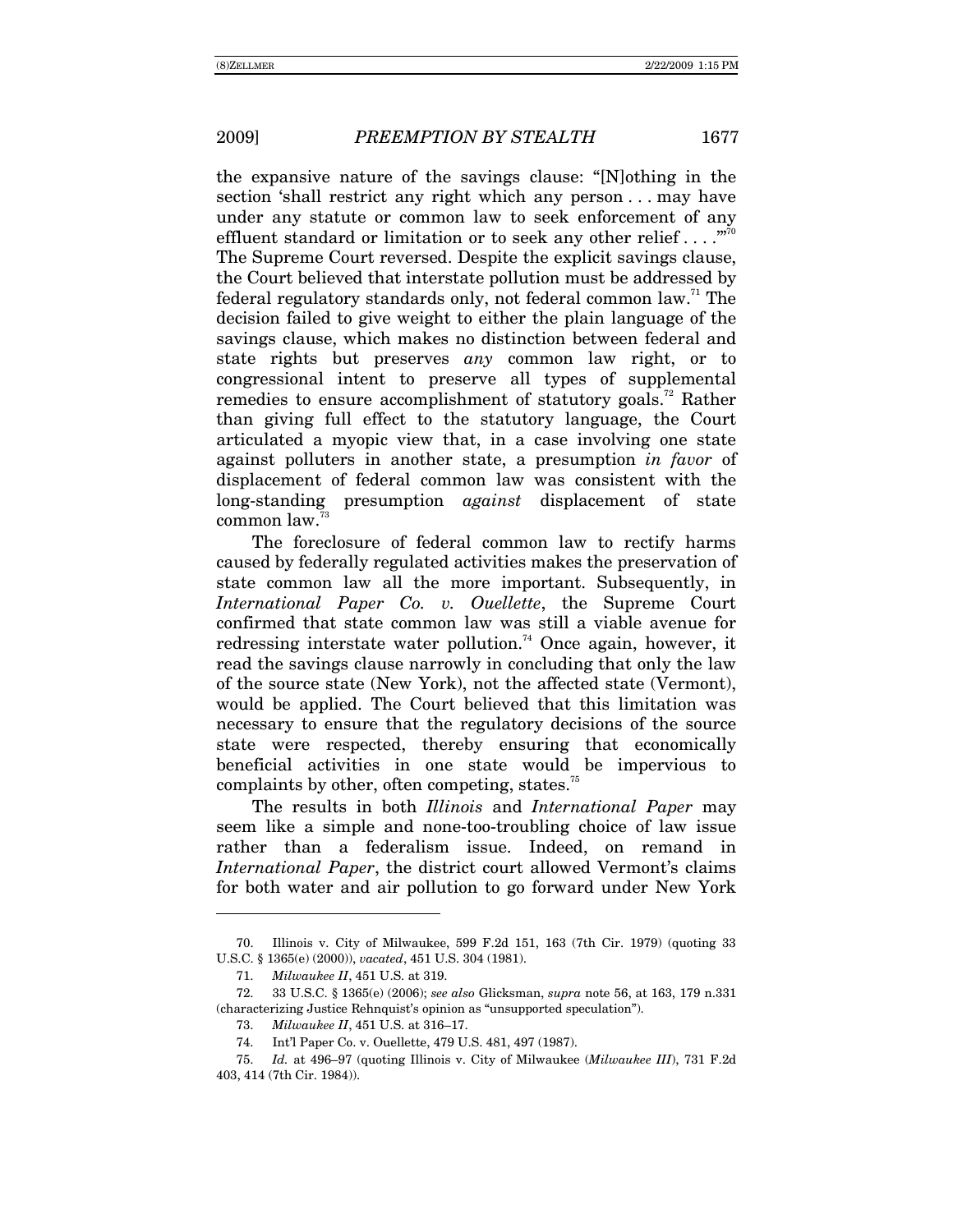the expansive nature of the savings clause:  $N$ ]othing in the section 'shall restrict any right which any person... may have under any statute or common law to seek enforcement of any effluent standard or limitation or to seek any other relief . . . .  $\mathbb{Z}^{70}$ The Supreme Court reversed. Despite the explicit savings clause, the Court believed that interstate pollution must be addressed by federal regulatory standards only, not federal common law.<sup>71</sup> The decision failed to give weight to either the plain language of the savings clause, which makes no distinction between federal and state rights but preserves *any* common law right, or to congressional intent to preserve all types of supplemental remedies to ensure accomplishment of statutory goals.<sup>72</sup> Rather than giving full effect to the statutory language, the Court articulated a myopic view that, in a case involving one state against polluters in another state, a presumption *in favor* of displacement of federal common law was consistent with the long-standing presumption *against* displacement of state common law.73

The foreclosure of federal common law to rectify harms caused by federally regulated activities makes the preservation of state common law all the more important. Subsequently, in *International Paper Co. v. Ouellette*, the Supreme Court confirmed that state common law was still a viable avenue for redressing interstate water pollution.<sup>74</sup> Once again, however, it read the savings clause narrowly in concluding that only the law of the source state (New York), not the affected state (Vermont), would be applied. The Court believed that this limitation was necessary to ensure that the regulatory decisions of the source state were respected, thereby ensuring that economically beneficial activities in one state would be impervious to complaints by other, often competing, states.<sup>75</sup>

The results in both *Illinois* and *International Paper* may seem like a simple and none-too-troubling choice of law issue rather than a federalism issue. Indeed, on remand in *International Paper*, the district court allowed Vermont's claims for both water and air pollution to go forward under New York

 <sup>70.</sup> Illinois v. City of Milwaukee, 599 F.2d 151, 163 (7th Cir. 1979) (quoting 33 U.S.C. ß 1365(e) (2000)), *vacated*, 451 U.S. 304 (1981).

<sup>71.</sup> *Milwaukee II*, 451 U.S. at 319.

 <sup>72. 33</sup> U.S.C. ß 1365(e) (2006); *see also* Glicksman, *supra* note 56, at 163, 179 n.331 (characterizing Justice Rehnquist's opinion as "unsupported speculation").

<sup>73.</sup> *Milwaukee II*, 451 U.S. at 316-17.

 <sup>74.</sup> Intíl Paper Co. v. Ouellette, 479 U.S. 481, 497 (1987).

<sup>75.</sup> *Id.* at 496–97 (quoting Illinois v. City of Milwaukee (*Milwaukee III*), 731 F.2d 403, 414 (7th Cir. 1984)).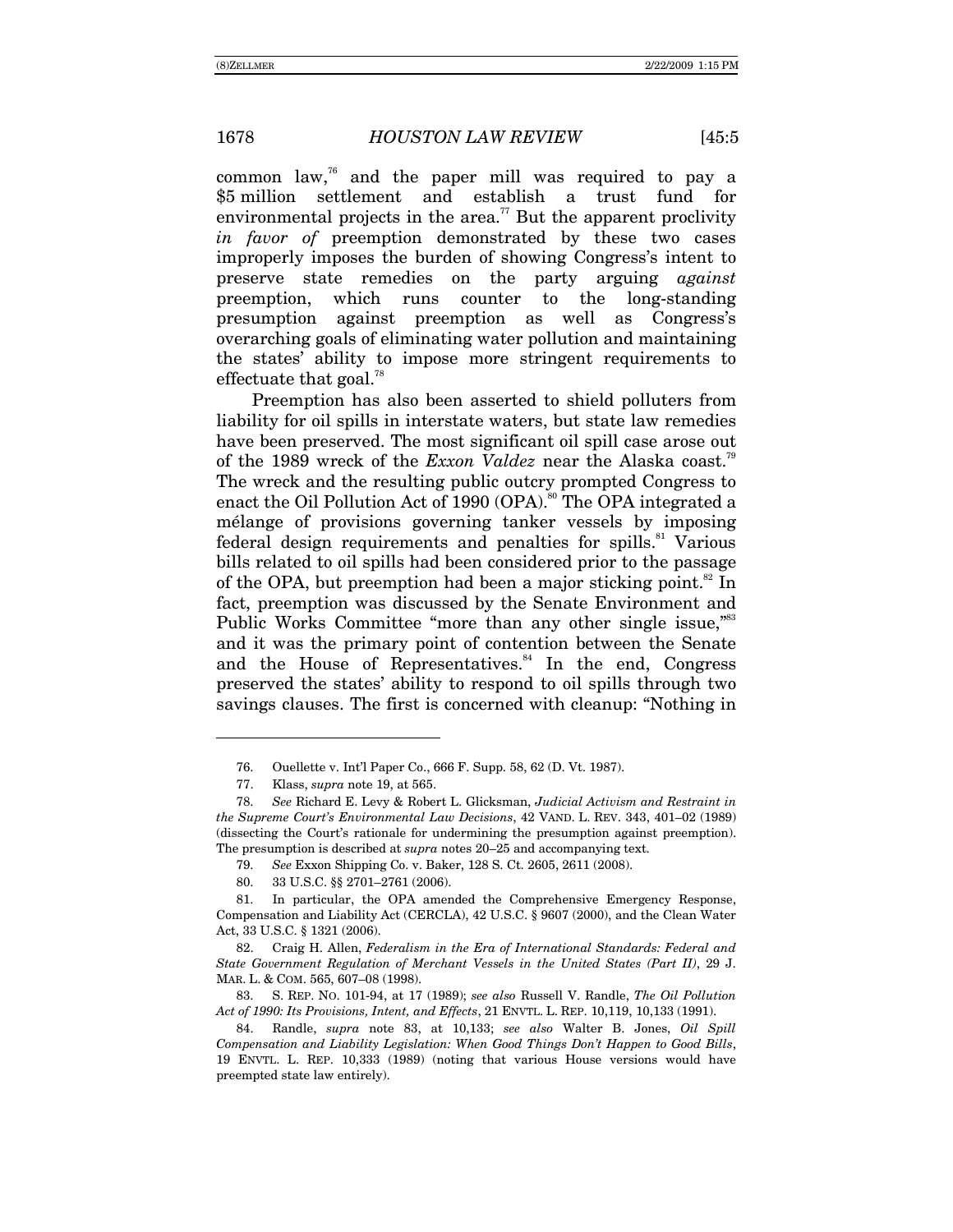common law,76 and the paper mill was required to pay a \$5 million settlement and establish a trust fund for environmental projects in the area.<sup> $77$ </sup> But the apparent proclivity *in favor of* preemption demonstrated by these two cases improperly imposes the burden of showing Congress's intent to preserve state remedies on the party arguing *against* preemption, which runs counter to the long-standing presumption against preemption as well as Congressís overarching goals of eliminating water pollution and maintaining the states' ability to impose more stringent requirements to effectuate that goal.<sup>78</sup>

Preemption has also been asserted to shield polluters from liability for oil spills in interstate waters, but state law remedies have been preserved. The most significant oil spill case arose out of the 1989 wreck of the *Exxon Valdez* near the Alaska coast.<sup>79</sup> The wreck and the resulting public outcry prompted Congress to enact the Oil Pollution Act of 1990 (OPA).<sup>80</sup> The OPA integrated a mÈlange of provisions governing tanker vessels by imposing federal design requirements and penalties for spills. $81$  Various bills related to oil spills had been considered prior to the passage of the OPA, but preemption had been a major sticking point.<sup>82</sup> In fact, preemption was discussed by the Senate Environment and Public Works Committee "more than any other single issue,"<sup>83</sup> and it was the primary point of contention between the Senate and the House of Representatives. $84$  In the end, Congress preserved the statesí ability to respond to oil spills through two savings clauses. The first is concerned with cleanup: "Nothing in

-

 82. Craig H. Allen, *Federalism in the Era of International Standards: Federal and State Government Regulation of Merchant Vessels in the United States (Part II)*, 29 J. MAR. L. & COM. 565, 607-08 (1998).

 83. S. REP. NO. 101-94, at 17 (1989); *see also* Russell V. Randle, *The Oil Pollution Act of 1990: Its Provisions, Intent, and Effects*, 21 ENVTL. L. REP. 10,119, 10,133 (1991).

 <sup>76.</sup> Ouellette v. Intíl Paper Co., 666 F. Supp. 58, 62 (D. Vt. 1987).

 <sup>77.</sup> Klass, *supra* note 19, at 565.

<sup>78.</sup> *See* Richard E. Levy & Robert L. Glicksman, *Judicial Activism and Restraint in the Supreme Court's Environmental Law Decisions*, 42 VAND. L. REV. 343, 401-02 (1989) (dissecting the Courtís rationale for undermining the presumption against preemption). The presumption is described at *supra* notes 20–25 and accompanying text.

<sup>79.</sup> *See* Exxon Shipping Co. v. Baker, 128 S. Ct. 2605, 2611 (2008).

<sup>80. 33</sup> U.S.C. §§ 2701-2761 (2006).

 <sup>81.</sup> In particular, the OPA amended the Comprehensive Emergency Response, Compensation and Liability Act (CERCLA), 42 U.S.C. ß 9607 (2000), and the Clean Water Act, 33 U.S.C. ß 1321 (2006).

 <sup>84.</sup> Randle, *supra* note 83, at 10,133; *see also* Walter B. Jones, *Oil Spill Compensation and Liability Legislation: When Good Things Donít Happen to Good Bills*, 19 ENVTL. L. REP. 10,333 (1989) (noting that various House versions would have preempted state law entirely).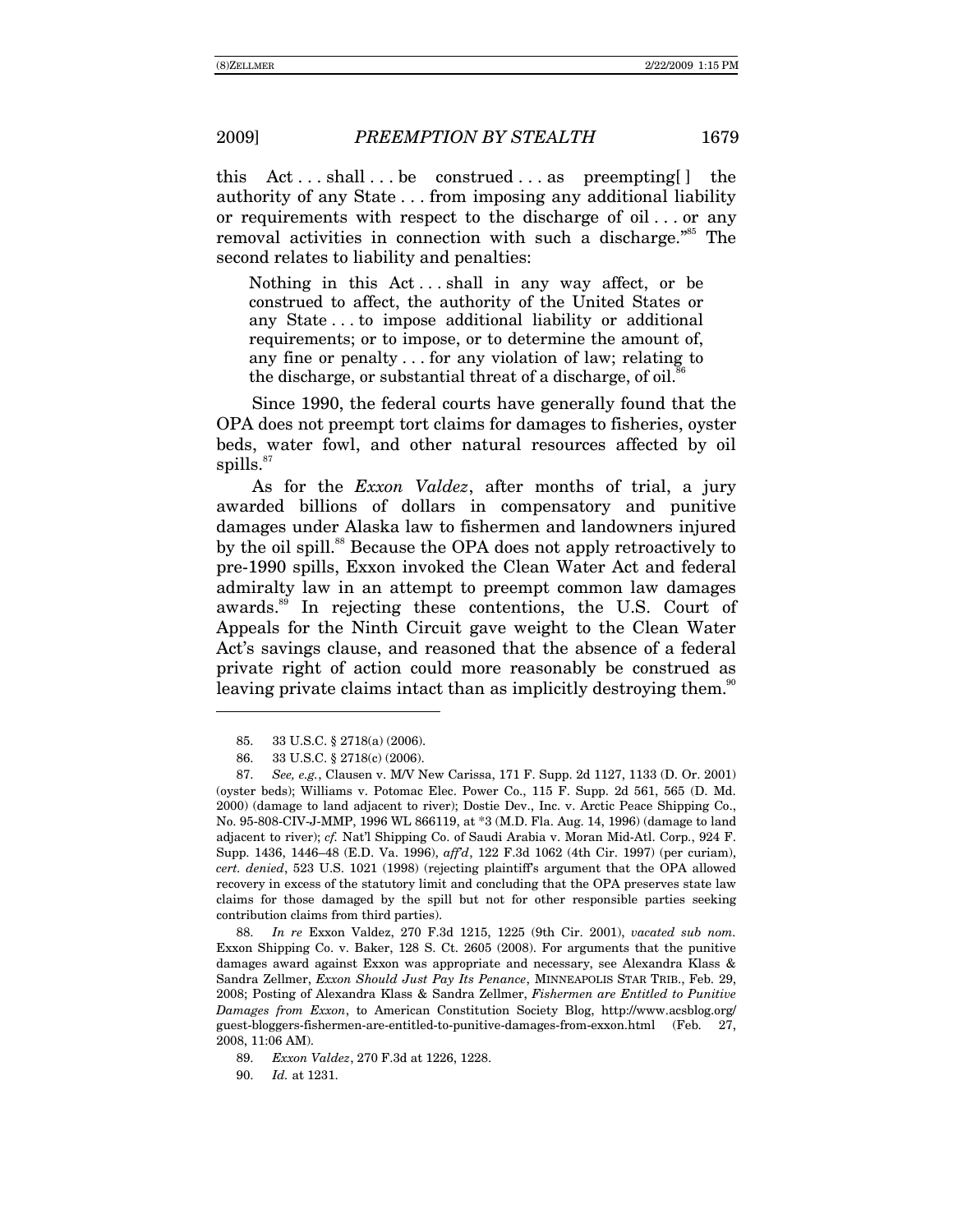this  $Act \dots shall \dots be$  construed  $\dots$  as preempting  $]$  the authority of any State . . . from imposing any additional liability or requirements with respect to the discharge of oil . . . or any removal activities in connection with such a discharge. $\frac{855}{10}$  The second relates to liability and penalties:

Nothing in this  $Act \dots shall$  in any way affect, or be construed to affect, the authority of the United States or any State . . . to impose additional liability or additional requirements; or to impose, or to determine the amount of, any fine or penalty . . . for any violation of law; relating to the discharge, or substantial threat of a discharge, of oil.<sup>86</sup>

Since 1990, the federal courts have generally found that the OPA does not preempt tort claims for damages to fisheries, oyster beds, water fowl, and other natural resources affected by oil spills. $87$ 

As for the *Exxon Valdez*, after months of trial, a jury awarded billions of dollars in compensatory and punitive damages under Alaska law to fishermen and landowners injured by the oil spill.<sup>88</sup> Because the OPA does not apply retroactively to pre-1990 spills, Exxon invoked the Clean Water Act and federal admiralty law in an attempt to preempt common law damages awards.89 In rejecting these contentions, the U.S. Court of Appeals for the Ninth Circuit gave weight to the Clean Water Act's savings clause, and reasoned that the absence of a federal private right of action could more reasonably be construed as leaving private claims intact than as implicitly destroying them.<sup>90</sup>

 $\overline{a}$ 

88. *In re* Exxon Valdez, 270 F.3d 1215, 1225 (9th Cir. 2001), *vacated sub nom.* Exxon Shipping Co. v. Baker, 128 S. Ct. 2605 (2008). For arguments that the punitive damages award against Exxon was appropriate and necessary, see Alexandra Klass & Sandra Zellmer, *Exxon Should Just Pay Its Penance*, MINNEAPOLIS STAR TRIB., Feb. 29, 2008; Posting of Alexandra Klass & Sandra Zellmer, *Fishermen are Entitled to Punitive Damages from Exxon*, to American Constitution Society Blog, http://www.acsblog.org/ guest-bloggers-fishermen-are-entitled-to-punitive-damages-from-exxon.html (Feb. 27, 2008, 11:06 AM).

90. *Id.* at 1231.

 <sup>85. 33</sup> U.S.C. ß 2718(a) (2006).

 <sup>86. 33</sup> U.S.C. ß 2718(c) (2006).

<sup>87.</sup> *See, e.g.*, Clausen v. M/V New Carissa, 171 F. Supp. 2d 1127, 1133 (D. Or. 2001) (oyster beds); Williams v. Potomac Elec. Power Co., 115 F. Supp. 2d 561, 565 (D. Md. 2000) (damage to land adjacent to river); Dostie Dev., Inc. v. Arctic Peace Shipping Co., No. 95-808-CIV-J-MMP, 1996 WL 866119, at \*3 (M.D. Fla. Aug. 14, 1996) (damage to land adjacent to river); *cf.* Natíl Shipping Co. of Saudi Arabia v. Moran Mid-Atl. Corp., 924 F. Supp. 1436, 1446-48 (E.D. Va. 1996),  $affd$ , 122 F.3d 1062 (4th Cir. 1997) (per curiam), *cert. denied*, 523 U.S. 1021 (1998) (rejecting plaintiffís argument that the OPA allowed recovery in excess of the statutory limit and concluding that the OPA preserves state law claims for those damaged by the spill but not for other responsible parties seeking contribution claims from third parties).

<sup>89.</sup> *Exxon Valdez*, 270 F.3d at 1226, 1228.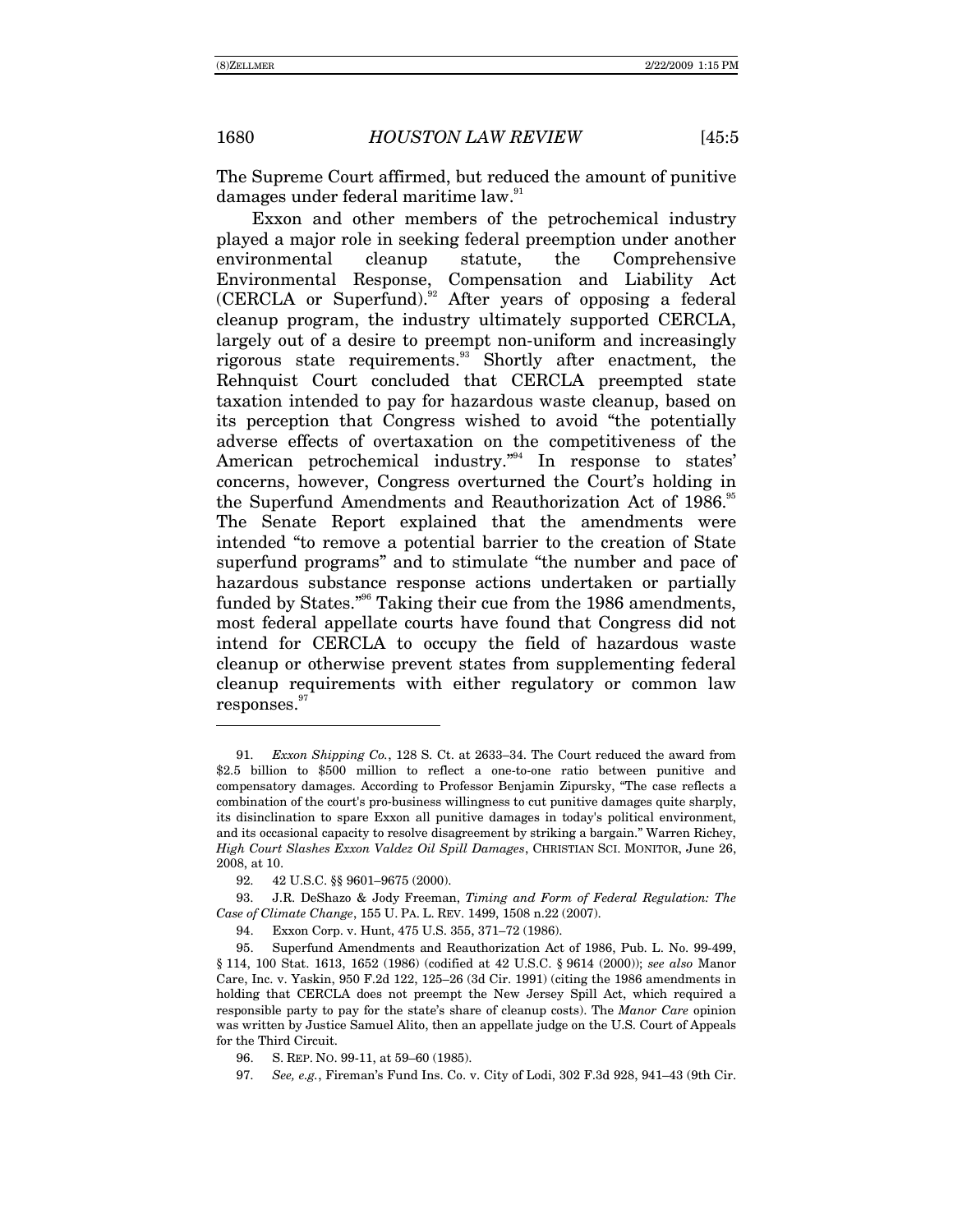$\overline{a}$ 

The Supreme Court affirmed, but reduced the amount of punitive damages under federal maritime law.<sup>91</sup>

Exxon and other members of the petrochemical industry played a major role in seeking federal preemption under another environmental cleanup statute, the Comprehensive Environmental Response, Compensation and Liability Act  $(CERCLA)$  or Superfund).<sup>92</sup> After years of opposing a federal cleanup program, the industry ultimately supported CERCLA, largely out of a desire to preempt non-uniform and increasingly rigorous state requirements.<sup>93</sup> Shortly after enactment, the Rehnquist Court concluded that CERCLA preempted state taxation intended to pay for hazardous waste cleanup, based on its perception that Congress wished to avoid "the potentially adverse effects of overtaxation on the competitiveness of the American petrochemical industry. $n^{94}$  In response to states' concerns, however, Congress overturned the Court's holding in the Superfund Amendments and Reauthorization Act of 1986.<sup>95</sup> The Senate Report explained that the amendments were intended "to remove a potential barrier to the creation of State superfund programs" and to stimulate "the number and pace of hazardous substance response actions undertaken or partially funded by States."<sup>96</sup> Taking their cue from the 1986 amendments, most federal appellate courts have found that Congress did not intend for CERCLA to occupy the field of hazardous waste cleanup or otherwise prevent states from supplementing federal cleanup requirements with either regulatory or common law  $responents.<sup>97</sup>$ 

97. *See, e.g.*, Fireman's Fund Ins. Co. v. City of Lodi, 302 F.3d 928, 941–43 (9th Cir.

<sup>91.</sup> *Exxon Shipping Co.*, 128 S. Ct. at 2633–34. The Court reduced the award from \$2.5 billion to \$500 million to reflect a one-to-one ratio between punitive and compensatory damages. According to Professor Benjamin Zipursky, "The case reflects a combination of the court's pro-business willingness to cut punitive damages quite sharply, its disinclination to spare Exxon all punitive damages in today's political environment, and its occasional capacity to resolve disagreement by striking a bargain.î Warren Richey, *High Court Slashes Exxon Valdez Oil Spill Damages*, CHRISTIAN SCI. MONITOR, June 26, 2008, at 10.

<sup>92. 42</sup> U.S.C. §§ 9601-9675 (2000).

 <sup>93.</sup> J.R. DeShazo & Jody Freeman, *Timing and Form of Federal Regulation: The Case of Climate Change*, 155 U. PA. L. REV. 1499, 1508 n.22 (2007).

<sup>94.</sup> Exxon Corp. v. Hunt, 475 U.S. 355, 371-72 (1986).

 <sup>95.</sup> Superfund Amendments and Reauthorization Act of 1986, Pub. L. No. 99-499, ß 114, 100 Stat. 1613, 1652 (1986) (codified at 42 U.S.C. ß 9614 (2000)); *see also* Manor Care, Inc. v. Yaskin, 950 F.2d 122, 125–26 (3d Cir. 1991) (citing the 1986 amendments in holding that CERCLA does not preempt the New Jersey Spill Act, which required a responsible party to pay for the stateís share of cleanup costs). The *Manor Care* opinion was written by Justice Samuel Alito, then an appellate judge on the U.S. Court of Appeals for the Third Circuit.

<sup>96.</sup> S. REP. No. 99-11, at 59-60 (1985).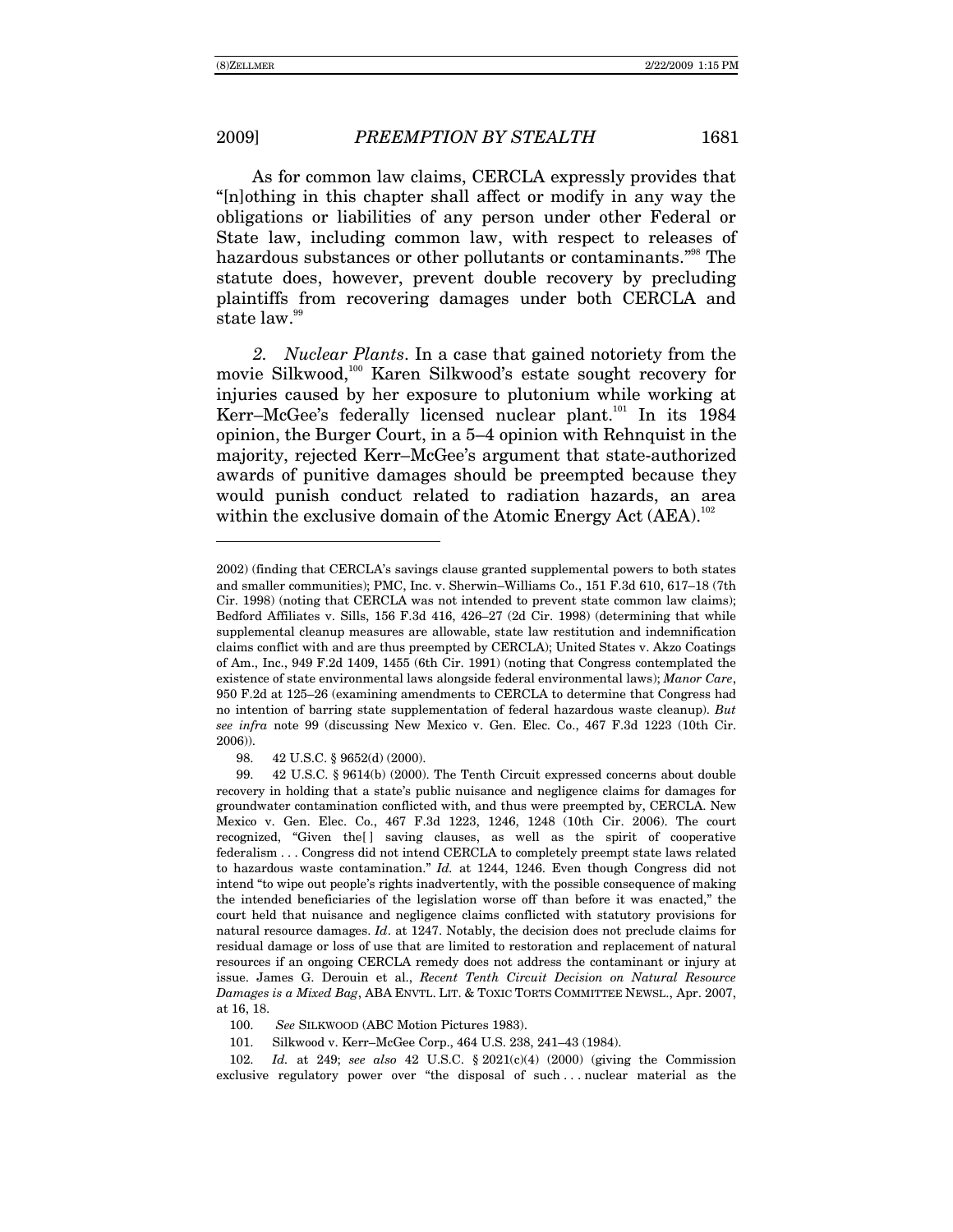-

As for common law claims, CERCLA expressly provides that "[n]othing in this chapter shall affect or modify in any way the obligations or liabilities of any person under other Federal or State law, including common law, with respect to releases of hazardous substances or other pollutants or contaminants.<sup>798</sup> The statute does, however, prevent double recovery by precluding plaintiffs from recovering damages under both CERCLA and state law.<sup>99</sup>

*2. Nuclear Plants*. In a case that gained notoriety from the movie Silkwood,<sup>100</sup> Karen Silkwood's estate sought recovery for injuries caused by her exposure to plutonium while working at Kerr-McGee's federally licensed nuclear plant.<sup>101</sup> In its 1984 opinion, the Burger Court, in a  $5-4$  opinion with Rehnquist in the majority, rejected Kerr–McGee's argument that state-authorized awards of punitive damages should be preempted because they would punish conduct related to radiation hazards, an area within the exclusive domain of the Atomic Energy Act (AEA).<sup>102</sup>

98. 42 U.S.C. ß 9652(d) (2000).

<sup>2002) (</sup>finding that CERCLAís savings clause granted supplemental powers to both states and smaller communities); PMC, Inc. v. Sherwin-Williams Co., 151 F.3d 610, 617-18 (7th Cir. 1998) (noting that CERCLA was not intended to prevent state common law claims); Bedford Affiliates v. Sills,  $156$  F.3d  $416$ ,  $426-27$  (2d Cir. 1998) (determining that while supplemental cleanup measures are allowable, state law restitution and indemnification claims conflict with and are thus preempted by CERCLA); United States v. Akzo Coatings of Am., Inc., 949 F.2d 1409, 1455 (6th Cir. 1991) (noting that Congress contemplated the existence of state environmental laws alongside federal environmental laws); *Manor Care*, 950 F.2d at 125–26 (examining amendments to CERCLA to determine that Congress had no intention of barring state supplementation of federal hazardous waste cleanup). *But see infra* note 99 (discussing New Mexico v. Gen. Elec. Co., 467 F.3d 1223 (10th Cir. 2006)).

 <sup>99. 42</sup> U.S.C. ß 9614(b) (2000). The Tenth Circuit expressed concerns about double recovery in holding that a state's public nuisance and negligence claims for damages for groundwater contamination conflicted with, and thus were preempted by, CERCLA. New Mexico v. Gen. Elec. Co., 467 F.3d 1223, 1246, 1248 (10th Cir. 2006). The court recognized, "Given the | saving clauses, as well as the spirit of cooperative federalism . . . Congress did not intend CERCLA to completely preempt state laws related to hazardous waste contamination.î *Id.* at 1244, 1246. Even though Congress did not intend "to wipe out people's rights inadvertently, with the possible consequence of making the intended beneficiaries of the legislation worse off than before it was enacted," the court held that nuisance and negligence claims conflicted with statutory provisions for natural resource damages. *Id*. at 1247. Notably, the decision does not preclude claims for residual damage or loss of use that are limited to restoration and replacement of natural resources if an ongoing CERCLA remedy does not address the contaminant or injury at issue. James G. Derouin et al., *Recent Tenth Circuit Decision on Natural Resource Damages is a Mixed Bag*, ABA ENVTL. LIT. & TOXIC TORTS COMMITTEE NEWSL., Apr. 2007, at 16, 18.

 <sup>100.</sup> *See* SILKWOOD (ABC Motion Pictures 1983).

<sup>101.</sup> Silkwood v. Kerr-McGee Corp., 464 U.S. 238, 241-43 (1984).

<sup>102.</sup> *Id.* at 249; *see also* 42 U.S.C. ß 2021(c)(4) (2000) (giving the Commission exclusive regulatory power over "the disposal of such ... nuclear material as the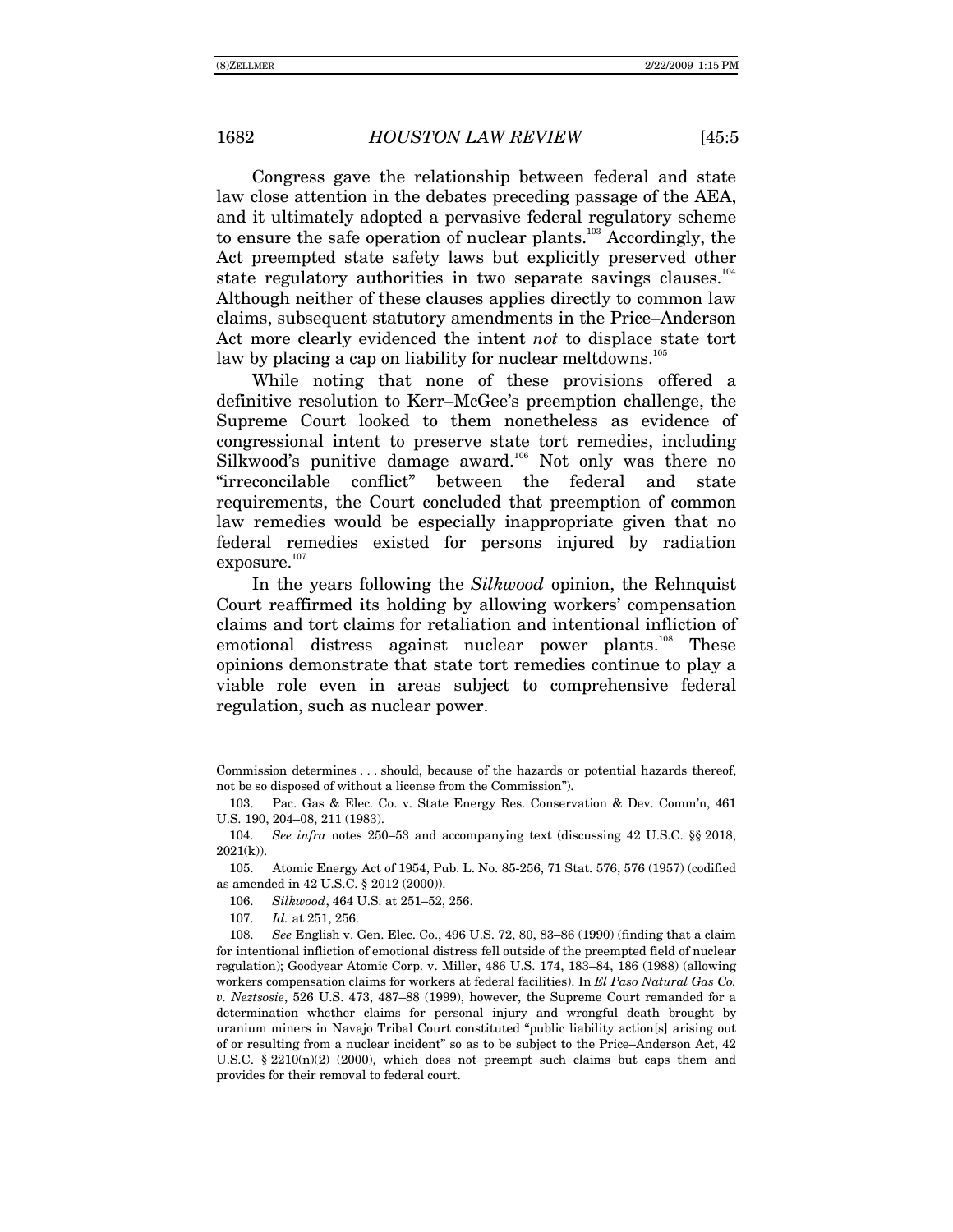Congress gave the relationship between federal and state law close attention in the debates preceding passage of the AEA, and it ultimately adopted a pervasive federal regulatory scheme to ensure the safe operation of nuclear plants.<sup>103</sup> Accordingly, the Act preempted state safety laws but explicitly preserved other state regulatory authorities in two separate savings clauses.<sup>104</sup> Although neither of these clauses applies directly to common law claims, subsequent statutory amendments in the Price–Anderson Act more clearly evidenced the intent *not* to displace state tort law by placing a cap on liability for nuclear meltdowns.<sup>105</sup>

While noting that none of these provisions offered a definitive resolution to Kerr–McGee's preemption challenge, the Supreme Court looked to them nonetheless as evidence of congressional intent to preserve state tort remedies, including Silkwood's punitive damage award.<sup>106</sup> Not only was there no "irreconcilable conflict" between the federal and state requirements, the Court concluded that preemption of common law remedies would be especially inappropriate given that no federal remedies existed for persons injured by radiation  $exposure.<sup>107</sup>$ 

In the years following the *Silkwood* opinion, the Rehnquist Court reaffirmed its holding by allowing workers' compensation claims and tort claims for retaliation and intentional infliction of emotional distress against nuclear power plants.<sup>108</sup> These opinions demonstrate that state tort remedies continue to play a viable role even in areas subject to comprehensive federal regulation, such as nuclear power.

107. *Id.* at 251, 256.

Commission determines . . . should, because of the hazards or potential hazards thereof, not be so disposed of without a license from the Commission").

 <sup>103.</sup> Pac. Gas & Elec. Co. v. State Energy Res. Conservation & Dev. Commín, 461 U.S. 190, 204-08, 211 (1983).

<sup>104.</sup> *See infra* notes 250–53 and accompanying text (discussing 42 U.S.C. §§ 2018,  $2021(k)$ ).

 <sup>105.</sup> Atomic Energy Act of 1954, Pub. L. No. 85-256, 71 Stat. 576, 576 (1957) (codified as amended in 42 U.S.C. ß 2012 (2000)).

<sup>106.</sup> *Silkwood*, 464 U.S. at 251-52, 256.

<sup>108.</sup> *See English v. Gen. Elec. Co., 496 U.S. 72, 80, 83–86 (1990) (finding that a claim* for intentional infliction of emotional distress fell outside of the preempted field of nuclear regulation); Goodyear Atomic Corp. v. Miller, 486 U.S. 174, 183-84, 186 (1988) (allowing workers compensation claims for workers at federal facilities). In *El Paso Natural Gas Co. v. Neztsosie*, 526 U.S. 473, 487–88 (1999), however, the Supreme Court remanded for a determination whether claims for personal injury and wrongful death brought by uranium miners in Navajo Tribal Court constituted "public liability action[s] arising out of or resulting from a nuclear incident" so as to be subject to the Price–Anderson Act,  $42$ U.S.C.  $\S 2210(n)(2)$  (2000), which does not preempt such claims but caps them and provides for their removal to federal court.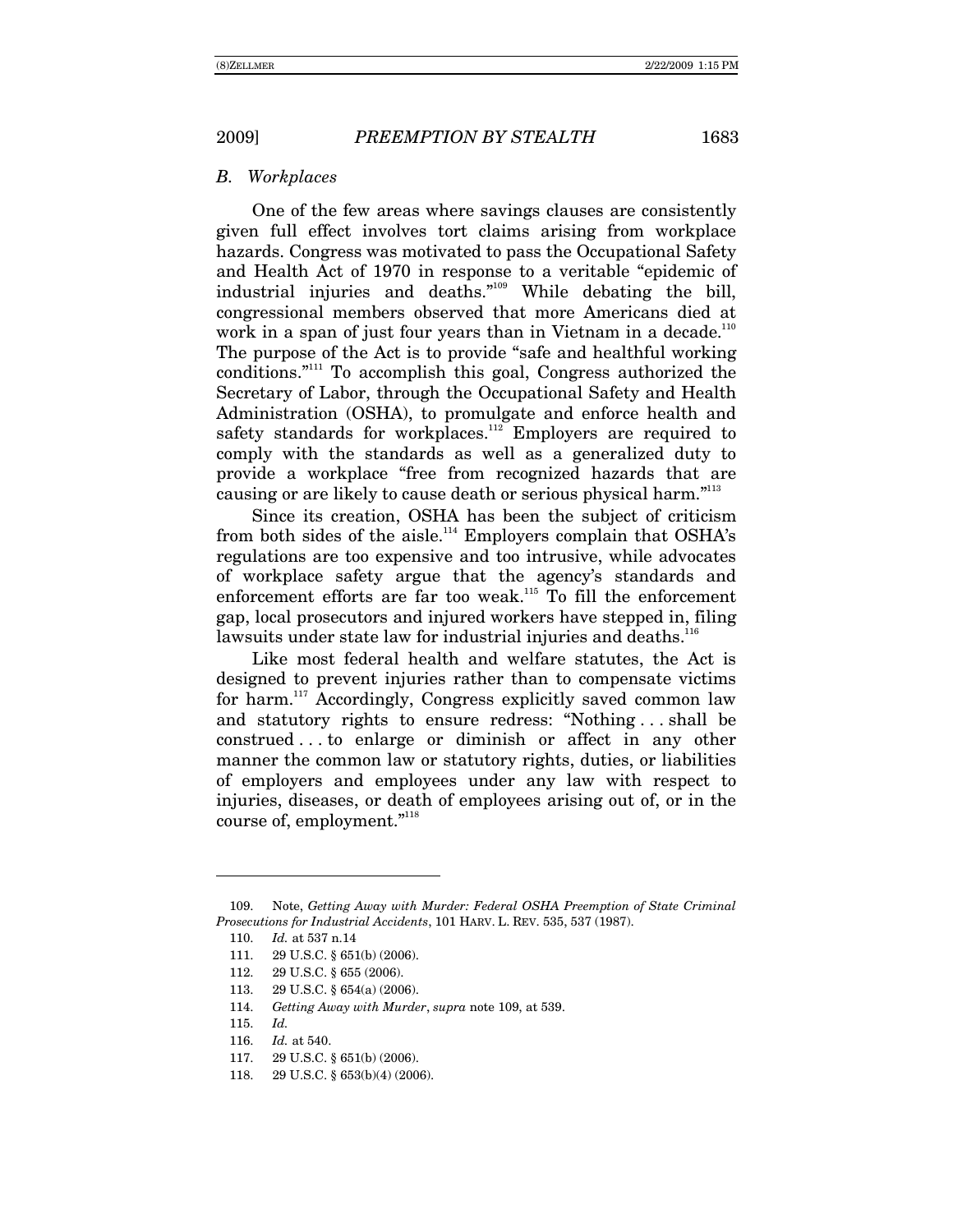#### *B. Workplaces*

One of the few areas where savings clauses are consistently given full effect involves tort claims arising from workplace hazards. Congress was motivated to pass the Occupational Safety and Health Act of 1970 in response to a veritable "epidemic of industrial injuries and deaths. $n^{109}$  While debating the bill, congressional members observed that more Americans died at work in a span of just four years than in Vietnam in a decade.<sup>110</sup> The purpose of the Act is to provide "safe and healthful working conditions. $i<sup>111</sup>$  To accomplish this goal, Congress authorized the Secretary of Labor, through the Occupational Safety and Health Administration (OSHA), to promulgate and enforce health and safety standards for workplaces.<sup>112</sup> Employers are required to comply with the standards as well as a generalized duty to provide a workplace "free from recognized hazards that are causing or are likely to cause death or serious physical harm."<sup>113</sup>

Since its creation, OSHA has been the subject of criticism from both sides of the aisle.<sup>114</sup> Employers complain that OSHA's regulations are too expensive and too intrusive, while advocates of workplace safety argue that the agencyís standards and enforcement efforts are far too weak.<sup>115</sup> To fill the enforcement gap, local prosecutors and injured workers have stepped in, filing lawsuits under state law for industrial injuries and deaths.<sup>116</sup>

Like most federal health and welfare statutes, the Act is designed to prevent injuries rather than to compensate victims for harm.117 Accordingly, Congress explicitly saved common law and statutory rights to ensure redress: "Nothing  $\dots$  shall be construed . . . to enlarge or diminish or affect in any other manner the common law or statutory rights, duties, or liabilities of employers and employees under any law with respect to injuries, diseases, or death of employees arising out of, or in the course of, employment."<sup>118</sup>

- 112. 29 U.S.C. ß 655 (2006).
- 113. 29 U.S.C. ß 654(a) (2006).
- 114. *Getting Away with Murder*, *supra* note 109, at 539.
- 115. *Id.*

- 116. *Id.* at 540.
- 117. 29 U.S.C. ß 651(b) (2006).
- 118. 29 U.S.C. ß 653(b)(4) (2006).

 <sup>109.</sup> Note, *Getting Away with Murder: Federal OSHA Preemption of State Criminal Prosecutions for Industrial Accidents*, 101 HARV. L. REV. 535, 537 (1987).

<sup>110.</sup> *Id.* at 537 n.14

<sup>111. 29</sup> U.S.C. § 651(b) (2006).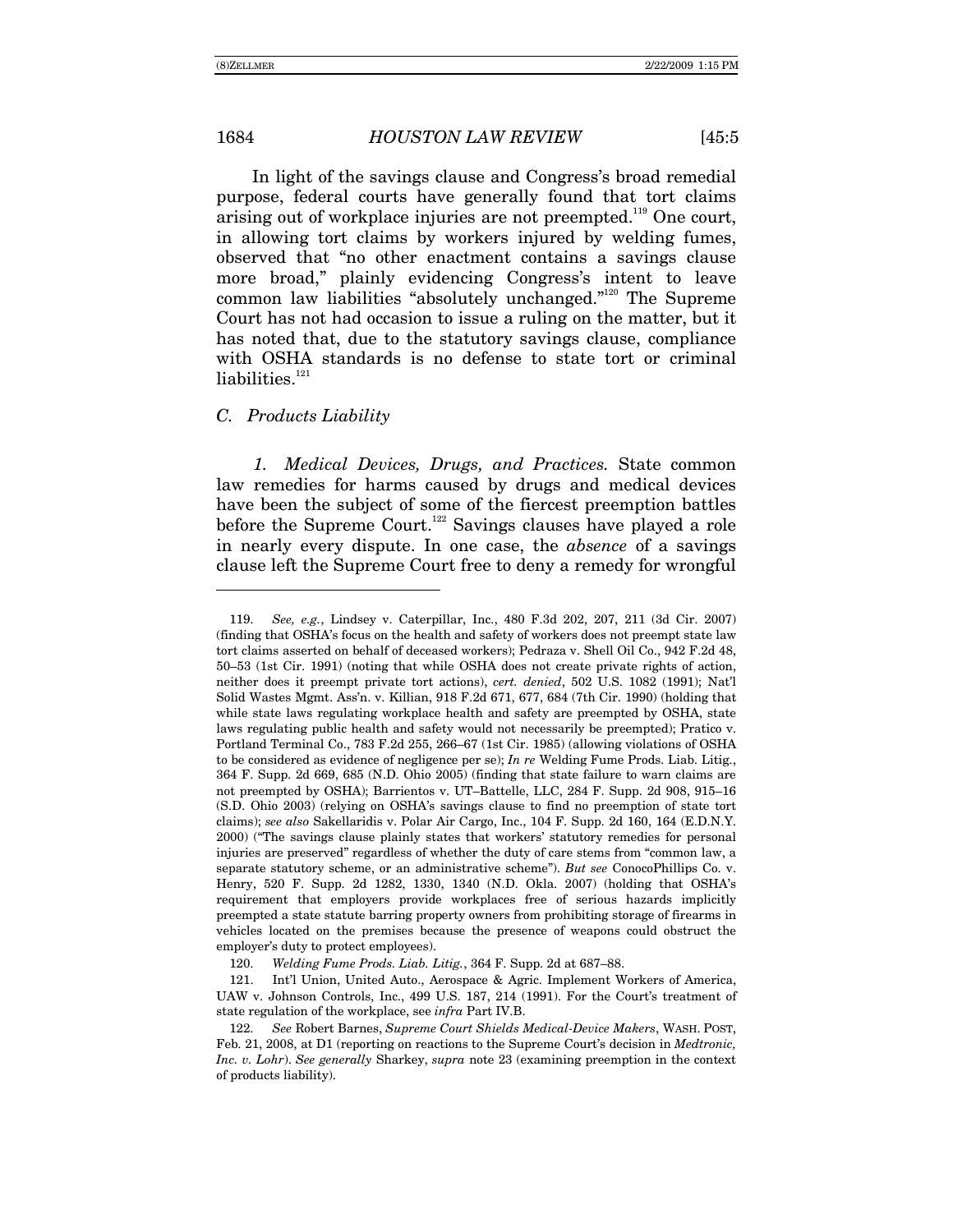In light of the savings clause and Congress's broad remedial purpose, federal courts have generally found that tort claims arising out of workplace injuries are not preempted.<sup>119</sup> One court, in allowing tort claims by workers injured by welding fumes, observed that "no other enactment contains a savings clause more broad," plainly evidencing Congress's intent to leave common law liabilities "absolutely unchanged. $i^{120}$  The Supreme Court has not had occasion to issue a ruling on the matter, but it has noted that, due to the statutory savings clause, compliance with OSHA standards is no defense to state tort or criminal liabilities. $121$ 

#### *C. Products Liability*

*1. Medical Devices, Drugs, and Practices.* State common law remedies for harms caused by drugs and medical devices have been the subject of some of the fiercest preemption battles before the Supreme Court.<sup>122</sup> Savings clauses have played a role in nearly every dispute. In one case, the *absence* of a savings clause left the Supreme Court free to deny a remedy for wrongful

 $\overline{a}$ 

<sup>119.</sup> *See, e.g.*, Lindsey v. Caterpillar, Inc., 480 F.3d 202, 207, 211 (3d Cir. 2007) (finding that OSHAís focus on the health and safety of workers does not preempt state law tort claims asserted on behalf of deceased workers); Pedraza v. Shell Oil Co., 942 F.2d 48, 50–53 (1st Cir. 1991) (noting that while OSHA does not create private rights of action, neither does it preempt private tort actions), *cert. denied*, 502 U.S. 1082 (1991); Natíl Solid Wastes Mgmt. Assín. v. Killian, 918 F.2d 671, 677, 684 (7th Cir. 1990) (holding that while state laws regulating workplace health and safety are preempted by OSHA, state laws regulating public health and safety would not necessarily be preempted); Pratico v. Portland Terminal Co., 783 F.2d 255, 266–67 (1st Cir. 1985) (allowing violations of OSHA to be considered as evidence of negligence per se); *In re* Welding Fume Prods. Liab. Litig., 364 F. Supp. 2d 669, 685 (N.D. Ohio 2005) (finding that state failure to warn claims are not preempted by OSHA); Barrientos v. UT-Battelle, LLC, 284 F. Supp. 2d 908, 915-16 (S.D. Ohio 2003) (relying on OSHAís savings clause to find no preemption of state tort claims); *see also* Sakellaridis v. Polar Air Cargo, Inc., 104 F. Supp. 2d 160, 164 (E.D.N.Y. 2000) ("The savings clause plainly states that workers' statutory remedies for personal injuries are preserved" regardless of whether the duty of care stems from "common law, a separate statutory scheme, or an administrative scheme"). But see ConocoPhillips Co. v. Henry, 520 F. Supp. 2d 1282, 1330, 1340 (N.D. Okla. 2007) (holding that OSHAís requirement that employers provide workplaces free of serious hazards implicitly preempted a state statute barring property owners from prohibiting storage of firearms in vehicles located on the premises because the presence of weapons could obstruct the employer's duty to protect employees).

<sup>120.</sup> *Welding Fume Prods. Liab. Litig.*, 364 F. Supp. 2d at 687–88.

 <sup>121.</sup> Intíl Union, United Auto., Aerospace & Agric. Implement Workers of America, UAW v. Johnson Controls, Inc., 499 U.S. 187, 214 (1991). For the Court's treatment of state regulation of the workplace, see *infra* Part IV.B.

<sup>122.</sup> *See* Robert Barnes, *Supreme Court Shields Medical-Device Makers*, WASH. POST, Feb. 21, 2008, at D1 (reporting on reactions to the Supreme Court's decision in *Medtronic*, *Inc. v. Lohr*). *See generally* Sharkey, *supra* note 23 (examining preemption in the context of products liability).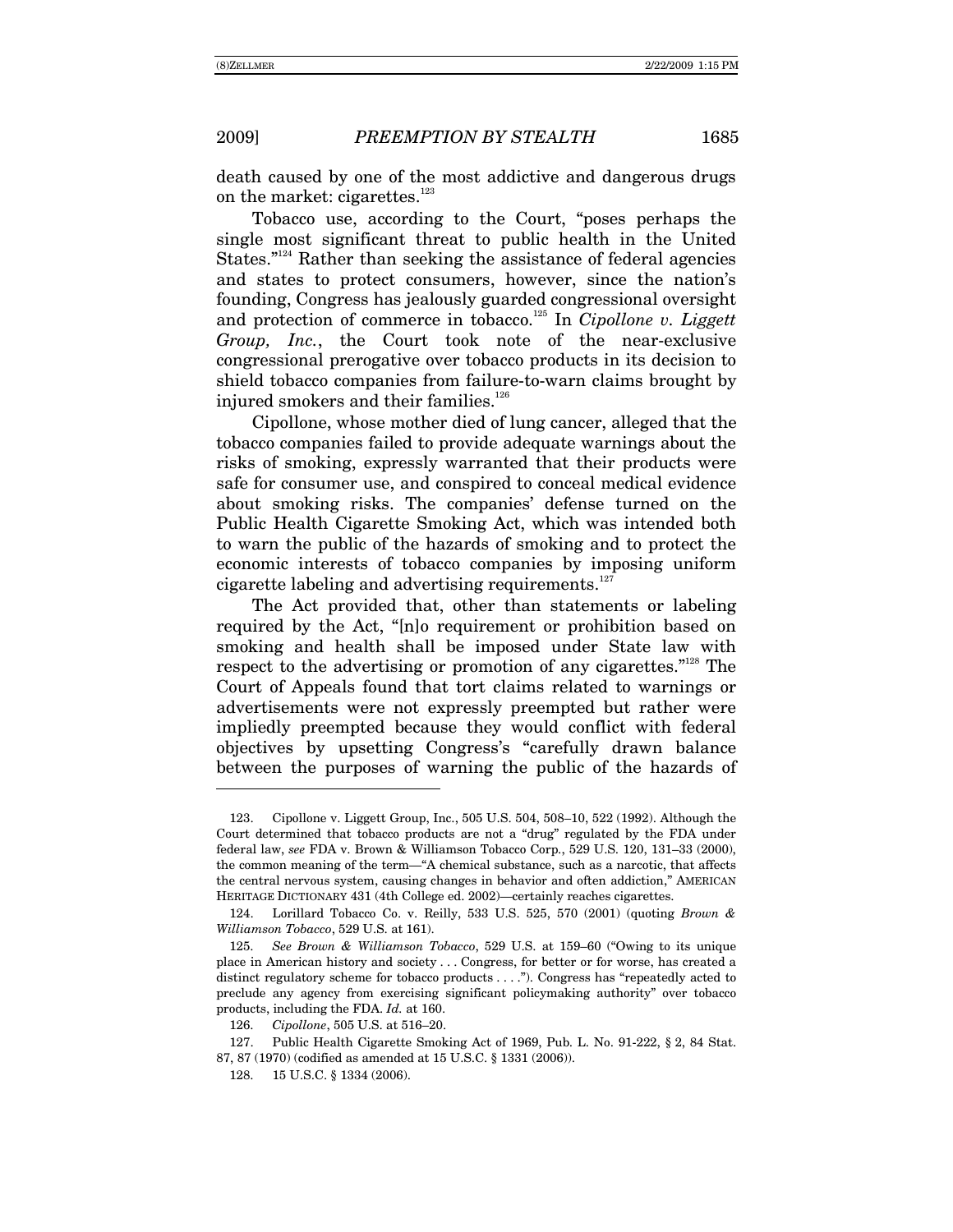-

death caused by one of the most addictive and dangerous drugs on the market: cigarettes.<sup>123</sup>

Tobacco use, according to the Court, "poses perhaps the single most significant threat to public health in the United States." $124}$  Rather than seeking the assistance of federal agencies and states to protect consumers, however, since the nation's founding, Congress has jealously guarded congressional oversight and protection of commerce in tobacco.<sup>125</sup> In *Cipollone v. Liggett Group, Inc.*, the Court took note of the near-exclusive congressional prerogative over tobacco products in its decision to shield tobacco companies from failure-to-warn claims brought by injured smokers and their families.<sup>126</sup>

Cipollone, whose mother died of lung cancer, alleged that the tobacco companies failed to provide adequate warnings about the risks of smoking, expressly warranted that their products were safe for consumer use, and conspired to conceal medical evidence about smoking risks. The companies' defense turned on the Public Health Cigarette Smoking Act, which was intended both to warn the public of the hazards of smoking and to protect the economic interests of tobacco companies by imposing uniform cigarette labeling and advertising requirements. $127$ 

The Act provided that, other than statements or labeling required by the Act, "[n]o requirement or prohibition based on smoking and health shall be imposed under State law with respect to the advertising or promotion of any cigarettes. $128$  The Court of Appeals found that tort claims related to warnings or advertisements were not expressly preempted but rather were impliedly preempted because they would conflict with federal objectives by upsetting Congress's "carefully drawn balance between the purposes of warning the public of the hazards of

<sup>123.</sup> Cipollone v. Liggett Group, Inc.,  $505$  U.S.  $504$ ,  $508-10$ ,  $522$  (1992). Although the Court determined that tobacco products are not a "drug" regulated by the FDA under federal law, see FDA v. Brown & Williamson Tobacco Corp., 529 U.S. 120, 131-33 (2000), the common meaning of the term—"A chemical substance, such as a narcotic, that affects the central nervous system, causing changes in behavior and often addiction," AMERICAN HERITAGE DICTIONARY 431 (4th College ed. 2002)—certainly reaches cigarettes.

 <sup>124.</sup> Lorillard Tobacco Co. v. Reilly, 533 U.S. 525, 570 (2001) (quoting *Brown & Williamson Tobacco*, 529 U.S. at 161).

<sup>125.</sup> *See Brown & Williamson Tobacco*, 529 U.S. at 159–60 ("Owing to its unique place in American history and society . . . Congress, for better or for worse, has created a distinct regulatory scheme for tobacco products  $\dots$ "). Congress has "repeatedly acted to preclude any agency from exercising significant policymaking authorityî over tobacco products, including the FDA. *Id.* at 160.

<sup>126.</sup> *Cipollone*, 505 U.S. at 516–20.

 <sup>127.</sup> Public Health Cigarette Smoking Act of 1969, Pub. L. No. 91-222, ß 2, 84 Stat. 87, 87 (1970) (codified as amended at 15 U.S.C. ß 1331 (2006)).

 <sup>128. 15</sup> U.S.C. ß 1334 (2006).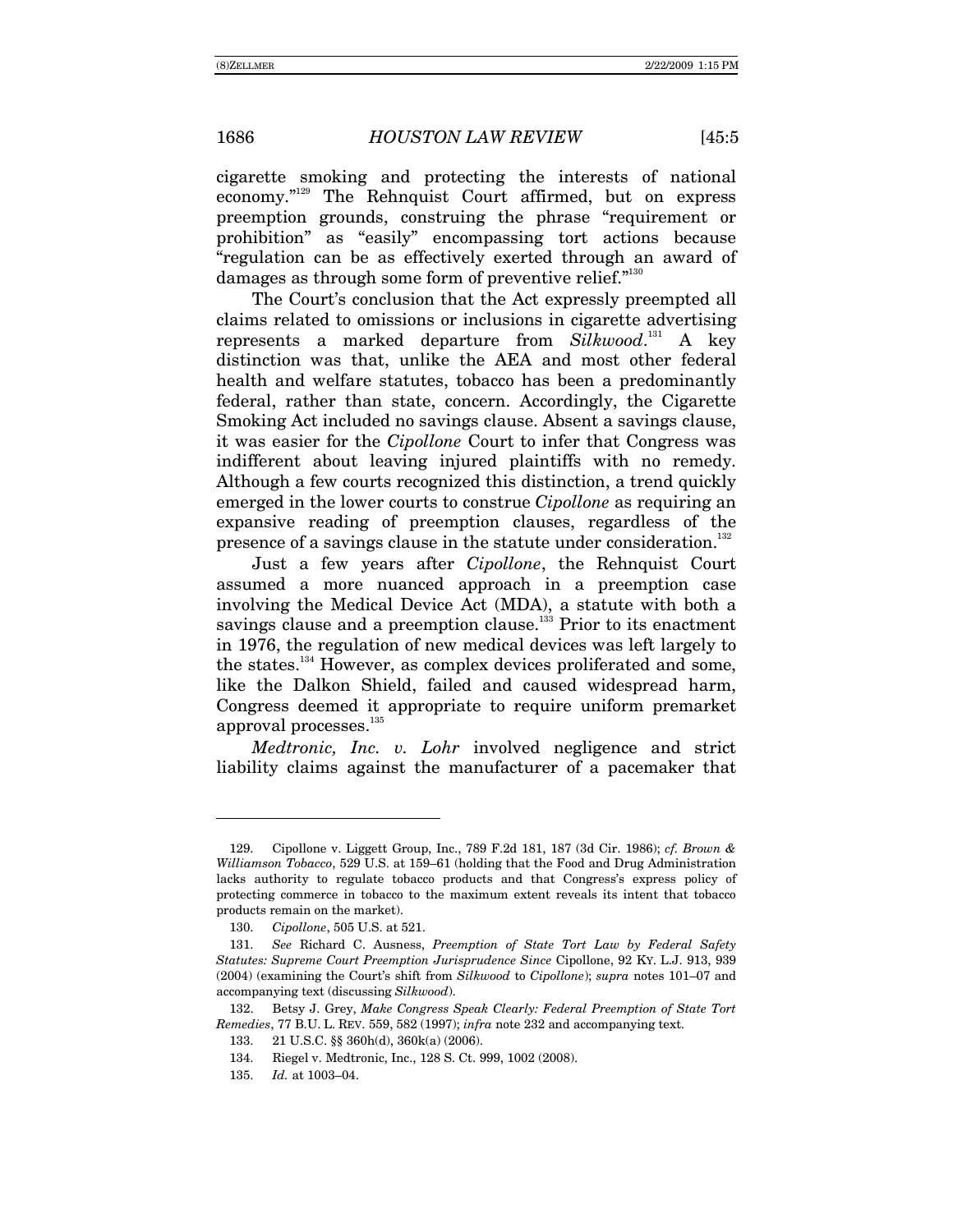cigarette smoking and protecting the interests of national economy."<sup>129</sup> The Rehnquist Court affirmed, but on express preemption grounds, construing the phrase "requirement or prohibition" as "easily" encompassing tort actions because ìregulation can be as effectively exerted through an award of damages as through some form of preventive relief. $1^{130}$ 

The Court's conclusion that the Act expressly preempted all claims related to omissions or inclusions in cigarette advertising represents a marked departure from *Silkwood*. 131 A key distinction was that, unlike the AEA and most other federal health and welfare statutes, tobacco has been a predominantly federal, rather than state, concern. Accordingly, the Cigarette Smoking Act included no savings clause. Absent a savings clause, it was easier for the *Cipollone* Court to infer that Congress was indifferent about leaving injured plaintiffs with no remedy. Although a few courts recognized this distinction, a trend quickly emerged in the lower courts to construe *Cipollone* as requiring an expansive reading of preemption clauses, regardless of the presence of a savings clause in the statute under consideration.<sup>132</sup>

Just a few years after *Cipollone*, the Rehnquist Court assumed a more nuanced approach in a preemption case involving the Medical Device Act (MDA), a statute with both a savings clause and a preemption clause.<sup>133</sup> Prior to its enactment in 1976, the regulation of new medical devices was left largely to the states.<sup>134</sup> However, as complex devices proliferated and some, like the Dalkon Shield, failed and caused widespread harm, Congress deemed it appropriate to require uniform premarket approval processes.<sup>135</sup>

*Medtronic, Inc. v. Lohr* involved negligence and strict liability claims against the manufacturer of a pacemaker that

 $\overline{a}$ 

 <sup>129.</sup> Cipollone v. Liggett Group, Inc., 789 F.2d 181, 187 (3d Cir. 1986); *cf. Brown & Williamson Tobacco*, 529 U.S. at 159–61 (holding that the Food and Drug Administration lacks authority to regulate tobacco products and that Congressís express policy of protecting commerce in tobacco to the maximum extent reveals its intent that tobacco products remain on the market).

<sup>130.</sup> *Cipollone*, 505 U.S. at 521.

<sup>131.</sup> *See* Richard C. Ausness, *Preemption of State Tort Law by Federal Safety Statutes: Supreme Court Preemption Jurisprudence Since* Cipollone, 92 KY. L.J. 913, 939 (2004) (examining the Court's shift from *Silkwood* to *Cipollone*); *supra* notes 101–07 and accompanying text (discussing *Silkwood*).

 <sup>132.</sup> Betsy J. Grey, *Make Congress Speak Clearly: Federal Preemption of State Tort Remedies*, 77 B.U. L. REV. 559, 582 (1997); *infra* note 232 and accompanying text.

 <sup>133. 21</sup> U.S.C. ßß 360h(d), 360k(a) (2006).

 <sup>134.</sup> Riegel v. Medtronic, Inc., 128 S. Ct. 999, 1002 (2008).

<sup>135.</sup> *Id.* at 1003–04.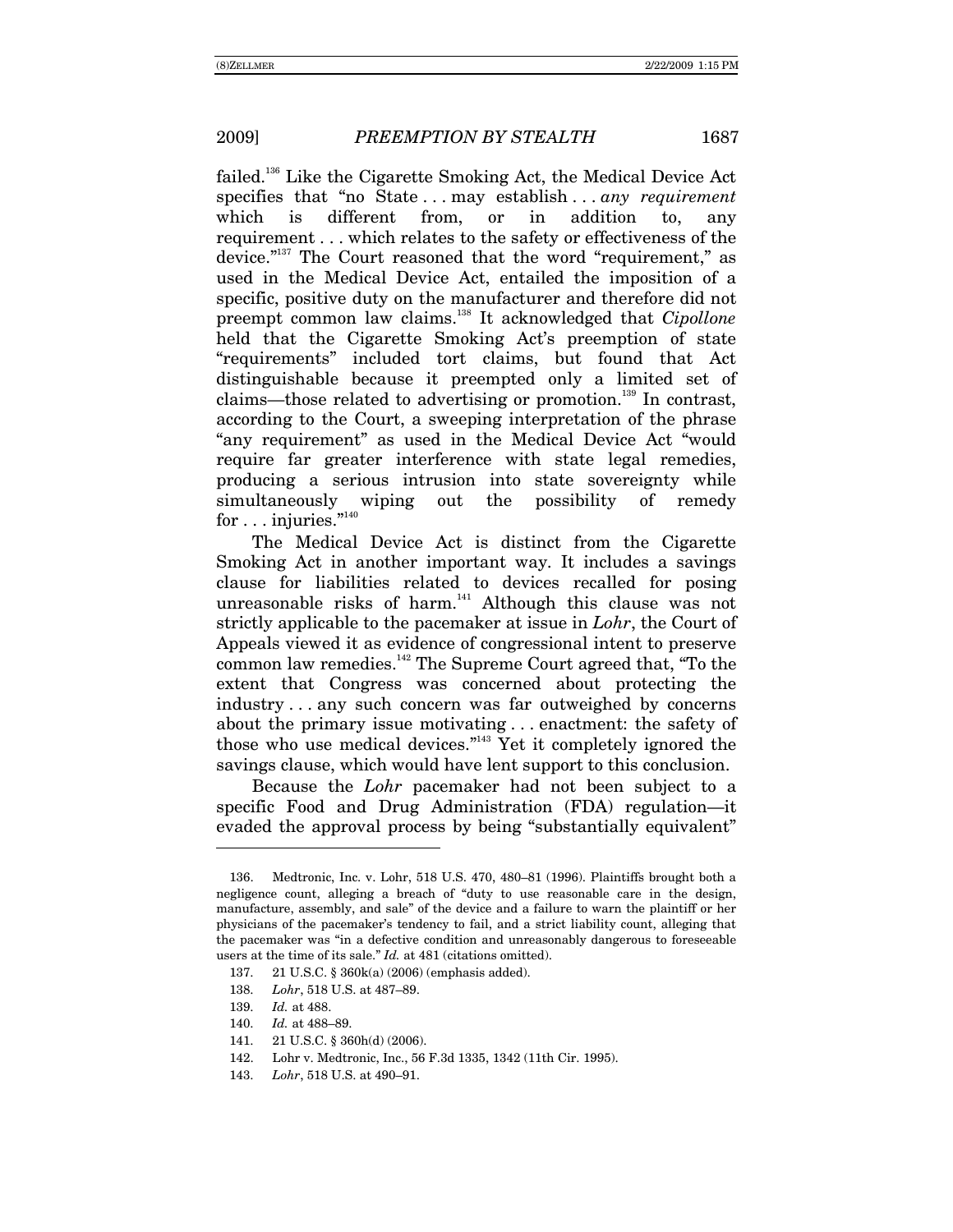failed.136 Like the Cigarette Smoking Act, the Medical Device Act specifies that "no State . . . may establish . . . *any requirement* which is different from, or in addition to, any requirement . . . which relates to the safety or effectiveness of the device." $137$  The Court reasoned that the word "requirement," as used in the Medical Device Act, entailed the imposition of a specific, positive duty on the manufacturer and therefore did not preempt common law claims.138 It acknowledged that *Cipollone* held that the Cigarette Smoking Act's preemption of state ìrequirementsî included tort claims, but found that Act distinguishable because it preempted only a limited set of claims—those related to advertising or promotion.<sup>139</sup> In contrast, according to the Court, a sweeping interpretation of the phrase "any requirement" as used in the Medical Device Act "would require far greater interference with state legal remedies, producing a serious intrusion into state sovereignty while simultaneously wiping out the possibility of remedy for  $\dots$  injuries." $^{140}$ 

The Medical Device Act is distinct from the Cigarette Smoking Act in another important way. It includes a savings clause for liabilities related to devices recalled for posing unreasonable risks of harm.<sup>141</sup> Although this clause was not strictly applicable to the pacemaker at issue in *Lohr*, the Court of Appeals viewed it as evidence of congressional intent to preserve common law remedies. $142$  The Supreme Court agreed that, "To the extent that Congress was concerned about protecting the industry . . . any such concern was far outweighed by concerns about the primary issue motivating . . . enactment: the safety of those who use medical devices. $143$  Yet it completely ignored the savings clause, which would have lent support to this conclusion.

Because the *Lohr* pacemaker had not been subject to a specific Food and Drug Administration (FDA) regulation—it evaded the approval process by being "substantially equivalent"

<sup>136.</sup> Medtronic, Inc. v. Lohr, 518 U.S. 470, 480–81 (1996). Plaintiffs brought both a negligence count, alleging a breach of "duty to use reasonable care in the design, manufacture, assembly, and sale" of the device and a failure to warn the plaintiff or her physicians of the pacemakerís tendency to fail, and a strict liability count, alleging that the pacemaker was "in a defective condition and unreasonably dangerous to foreseeable users at the time of its sale." *Id.* at 481 (citations omitted).

 <sup>137. 21</sup> U.S.C. ß 360k(a) (2006) (emphasis added).

<sup>138.</sup> *Lohr*, 518 U.S. at 487-89.

<sup>139.</sup> *Id.* at 488.

<sup>140.</sup> *Id.* at 488–89.

 <sup>141. 21</sup> U.S.C. ß 360h(d) (2006).

 <sup>142.</sup> Lohr v. Medtronic, Inc., 56 F.3d 1335, 1342 (11th Cir. 1995).

<sup>143.</sup> *Lohr*, 518 U.S. at 490-91.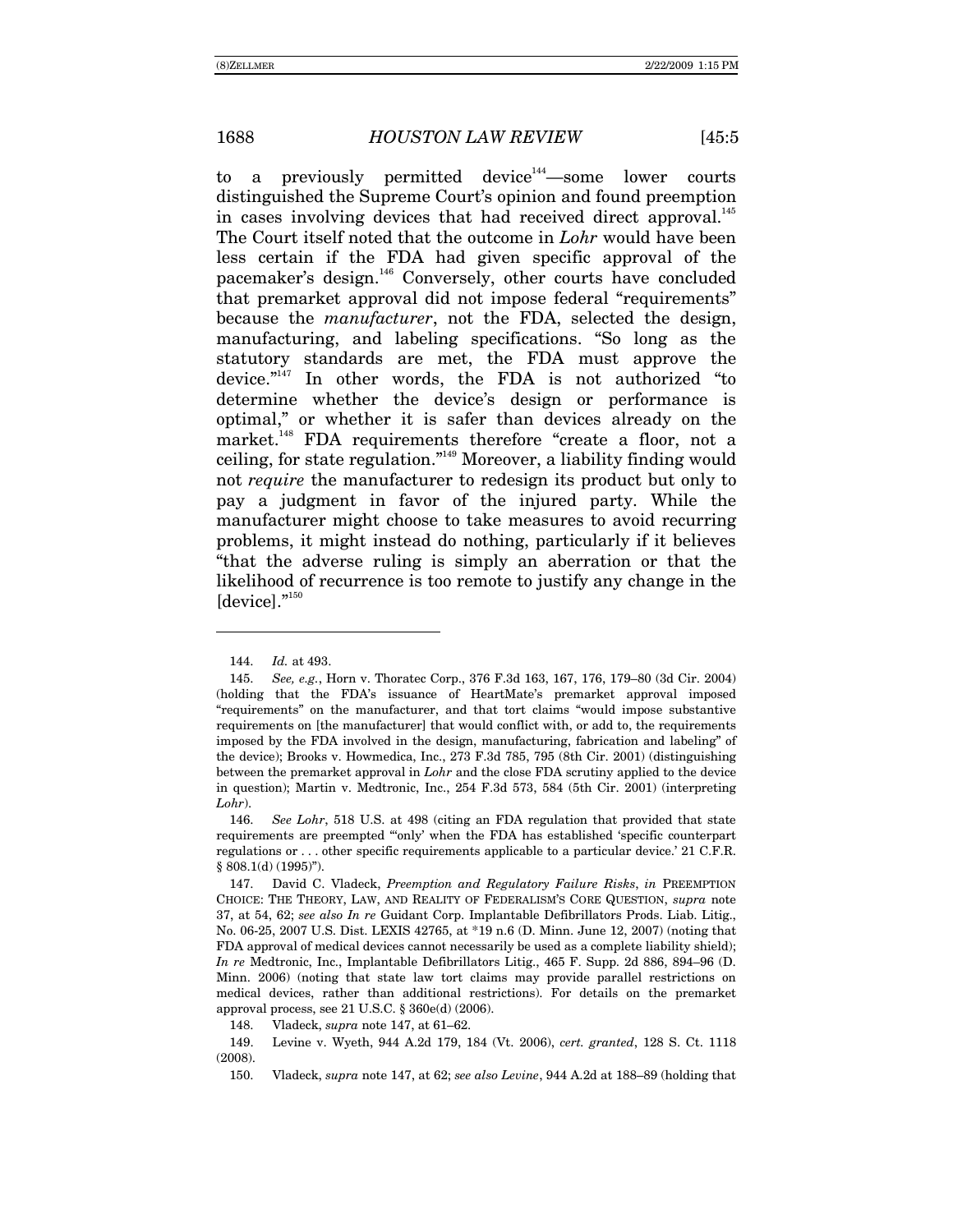to a previously permitted device<sup>144</sup> some lower courts distinguished the Supreme Court's opinion and found preemption in cases involving devices that had received direct approval.<sup>145</sup> The Court itself noted that the outcome in *Lohr* would have been less certain if the FDA had given specific approval of the pacemaker's design.<sup>146</sup> Conversely, other courts have concluded that premarket approval did not impose federal "requirements" because the *manufacturer*, not the FDA, selected the design, manufacturing, and labeling specifications. "So long as the statutory standards are met, the FDA must approve the device. $i^{147}$  In other words, the FDA is not authorized "to determine whether the device's design or performance is optimal," or whether it is safer than devices already on the market.<sup>148</sup> FDA requirements therefore "create a floor, not a ceiling, for state regulation.<sup> $n_{49}$ </sup> Moreover, a liability finding would not *require* the manufacturer to redesign its product but only to pay a judgment in favor of the injured party. While the manufacturer might choose to take measures to avoid recurring problems, it might instead do nothing, particularly if it believes ìthat the adverse ruling is simply an aberration or that the likelihood of recurrence is too remote to justify any change in the  $[device].$ <sup> $"150$ </sup>

 $\overline{a}$ 

<sup>144.</sup> *Id.* at 493.

<sup>145.</sup> *See, e.g.*, Horn v. Thoratec Corp., 376 F.3d 163, 167, 176, 179–80 (3d Cir. 2004) (holding that the FDAís issuance of HeartMateís premarket approval imposed "requirements" on the manufacturer, and that tort claims "would impose substantive requirements on [the manufacturer] that would conflict with, or add to, the requirements imposed by the FDA involved in the design, manufacturing, fabrication and labeling" of the device); Brooks v. Howmedica, Inc., 273 F.3d 785, 795 (8th Cir. 2001) (distinguishing between the premarket approval in *Lohr* and the close FDA scrutiny applied to the device in question); Martin v. Medtronic, Inc., 254 F.3d 573, 584 (5th Cir. 2001) (interpreting *Lohr*).

<sup>146.</sup> *See Lohr*, 518 U.S. at 498 (citing an FDA regulation that provided that state requirements are preempted "only' when the FDA has established 'specific counterpart regulations or  $\dots$  other specific requirements applicable to a particular device. 21 C.F.R.  $§ 808.1(d) (1995)$ ").

 <sup>147.</sup> David C. Vladeck, *Preemption and Regulatory Failure Risks*, *in* PREEMPTION CHOICE: THE THEORY, LAW, AND REALITY OF FEDERALISMíS CORE QUESTION, *supra* note 37, at 54, 62; *see also In re* Guidant Corp. Implantable Defibrillators Prods. Liab. Litig., No. 06-25, 2007 U.S. Dist. LEXIS 42765, at \*19 n.6 (D. Minn. June 12, 2007) (noting that FDA approval of medical devices cannot necessarily be used as a complete liability shield); *In re* Medtronic, Inc., Implantable Defibrillators Litig., 465 F. Supp. 2d 886, 894–96 (D. Minn. 2006) (noting that state law tort claims may provide parallel restrictions on medical devices, rather than additional restrictions). For details on the premarket approval process, see 21 U.S.C. ß 360e(d) (2006).

<sup>148.</sup> Vladeck, *supra* note 147, at 61–62.

 <sup>149.</sup> Levine v. Wyeth, 944 A.2d 179, 184 (Vt. 2006), *cert. granted*, 128 S. Ct. 1118 (2008).

<sup>150.</sup> Vladeck, *supra* note 147, at 62; *see also Levine*, 944 A.2d at 188–89 (holding that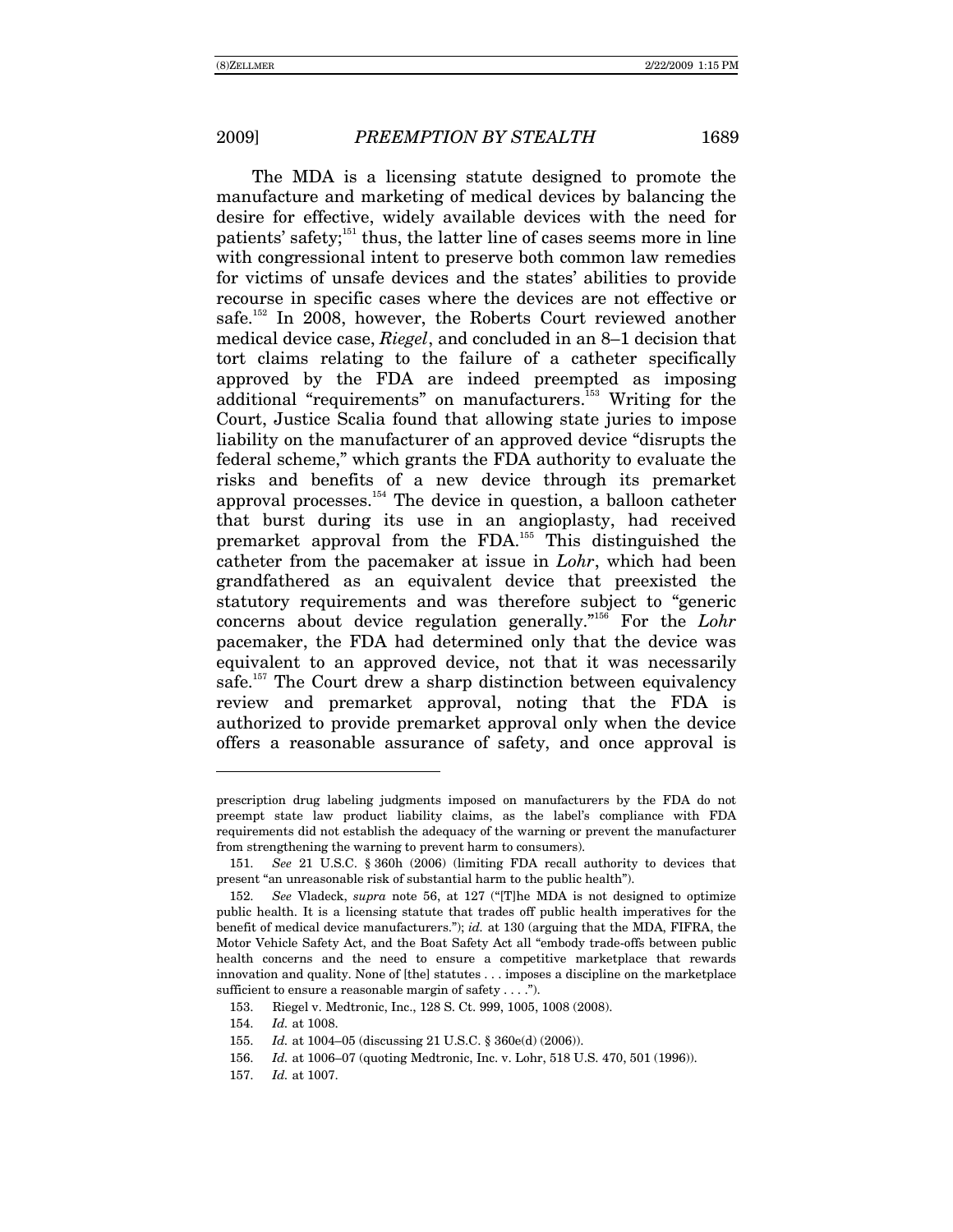The MDA is a licensing statute designed to promote the manufacture and marketing of medical devices by balancing the desire for effective, widely available devices with the need for patients' safety;<sup>151</sup> thus, the latter line of cases seems more in line with congressional intent to preserve both common law remedies for victims of unsafe devices and the states' abilities to provide recourse in specific cases where the devices are not effective or safe.<sup>152</sup> In 2008, however, the Roberts Court reviewed another medical device case, *Riegel*, and concluded in an 8–1 decision that tort claims relating to the failure of a catheter specifically approved by the FDA are indeed preempted as imposing additional "requirements" on manufacturers.<sup>153</sup> Writing for the Court, Justice Scalia found that allowing state juries to impose liability on the manufacturer of an approved device "disrupts the federal scheme," which grants the FDA authority to evaluate the risks and benefits of a new device through its premarket approval processes.154 The device in question, a balloon catheter that burst during its use in an angioplasty, had received premarket approval from the FDA.<sup>155</sup> This distinguished the catheter from the pacemaker at issue in *Lohr*, which had been grandfathered as an equivalent device that preexisted the statutory requirements and was therefore subject to "generic concerns about device regulation generally.<sup>"156</sup> For the *Lohr* pacemaker, the FDA had determined only that the device was equivalent to an approved device, not that it was necessarily safe.<sup>157</sup> The Court drew a sharp distinction between equivalency review and premarket approval, noting that the FDA is authorized to provide premarket approval only when the device offers a reasonable assurance of safety, and once approval is

 $\overline{a}$ 

prescription drug labeling judgments imposed on manufacturers by the FDA do not preempt state law product liability claims, as the labelís compliance with FDA requirements did not establish the adequacy of the warning or prevent the manufacturer from strengthening the warning to prevent harm to consumers).

<sup>151.</sup> *See* 21 U.S.C. ß 360h (2006) (limiting FDA recall authority to devices that present "an unreasonable risk of substantial harm to the public health").

<sup>152.</sup> *See* Vladeck, *supra* note 56, at 127 ("[T]he MDA is not designed to optimize public health. It is a licensing statute that trades off public health imperatives for the benefit of medical device manufacturers.î); *id.* at 130 (arguing that the MDA, FIFRA, the Motor Vehicle Safety Act, and the Boat Safety Act all "embody trade-offs between public health concerns and the need to ensure a competitive marketplace that rewards innovation and quality. None of [the] statutes . . . imposes a discipline on the marketplace sufficient to ensure a reasonable margin of safety  $\dots$ .").

 <sup>153.</sup> Riegel v. Medtronic, Inc., 128 S. Ct. 999, 1005, 1008 (2008).

<sup>154.</sup> *Id.* at 1008.

<sup>155.</sup> *Id.* at 1004–05 (discussing 21 U.S.C. § 360e(d) (2006)).

<sup>156.</sup> *Id.* at 1006–07 (quoting Medtronic, Inc. v. Lohr, 518 U.S. 470, 501 (1996)).

<sup>157.</sup> *Id.* at 1007.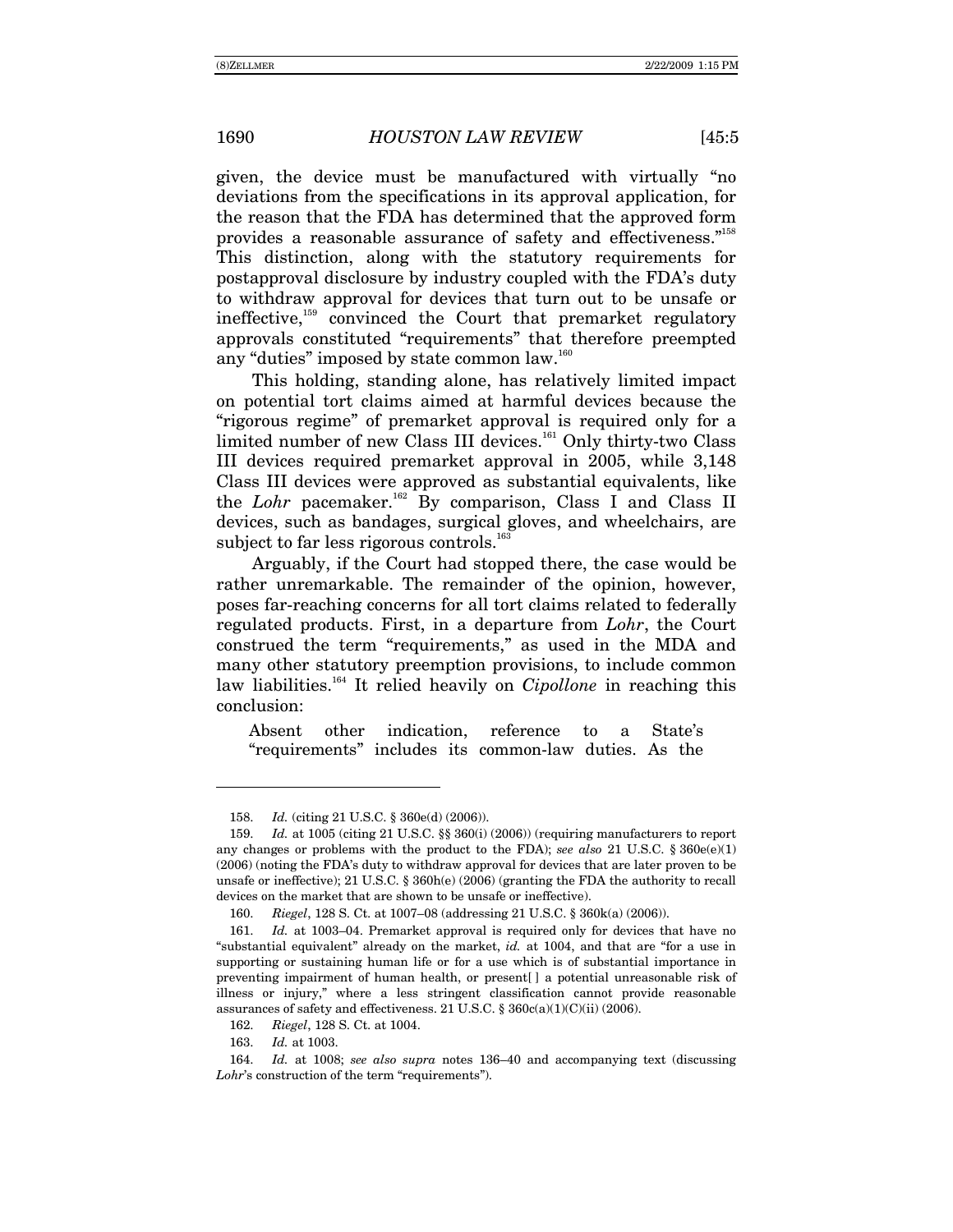given, the device must be manufactured with virtually "no deviations from the specifications in its approval application, for the reason that the FDA has determined that the approved form provides a reasonable assurance of safety and effectiveness."<sup>158</sup> This distinction, along with the statutory requirements for postapproval disclosure by industry coupled with the FDA's duty to withdraw approval for devices that turn out to be unsafe or ineffective,<sup>159</sup> convinced the Court that premarket regulatory approvals constituted "requirements" that therefore preempted any "duties" imposed by state common law.<sup>160</sup>

This holding, standing alone, has relatively limited impact on potential tort claims aimed at harmful devices because the "rigorous regime" of premarket approval is required only for a limited number of new Class III devices.<sup>161</sup> Only thirty-two Class III devices required premarket approval in 2005, while 3,148 Class III devices were approved as substantial equivalents, like the *Lohr* pacemaker.<sup>162</sup> By comparison, Class I and Class II devices, such as bandages, surgical gloves, and wheelchairs, are subject to far less rigorous controls.<sup>163</sup>

Arguably, if the Court had stopped there, the case would be rather unremarkable. The remainder of the opinion, however, poses far-reaching concerns for all tort claims related to federally regulated products. First, in a departure from *Lohr*, the Court construed the term "requirements," as used in the MDA and many other statutory preemption provisions, to include common law liabilities.<sup>164</sup> It relied heavily on *Cipollone* in reaching this conclusion:

Absent other indication, reference to a State's ìrequirementsî includes its common-law duties. As the

<sup>158.</sup> *Id.* (citing 21 U.S.C. ß 360e(d) (2006)).

<sup>159.</sup> *Id.* at 1005 (citing 21 U.S.C. ßß 360(i) (2006)) (requiring manufacturers to report any changes or problems with the product to the FDA); *see also* 21 U.S.C. § 360e(e)(1) (2006) (noting the FDAís duty to withdraw approval for devices that are later proven to be unsafe or ineffective); 21 U.S.C. ß 360h(e) (2006) (granting the FDA the authority to recall devices on the market that are shown to be unsafe or ineffective).

<sup>160.</sup> *Riegel*, 128 S. Ct. at 1007–08 (addressing 21 U.S.C. § 360k(a) (2006)).

<sup>161.</sup> *Id.* at 1003–04. Premarket approval is required only for devices that have no "substantial equivalent" already on the market, *id.* at 1004, and that are "for a use in supporting or sustaining human life or for a use which is of substantial importance in preventing impairment of human health, or present[ ] a potential unreasonable risk of illness or injury," where a less stringent classification cannot provide reasonable assurances of safety and effectiveness. 21 U.S.C. ß 360c(a)(1)(C)(ii) (2006).

<sup>162.</sup> *Riegel*, 128 S. Ct. at 1004.

<sup>163.</sup> *Id.* at 1003.

<sup>164.</sup> *Id.* at 1008; *see also supra* notes 136–40 and accompanying text (discussing *Lohr's* construction of the term "requirements").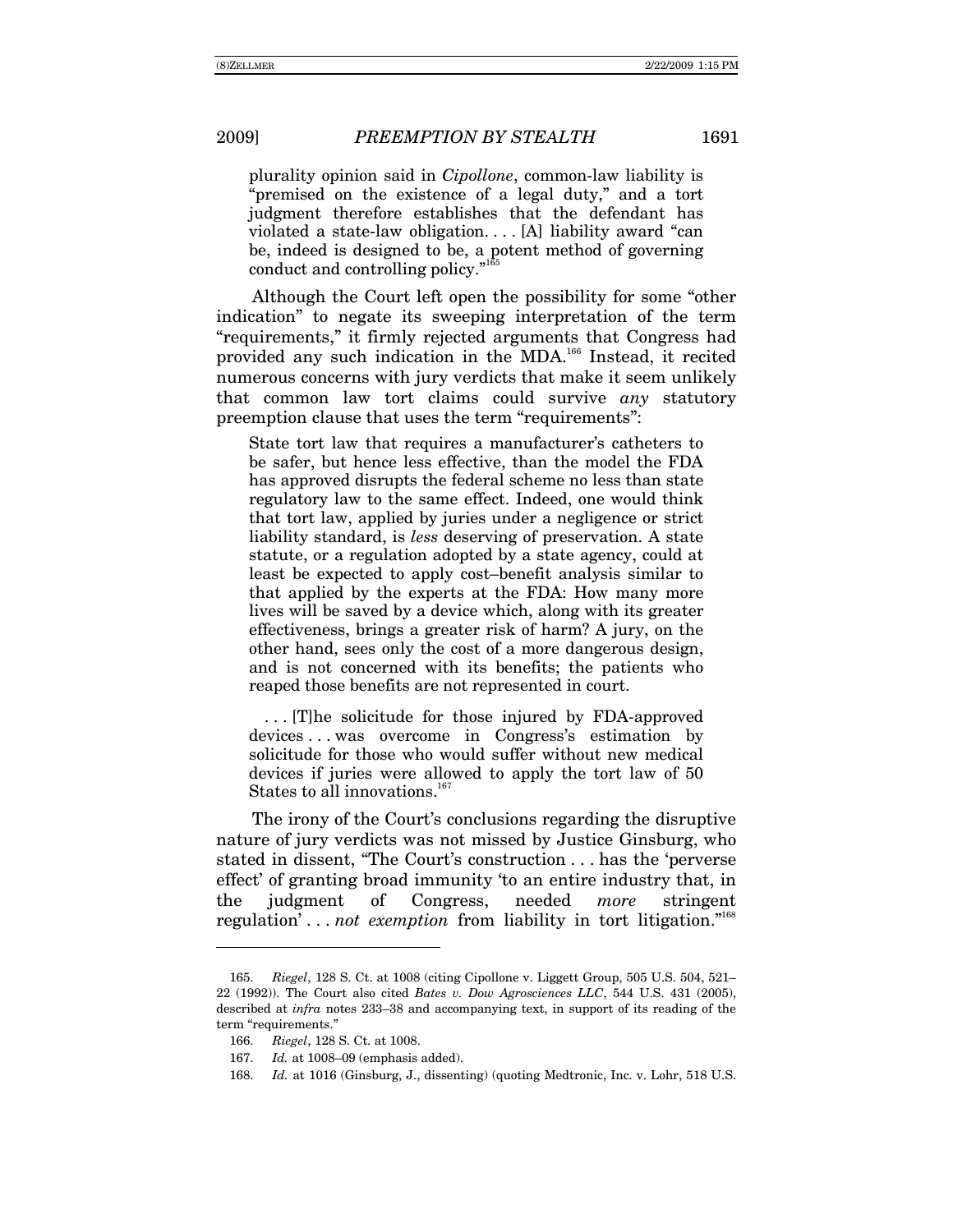plurality opinion said in *Cipollone*, common-law liability is "premised on the existence of a legal duty," and a tort judgment therefore establishes that the defendant has violated a state-law obligation.... [A] liability award "can be, indeed is designed to be, a potent method of governing conduct and controlling policy. $n^{165}$ 

Although the Court left open the possibility for some "other indicationî to negate its sweeping interpretation of the term ìrequirements,î it firmly rejected arguments that Congress had provided any such indication in the MDA.166 Instead, it recited numerous concerns with jury verdicts that make it seem unlikely that common law tort claims could survive *any* statutory preemption clause that uses the term "requirements":

State tort law that requires a manufacturer's catheters to be safer, but hence less effective, than the model the FDA has approved disrupts the federal scheme no less than state regulatory law to the same effect. Indeed, one would think that tort law, applied by juries under a negligence or strict liability standard, is *less* deserving of preservation. A state statute, or a regulation adopted by a state agency, could at least be expected to apply cost-benefit analysis similar to that applied by the experts at the FDA: How many more lives will be saved by a device which, along with its greater effectiveness, brings a greater risk of harm? A jury, on the other hand, sees only the cost of a more dangerous design, and is not concerned with its benefits; the patients who reaped those benefits are not represented in court.

 . . . [T]he solicitude for those injured by FDA-approved devices . . . was overcome in Congress's estimation by solicitude for those who would suffer without new medical devices if juries were allowed to apply the tort law of 50 States to all innovations. $167$ 

The irony of the Court's conclusions regarding the disruptive nature of jury verdicts was not missed by Justice Ginsburg, who stated in dissent, "The Court's construction . . . has the 'perverse effect' of granting broad immunity 'to an entire industry that, in the judgment of Congress, needed *more* stringent regulation<sup> $\ldots$ </sup> *not exemption* from liability in tort litigation.<sup> $n^{168}$ </sup>

<sup>165.</sup> *Riegel*, 128 S. Ct. at 1008 (citing Cipollone v. Liggett Group, 505 U.S. 504, 521– 22 (1992)). The Court also cited *Bates v. Dow Agrosciences LLC*, 544 U.S. 431 (2005), described at *infra* notes 233–38 and accompanying text, in support of its reading of the term "requirements."

<sup>166.</sup> *Riegel*, 128 S. Ct. at 1008.

<sup>167.</sup> *Id.* at 1008-09 (emphasis added).

<sup>168.</sup> *Id.* at 1016 (Ginsburg, J., dissenting) (quoting Medtronic, Inc. v. Lohr, 518 U.S.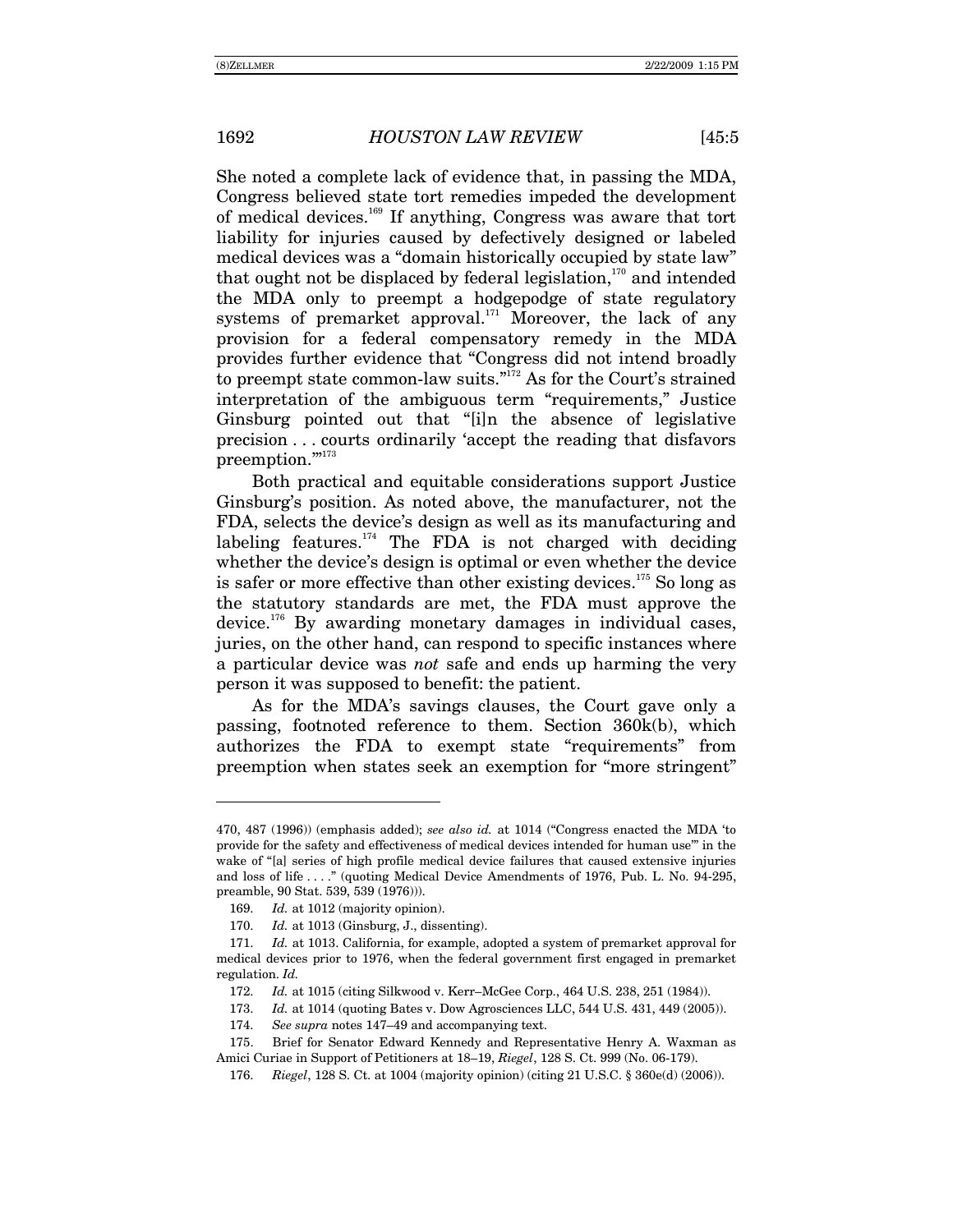She noted a complete lack of evidence that, in passing the MDA, Congress believed state tort remedies impeded the development of medical devices.169 If anything, Congress was aware that tort liability for injuries caused by defectively designed or labeled medical devices was a "domain historically occupied by state law" that ought not be displaced by federal legislation, $170$  and intended the MDA only to preempt a hodgepodge of state regulatory systems of premarket approval.<sup>171</sup> Moreover, the lack of any provision for a federal compensatory remedy in the MDA provides further evidence that "Congress did not intend broadly to preempt state common-law suits. $\frac{1}{172}$  As for the Court's strained interpretation of the ambiguous term "requirements," Justice Ginsburg pointed out that "[i]n the absence of legislative precision . . . courts ordinarily ëaccept the reading that disfavors preemption."<sup>173</sup>

Both practical and equitable considerations support Justice Ginsburg's position. As noted above, the manufacturer, not the FDA, selects the device's design as well as its manufacturing and labeling features. $174$  The FDA is not charged with deciding whether the device's design is optimal or even whether the device is safer or more effective than other existing devices.<sup>175</sup> So long as the statutory standards are met, the FDA must approve the device.<sup>176</sup> By awarding monetary damages in individual cases, juries, on the other hand, can respond to specific instances where a particular device was *not* safe and ends up harming the very person it was supposed to benefit: the patient.

As for the MDAís savings clauses, the Court gave only a passing, footnoted reference to them. Section 360k(b), which authorizes the FDA to exempt state "requirements" from preemption when states seek an exemption for "more stringent"

<sup>470, 487 (1996)) (</sup>emphasis added); *see also id.* at 1014 ("Congress enacted the MDA 'to provide for the safety and effectiveness of medical devices intended for human use<sup>36</sup> in the wake of "[a] series of high profile medical device failures that caused extensive injuries and loss of life . . . .î (quoting Medical Device Amendments of 1976, Pub. L. No. 94-295, preamble, 90 Stat. 539, 539 (1976))).

<sup>169.</sup> *Id.* at 1012 (majority opinion).

<sup>170.</sup> *Id.* at 1013 (Ginsburg, J., dissenting).

<sup>171.</sup> *Id.* at 1013. California, for example, adopted a system of premarket approval for medical devices prior to 1976, when the federal government first engaged in premarket regulation. *Id.*

<sup>172.</sup> *Id.* at 1015 (citing Silkwood v. Kerr–McGee Corp., 464 U.S. 238, 251 (1984)).

<sup>173.</sup> *Id.* at 1014 (quoting Bates v. Dow Agrosciences LLC, 544 U.S. 431, 449 (2005)).

<sup>174.</sup> *See supra* notes 147–49 and accompanying text.

 <sup>175.</sup> Brief for Senator Edward Kennedy and Representative Henry A. Waxman as Amici Curiae in Support of Petitioners at 18–19, *Riegel*, 128 S. Ct. 999 (No. 06-179).

<sup>176.</sup> *Riegel*, 128 S. Ct. at 1004 (majority opinion) (citing 21 U.S.C. ß 360e(d) (2006)).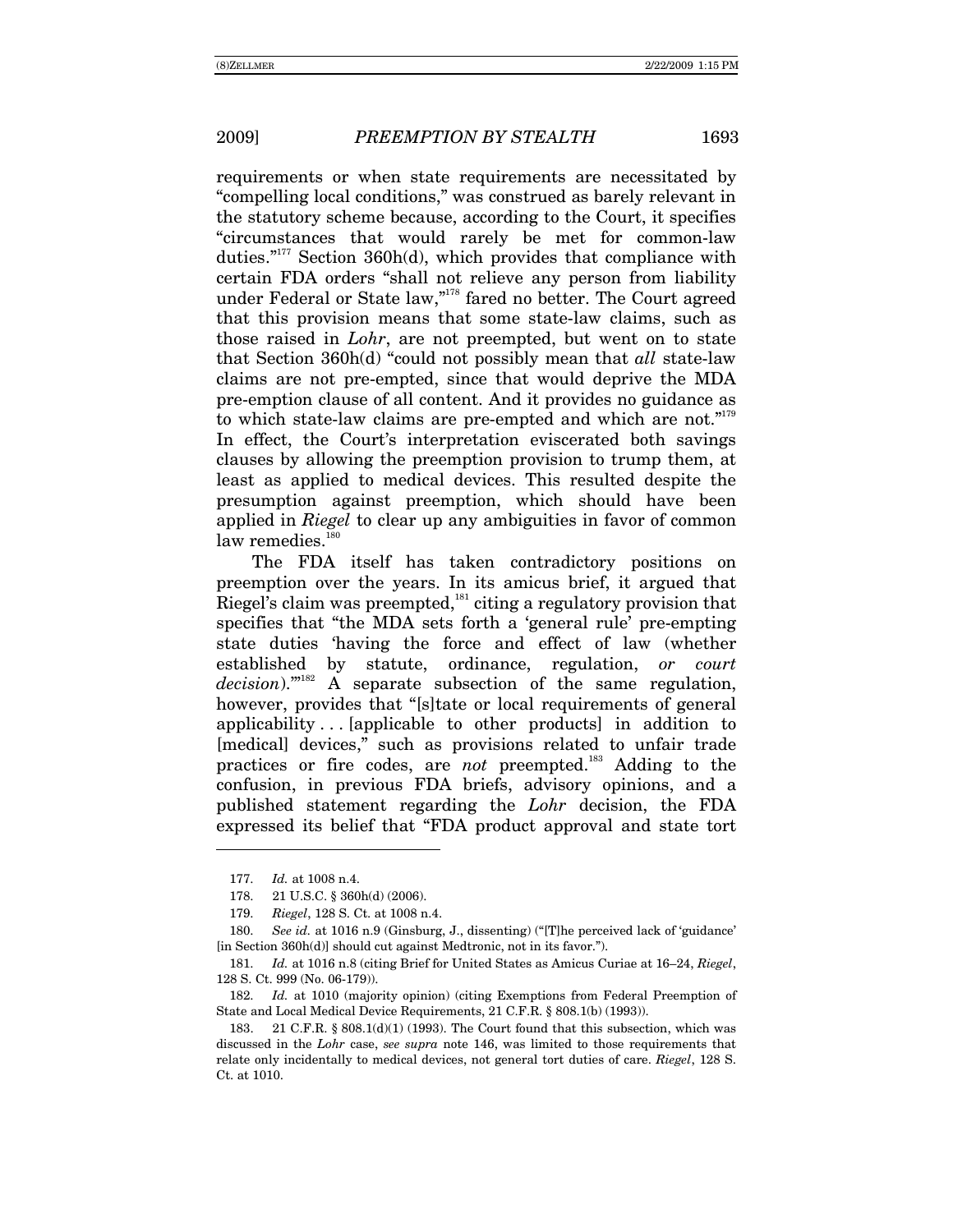requirements or when state requirements are necessitated by "compelling local conditions," was construed as barely relevant in the statutory scheme because, according to the Court, it specifies ìcircumstances that would rarely be met for common-law duties." $177$  Section 360h(d), which provides that compliance with certain FDA orders "shall not relieve any person from liability under Federal or State law,"<sup>178</sup> fared no better. The Court agreed that this provision means that some state-law claims, such as those raised in *Lohr*, are not preempted, but went on to state that Section 360h(d) "could not possibly mean that *all* state-law claims are not pre-empted, since that would deprive the MDA pre-emption clause of all content. And it provides no guidance as to which state-law claims are pre-empted and which are not."<sup>179</sup> In effect, the Court's interpretation eviscerated both savings clauses by allowing the preemption provision to trump them, at least as applied to medical devices. This resulted despite the presumption against preemption, which should have been applied in *Riegel* to clear up any ambiguities in favor of common law remedies.<sup>180</sup>

The FDA itself has taken contradictory positions on preemption over the years. In its amicus brief, it argued that Riegel's claim was preempted,<sup>181</sup> citing a regulatory provision that specifies that "the MDA sets forth a 'general rule' pre-empting state duties ëhaving the force and effect of law (whether established by statute, ordinance, regulation, *or court*  decision).<sup>m182</sup> A separate subsection of the same regulation, however, provides that "[s]tate or local requirements of general applicability . . . [applicable to other products] in addition to [medical] devices," such as provisions related to unfair trade practices or fire codes, are *not* preempted.<sup>183</sup> Adding to the confusion, in previous FDA briefs, advisory opinions, and a published statement regarding the *Lohr* decision, the FDA expressed its belief that "FDA product approval and state tort

<sup>177.</sup> *Id.* at 1008 n.4.

 <sup>178. 21</sup> U.S.C. ß 360h(d) (2006).

<sup>179.</sup> *Riegel*, 128 S. Ct. at 1008 n.4.

<sup>180.</sup> *See id.* at 1016 n.9 (Ginsburg, J., dissenting) ("[T]he perceived lack of 'guidance'  $\lbrack$  [in Section 360h(d)] should cut against Medtronic, not in its favor.").

<sup>181.</sup> *Id.* at 1016 n.8 (citing Brief for United States as Amicus Curiae at 16–24, *Riegel*, 128 S. Ct. 999 (No. 06-179)).

<sup>182.</sup> *Id.* at 1010 (majority opinion) (citing Exemptions from Federal Preemption of State and Local Medical Device Requirements, 21 C.F.R. ß 808.1(b) (1993)).

 <sup>183. 21</sup> C.F.R. ß 808.1(d)(1) (1993). The Court found that this subsection, which was discussed in the *Lohr* case, *see supra* note 146, was limited to those requirements that relate only incidentally to medical devices, not general tort duties of care. *Riegel*, 128 S. Ct. at 1010.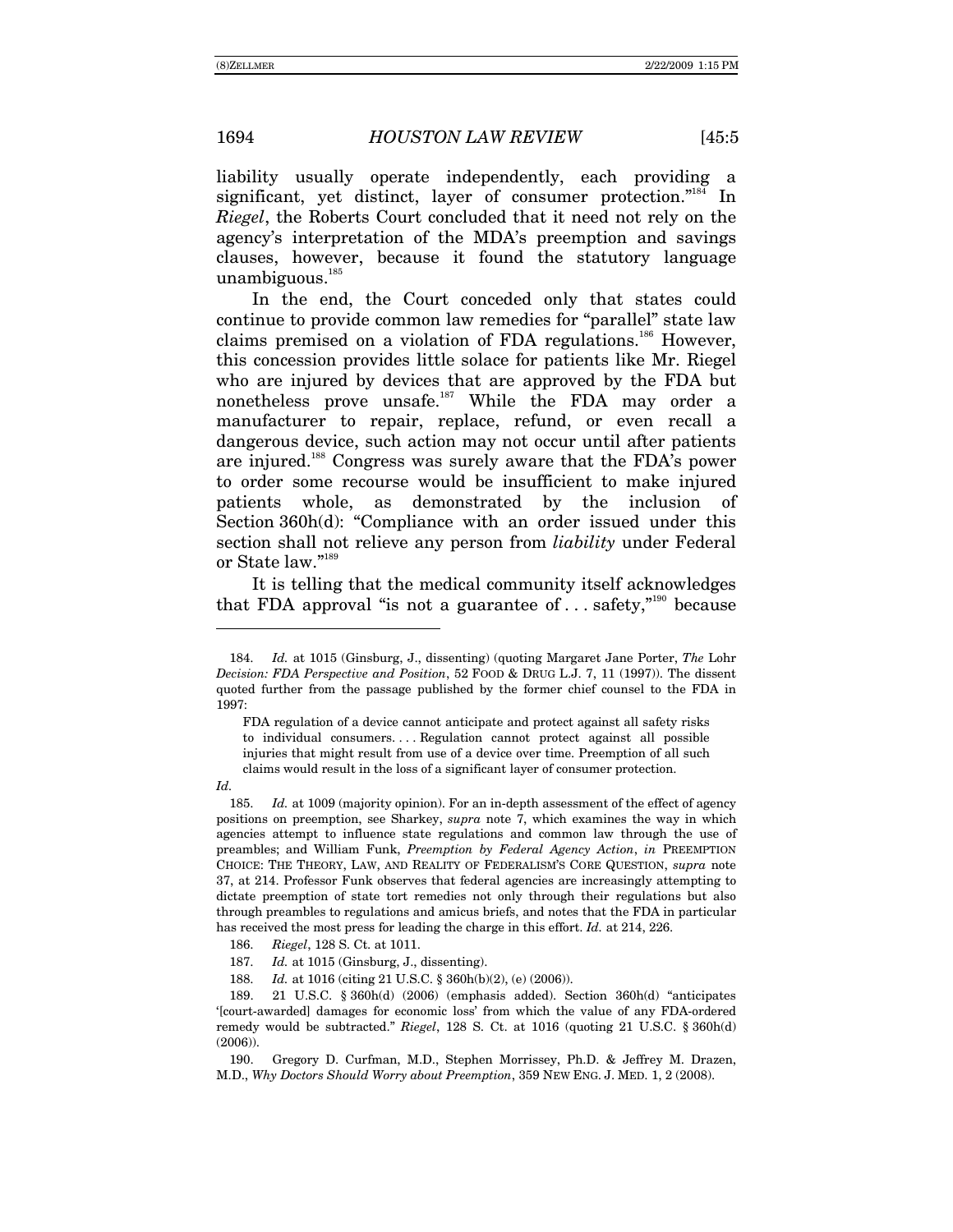liability usually operate independently, each providing a significant, yet distinct, layer of consumer protection. $i<sup>184</sup>$  In *Riegel*, the Roberts Court concluded that it need not rely on the agency's interpretation of the MDA's preemption and savings clauses, however, because it found the statutory language unambiguous. $185$ 

In the end, the Court conceded only that states could continue to provide common law remedies for "parallel" state law claims premised on a violation of FDA regulations.<sup>186</sup> However, this concession provides little solace for patients like Mr. Riegel who are injured by devices that are approved by the FDA but nonetheless prove unsafe.187 While the FDA may order a manufacturer to repair, replace, refund, or even recall a dangerous device, such action may not occur until after patients are injured.<sup>188</sup> Congress was surely aware that the FDA's power to order some recourse would be insufficient to make injured patients whole, as demonstrated by the inclusion of Section  $360h(d)$ : "Compliance with an order issued under this section shall not relieve any person from *liability* under Federal or State law. $"189$ 

It is telling that the medical community itself acknowledges that FDA approval "is not a guarantee of  $\ldots$  safety,"<sup>190</sup> because

FDA regulation of a device cannot anticipate and protect against all safety risks to individual consumers. . . . Regulation cannot protect against all possible injuries that might result from use of a device over time. Preemption of all such claims would result in the loss of a significant layer of consumer protection.

*Id.*

-

185. *Id.* at 1009 (majority opinion). For an in-depth assessment of the effect of agency positions on preemption, see Sharkey, *supra* note 7, which examines the way in which agencies attempt to influence state regulations and common law through the use of preambles; and William Funk, *Preemption by Federal Agency Action*, *in* PREEMPTION CHOICE: THE THEORY, LAW, AND REALITY OF FEDERALISMíS CORE QUESTION, *supra* note 37, at 214. Professor Funk observes that federal agencies are increasingly attempting to dictate preemption of state tort remedies not only through their regulations but also through preambles to regulations and amicus briefs, and notes that the FDA in particular has received the most press for leading the charge in this effort. *Id.* at 214, 226.

186. *Riegel*, 128 S. Ct. at 1011.

187. *Id.* at 1015 (Ginsburg, J., dissenting).

188. *Id.* at 1016 (citing 21 U.S.C. ß 360h(b)(2), (e) (2006)).

189. 21 U.S.C. § 360h(d) (2006) (emphasis added). Section 360h(d) "anticipates ë[court-awarded] damages for economic lossí from which the value of any FDA-ordered remedy would be subtracted.î *Riegel*, 128 S. Ct. at 1016 (quoting 21 U.S.C. ß 360h(d) (2006)).

 190. Gregory D. Curfman, M.D., Stephen Morrissey, Ph.D. & Jeffrey M. Drazen, M.D., *Why Doctors Should Worry about Preemption*, 359 NEW ENG. J. MED. 1, 2 (2008).

<sup>184.</sup> *Id.* at 1015 (Ginsburg, J., dissenting) (quoting Margaret Jane Porter, *The* Lohr *Decision: FDA Perspective and Position*, 52 FOOD & DRUG L.J. 7, 11 (1997)). The dissent quoted further from the passage published by the former chief counsel to the FDA in 1997: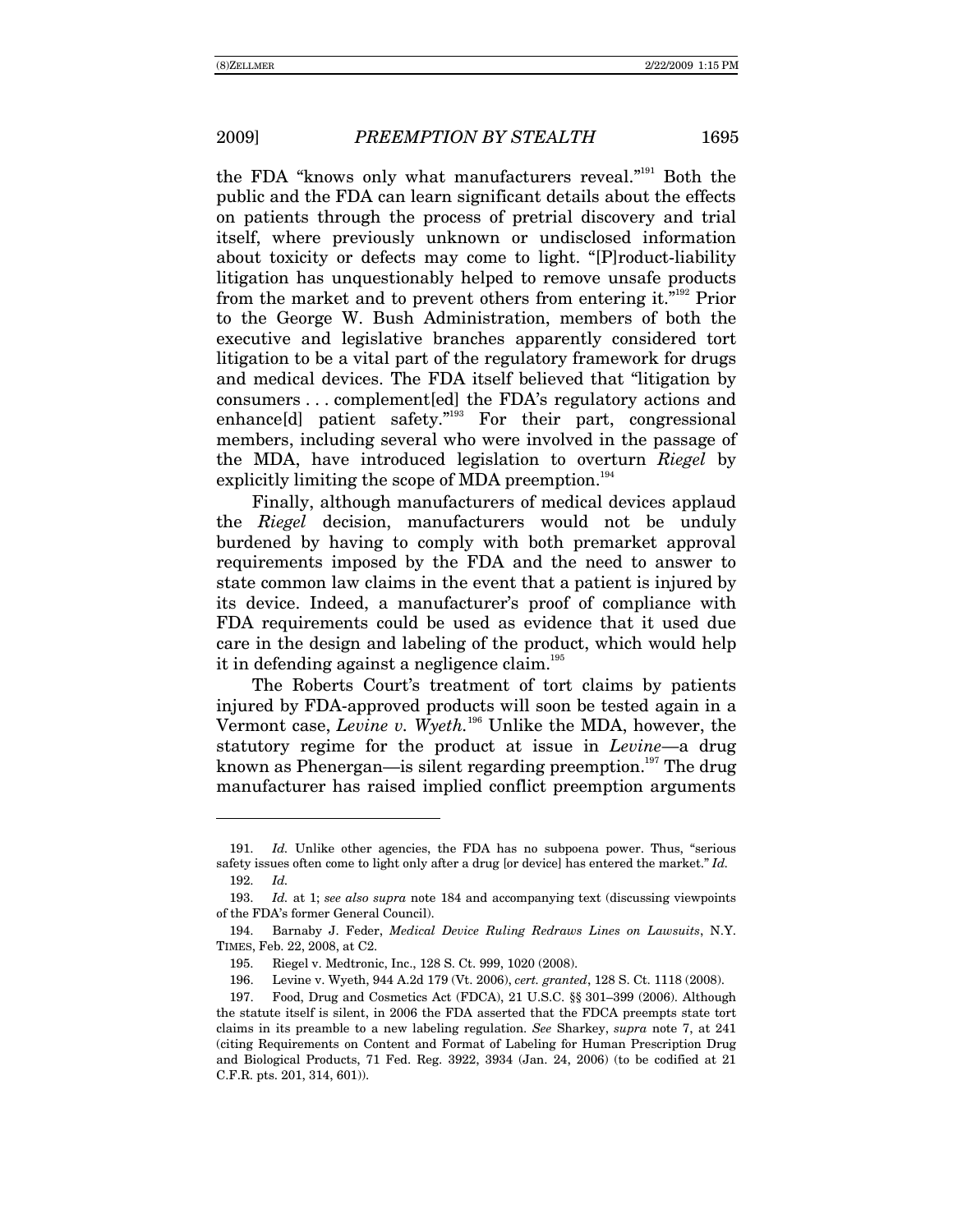the FDA "knows only what manufacturers reveal."<sup>191</sup> Both the public and the FDA can learn significant details about the effects on patients through the process of pretrial discovery and trial itself, where previously unknown or undisclosed information about toxicity or defects may come to light. "[P]roduct-liability litigation has unquestionably helped to remove unsafe products from the market and to prevent others from entering it."<sup>192</sup> Prior to the George W. Bush Administration, members of both the executive and legislative branches apparently considered tort litigation to be a vital part of the regulatory framework for drugs and medical devices. The FDA itself believed that "litigation by consumers...complement [ed] the FDA's regulatory actions and enhance[d] patient safety."<sup>193</sup> For their part, congressional members, including several who were involved in the passage of the MDA, have introduced legislation to overturn Riegel by explicitly limiting the scope of MDA preemption.<sup>194</sup>

Finally, although manufacturers of medical devices applaud the Riegel decision, manufacturers would not be unduly burdened by having to comply with both premarket approval requirements imposed by the FDA and the need to answer to state common law claims in the event that a patient is injured by its device. Indeed, a manufacturer's proof of compliance with FDA requirements could be used as evidence that it used due care in the design and labeling of the product, which would help it in defending against a negligence claim.<sup>195</sup>

The Roberts Court's treatment of tort claims by patients injured by FDA-approved products will soon be tested again in a Vermont case, Levine v. Wyeth.<sup>196</sup> Unlike the MDA, however, the statutory regime for the product at issue in *Levine*—a drug known as Phenergan—is silent regarding preemption.<sup>197</sup> The drug manufacturer has raised implied conflict preemption arguments

*Id.* Unlike other agencies, the FDA has no subpoena power. Thus, "serious 191. safety issues often come to light only after a drug [or device] has entered the market." Id. 192. Id.

*Id.* at 1; see also supra note 184 and accompanying text (discussing viewpoints 193. of the FDA's former General Council).

<sup>194.</sup> Barnaby J. Feder, Medical Device Ruling Redraws Lines on Lawsuits, N.Y. TIMES, Feb. 22, 2008, at C2.

<sup>195.</sup> Riegel v. Medtronic, Inc., 128 S. Ct. 999, 1020 (2008).

<sup>196.</sup> Levine v. Wyeth, 944 A.2d 179 (Vt. 2006), cert. granted, 128 S. Ct. 1118 (2008).

<sup>197.</sup> Food, Drug and Cosmetics Act (FDCA), 21 U.S.C. §§ 301-399 (2006). Although the statute itself is silent, in 2006 the FDA asserted that the FDCA preempts state tort claims in its preamble to a new labeling regulation. See Sharkey, supra note 7, at 241 (citing Requirements on Content and Format of Labeling for Human Prescription Drug and Biological Products, 71 Fed. Reg. 3922, 3934 (Jan. 24, 2006) (to be codified at 21 C.F.R. pts. 201, 314, 601)).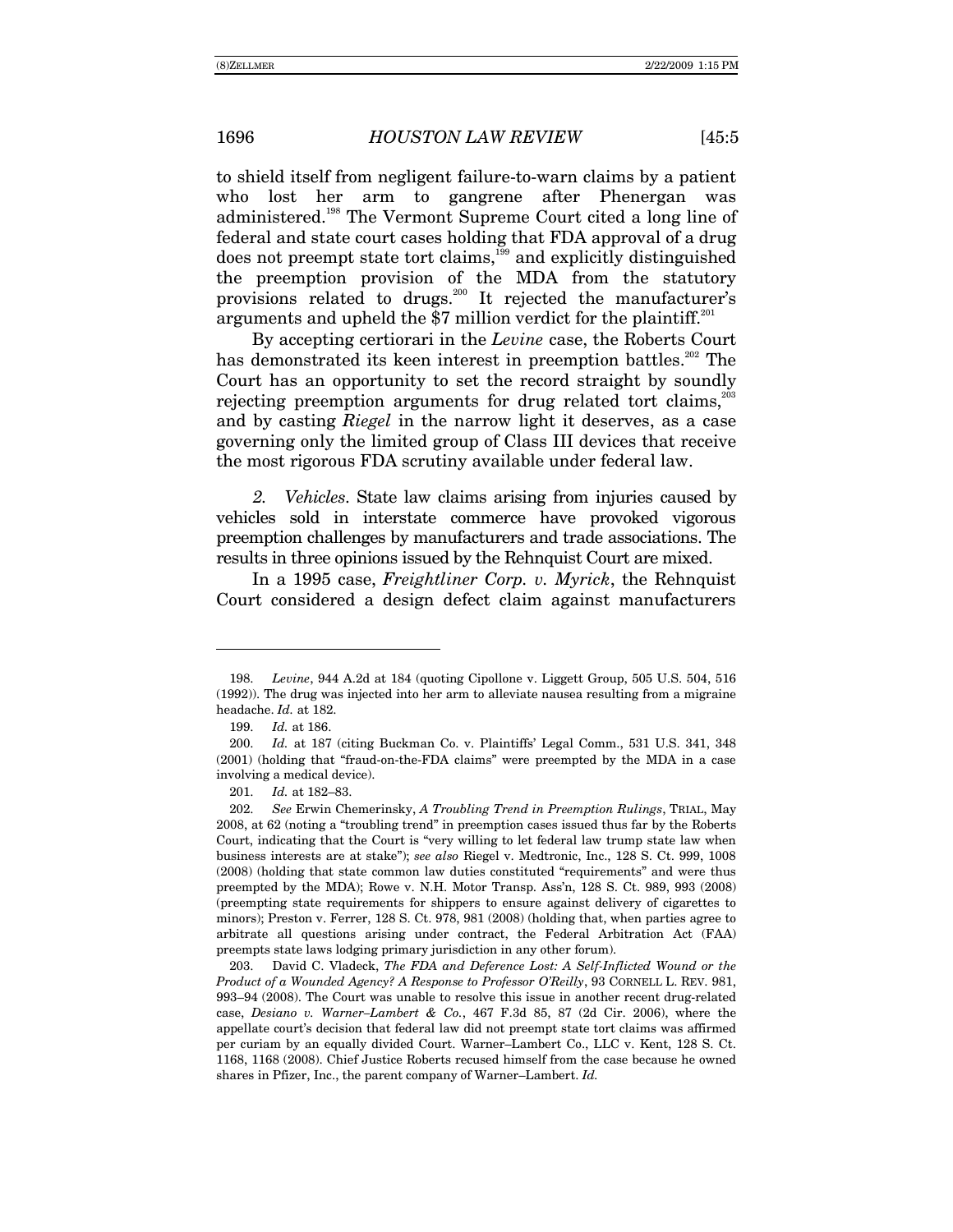to shield itself from negligent failure-to-warn claims by a patient who lost her arm to gangrene after Phenergan was administered.198 The Vermont Supreme Court cited a long line of federal and state court cases holding that FDA approval of a drug does not preempt state tort claims,<sup>199</sup> and explicitly distinguished the preemption provision of the MDA from the statutory provisions related to drugs.<sup>200</sup> It rejected the manufacturer's arguments and upheld the \$7 million verdict for the plaintiff.<sup>201</sup>

By accepting certiorari in the *Levine* case, the Roberts Court has demonstrated its keen interest in preemption battles.<sup>202</sup> The Court has an opportunity to set the record straight by soundly rejecting preemption arguments for drug related tort claims,<sup>203</sup> and by casting *Riegel* in the narrow light it deserves, as a case governing only the limited group of Class III devices that receive the most rigorous FDA scrutiny available under federal law.

*2. Vehicles*. State law claims arising from injuries caused by vehicles sold in interstate commerce have provoked vigorous preemption challenges by manufacturers and trade associations. The results in three opinions issued by the Rehnquist Court are mixed.

In a 1995 case, *Freightliner Corp. v. Myrick*, the Rehnquist Court considered a design defect claim against manufacturers

<sup>198.</sup> *Levine*, 944 A.2d at 184 (quoting Cipollone v. Liggett Group, 505 U.S. 504, 516 (1992)). The drug was injected into her arm to alleviate nausea resulting from a migraine headache. *Id.* at 182.

<sup>199.</sup> *Id.* at 186.

<sup>200.</sup> *Id.* at 187 (citing Buckman Co. v. Plaintiffsí Legal Comm., 531 U.S. 341, 348  $(2001)$  (holding that "fraud-on-the-FDA claims" were preempted by the MDA in a case involving a medical device).

<sup>201.</sup> *Id.* at 182-83.

<sup>202.</sup> *See* Erwin Chemerinsky, *A Troubling Trend in Preemption Rulings*, TRIAL, May 2008, at 62 (noting a "troubling trend" in preemption cases issued thus far by the Roberts Court, indicating that the Court is "very willing to let federal law trump state law when business interests are at stakeî); *see also* Riegel v. Medtronic, Inc., 128 S. Ct. 999, 1008  $(2008)$  (holding that state common law duties constituted "requirements" and were thus preempted by the MDA); Rowe v. N.H. Motor Transp. Assín, 128 S. Ct. 989, 993 (2008) (preempting state requirements for shippers to ensure against delivery of cigarettes to minors); Preston v. Ferrer, 128 S. Ct. 978, 981 (2008) (holding that, when parties agree to arbitrate all questions arising under contract, the Federal Arbitration Act (FAA) preempts state laws lodging primary jurisdiction in any other forum).

 <sup>203.</sup> David C. Vladeck, *The FDA and Deference Lost: A Self-Inflicted Wound or the Product of a Wounded Agency? A Response to Professor OíReilly*, 93 CORNELL L. REV. 981, 993–94 (2008). The Court was unable to resolve this issue in another recent drug-related case, *Desiano v. Warner-Lambert & Co.*,  $467$  F.3d 85, 87 (2d Cir. 2006), where the appellate court's decision that federal law did not preempt state tort claims was affirmed per curiam by an equally divided Court. Warner–Lambert Co., LLC v. Kent, 128 S. Ct. 1168, 1168 (2008). Chief Justice Roberts recused himself from the case because he owned shares in Pfizer, Inc., the parent company of Warner-Lambert. *Id.*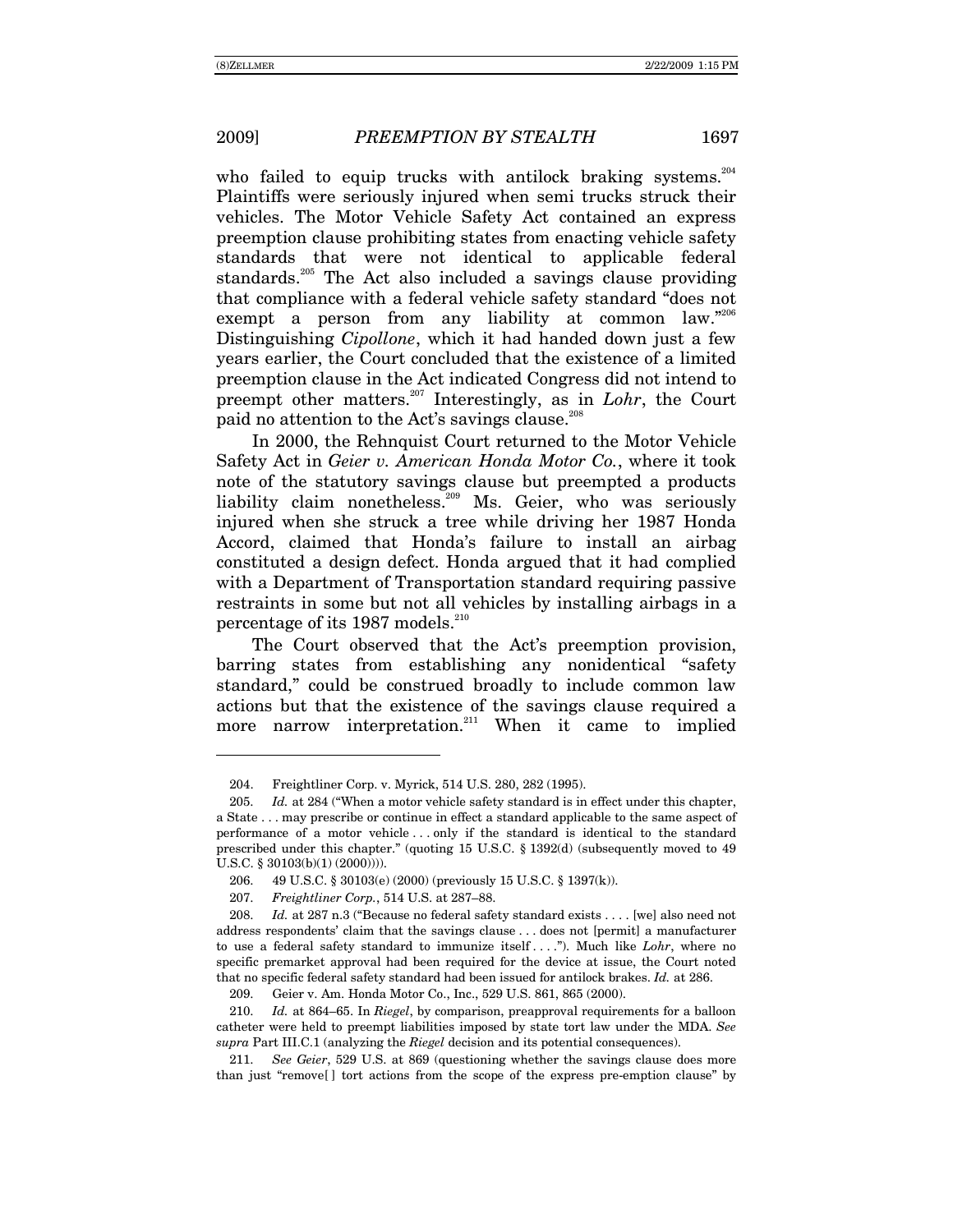-

who failed to equip trucks with antilock braking systems.<sup>204</sup> Plaintiffs were seriously injured when semi trucks struck their vehicles. The Motor Vehicle Safety Act contained an express preemption clause prohibiting states from enacting vehicle safety standards that were not identical to applicable federal standards.<sup>205</sup> The Act also included a savings clause providing that compliance with a federal vehicle safety standard "does not exempt a person from any liability at common law. $2^{206}$ Distinguishing *Cipollone*, which it had handed down just a few years earlier, the Court concluded that the existence of a limited preemption clause in the Act indicated Congress did not intend to preempt other matters.<sup>207</sup> Interestingly, as in *Lohr*, the Court paid no attention to the Act's savings clause.<sup>208</sup>

In 2000, the Rehnquist Court returned to the Motor Vehicle Safety Act in *Geier v. American Honda Motor Co.*, where it took note of the statutory savings clause but preempted a products liability claim nonetheless.<sup>209</sup> Ms. Geier, who was seriously injured when she struck a tree while driving her 1987 Honda Accord, claimed that Honda's failure to install an airbag constituted a design defect. Honda argued that it had complied with a Department of Transportation standard requiring passive restraints in some but not all vehicles by installing airbags in a percentage of its 1987 models.<sup>210</sup>

The Court observed that the Act's preemption provision, barring states from establishing any nonidentical "safety" standard," could be construed broadly to include common law actions but that the existence of the savings clause required a more narrow interpretation.<sup>211</sup> When it came to implied

 <sup>204.</sup> Freightliner Corp. v. Myrick, 514 U.S. 280, 282 (1995).

<sup>205.</sup> *Id.* at 284 ("When a motor vehicle safety standard is in effect under this chapter, a State . . . may prescribe or continue in effect a standard applicable to the same aspect of performance of a motor vehicle . . . only if the standard is identical to the standard prescribed under this chapter." (quoting  $15 \text{ U.S.C. }$  §  $1392(d)$  (subsequently moved to  $49$ U.S.C. § 30103(b)(1) (2000)))).

 <sup>206. 49</sup> U.S.C. ß 30103(e) (2000) (previously 15 U.S.C. ß 1397(k)).

<sup>207.</sup> *Freightliner Corp.*, 514 U.S. at 287–88.

<sup>208.</sup> *Id.* at 287 n.3 ("Because no federal safety standard exists . . . . [we] also need not address respondents' claim that the savings clause . . . does not [permit] a manufacturer to use a federal safety standard to immunize itself . . . .î). Much like *Lohr*, where no specific premarket approval had been required for the device at issue, the Court noted that no specific federal safety standard had been issued for antilock brakes. *Id.* at 286.

 <sup>209.</sup> Geier v. Am. Honda Motor Co., Inc., 529 U.S. 861, 865 (2000).

<sup>210.</sup> *Id.* at 864–65. In *Riegel*, by comparison, preapproval requirements for a balloon catheter were held to preempt liabilities imposed by state tort law under the MDA. *See supra* Part III.C.1 (analyzing the *Riegel* decision and its potential consequences).

<sup>211.</sup> *See Geier*, 529 U.S. at 869 (questioning whether the savings clause does more than just "remove $[ \ ]$  tort actions from the scope of the express pre-emption clause" by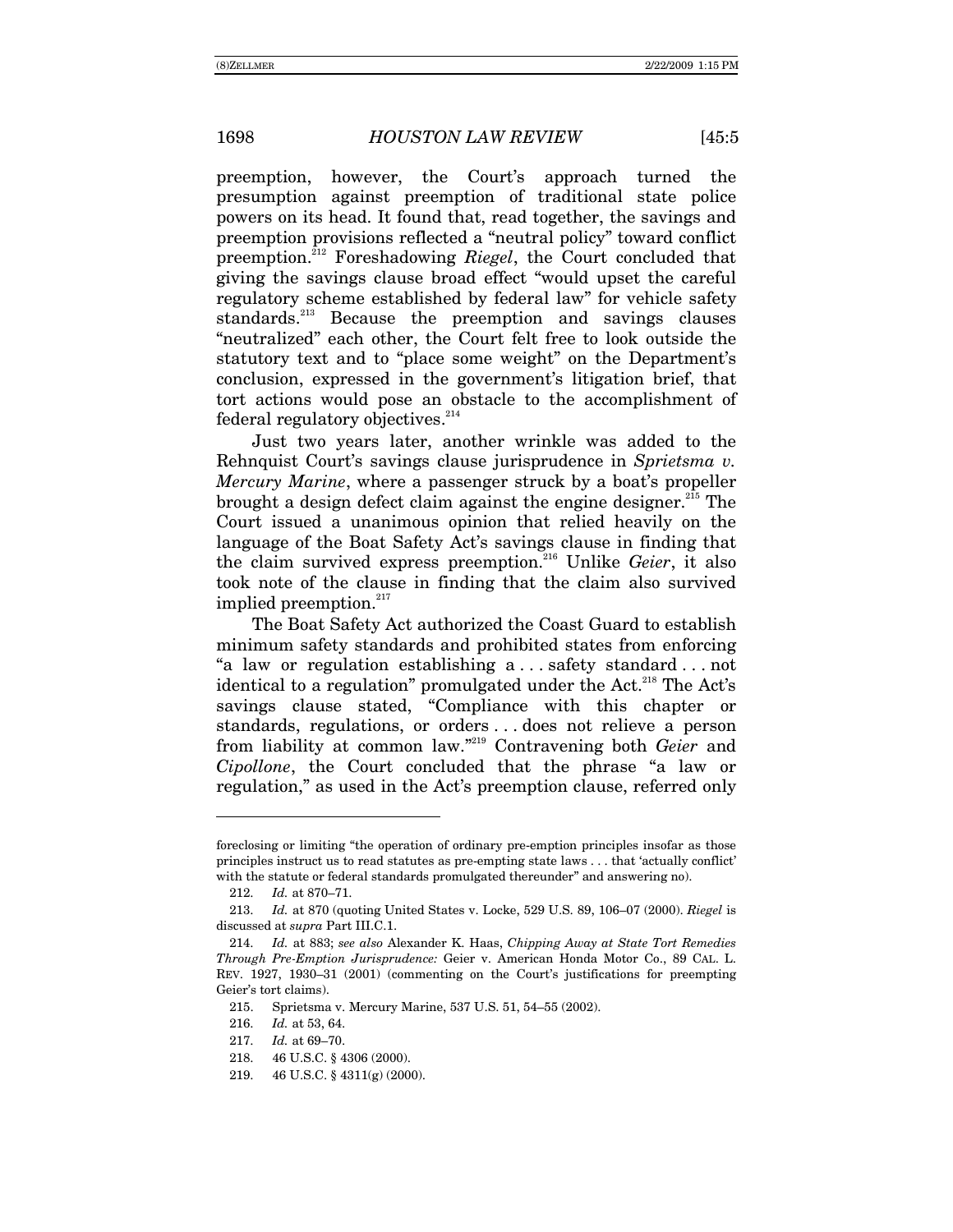preemption, however, the Courtís approach turned the presumption against preemption of traditional state police powers on its head. It found that, read together, the savings and preemption provisions reflected a "neutral policy" toward conflict preemption.212 Foreshadowing *Riegel*, the Court concluded that giving the savings clause broad effect "would upset the careful" regulatory scheme established by federal law" for vehicle safety standards.<sup>213</sup> Because the preemption and savings clauses "neutralized" each other, the Court felt free to look outside the statutory text and to "place some weight" on the Department's conclusion, expressed in the government's litigation brief, that tort actions would pose an obstacle to the accomplishment of  $f$ ederal regulatory objectives.<sup>214</sup>

Just two years later, another wrinkle was added to the Rehnquist Court's savings clause jurisprudence in *Sprietsma v. Mercury Marine*, where a passenger struck by a boat's propeller brought a design defect claim against the engine designer.<sup>215</sup> The Court issued a unanimous opinion that relied heavily on the language of the Boat Safety Act's savings clause in finding that the claim survived express preemption.216 Unlike *Geier*, it also took note of the clause in finding that the claim also survived implied preemption.<sup>217</sup>

The Boat Safety Act authorized the Coast Guard to establish minimum safety standards and prohibited states from enforcing "a law or regulation establishing  $a \dots$  safety standard ... not identical to a regulation" promulgated under the Act.<sup>218</sup> The Act's savings clause stated, "Compliance with this chapter or standards, regulations, or orders . . . does not relieve a person from liability at common law.<sup>"219</sup> Contravening both *Geier* and *Cipollone*, the Court concluded that the phrase "a law or regulation," as used in the Act's preemption clause, referred only

foreclosing or limiting "the operation of ordinary pre-emption principles insofar as those principles instruct us to read statutes as pre-empting state laws . . . that 'actually conflict' with the statute or federal standards promulgated thereunder" and answering no).

<sup>212.</sup> *Id.* at 870-71.

<sup>213.</sup> *Id.* at 870 (quoting United States v. Locke, 529 U.S. 89, 106–07 (2000). *Riegel* is discussed at *supra* Part III.C.1.

<sup>214.</sup> *Id.* at 883; *see also* Alexander K. Haas, *Chipping Away at State Tort Remedies Through Pre-Emption Jurisprudence:* Geier v. American Honda Motor Co., 89 CAL. L. REV. 1927, 1930-31 (2001) (commenting on the Court's justifications for preempting Geier's tort claims).

<sup>215.</sup> Sprietsma v. Mercury Marine, 537 U.S. 51, 54–55 (2002).

<sup>216.</sup> *Id.* at 53, 64.

<sup>217.</sup> *Id.* at 69-70.

 <sup>218. 46</sup> U.S.C. ß 4306 (2000).

 <sup>219. 46</sup> U.S.C. ß 4311(g) (2000).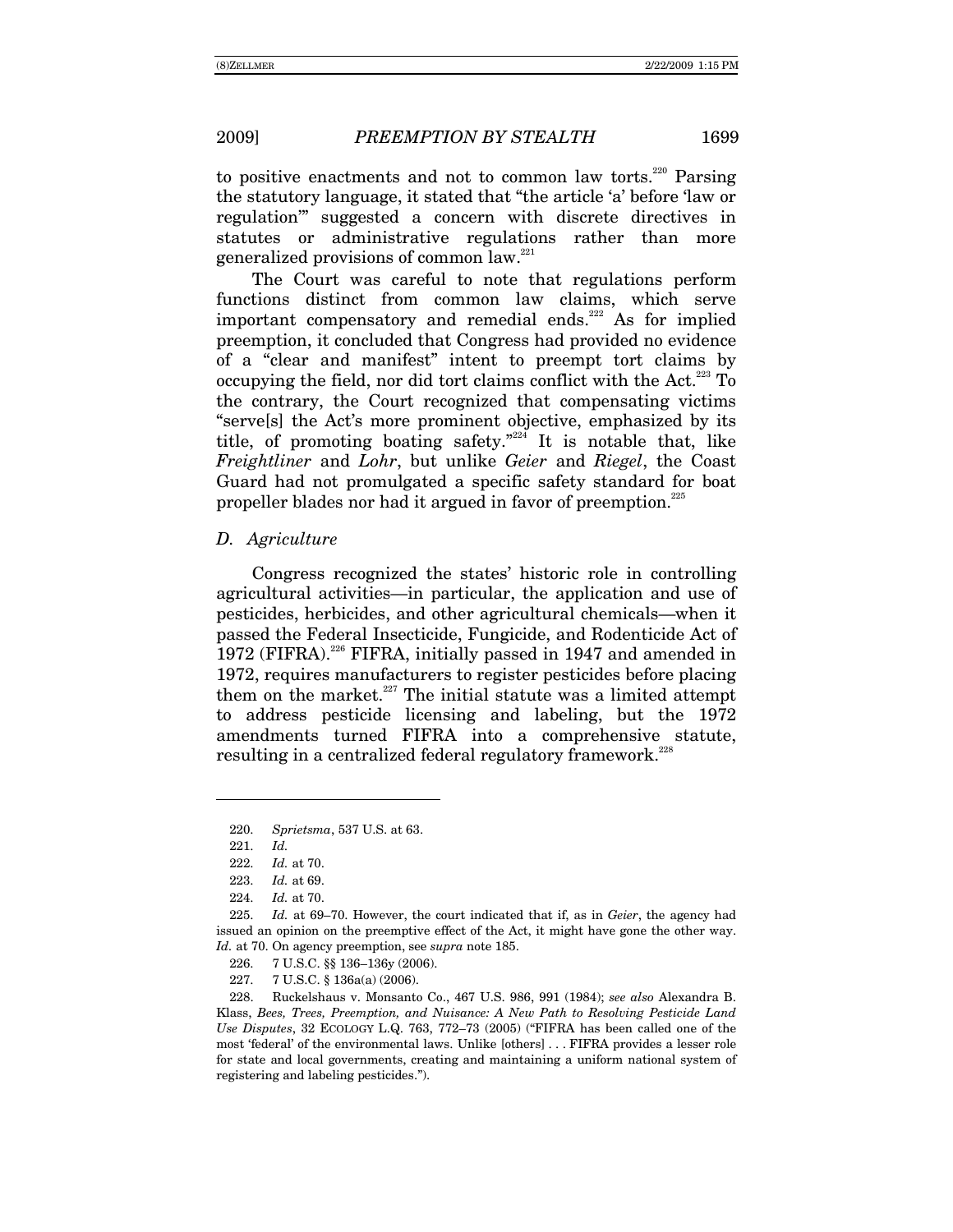to positive enactments and not to common law torts.<sup>220</sup> Parsing the statutory language, it stated that "the article 'a' before 'law or regulation" suggested a concern with discrete directives in statutes or administrative regulations rather than more generalized provisions of common law.<sup>221</sup>

The Court was careful to note that regulations perform functions distinct from common law claims, which serve important compensatory and remedial ends.<sup>222</sup> As for implied preemption, it concluded that Congress had provided no evidence of a "clear and manifest" intent to preempt tort claims by occupying the field, nor did tort claims conflict with the Act.<sup>223</sup> To the contrary, the Court recognized that compensating victims "servels" the Act's more prominent objective, emphasized by its title, of promoting boating safety."<sup>224</sup> It is notable that, like Freightliner and Lohr, but unlike Geier and Riegel, the Coast Guard had not promulgated a specific safety standard for boat propeller blades nor had it argued in favor of preemption.<sup>225</sup>

## D. Agriculture

Congress recognized the states' historic role in controlling agricultural activities—in particular, the application and use of pesticides, herbicides, and other agricultural chemicals—when it passed the Federal Insecticide, Fungicide, and Rodenticide Act of 1972 (FIFRA).<sup>226</sup> FIFRA, initially passed in 1947 and amended in 1972, requires manufacturers to register pesticides before placing them on the market.<sup>227</sup> The initial statute was a limited attempt to address pesticide licensing and labeling, but the 1972 amendments turned FIFRA into a comprehensive statute, resulting in a centralized federal regulatory framework.<sup>228</sup>

226. 7 U.S.C. §§ 136-136y (2006).

 $227.$ 7 U.S.C. § 136a(a) (2006).

228. Ruckelshaus v. Monsanto Co., 467 U.S. 986, 991 (1984); see also Alexandra B. Klass, Bees, Trees, Preemption, and Nuisance: A New Path to Resolving Pesticide Land Use Disputes, 32 ECOLOGY L.Q. 763, 772-73 (2005) ("FIFRA has been called one of the most 'federal' of the environmental laws. Unlike [others] ... FIFRA provides a lesser role for state and local governments, creating and maintaining a uniform national system of registering and labeling pesticides.").

<sup>220.</sup> Sprietsma, 537 U.S. at 63.

<sup>221.</sup>  $Id.$ 

<sup>222.</sup> Id. at 70.

Id. at 69. 223.

<sup>224.</sup> Id. at 70.

<sup>225.</sup> Id. at 69–70. However, the court indicated that if, as in Geier, the agency had issued an opinion on the preemptive effect of the Act, it might have gone the other way. Id. at 70. On agency preemption, see *supra* note 185.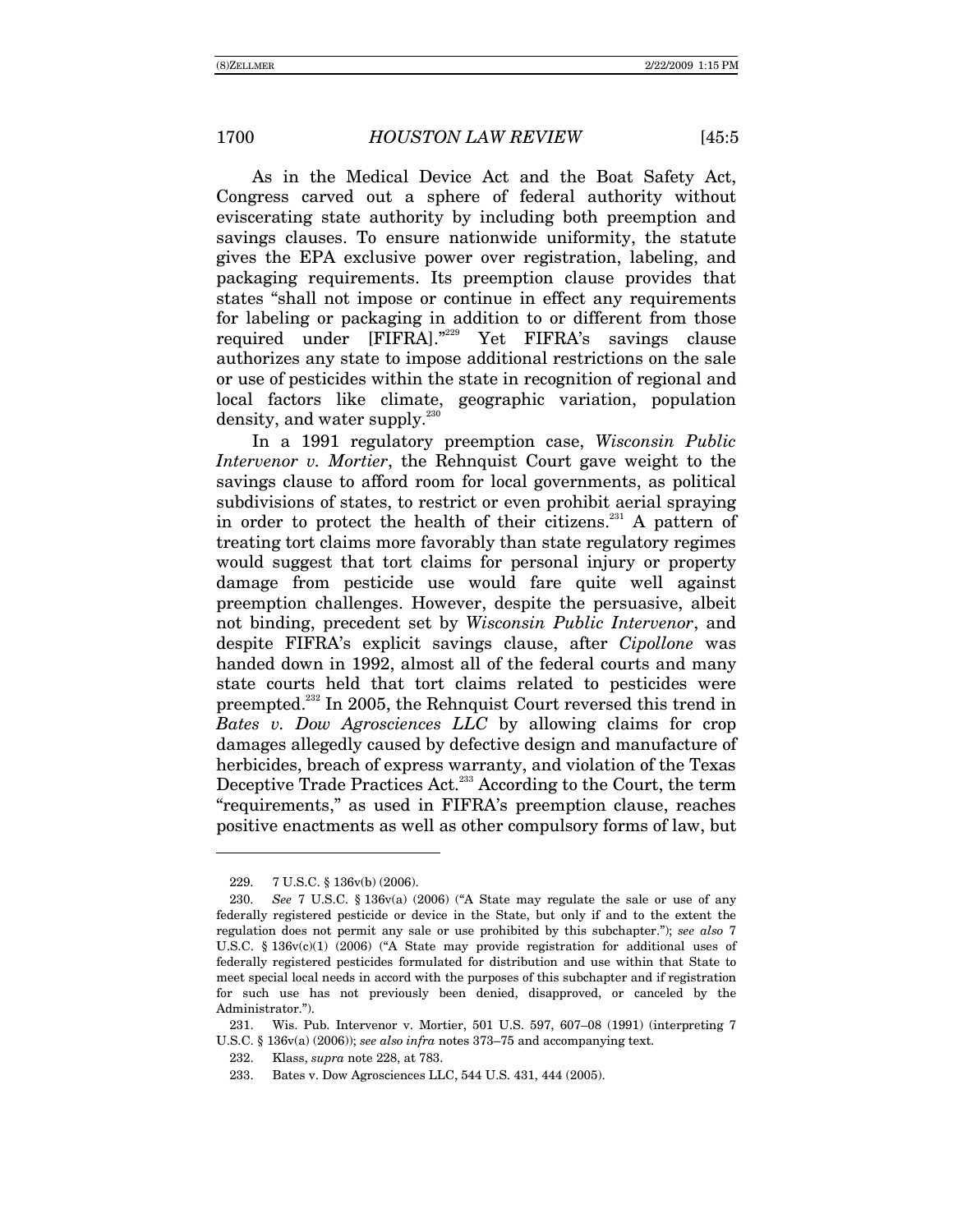As in the Medical Device Act and the Boat Safety Act, Congress carved out a sphere of federal authority without eviscerating state authority by including both preemption and savings clauses. To ensure nationwide uniformity, the statute gives the EPA exclusive power over registration, labeling, and packaging requirements. Its preemption clause provides that states "shall not impose or continue in effect any requirements for labeling or packaging in addition to or different from those required under [FIFRA].<sup>"229</sup> Yet FIFRA's savings clause authorizes any state to impose additional restrictions on the sale or use of pesticides within the state in recognition of regional and local factors like climate, geographic variation, population density, and water supply.<sup>230</sup>

In a 1991 regulatory preemption case, *Wisconsin Public Intervenor v. Mortier*, the Rehnquist Court gave weight to the savings clause to afford room for local governments, as political subdivisions of states, to restrict or even prohibit aerial spraying in order to protect the health of their citizens.<sup>231</sup> A pattern of treating tort claims more favorably than state regulatory regimes would suggest that tort claims for personal injury or property damage from pesticide use would fare quite well against preemption challenges. However, despite the persuasive, albeit not binding, precedent set by *Wisconsin Public Intervenor*, and despite FIFRAís explicit savings clause, after *Cipollone* was handed down in 1992, almost all of the federal courts and many state courts held that tort claims related to pesticides were preempted.232 In 2005, the Rehnquist Court reversed this trend in *Bates v. Dow Agrosciences LLC* by allowing claims for crop damages allegedly caused by defective design and manufacture of herbicides, breach of express warranty, and violation of the Texas Deceptive Trade Practices Act.<sup>233</sup> According to the Court, the term ìrequirements,î as used in FIFRAís preemption clause, reaches positive enactments as well as other compulsory forms of law, but

 <sup>229. 7</sup> U.S.C. ß 136v(b) (2006).

<sup>230.</sup> *See 7 U.S.C.* § 136v(a) (2006) ("A State may regulate the sale or use of any federally registered pesticide or device in the State, but only if and to the extent the regulation does not permit any sale or use prohibited by this subchapter.î); *see also* 7 U.S.C.  $\S 136v(c)(1)$  (2006) ("A State may provide registration for additional uses of federally registered pesticides formulated for distribution and use within that State to meet special local needs in accord with the purposes of this subchapter and if registration for such use has not previously been denied, disapproved, or canceled by the Administrator.").

<sup>231.</sup> Wis. Pub. Intervenor v. Mortier, 501 U.S. 597, 607–08 (1991) (interpreting 7 U.S.C.  $\S$  136 $v$ (a) (2006)); *see also infra* notes 373–75 and accompanying text.

 <sup>232.</sup> Klass, *supra* note 228, at 783.

 <sup>233.</sup> Bates v. Dow Agrosciences LLC, 544 U.S. 431, 444 (2005).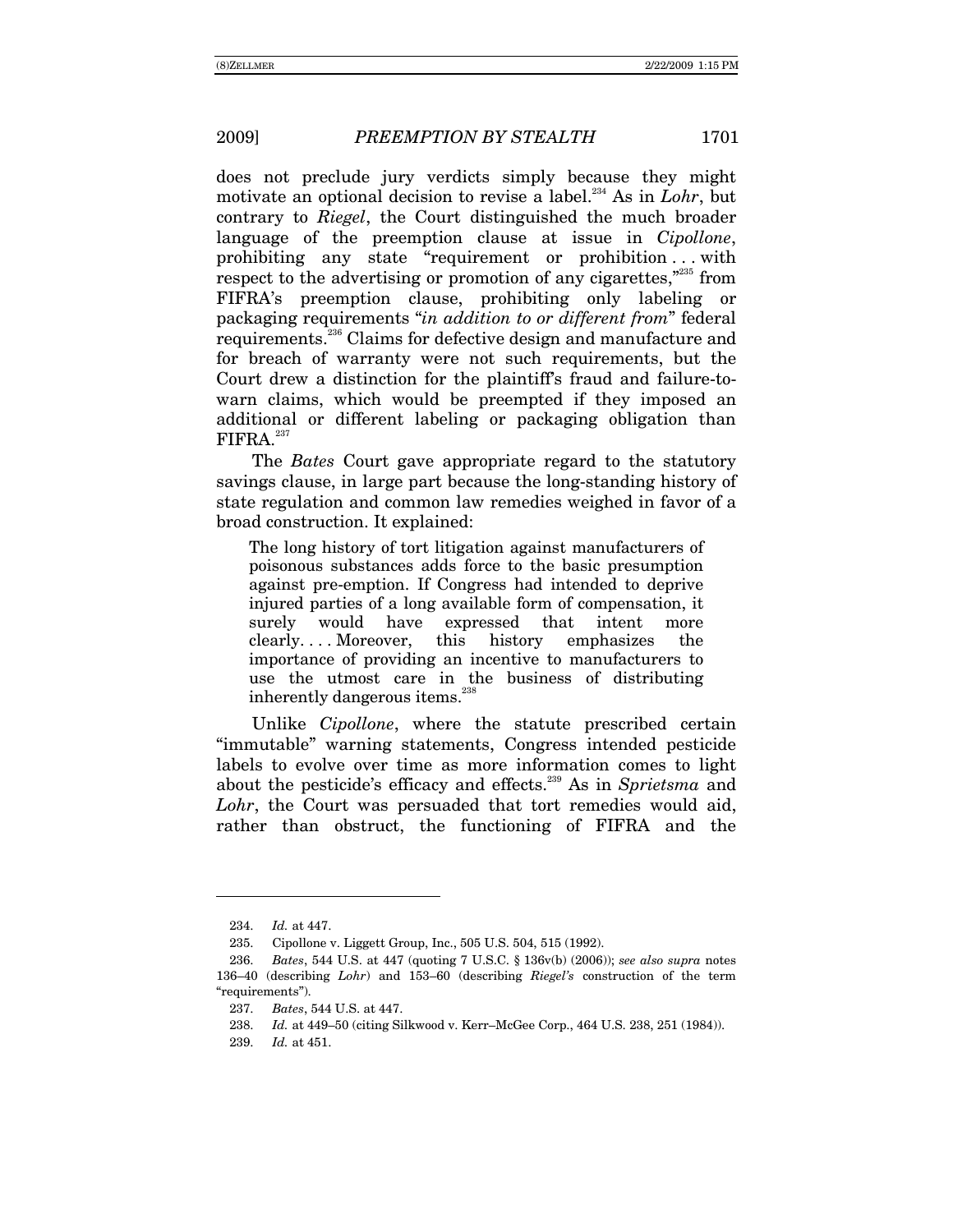does not preclude jury verdicts simply because they might motivate an optional decision to revise a label.234 As in *Lohr*, but contrary to *Riegel*, the Court distinguished the much broader language of the preemption clause at issue in *Cipollone*, prohibiting any state "requirement or prohibition ... with respect to the advertising or promotion of any cigarettes, $\frac{1}{2}$ <sup>235</sup> from FIFRAís preemption clause, prohibiting only labeling or packaging requirements "*in addition to or different from*" federal requirements.236 Claims for defective design and manufacture and for breach of warranty were not such requirements, but the Court drew a distinction for the plaintiff's fraud and failure-towarn claims, which would be preempted if they imposed an additional or different labeling or packaging obligation than  $FIFRA.<sup>237</sup>$ 

The *Bates* Court gave appropriate regard to the statutory savings clause, in large part because the long-standing history of state regulation and common law remedies weighed in favor of a broad construction. It explained:

The long history of tort litigation against manufacturers of poisonous substances adds force to the basic presumption against pre-emption. If Congress had intended to deprive injured parties of a long available form of compensation, it surely would have expressed that intent more clearly. . . . Moreover, this history emphasizes the importance of providing an incentive to manufacturers to use the utmost care in the business of distributing inherently dangerous items.<sup>238</sup>

Unlike *Cipollone*, where the statute prescribed certain ìimmutableî warning statements, Congress intended pesticide labels to evolve over time as more information comes to light about the pesticide's efficacy and effects.<sup>239</sup> As in *Sprietsma* and *Lohr*, the Court was persuaded that tort remedies would aid, rather than obstruct, the functioning of FIFRA and the

<sup>234.</sup> *Id.* at 447.

 <sup>235.</sup> Cipollone v. Liggett Group, Inc., 505 U.S. 504, 515 (1992).

<sup>236.</sup> *Bates*, 544 U.S. at 447 (quoting 7 U.S.C. ß 136v(b) (2006)); *see also supra* notes 136<sup> $-40$ </sup> (describing *Lohr*) and 153–60 (describing *Riegel's* construction of the term "requirements").

<sup>237.</sup> *Bates*, 544 U.S. at 447.

<sup>238.</sup> *Id.* at 449-50 (citing Silkwood v. Kerr–McGee Corp., 464 U.S. 238, 251 (1984)).

<sup>239.</sup> *Id.* at 451.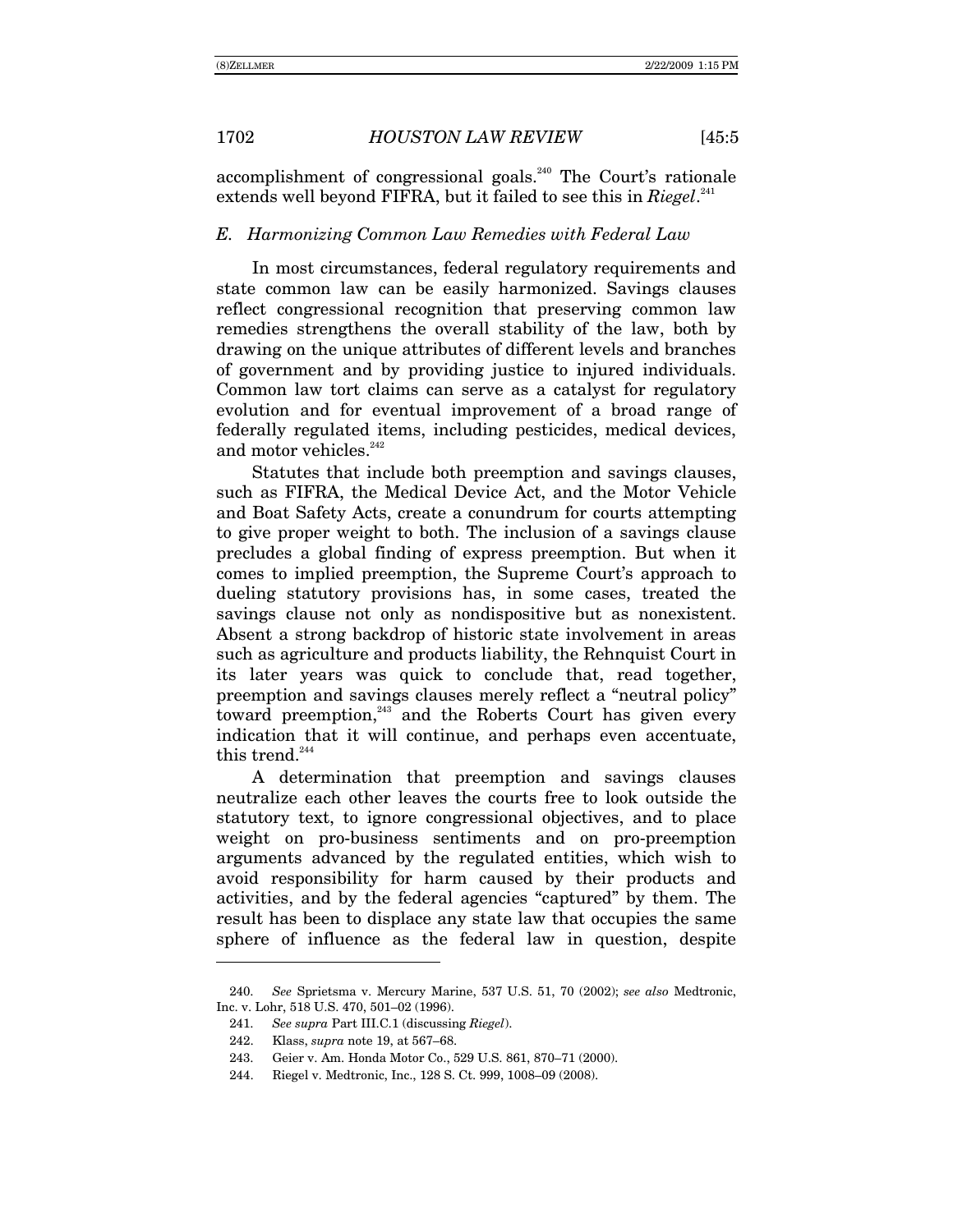accomplishment of congressional goals.<sup>240</sup> The Court's rationale extends well beyond FIFRA, but it failed to see this in *Riegel*.<sup>241</sup>

#### *E. Harmonizing Common Law Remedies with Federal Law*

In most circumstances, federal regulatory requirements and state common law can be easily harmonized. Savings clauses reflect congressional recognition that preserving common law remedies strengthens the overall stability of the law, both by drawing on the unique attributes of different levels and branches of government and by providing justice to injured individuals. Common law tort claims can serve as a catalyst for regulatory evolution and for eventual improvement of a broad range of federally regulated items, including pesticides, medical devices, and motor vehicles. $242$ 

Statutes that include both preemption and savings clauses, such as FIFRA, the Medical Device Act, and the Motor Vehicle and Boat Safety Acts, create a conundrum for courts attempting to give proper weight to both. The inclusion of a savings clause precludes a global finding of express preemption. But when it comes to implied preemption, the Supreme Court's approach to dueling statutory provisions has, in some cases, treated the savings clause not only as nondispositive but as nonexistent. Absent a strong backdrop of historic state involvement in areas such as agriculture and products liability, the Rehnquist Court in its later years was quick to conclude that, read together, preemption and savings clauses merely reflect a "neutral policy" toward preemption,<sup>243</sup> and the Roberts Court has given every indication that it will continue, and perhaps even accentuate, this trend.<sup>244</sup>

A determination that preemption and savings clauses neutralize each other leaves the courts free to look outside the statutory text, to ignore congressional objectives, and to place weight on pro-business sentiments and on pro-preemption arguments advanced by the regulated entities, which wish to avoid responsibility for harm caused by their products and activities, and by the federal agencies "captured" by them. The result has been to displace any state law that occupies the same sphere of influence as the federal law in question, despite

<sup>240.</sup> *See* Sprietsma v. Mercury Marine, 537 U.S. 51, 70 (2002); *see also* Medtronic, Inc. v. Lohr, 518 U.S. 470, 501-02 (1996).

<sup>241.</sup> *See supra* Part III.C.1 (discussing *Riegel*).

<sup>242.</sup> Klass, *supra* note 19, at 567–68.

<sup>243.</sup> Geier v. Am. Honda Motor Co., 529 U.S. 861, 870-71 (2000).

<sup>244.</sup> Riegel v. Medtronic, Inc., 128 S. Ct. 999, 1008–09 (2008).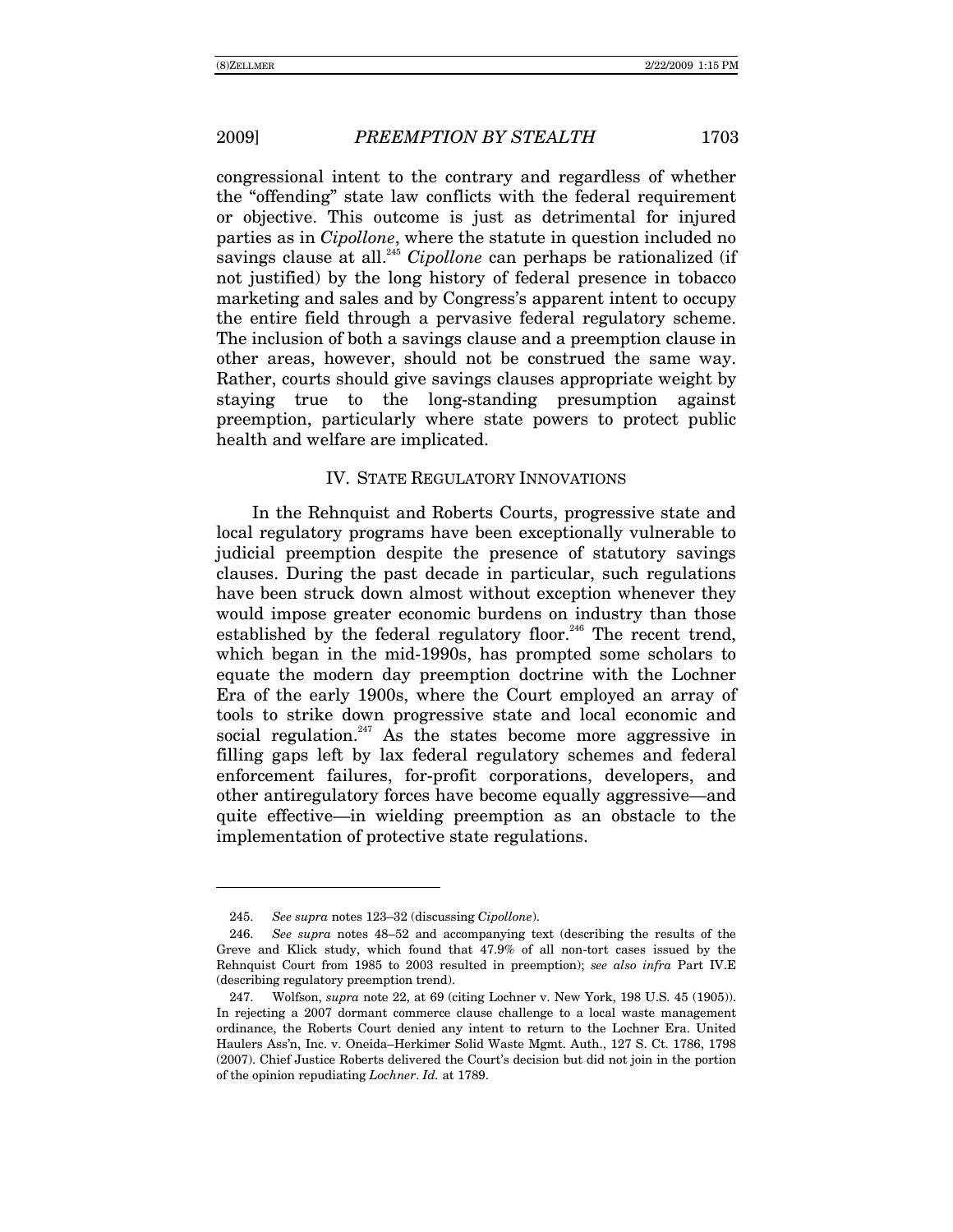-

congressional intent to the contrary and regardless of whether the "offending" state law conflicts with the federal requirement or objective. This outcome is just as detrimental for injured parties as in *Cipollone*, where the statute in question included no savings clause at all.<sup>245</sup> *Cipollone* can perhaps be rationalized (if not justified) by the long history of federal presence in tobacco marketing and sales and by Congress's apparent intent to occupy the entire field through a pervasive federal regulatory scheme. The inclusion of both a savings clause and a preemption clause in other areas, however, should not be construed the same way. Rather, courts should give savings clauses appropriate weight by staying true to the long-standing presumption against preemption, particularly where state powers to protect public health and welfare are implicated.

# IV. STATE REGULATORY INNOVATIONS

In the Rehnquist and Roberts Courts, progressive state and local regulatory programs have been exceptionally vulnerable to judicial preemption despite the presence of statutory savings clauses. During the past decade in particular, such regulations have been struck down almost without exception whenever they would impose greater economic burdens on industry than those established by the federal regulatory floor.<sup>246</sup> The recent trend, which began in the mid-1990s, has prompted some scholars to equate the modern day preemption doctrine with the Lochner Era of the early 1900s, where the Court employed an array of tools to strike down progressive state and local economic and social regulation.<sup>247</sup> As the states become more aggressive in filling gaps left by lax federal regulatory schemes and federal enforcement failures, for-profit corporations, developers, and other antiregulatory forces have become equally aggressive—and quite effective—in wielding preemption as an obstacle to the implementation of protective state regulations.

<sup>245.</sup> *See supra* notes 123-32 (discussing *Cipollone*).

<sup>246.</sup> *See supra* notes 48–52 and accompanying text (describing the results of the Greve and Klick study, which found that 47.9% of all non-tort cases issued by the Rehnquist Court from 1985 to 2003 resulted in preemption); *see also infra* Part IV.E (describing regulatory preemption trend).

 <sup>247.</sup> Wolfson, *supra* note 22, at 69 (citing Lochner v. New York, 198 U.S. 45 (1905)). In rejecting a 2007 dormant commerce clause challenge to a local waste management ordinance, the Roberts Court denied any intent to return to the Lochner Era. United Haulers Ass'n, Inc. v. Oneida–Herkimer Solid Waste Mgmt. Auth., 127 S. Ct. 1786, 1798 (2007). Chief Justice Roberts delivered the Court's decision but did not join in the portion of the opinion repudiating *Lochner*. *Id.* at 1789.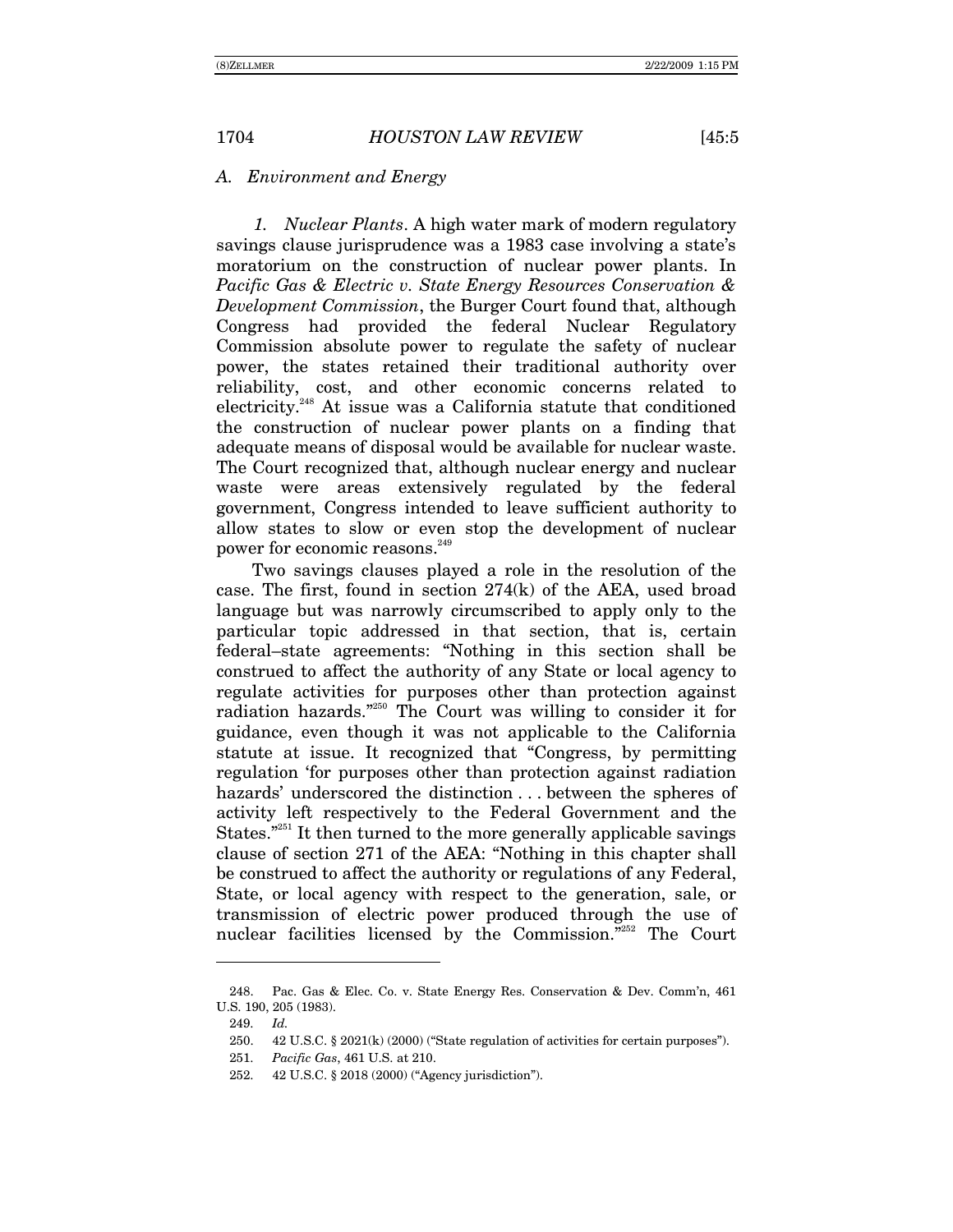## *A. Environment and Energy*

*1. Nuclear Plants*. A high water mark of modern regulatory savings clause jurisprudence was a 1983 case involving a state's moratorium on the construction of nuclear power plants. In *Pacific Gas & Electric v. State Energy Resources Conservation & Development Commission*, the Burger Court found that, although Congress had provided the federal Nuclear Regulatory Commission absolute power to regulate the safety of nuclear power, the states retained their traditional authority over reliability, cost, and other economic concerns related to electricity.<sup>248</sup> At issue was a California statute that conditioned the construction of nuclear power plants on a finding that adequate means of disposal would be available for nuclear waste. The Court recognized that, although nuclear energy and nuclear waste were areas extensively regulated by the federal government, Congress intended to leave sufficient authority to allow states to slow or even stop the development of nuclear power for economic reasons.<sup>249</sup>

Two savings clauses played a role in the resolution of the case. The first, found in section 274(k) of the AEA, used broad language but was narrowly circumscribed to apply only to the particular topic addressed in that section, that is, certain federal-state agreements: "Nothing in this section shall be construed to affect the authority of any State or local agency to regulate activities for purposes other than protection against radiation hazards. $2250$  The Court was willing to consider it for guidance, even though it was not applicable to the California statute at issue. It recognized that "Congress, by permitting regulation for purposes other than protection against radiation hazards' underscored the distinction . . . between the spheres of activity left respectively to the Federal Government and the States. $251$  It then turned to the more generally applicable savings clause of section 271 of the AEA: "Nothing in this chapter shall be construed to affect the authority or regulations of any Federal, State, or local agency with respect to the generation, sale, or transmission of electric power produced through the use of nuclear facilities licensed by the Commission. $\overline{r}^{252}$  The Court

 <sup>248.</sup> Pac. Gas & Elec. Co. v. State Energy Res. Conservation & Dev. Commín, 461 U.S. 190, 205 (1983).

<sup>249.</sup> *Id.*

<sup>250.</sup>  $42$  U.S.C.  $\S 2021(k)$  (2000) ("State regulation of activities for certain purposes").

<sup>251.</sup> *Pacific Gas*, 461 U.S. at 210.

<sup>252. 42</sup> U.S.C. § 2018 (2000) ("Agency jurisdiction").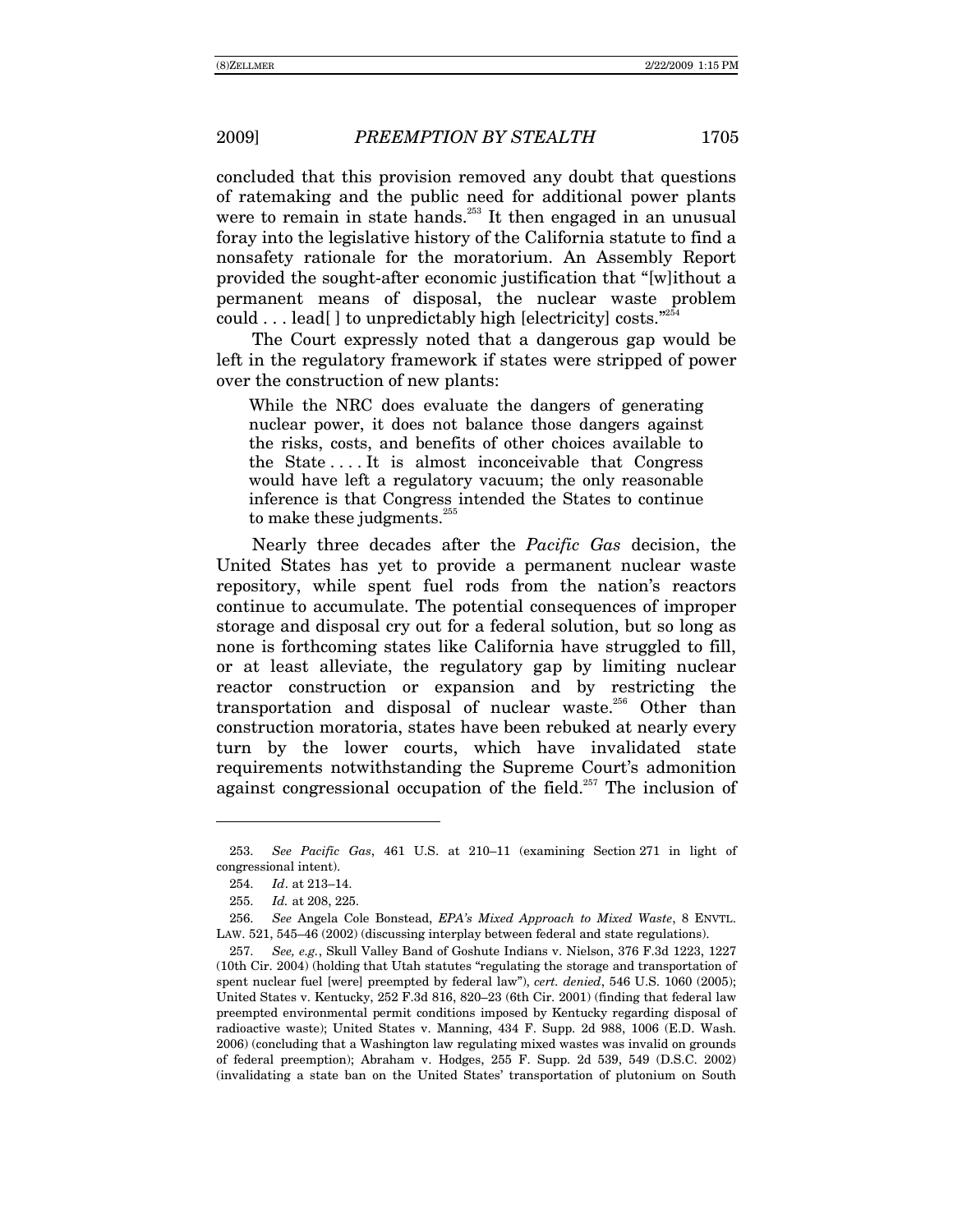concluded that this provision removed any doubt that questions of ratemaking and the public need for additional power plants were to remain in state hands.<sup>253</sup> It then engaged in an unusual foray into the legislative history of the California statute to find a nonsafety rationale for the moratorium. An Assembly Report provided the sought-after economic justification that "[w]ithout a permanent means of disposal, the nuclear waste problem could  $\dots$  lead[] to unpredictably high [electricity] costs.<sup> $254$ </sup>

The Court expressly noted that a dangerous gap would be left in the regulatory framework if states were stripped of power over the construction of new plants:

While the NRC does evaluate the dangers of generating nuclear power, it does not balance those dangers against the risks, costs, and benefits of other choices available to the State . . . . It is almost inconceivable that Congress would have left a regulatory vacuum; the only reasonable inference is that Congress intended the States to continue to make these judgments.<sup>255</sup>

Nearly three decades after the *Pacific Gas* decision, the United States has yet to provide a permanent nuclear waste repository, while spent fuel rods from the nation's reactors continue to accumulate. The potential consequences of improper storage and disposal cry out for a federal solution, but so long as none is forthcoming states like California have struggled to fill, or at least alleviate, the regulatory gap by limiting nuclear reactor construction or expansion and by restricting the transportation and disposal of nuclear waste.<sup>256</sup> Other than construction moratoria, states have been rebuked at nearly every turn by the lower courts, which have invalidated state requirements notwithstanding the Supreme Court's admonition against congressional occupation of the field.<sup>257</sup> The inclusion of

<sup>253.</sup> *See Pacific Gas*, 461 U.S. at 210-11 (examining Section 271 in light of congressional intent).

<sup>254.</sup> *Id.* at 213-14.

<sup>255.</sup> *Id.* at 208, 225.

<sup>256.</sup> *See* Angela Cole Bonstead, *EPAís Mixed Approach to Mixed Waste*, 8 ENVTL. LAW.  $521, 545-46$  (2002) (discussing interplay between federal and state regulations).

<sup>257.</sup> *See, e.g.*, Skull Valley Band of Goshute Indians v. Nielson, 376 F.3d 1223, 1227 (10th Cir. 2004) (holding that Utah statutes "regulating the storage and transportation of spent nuclear fuel [were] preempted by federal lawî), *cert. denied*, 546 U.S. 1060 (2005); United States v. Kentucky,  $252$  F.3d  $816$ ,  $820-23$  (6th Cir. 2001) (finding that federal law preempted environmental permit conditions imposed by Kentucky regarding disposal of radioactive waste); United States v. Manning, 434 F. Supp. 2d 988, 1006 (E.D. Wash. 2006) (concluding that a Washington law regulating mixed wastes was invalid on grounds of federal preemption); Abraham v. Hodges, 255 F. Supp. 2d 539, 549 (D.S.C. 2002) (invalidating a state ban on the United Statesí transportation of plutonium on South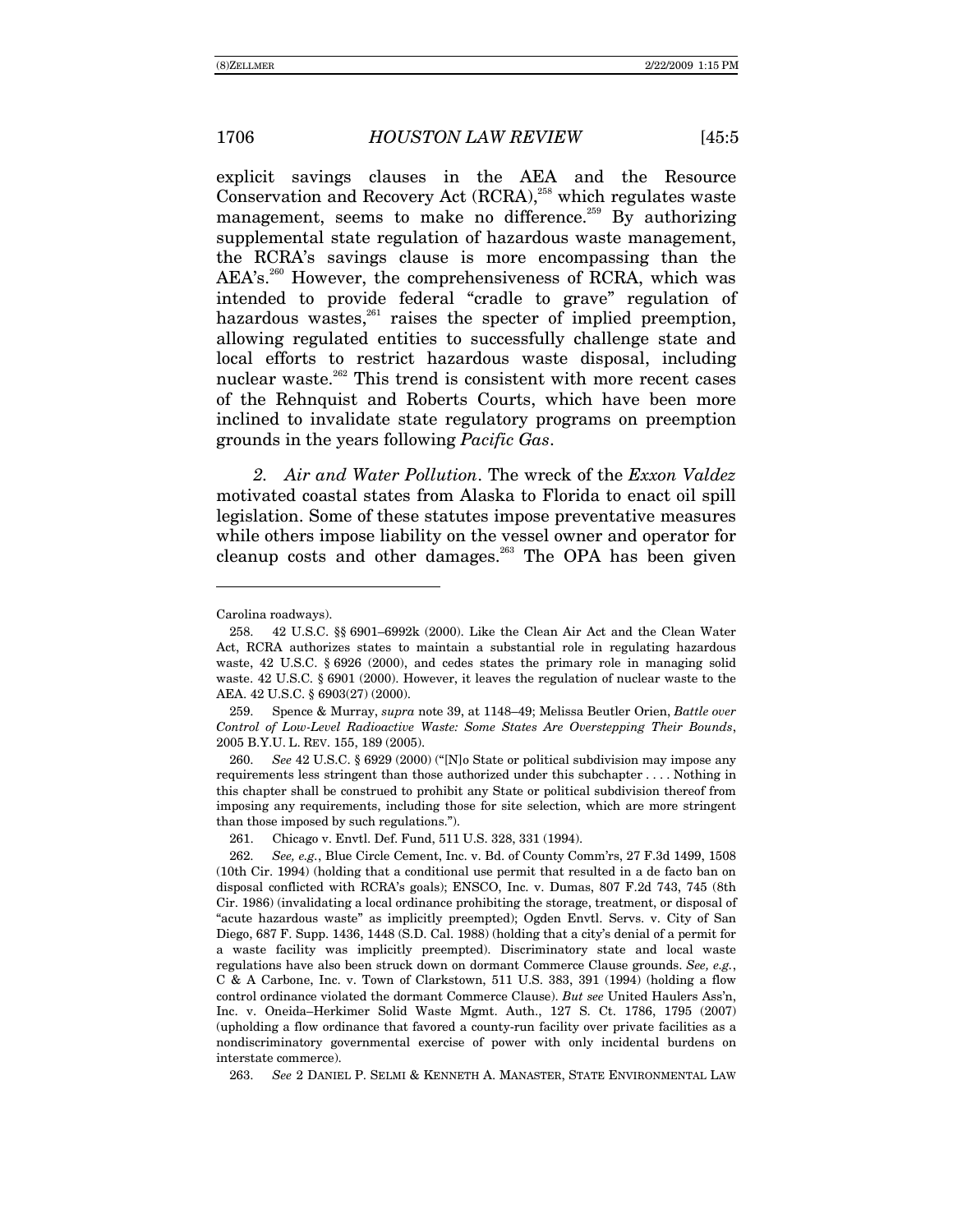explicit savings clauses in the AEA and the Resource Conservation and Recovery Act (RCRA),<sup>258</sup> which regulates waste management, seems to make no difference.<sup>259</sup> By authorizing supplemental state regulation of hazardous waste management, the RCRAís savings clause is more encompassing than the AEA's.<sup>260</sup> However, the comprehensiveness of RCRA, which was intended to provide federal "cradle to grave" regulation of hazardous wastes, $261$  raises the specter of implied preemption, allowing regulated entities to successfully challenge state and local efforts to restrict hazardous waste disposal, including nuclear waste.<sup>262</sup> This trend is consistent with more recent cases of the Rehnquist and Roberts Courts, which have been more inclined to invalidate state regulatory programs on preemption grounds in the years following *Pacific Gas*.

*2. Air and Water Pollution*. The wreck of the *Exxon Valdez* motivated coastal states from Alaska to Florida to enact oil spill legislation. Some of these statutes impose preventative measures while others impose liability on the vessel owner and operator for cleanup costs and other damages.263 The OPA has been given

-

259. Spence & Murray, *supra* note 39, at 1148–49; Melissa Beutler Orien, *Battle over Control of Low-Level Radioactive Waste: Some States Are Overstepping Their Bounds*, 2005 B.Y.U. L. REV. 155, 189 (2005).

260. *See* 42 U.S.C. § 6929 (2000) ("[N]o State or political subdivision may impose any requirements less stringent than those authorized under this subchapter . . . . Nothing in this chapter shall be construed to prohibit any State or political subdivision thereof from imposing any requirements, including those for site selection, which are more stringent than those imposed by such regulations.").

261. Chicago v. Envtl. Def. Fund, 511 U.S. 328, 331 (1994).

263. *See* 2 DANIEL P. SELMI & KENNETH A. MANASTER, STATE ENVIRONMENTAL LAW

Carolina roadways).

<sup>258. 42</sup> U.S.C. §§ 6901-6992k (2000). Like the Clean Air Act and the Clean Water Act, RCRA authorizes states to maintain a substantial role in regulating hazardous waste, 42 U.S.C. § 6926 (2000), and cedes states the primary role in managing solid waste. 42 U.S.C. ß 6901 (2000). However, it leaves the regulation of nuclear waste to the AEA. 42 U.S.C. ß 6903(27) (2000).

<sup>262.</sup> *See, e.g.*, Blue Circle Cement, Inc. v. Bd. of County Commírs, 27 F.3d 1499, 1508 (10th Cir. 1994) (holding that a conditional use permit that resulted in a de facto ban on disposal conflicted with RCRAís goals); ENSCO, Inc. v. Dumas, 807 F.2d 743, 745 (8th Cir. 1986) (invalidating a local ordinance prohibiting the storage, treatment, or disposal of ìacute hazardous wasteî as implicitly preempted); Ogden Envtl. Servs. v. City of San Diego, 687 F. Supp. 1436, 1448 (S.D. Cal. 1988) (holding that a city's denial of a permit for a waste facility was implicitly preempted). Discriminatory state and local waste regulations have also been struck down on dormant Commerce Clause grounds. *See, e.g.*, C & A Carbone, Inc. v. Town of Clarkstown, 511 U.S. 383, 391 (1994) (holding a flow control ordinance violated the dormant Commerce Clause). *But see* United Haulers Assín, Inc. v. Oneida-Herkimer Solid Waste Mgmt. Auth., 127 S. Ct. 1786, 1795 (2007) (upholding a flow ordinance that favored a county-run facility over private facilities as a nondiscriminatory governmental exercise of power with only incidental burdens on interstate commerce).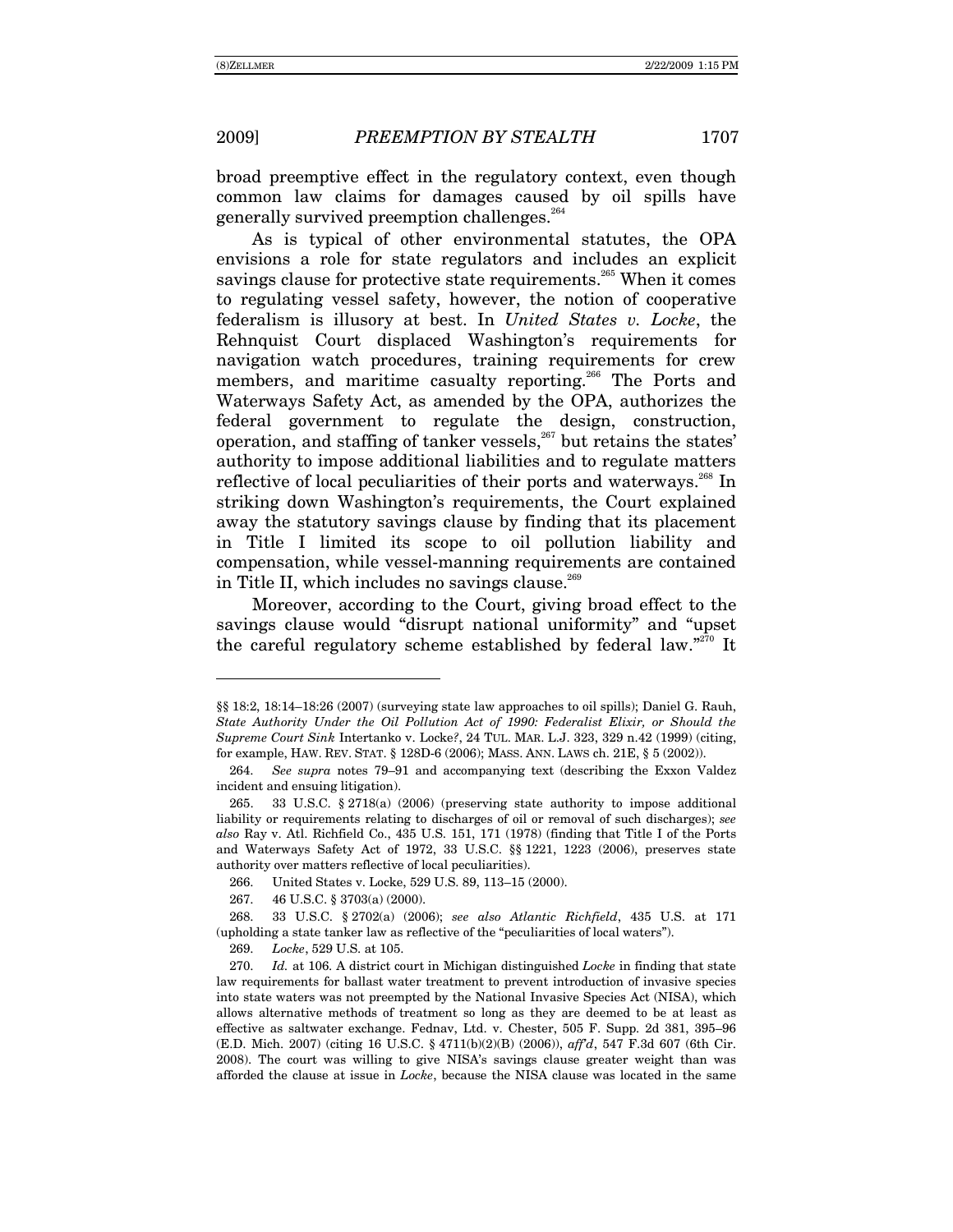broad preemptive effect in the regulatory context, even though common law claims for damages caused by oil spills have generally survived preemption challenges.<sup>264</sup>

As is typical of other environmental statutes, the OPA envisions a role for state regulators and includes an explicit savings clause for protective state requirements.<sup>265</sup> When it comes to regulating vessel safety, however, the notion of cooperative federalism is illusory at best. In United States v. Locke, the Rehnquist Court displaced Washington's requirements for navigation watch procedures, training requirements for crew members, and maritime casualty reporting.<sup>266</sup> The Ports and Waterways Safety Act, as amended by the OPA, authorizes the federal government to regulate the design, construction. operation, and staffing of tanker vessels,<sup>267</sup> but retains the states' authority to impose additional liabilities and to regulate matters reflective of local peculiarities of their ports and waterways.<sup>268</sup> In striking down Washington's requirements, the Court explained away the statutory savings clause by finding that its placement in Title I limited its scope to oil pollution liability and compensation, while vessel-manning requirements are contained in Title II, which includes no savings clause.<sup>269</sup>

Moreover, according to the Court, giving broad effect to the savings clause would "disrupt national uniformity" and "upset" the careful regulatory scheme established by federal law."<sup>270</sup> It

<sup>§§ 18:2, 18:14–18:26 (2007) (</sup>surveying state law approaches to oil spills); Daniel G. Rauh, State Authority Under the Oil Pollution Act of 1990: Federalist Elixir, or Should the Supreme Court Sink Intertanko v. Locke?, 24 TUL. MAR. L.J. 323, 329 n.42 (1999) (citing, for example, HAW. REV. STAT. § 128D-6 (2006); MASS. ANN. LAWS ch. 21E, § 5 (2002)).

<sup>264.</sup> See supra notes 79–91 and accompanying text (describing the Exxon Valdez incident and ensuing litigation).

<sup>33</sup> U.S.C. § 2718(a) (2006) (preserving state authority to impose additional 265. liability or requirements relating to discharges of oil or removal of such discharges); see also Ray v. Atl. Richfield Co., 435 U.S. 151, 171 (1978) (finding that Title I of the Ports and Waterways Safety Act of 1972, 33 U.S.C. §§ 1221, 1223 (2006), preserves state authority over matters reflective of local peculiarities).

United States v. Locke, 529 U.S. 89, 113-15 (2000). 266.

<sup>267.</sup> 46 U.S.C. § 3703(a) (2000).

<sup>268.</sup> 33 U.S.C. § 2702(a) (2006); see also Atlantic Richfield, 435 U.S. at 171 (upholding a state tanker law as reflective of the "peculiarities of local waters").

<sup>269.</sup> Locke, 529 U.S. at 105.

<sup>270.</sup> Id. at 106. A district court in Michigan distinguished Locke in finding that state law requirements for ballast water treatment to prevent introduction of invasive species into state waters was not preempted by the National Invasive Species Act (NISA), which allows alternative methods of treatment so long as they are deemed to be at least as effective as saltwater exchange. Fednav, Ltd. v. Chester, 505 F. Supp. 2d 381, 395-96 (E.D. Mich. 2007) (citing 16 U.S.C. § 4711(b)(2)(B) (2006)), affd, 547 F.3d 607 (6th Cir. 2008). The court was willing to give NISA's savings clause greater weight than was afforded the clause at issue in *Locke*, because the NISA clause was located in the same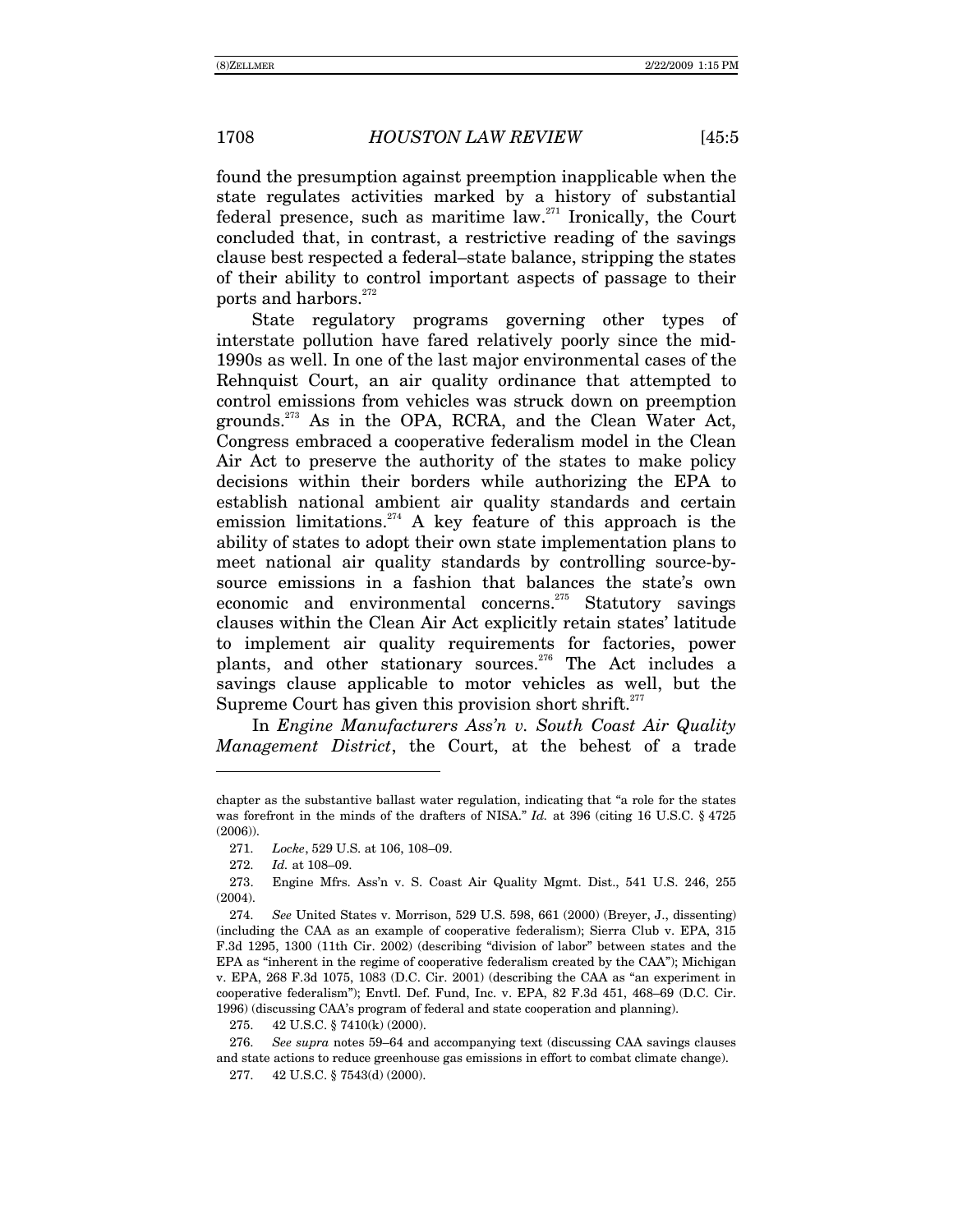found the presumption against preemption inapplicable when the state regulates activities marked by a history of substantial federal presence, such as maritime law.<sup>271</sup> Ironically, the Court concluded that, in contrast, a restrictive reading of the savings clause best respected a federal–state balance, stripping the states of their ability to control important aspects of passage to their ports and harbors.<sup>272</sup>

State regulatory programs governing other types of interstate pollution have fared relatively poorly since the mid-1990s as well. In one of the last major environmental cases of the Rehnquist Court, an air quality ordinance that attempted to control emissions from vehicles was struck down on preemption grounds.273 As in the OPA, RCRA, and the Clean Water Act, Congress embraced a cooperative federalism model in the Clean Air Act to preserve the authority of the states to make policy decisions within their borders while authorizing the EPA to establish national ambient air quality standards and certain emission limitations. $274$  A key feature of this approach is the ability of states to adopt their own state implementation plans to meet national air quality standards by controlling source-bysource emissions in a fashion that balances the state's own economic and environmental concerns.<sup>275</sup> Statutory savings clauses within the Clean Air Act explicitly retain states' latitude to implement air quality requirements for factories, power plants, and other stationary sources.<sup>276</sup> The Act includes a savings clause applicable to motor vehicles as well, but the Supreme Court has given this provision short shrift. $277$ 

In *Engine Manufacturers Assín v. South Coast Air Quality Management District*, the Court, at the behest of a trade

chapter as the substantive ballast water regulation, indicating that "a role for the states was forefront in the minds of the drafters of NISA." *Id.* at 396 (citing 16 U.S.C. § 4725) (2006)).

<sup>271.</sup> *Locke*, 529 U.S. at 106, 108-09.

<sup>272.</sup> *Id.* at 108–09.

 <sup>273.</sup> Engine Mfrs. Assín v. S. Coast Air Quality Mgmt. Dist., 541 U.S. 246, 255 (2004).

<sup>274.</sup> *See* United States v. Morrison, 529 U.S. 598, 661 (2000) (Breyer, J., dissenting) (including the CAA as an example of cooperative federalism); Sierra Club v. EPA, 315 F.3d 1295, 1300 (11th Cir. 2002) (describing "division of labor" between states and the EPA as "inherent in the regime of cooperative federalism created by the CAA"); Michigan v. EPA,  $268$  F.3d 1075, 1083 (D.C. Cir. 2001) (describing the CAA as "an experiment in cooperative federalism"); Envtl. Def. Fund, Inc. v. EPA,  $82$  F.3d  $451$ ,  $468-69$  (D.C. Cir. 1996) (discussing CAAís program of federal and state cooperation and planning).

 <sup>275. 42</sup> U.S.C. ß 7410(k) (2000).

<sup>276.</sup> *See supra* notes 59–64 and accompanying text (discussing CAA savings clauses and state actions to reduce greenhouse gas emissions in effort to combat climate change). 277. 42 U.S.C. ß 7543(d) (2000).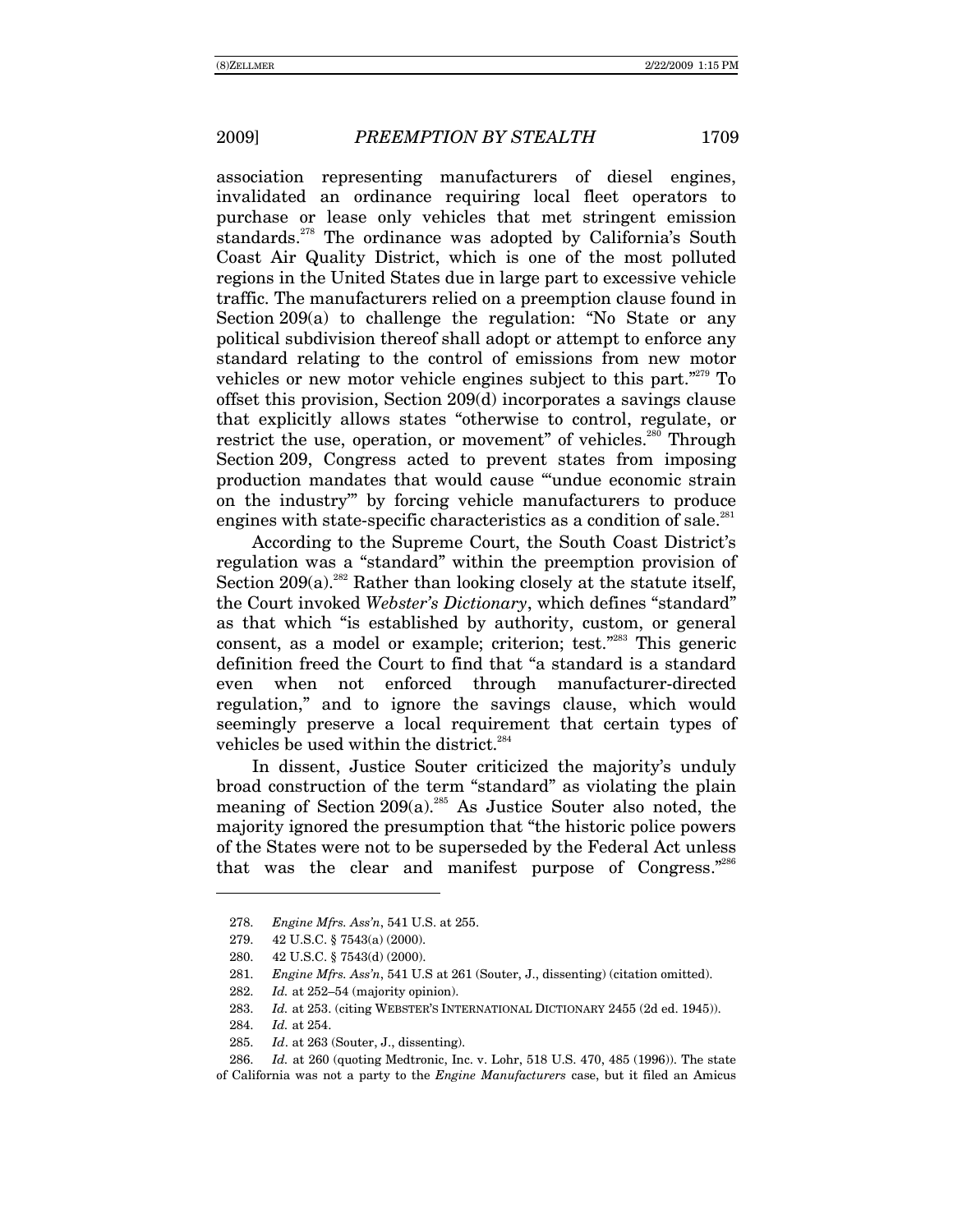association representing manufacturers of diesel engines, invalidated an ordinance requiring local fleet operators to purchase or lease only vehicles that met stringent emission standards.<sup>278</sup> The ordinance was adopted by California's South Coast Air Quality District, which is one of the most polluted regions in the United States due in large part to excessive vehicle traffic. The manufacturers relied on a preemption clause found in Section 209(a) to challenge the regulation: "No State or any political subdivision thereof shall adopt or attempt to enforce any standard relating to the control of emissions from new motor vehicles or new motor vehicle engines subject to this part. $2279}$  To offset this provision, Section 209(d) incorporates a savings clause that explicitly allows states "otherwise to control, regulate, or restrict the use, operation, or movement" of vehicles.<sup>280</sup> Through Section 209, Congress acted to prevent states from imposing production mandates that would cause "undue economic strain on the industry" by forcing vehicle manufacturers to produce engines with state-specific characteristics as a condition of sale.<sup>281</sup>

According to the Supreme Court, the South Coast District's regulation was a "standard" within the preemption provision of Section  $209(a)$ <sup>282</sup> Rather than looking closely at the statute itself, the Court invoked *Webster's Dictionary*, which defines "standard" as that which "is established by authority, custom, or general consent, as a model or example; criterion; test. $2883}$  This generic definition freed the Court to find that "a standard is a standard even when not enforced through manufacturer-directed regulation," and to ignore the savings clause, which would seemingly preserve a local requirement that certain types of vehicles be used within the district.<sup>284</sup>

In dissent, Justice Souter criticized the majority's unduly broad construction of the term "standard" as violating the plain meaning of Section 209(a).<sup>285</sup> As Justice Souter also noted, the majority ignored the presumption that "the historic police powers" of the States were not to be superseded by the Federal Act unless that was the clear and manifest purpose of Congress."286

<sup>278.</sup> *Engine Mfrs. Assín*, 541 U.S. at 255.

 <sup>279. 42</sup> U.S.C. ß 7543(a) (2000).

<sup>280. 42</sup> U.S.C. ß 7543(d) (2000).

<sup>281.</sup> *Engine Mfrs. Assín*, 541 U.S at 261 (Souter, J., dissenting) (citation omitted).

<sup>282.</sup> *Id.* at 252–54 (majority opinion).

<sup>283.</sup> *Id.* at 253. (citing WEBSTER'S INTERNATIONAL DICTIONARY 2455 (2d ed. 1945)).

<sup>284.</sup> *Id.* at 254.

<sup>285.</sup> *Id*. at 263 (Souter, J., dissenting).

<sup>286.</sup> *Id.* at 260 (quoting Medtronic, Inc. v. Lohr, 518 U.S. 470, 485 (1996)). The state of California was not a party to the *Engine Manufacturers* case, but it filed an Amicus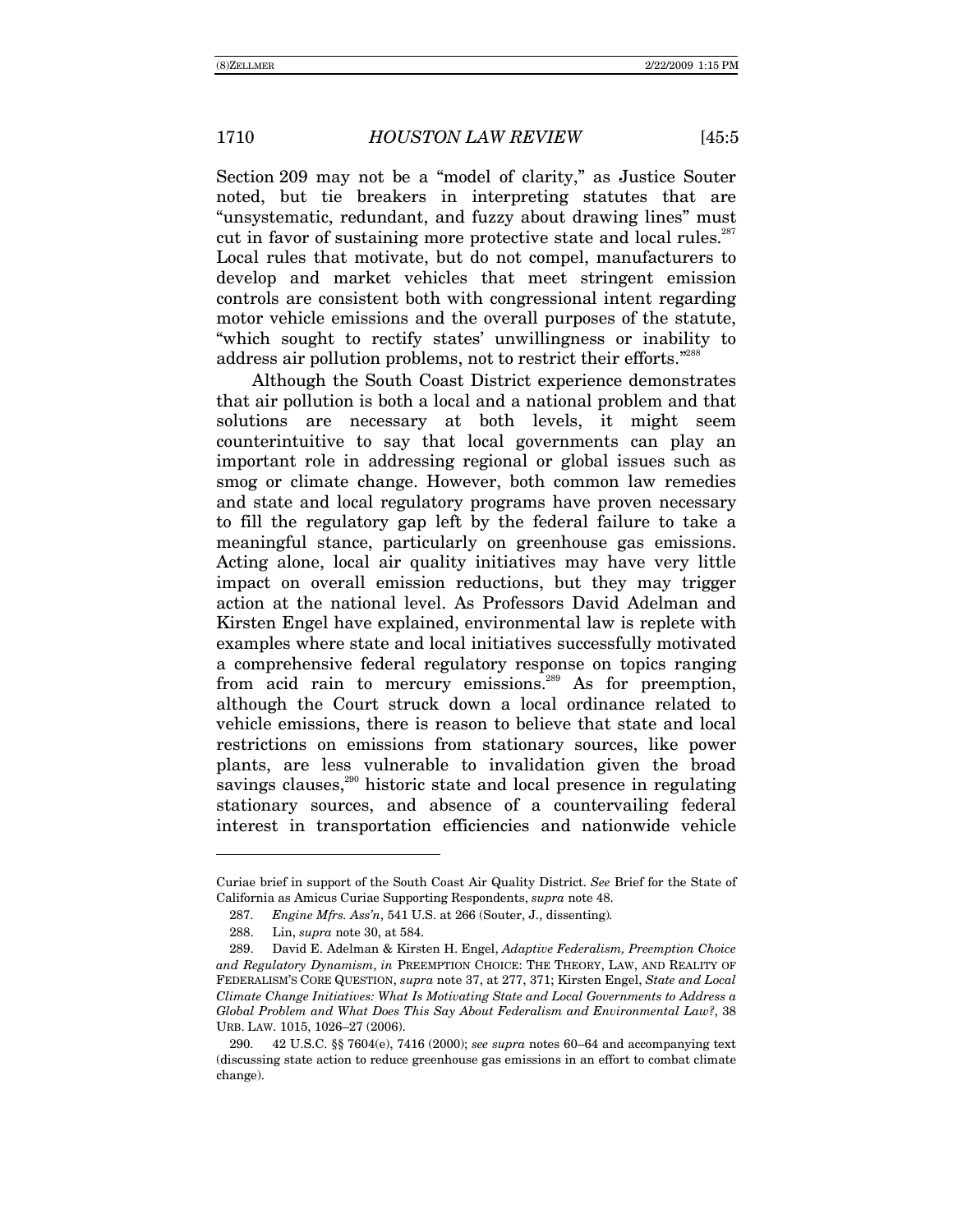Section 209 may not be a "model of clarity," as Justice Souter noted, but tie breakers in interpreting statutes that are "unsystematic, redundant, and fuzzy about drawing lines" must cut in favor of sustaining more protective state and local rules. $287$ Local rules that motivate, but do not compel, manufacturers to develop and market vehicles that meet stringent emission controls are consistent both with congressional intent regarding motor vehicle emissions and the overall purposes of the statute, "which sought to rectify states' unwillingness or inability to address air pollution problems, not to restrict their efforts.<sup>7288</sup>

Although the South Coast District experience demonstrates that air pollution is both a local and a national problem and that solutions are necessary at both levels, it might seem counterintuitive to say that local governments can play an important role in addressing regional or global issues such as smog or climate change. However, both common law remedies and state and local regulatory programs have proven necessary to fill the regulatory gap left by the federal failure to take a meaningful stance, particularly on greenhouse gas emissions. Acting alone, local air quality initiatives may have very little impact on overall emission reductions, but they may trigger action at the national level. As Professors David Adelman and Kirsten Engel have explained, environmental law is replete with examples where state and local initiatives successfully motivated a comprehensive federal regulatory response on topics ranging from acid rain to mercury emissions.<sup>289</sup> As for preemption, although the Court struck down a local ordinance related to vehicle emissions, there is reason to believe that state and local restrictions on emissions from stationary sources, like power plants, are less vulnerable to invalidation given the broad savings clauses,<sup>290</sup> historic state and local presence in regulating stationary sources, and absence of a countervailing federal interest in transportation efficiencies and nationwide vehicle

Curiae brief in support of the South Coast Air Quality District. *See* Brief for the State of California as Amicus Curiae Supporting Respondents, *supra* note 48.

<sup>287.</sup> *Engine Mfrs. Assín*, 541 U.S. at 266 (Souter, J., dissenting)*.*

 <sup>288.</sup> Lin, *supra* note 30, at 584.

 <sup>289.</sup> David E. Adelman & Kirsten H. Engel, *Adaptive Federalism, Preemption Choice and Regulatory Dynamism*, *in* PREEMPTION CHOICE: THE THEORY, LAW, AND REALITY OF FEDERALISMíS CORE QUESTION, *supra* note 37, at 277, 371; Kirsten Engel, *State and Local Climate Change Initiatives: What Is Motivating State and Local Governments to Address a Global Problem and What Does This Say About Federalism and Environmental Law?*, 38 URB. LAW. 1015, 1026-27 (2006).

<sup>42</sup> U.S.C. §§ 7604(e), 7416 (2000); *see supra* notes 60–64 and accompanying text (discussing state action to reduce greenhouse gas emissions in an effort to combat climate change).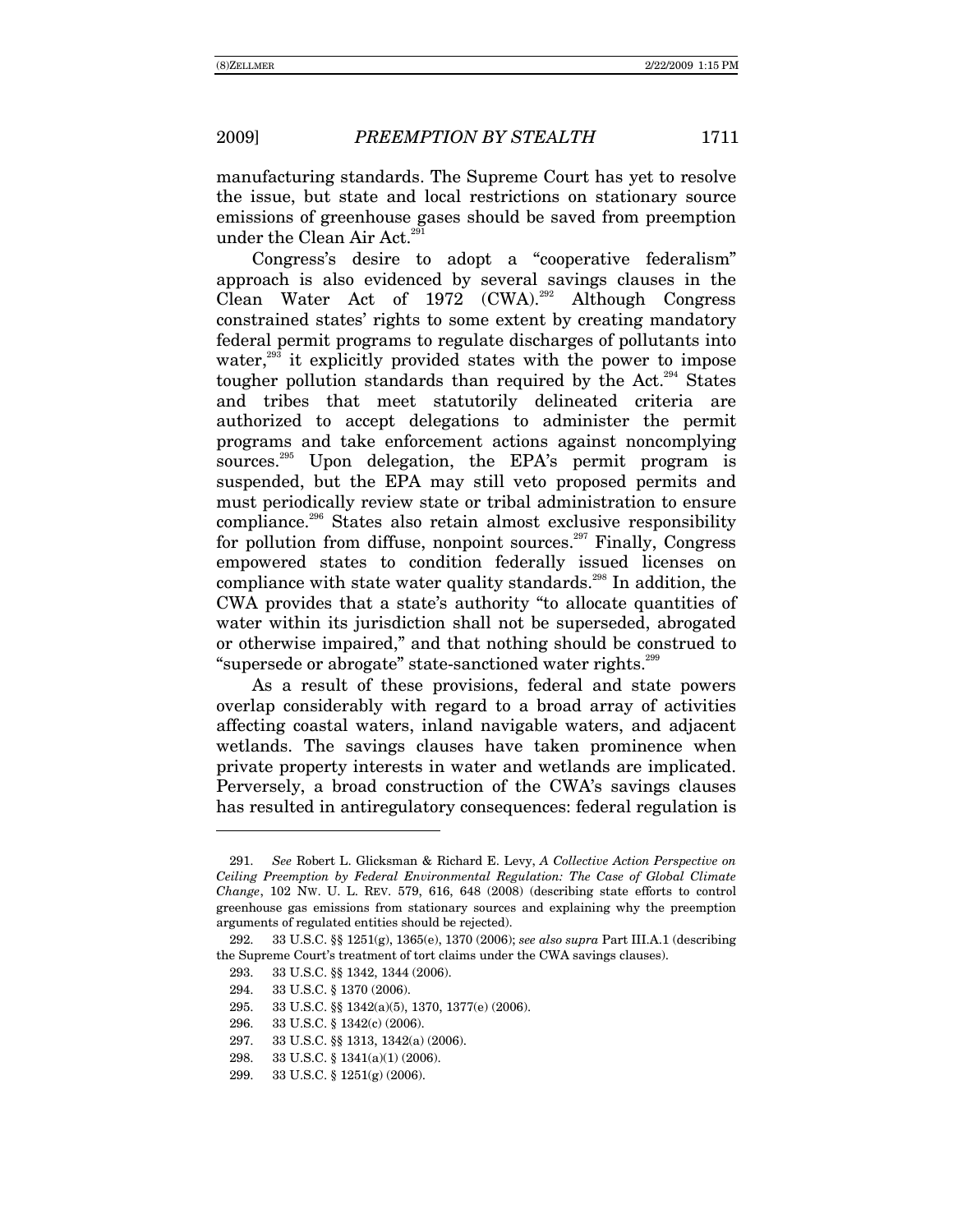manufacturing standards. The Supreme Court has yet to resolve the issue, but state and local restrictions on stationary source emissions of greenhouse gases should be saved from preemption under the Clean Air Act.<sup>291</sup>

Congress's desire to adopt a "cooperative federalism" approach is also evidenced by several savings clauses in the Clean Water Act of  $1972$  (CWA).<sup>292</sup> Although Congress constrained states' rights to some extent by creating mandatory federal permit programs to regulate discharges of pollutants into water,<sup>293</sup> it explicitly provided states with the power to impose tougher pollution standards than required by the Act.<sup>294</sup> States and tribes that meet statutorily delineated criteria are authorized to accept delegations to administer the permit programs and take enforcement actions against noncomplying sources.<sup>295</sup> Upon delegation, the EPA's permit program is suspended, but the EPA may still veto proposed permits and must periodically review state or tribal administration to ensure compliance.296 States also retain almost exclusive responsibility for pollution from diffuse, nonpoint sources.<sup>297</sup> Finally, Congress empowered states to condition federally issued licenses on compliance with state water quality standards.<sup>298</sup> In addition, the CWA provides that a state's authority "to allocate quantities of water within its jurisdiction shall not be superseded, abrogated or otherwise impaired," and that nothing should be construed to "supersede or abrogate" state-sanctioned water rights.<sup>299</sup>

As a result of these provisions, federal and state powers overlap considerably with regard to a broad array of activities affecting coastal waters, inland navigable waters, and adjacent wetlands. The savings clauses have taken prominence when private property interests in water and wetlands are implicated. Perversely, a broad construction of the CWA's savings clauses has resulted in antiregulatory consequences: federal regulation is

-

296. 33 U.S.C. ß 1342(c) (2006).

- 298. 33 U.S.C. ß 1341(a)(1) (2006).
- 299. 33 U.S.C. ß 1251(g) (2006).

<sup>291.</sup> *See* Robert L. Glicksman & Richard E. Levy, *A Collective Action Perspective on Ceiling Preemption by Federal Environmental Regulation: The Case of Global Climate Change*, 102 NW. U. L. REV. 579, 616, 648 (2008) (describing state efforts to control greenhouse gas emissions from stationary sources and explaining why the preemption arguments of regulated entities should be rejected).

 <sup>292. 33</sup> U.S.C. ßß 1251(g), 1365(e), 1370 (2006); *see also supra* Part III.A.1 (describing the Supreme Court's treatment of tort claims under the CWA savings clauses).

 <sup>293. 33</sup> U.S.C. ßß 1342, 1344 (2006).

 <sup>294. 33</sup> U.S.C. ß 1370 (2006).

 <sup>295. 33</sup> U.S.C. ßß 1342(a)(5), 1370, 1377(e) (2006).

 <sup>297. 33</sup> U.S.C. ßß 1313, 1342(a) (2006).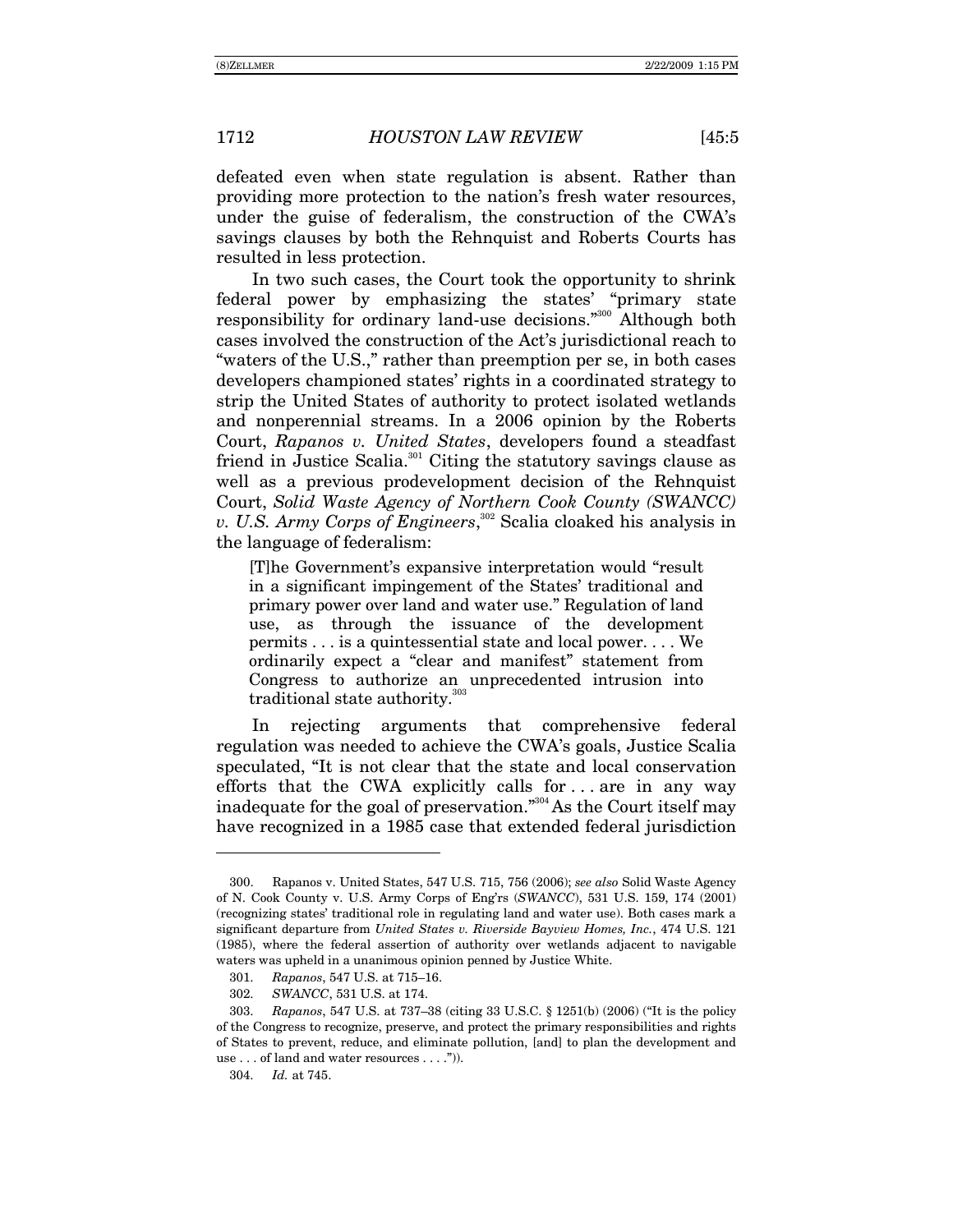defeated even when state regulation is absent. Rather than providing more protection to the nation's fresh water resources, under the guise of federalism, the construction of the CWAís savings clauses by both the Rehnquist and Roberts Courts has

resulted in less protection. In two such cases, the Court took the opportunity to shrink federal power by emphasizing the states' "primary state responsibility for ordinary land-use decisions.<sup>3300</sup> Although both cases involved the construction of the Act's jurisdictional reach to "waters of the U.S.," rather than preemption per se, in both cases developers championed states' rights in a coordinated strategy to strip the United States of authority to protect isolated wetlands and nonperennial streams. In a 2006 opinion by the Roberts Court, *Rapanos v. United States*, developers found a steadfast friend in Justice Scalia.<sup>301</sup> Citing the statutory savings clause as well as a previous prodevelopment decision of the Rehnquist Court, *Solid Waste Agency of Northern Cook County (SWANCC) v. U.S. Army Corps of Engineers*, 302 Scalia cloaked his analysis in the language of federalism:

[T]he Government's expansive interpretation would "result" in a significant impingement of the States' traditional and primary power over land and water use." Regulation of land use, as through the issuance of the development permits . . . is a quintessential state and local power. . . . We ordinarily expect a "clear and manifest" statement from Congress to authorize an unprecedented intrusion into traditional state authority.<sup>303</sup>

In rejecting arguments that comprehensive federal regulation was needed to achieve the CWA's goals, Justice Scalia speculated, "It is not clear that the state and local conservation efforts that the CWA explicitly calls for . . . are in any way inadequate for the goal of preservation.<sup>"304</sup> As the Court itself may have recognized in a 1985 case that extended federal jurisdiction

 <sup>300.</sup> Rapanos v. United States, 547 U.S. 715, 756 (2006); *see also* Solid Waste Agency of N. Cook County v. U.S. Army Corps of Engírs (*SWANCC*), 531 U.S. 159, 174 (2001) (recognizing statesí traditional role in regulating land and water use). Both cases mark a significant departure from *United States v. Riverside Bayview Homes, Inc.*, 474 U.S. 121 (1985), where the federal assertion of authority over wetlands adjacent to navigable waters was upheld in a unanimous opinion penned by Justice White.

<sup>301.</sup> *Rapanos*, 547 U.S. at 715-16.

<sup>302.</sup> *SWANCC*, 531 U.S. at 174.

<sup>303.</sup> *Rapanos*, 547 U.S. at 737–38 (citing 33 U.S.C. § 1251(b) (2006) ("It is the policy of the Congress to recognize, preserve, and protect the primary responsibilities and rights of States to prevent, reduce, and eliminate pollution, [and] to plan the development and use  $\dots$  of land and water resources  $\dots$ .").

<sup>304.</sup> *Id.* at 745.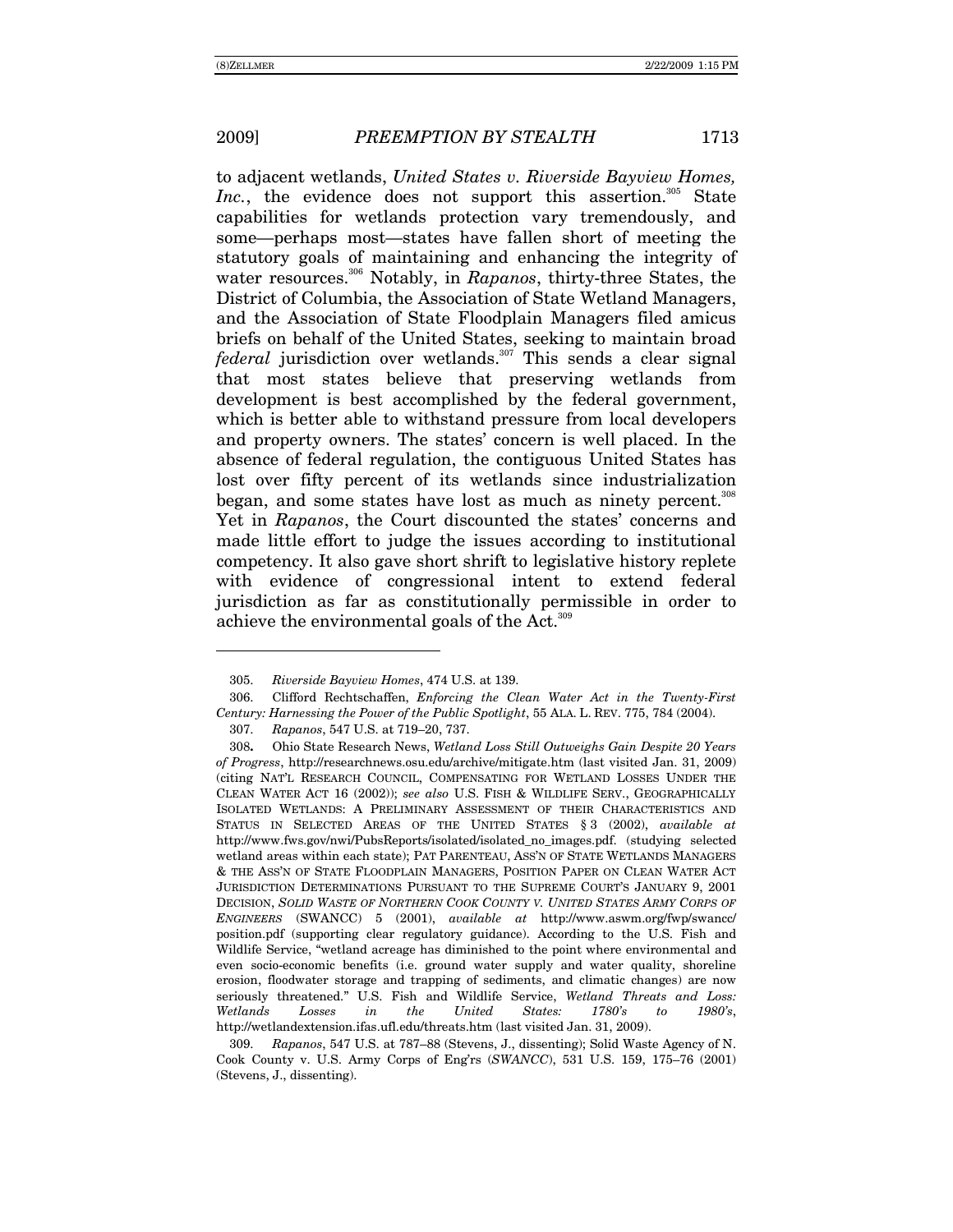$\overline{a}$ 

to adjacent wetlands, *United States v. Riverside Bayview Homes, Inc.*, the evidence does not support this assertion.<sup>305</sup> State capabilities for wetlands protection vary tremendously, and some—perhaps most—states have fallen short of meeting the statutory goals of maintaining and enhancing the integrity of water resources.<sup>306</sup> Notably, in *Rapanos*, thirty-three States, the District of Columbia, the Association of State Wetland Managers, and the Association of State Floodplain Managers filed amicus briefs on behalf of the United States, seeking to maintain broad *federal* jurisdiction over wetlands.<sup>307</sup> This sends a clear signal that most states believe that preserving wetlands from development is best accomplished by the federal government, which is better able to withstand pressure from local developers and property owners. The states' concern is well placed. In the absence of federal regulation, the contiguous United States has lost over fifty percent of its wetlands since industrialization began, and some states have lost as much as ninety percent.<sup>308</sup> Yet in *Rapanos*, the Court discounted the states' concerns and made little effort to judge the issues according to institutional competency. It also gave short shrift to legislative history replete with evidence of congressional intent to extend federal jurisdiction as far as constitutionally permissible in order to achieve the environmental goals of the Act.<sup>309</sup>

<sup>305.</sup> *Riverside Bayview Homes*, 474 U.S. at 139.

 <sup>306.</sup> Clifford Rechtschaffen, *Enforcing the Clean Water Act in the Twenty-First Century: Harnessing the Power of the Public Spotlight*, 55 ALA. L. REV. 775, 784 (2004).

<sup>307.</sup> *Rapanos*, 547 U.S. at 719-20, 737.

<sup>308</sup>**.** Ohio State Research News, *Wetland Loss Still Outweighs Gain Despite 20 Years of Progress*, http://researchnews.osu.edu/archive/mitigate.htm (last visited Jan. 31, 2009) (citing NATíL RESEARCH COUNCIL, COMPENSATING FOR WETLAND LOSSES UNDER THE CLEAN WATER ACT 16 (2002)); *see also* U.S. FISH & WILDLIFE SERV., GEOGRAPHICALLY ISOLATED WETLANDS: A PRELIMINARY ASSESSMENT OF THEIR CHARACTERISTICS AND STATUS IN SELECTED AREAS OF THE UNITED STATES ß 3 (2002), *available at*  http://www.fws.gov/nwi/PubsReports/isolated/isolated\_no\_images.pdf. (studying selected wetland areas within each state); PAT PARENTEAU, ASS'N OF STATE WETLANDS MANAGERS & THE ASSíN OF STATE FLOODPLAIN MANAGERS, POSITION PAPER ON CLEAN WATER ACT JURISDICTION DETERMINATIONS PURSUANT TO THE SUPREME COURT'S JANUARY 9, 2001 DECISION, *SOLID WASTE OF NORTHERN COOK COUNTY V. UNITED STATES ARMY CORPS OF ENGINEERS* (SWANCC) 5 (2001), *available at* http://www.aswm.org/fwp/swancc/ position.pdf (supporting clear regulatory guidance). According to the U.S. Fish and Wildlife Service, "wetland acreage has diminished to the point where environmental and even socio-economic benefits (i.e. ground water supply and water quality, shoreline erosion, floodwater storage and trapping of sediments, and climatic changes) are now seriously threatened.î U.S. Fish and Wildlife Service, *Wetland Threats and Loss: Wetlands Losses in the United States: 1780ís to 1980ís*, http://wetlandextension.ifas.ufl.edu/threats.htm (last visited Jan. 31, 2009).

<sup>309.</sup> *Rapanos*, 547 U.S. at 787–88 (Stevens, J., dissenting); Solid Waste Agency of N. Cook County v. U.S. Army Corps of Eng'rs (*SWANCC*), 531 U.S. 159, 175-76 (2001) (Stevens, J., dissenting).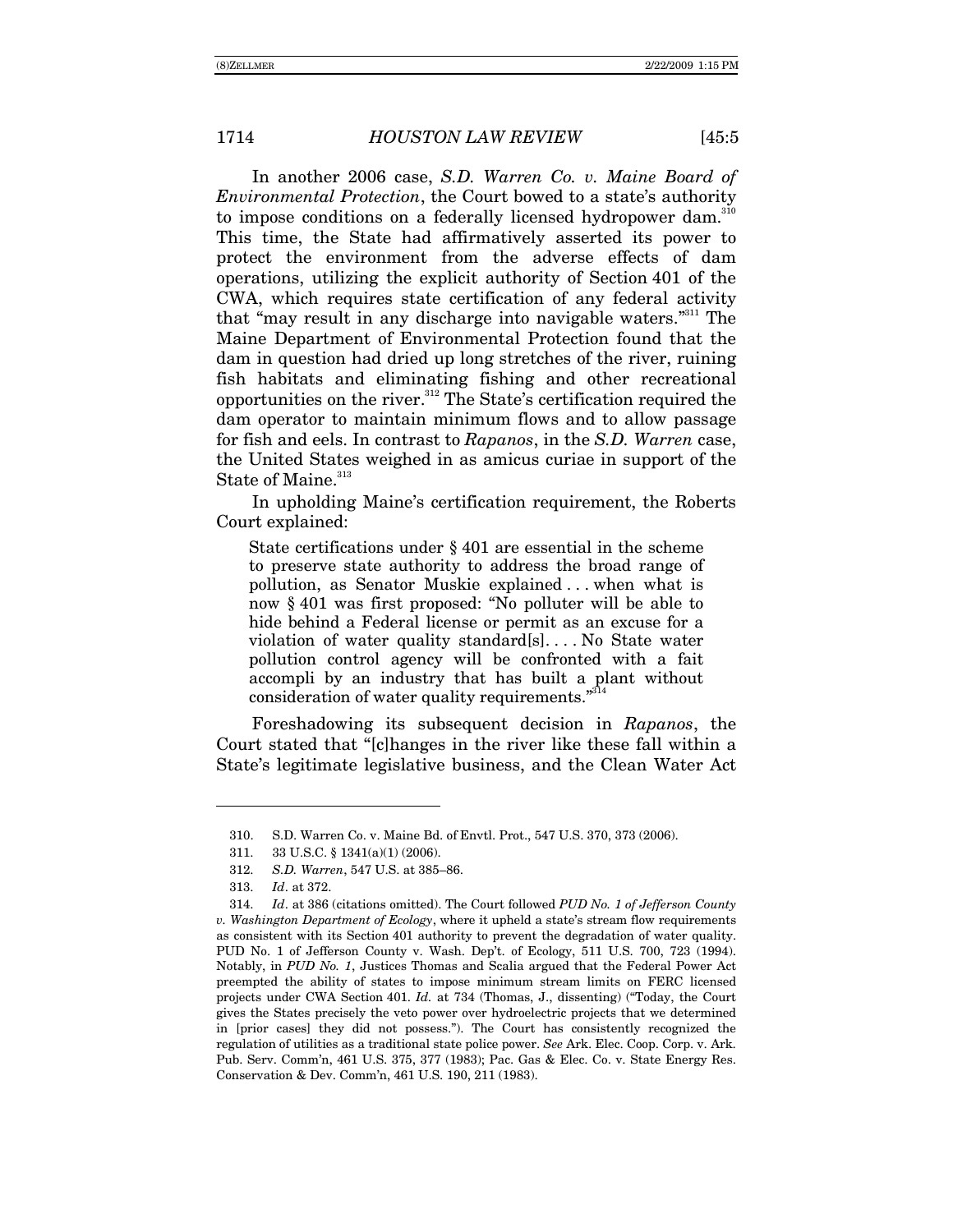In another 2006 case, *S.D. Warren Co. v. Maine Board of Environmental Protection*, the Court bowed to a state's authority to impose conditions on a federally licensed hydropower dam.<sup>310</sup> This time, the State had affirmatively asserted its power to protect the environment from the adverse effects of dam operations, utilizing the explicit authority of Section 401 of the CWA, which requires state certification of any federal activity that "may result in any discharge into navigable waters."<sup>311</sup> The Maine Department of Environmental Protection found that the dam in question had dried up long stretches of the river, ruining fish habitats and eliminating fishing and other recreational opportunities on the river.<sup>312</sup> The State's certification required the dam operator to maintain minimum flows and to allow passage for fish and eels. In contrast to *Rapanos*, in the *S.D. Warren* case, the United States weighed in as amicus curiae in support of the State of Maine.<sup>313</sup>

In upholding Maine's certification requirement, the Roberts Court explained:

State certifications under ß 401 are essential in the scheme to preserve state authority to address the broad range of pollution, as Senator Muskie explained . . . when what is now  $§$  401 was first proposed: "No polluter will be able to hide behind a Federal license or permit as an excuse for a violation of water quality standard[s]. . . . No State water pollution control agency will be confronted with a fait accompli by an industry that has built a plant without consideration of water quality requirements. $1314$ 

Foreshadowing its subsequent decision in *Rapanos*, the Court stated that "[c]hanges in the river like these fall within a State's legitimate legislative business, and the Clean Water Act

<sup>310.</sup> S.D. Warren Co. v. Maine Bd. of Envtl. Prot., 547 U.S. 370, 373 (2006).

 <sup>311. 33</sup> U.S.C. ß 1341(a)(1) (2006).

<sup>312.</sup> *S.D. Warren*, 547 U.S. at 385-86.

<sup>313.</sup> *Id*. at 372.

<sup>314.</sup> *Id*. at 386 (citations omitted). The Court followed *PUD No. 1 of Jefferson County v. Washington Department of Ecology*, where it upheld a state's stream flow requirements as consistent with its Section 401 authority to prevent the degradation of water quality. PUD No. 1 of Jefferson County v. Wash. Dep't. of Ecology, 511 U.S. 700, 723 (1994). Notably, in *PUD No. 1*, Justices Thomas and Scalia argued that the Federal Power Act preempted the ability of states to impose minimum stream limits on FERC licensed projects under CWA Section 401. *Id.* at 734 (Thomas, J., dissenting) ("Today, the Court gives the States precisely the veto power over hydroelectric projects that we determined in [prior cases] they did not possess.î). The Court has consistently recognized the regulation of utilities as a traditional state police power. *See* Ark. Elec. Coop. Corp. v. Ark. Pub. Serv. Commín, 461 U.S. 375, 377 (1983); Pac. Gas & Elec. Co. v. State Energy Res. Conservation & Dev. Commín, 461 U.S. 190, 211 (1983).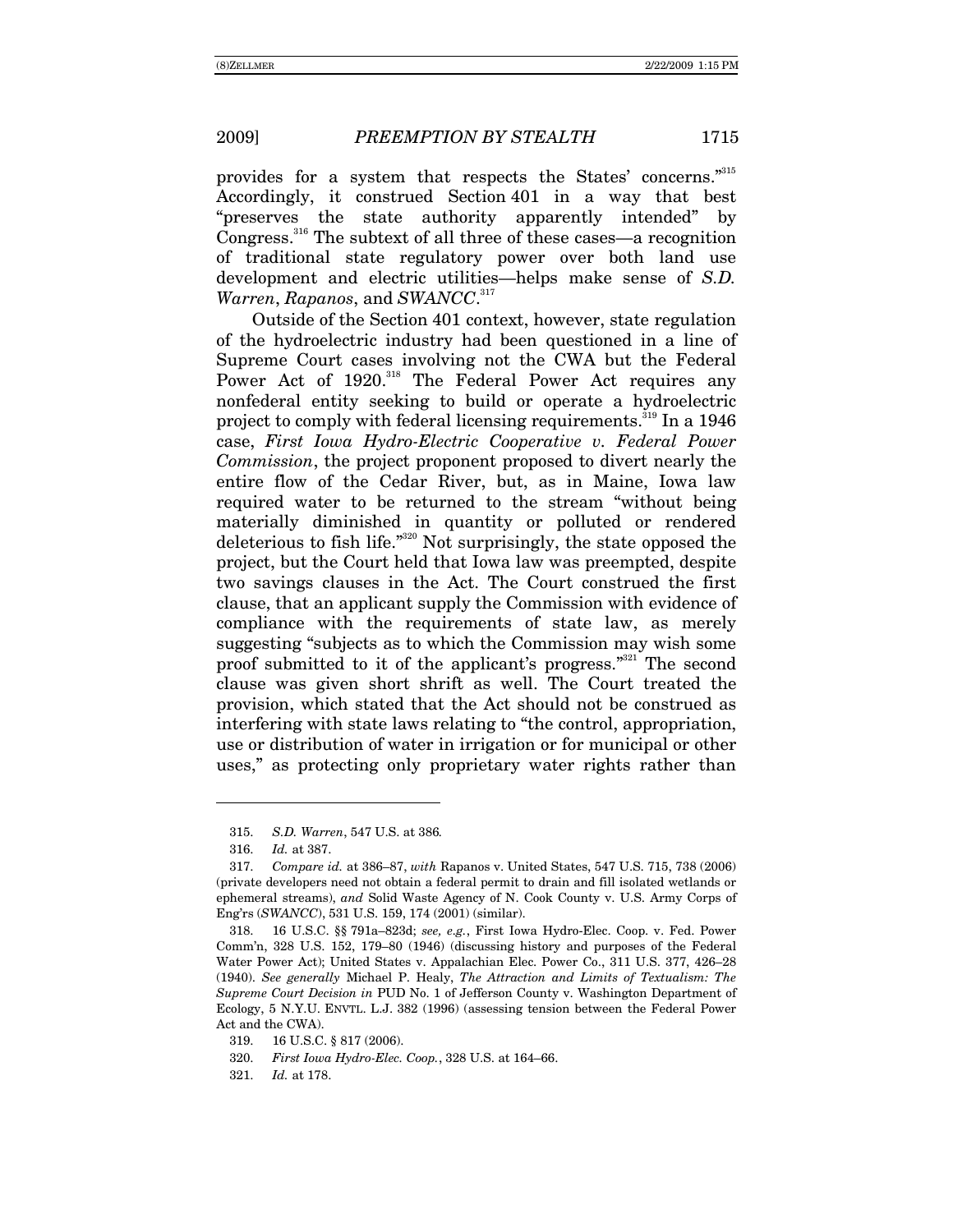provides for a system that respects the States' concerns."315 Accordingly, it construed Section 401 in a way that best "preserves the state authority apparently intended" by Congress.<sup>316</sup> The subtext of all three of these cases—a recognition of traditional state regulatory power over both land use development and electric utilities—helps make sense of *S.D. Warren*, *Rapanos*, and *SWANCC*. 317

Outside of the Section 401 context, however, state regulation of the hydroelectric industry had been questioned in a line of Supreme Court cases involving not the CWA but the Federal Power Act of 1920.<sup>318</sup> The Federal Power Act requires any nonfederal entity seeking to build or operate a hydroelectric project to comply with federal licensing requirements.<sup>319</sup> In a 1946 case, *First Iowa Hydro-Electric Cooperative v. Federal Power Commission*, the project proponent proposed to divert nearly the entire flow of the Cedar River, but, as in Maine, Iowa law required water to be returned to the stream "without being materially diminished in quantity or polluted or rendered deleterious to fish life. $i^{320}$  Not surprisingly, the state opposed the project, but the Court held that Iowa law was preempted, despite two savings clauses in the Act. The Court construed the first clause, that an applicant supply the Commission with evidence of compliance with the requirements of state law, as merely suggesting "subjects as to which the Commission may wish some proof submitted to it of the applicant's progress."<sup>321</sup> The second clause was given short shrift as well. The Court treated the provision, which stated that the Act should not be construed as interfering with state laws relating to "the control, appropriation, use or distribution of water in irrigation or for municipal or other uses," as protecting only proprietary water rights rather than

<sup>315.</sup> *S.D. Warren*, 547 U.S. at 386*.*

<sup>316.</sup> *Id.* at 387.

<sup>317.</sup> *Compare id.* at 386-87, with Rapanos v. United States, 547 U.S. 715, 738 (2006) (private developers need not obtain a federal permit to drain and fill isolated wetlands or ephemeral streams), *and* Solid Waste Agency of N. Cook County v. U.S. Army Corps of Engírs (*SWANCC*), 531 U.S. 159, 174 (2001) (similar).

<sup>318. 16</sup> U.S.C. §§ 791a-823d; *see, e.g.*, First Iowa Hydro-Elec. Coop. v. Fed. Power Comm'n, 328 U.S. 152, 179–80 (1946) (discussing history and purposes of the Federal Water Power Act); United States v. Appalachian Elec. Power Co., 311 U.S. 377, 426–28 (1940). *See generally* Michael P. Healy, *The Attraction and Limits of Textualism: The Supreme Court Decision in* PUD No. 1 of Jefferson County v. Washington Department of Ecology, 5 N.Y.U. ENVTL. L.J. 382 (1996) (assessing tension between the Federal Power Act and the CWA).

 <sup>319. 16</sup> U.S.C. ß 817 (2006).

<sup>320.</sup> *First Iowa Hydro-Elec. Coop.*, 328 U.S. at 164–66.

<sup>321.</sup> *Id.* at 178.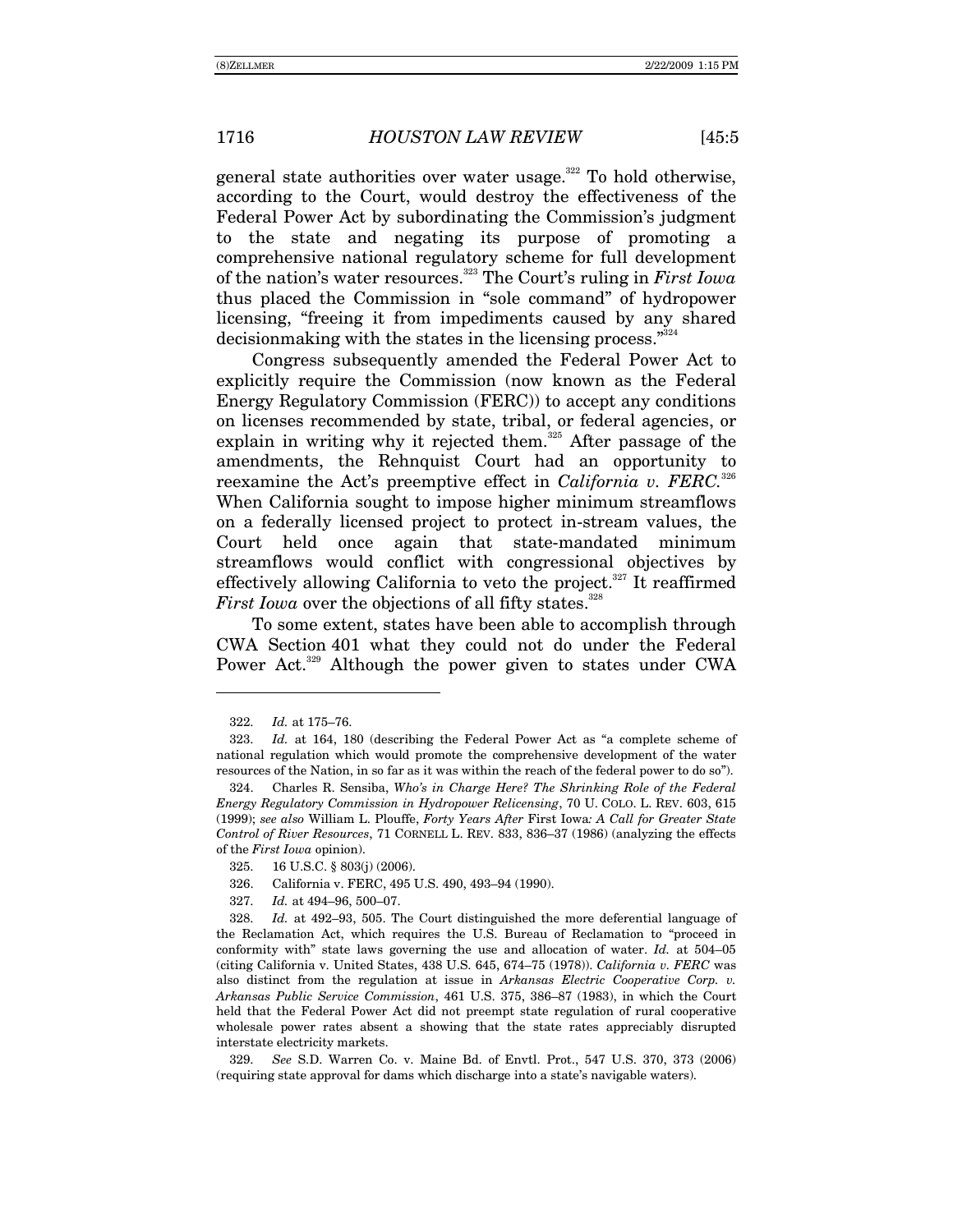general state authorities over water usage.<sup>322</sup> To hold otherwise, according to the Court, would destroy the effectiveness of the Federal Power Act by subordinating the Commission's judgment to the state and negating its purpose of promoting a comprehensive national regulatory scheme for full development of the nation's water resources.<sup>323</sup> The Court's ruling in *First Iowa* thus placed the Commission in "sole command" of hydropower licensing, "freeing it from impediments caused by any shared decision making with the states in the licensing process. $\mathbb{Z}^{324}$ 

Congress subsequently amended the Federal Power Act to explicitly require the Commission (now known as the Federal Energy Regulatory Commission (FERC)) to accept any conditions on licenses recommended by state, tribal, or federal agencies, or explain in writing why it rejected them.<sup>325</sup> After passage of the amendments, the Rehnquist Court had an opportunity to reexamine the Act's preemptive effect in *California v. FERC.*<sup>326</sup> When California sought to impose higher minimum streamflows on a federally licensed project to protect in-stream values, the Court held once again that state-mandated minimum streamflows would conflict with congressional objectives by effectively allowing California to veto the project.<sup>327</sup> It reaffirmed *First Iowa* over the objections of all fifty states.<sup>328</sup>

To some extent, states have been able to accomplish through CWA Section 401 what they could not do under the Federal Power Act.<sup>329</sup> Although the power given to states under CWA

<sup>322.</sup> *Id.* at 175-76.

<sup>323.</sup> *Id.* at 164, 180 (describing the Federal Power Act as "a complete scheme of national regulation which would promote the comprehensive development of the water resources of the Nation, in so far as it was within the reach of the federal power to do so").

 <sup>324.</sup> Charles R. Sensiba, *Whoís in Charge Here? The Shrinking Role of the Federal Energy Regulatory Commission in Hydropower Relicensing*, 70 U. COLO. L. REV. 603, 615 (1999); *see also* William L. Plouffe, *Forty Years After* First Iowa*: A Call for Greater State Control of River Resources*, 71 CORNELL L. REV. 833, 836–37 (1986) (analyzing the effects of the *First Iowa* opinion).

 <sup>325. 16</sup> U.S.C. ß 803(j) (2006).

<sup>326.</sup> California v. FERC, 495 U.S. 490, 493-94 (1990).

<sup>327.</sup> *Id.* at 494-96, 500-07.

<sup>328.</sup> *Id.* at 492–93, 505. The Court distinguished the more deferential language of the Reclamation Act, which requires the U.S. Bureau of Reclamation to "proceed in conformity with" state laws governing the use and allocation of water.  $Id$ . at 504–05 (citing California v. United States, 438 U.S. 645, 674–75 (1978)). *California v. FERC* was also distinct from the regulation at issue in *Arkansas Electric Cooperative Corp. v. Arkansas Public Service Commission*, 461 U.S. 375, 386-87 (1983), in which the Court held that the Federal Power Act did not preempt state regulation of rural cooperative wholesale power rates absent a showing that the state rates appreciably disrupted interstate electricity markets.

<sup>329.</sup> *See* S.D. Warren Co. v. Maine Bd. of Envtl. Prot., 547 U.S. 370, 373 (2006) (requiring state approval for dams which discharge into a stateís navigable waters).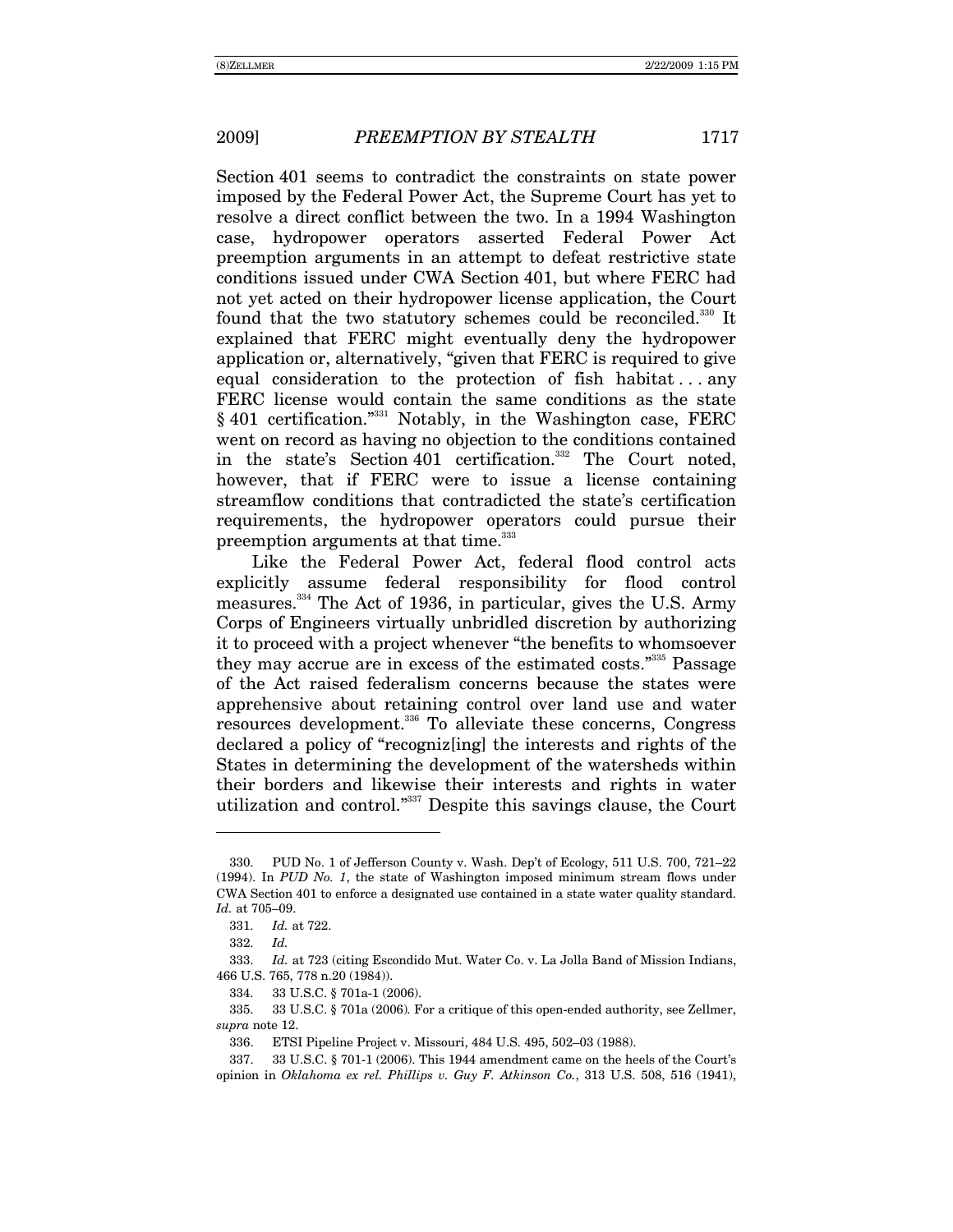Section 401 seems to contradict the constraints on state power imposed by the Federal Power Act, the Supreme Court has yet to resolve a direct conflict between the two. In a 1994 Washington case, hydropower operators asserted Federal Power Act preemption arguments in an attempt to defeat restrictive state conditions issued under CWA Section 401, but where FERC had not yet acted on their hydropower license application, the Court found that the two statutory schemes could be reconciled.<sup>330</sup> It explained that FERC might eventually deny the hydropower application or, alternatively, "given that FERC is required to give equal consideration to the protection of fish habitat  $\dots$  any FERC license would contain the same conditions as the state § 401 certification."<sup>331</sup> Notably, in the Washington case, FERC went on record as having no objection to the conditions contained in the state's Section 401 certification.<sup>332</sup> The Court noted, however, that if FERC were to issue a license containing streamflow conditions that contradicted the state's certification requirements, the hydropower operators could pursue their preemption arguments at that time.<sup>333</sup>

Like the Federal Power Act, federal flood control acts explicitly assume federal responsibility for flood control measures.334 The Act of 1936, in particular, gives the U.S. Army Corps of Engineers virtually unbridled discretion by authorizing it to proceed with a project whenever "the benefits to whomsoever they may accrue are in excess of the estimated costs."<sup>335</sup> Passage of the Act raised federalism concerns because the states were apprehensive about retaining control over land use and water resources development.336 To alleviate these concerns, Congress declared a policy of "recognizating" the interests and rights of the States in determining the development of the watersheds within their borders and likewise their interests and rights in water utilization and control."<sup>337</sup> Despite this savings clause, the Court

<sup>330.</sup> PUD No. 1 of Jefferson County v. Wash. Dep't of Ecology, 511 U.S. 700, 721–22 (1994). In *PUD No. 1*, the state of Washington imposed minimum stream flows under CWA Section 401 to enforce a designated use contained in a state water quality standard. Id. at 705-09.

<sup>331.</sup> *Id.* at 722.

<sup>332.</sup> *Id.*

<sup>333.</sup> *Id.* at 723 (citing Escondido Mut. Water Co. v. La Jolla Band of Mission Indians, 466 U.S. 765, 778 n.20 (1984)).

 <sup>334. 33</sup> U.S.C. ß 701a-1 (2006).

 <sup>335. 33</sup> U.S.C. ß 701a (2006)*.* For a critique of this open-ended authority, see Zellmer, *supra* note 12.

<sup>336.</sup> ETSI Pipeline Project v. Missouri, 484 U.S. 495, 502-03 (1988).

 <sup>337. 33</sup> U.S.C. ß 701-1 (2006). This 1944 amendment came on the heels of the Courtís opinion in *Oklahoma ex rel. Phillips v. Guy F. Atkinson Co.*, 313 U.S. 508, 516 (1941),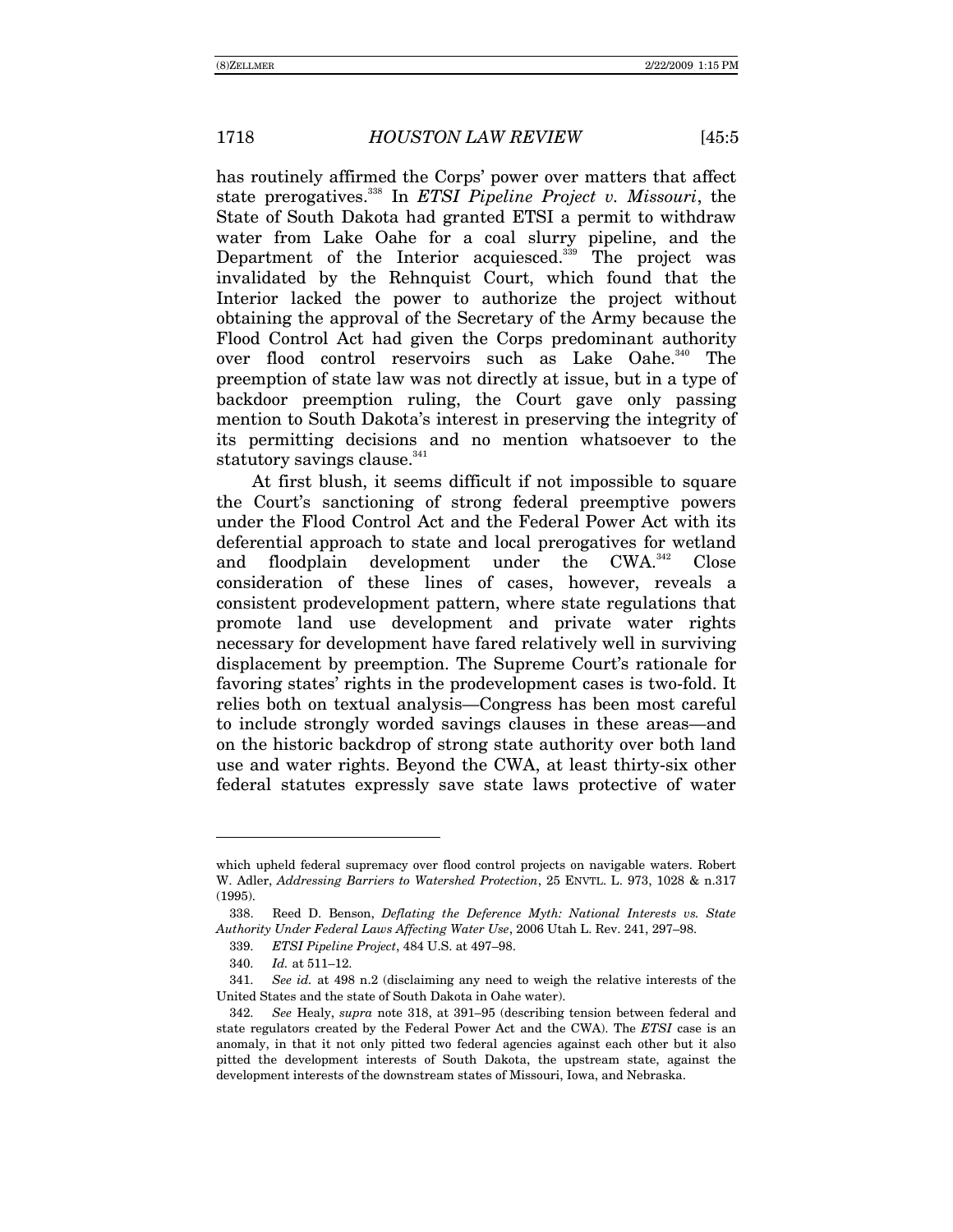has routinely affirmed the Corps' power over matters that affect state prerogatives.338 In *ETSI Pipeline Project v. Missouri*, the State of South Dakota had granted ETSI a permit to withdraw water from Lake Oahe for a coal slurry pipeline, and the Department of the Interior acquiesced.<sup>339</sup> The project was invalidated by the Rehnquist Court, which found that the Interior lacked the power to authorize the project without obtaining the approval of the Secretary of the Army because the Flood Control Act had given the Corps predominant authority over flood control reservoirs such as Lake Oahe.<sup>340</sup> The preemption of state law was not directly at issue, but in a type of backdoor preemption ruling, the Court gave only passing mention to South Dakotaís interest in preserving the integrity of its permitting decisions and no mention whatsoever to the statutory savings clause.<sup>341</sup>

At first blush, it seems difficult if not impossible to square the Court's sanctioning of strong federal preemptive powers under the Flood Control Act and the Federal Power Act with its deferential approach to state and local prerogatives for wetland and floodplain development under the CWA.<sup>342</sup> Close consideration of these lines of cases, however, reveals a consistent prodevelopment pattern, where state regulations that promote land use development and private water rights necessary for development have fared relatively well in surviving displacement by preemption. The Supreme Court's rationale for favoring states' rights in the prodevelopment cases is two-fold. It relies both on textual analysis—Congress has been most careful to include strongly worded savings clauses in these areas—and on the historic backdrop of strong state authority over both land use and water rights. Beyond the CWA, at least thirty-six other federal statutes expressly save state laws protective of water

which upheld federal supremacy over flood control projects on navigable waters. Robert W. Adler, *Addressing Barriers to Watershed Protection*, 25 ENVTL. L. 973, 1028 & n.317 (1995).

 <sup>338.</sup> Reed D. Benson, *Deflating the Deference Myth: National Interests vs. State*  Authority Under Federal Laws Affecting Water Use, 2006 Utah L. Rev. 241, 297-98.

<sup>339.</sup> *ETSI Pipeline Project*, 484 U.S. at 497-98.

<sup>340.</sup> *Id.* at 511-12.

<sup>341.</sup> *See id.* at 498 n.2 (disclaiming any need to weigh the relative interests of the United States and the state of South Dakota in Oahe water).

<sup>342.</sup> *See* Healy, *supra* note 318, at 391–95 (describing tension between federal and state regulators created by the Federal Power Act and the CWA). The *ETSI* case is an anomaly, in that it not only pitted two federal agencies against each other but it also pitted the development interests of South Dakota, the upstream state, against the development interests of the downstream states of Missouri, Iowa, and Nebraska.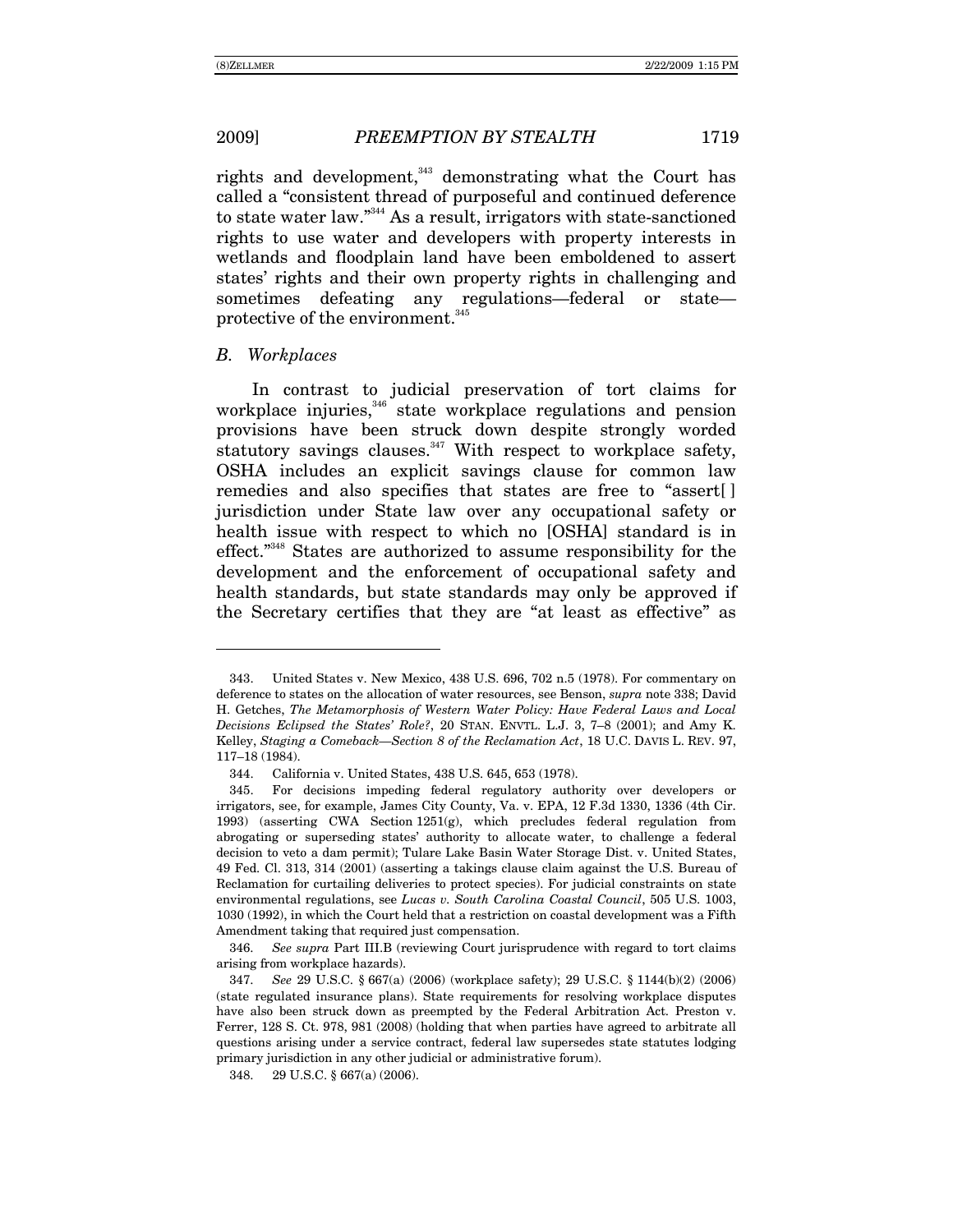rights and development, $343$  demonstrating what the Court has called a "consistent thread of purposeful and continued deference to state water law. $i^{344}$  As a result, irrigators with state-sanctioned rights to use water and developers with property interests in wetlands and floodplain land have been emboldened to assert states' rights and their own property rights in challenging and sometimes defeating any regulations—federal or state protective of the environment.<sup>345</sup>

#### *B. Workplaces*

-

In contrast to judicial preservation of tort claims for workplace injuries,<sup>346</sup> state workplace regulations and pension provisions have been struck down despite strongly worded statutory savings clauses. $347$  With respect to workplace safety, OSHA includes an explicit savings clause for common law remedies and also specifies that states are free to "assert[] jurisdiction under State law over any occupational safety or health issue with respect to which no [OSHA] standard is in effect.<sup>348</sup> States are authorized to assume responsibility for the development and the enforcement of occupational safety and health standards, but state standards may only be approved if the Secretary certifies that they are "at least as effective" as

 <sup>343.</sup> United States v. New Mexico, 438 U.S. 696, 702 n.5 (1978). For commentary on deference to states on the allocation of water resources, see Benson, *supra* note 338; David H. Getches, *The Metamorphosis of Western Water Policy: Have Federal Laws and Local Decisions Eclipsed the States' Role?*, 20 STAN. ENVTL. L.J. 3, 7-8 (2001); and Amy K. Kelley, *Staging a Comeback—Section 8 of the Reclamation Act*, 18 U.C. DAVIS L. REV. 97, 117-18 (1984).

 <sup>344.</sup> California v. United States, 438 U.S. 645, 653 (1978).

<sup>345.</sup> For decisions impeding federal regulatory authority over developers or irrigators, see, for example, James City County, Va. v. EPA, 12 F.3d 1330, 1336 (4th Cir. 1993) (asserting CWA Section 1251(g), which precludes federal regulation from abrogating or superseding statesí authority to allocate water, to challenge a federal decision to veto a dam permit); Tulare Lake Basin Water Storage Dist. v. United States, 49 Fed. Cl. 313, 314 (2001) (asserting a takings clause claim against the U.S. Bureau of Reclamation for curtailing deliveries to protect species). For judicial constraints on state environmental regulations, see *Lucas v. South Carolina Coastal Council*, 505 U.S. 1003, 1030 (1992), in which the Court held that a restriction on coastal development was a Fifth Amendment taking that required just compensation.

<sup>346.</sup> *See supra* Part III.B (reviewing Court jurisprudence with regard to tort claims arising from workplace hazards).

<sup>347.</sup> *See* 29 U.S.C. ß 667(a) (2006) (workplace safety); 29 U.S.C. ß 1144(b)(2) (2006) (state regulated insurance plans). State requirements for resolving workplace disputes have also been struck down as preempted by the Federal Arbitration Act. Preston v. Ferrer, 128 S. Ct. 978, 981 (2008) (holding that when parties have agreed to arbitrate all questions arising under a service contract, federal law supersedes state statutes lodging primary jurisdiction in any other judicial or administrative forum).

 <sup>348. 29</sup> U.S.C. ß 667(a) (2006).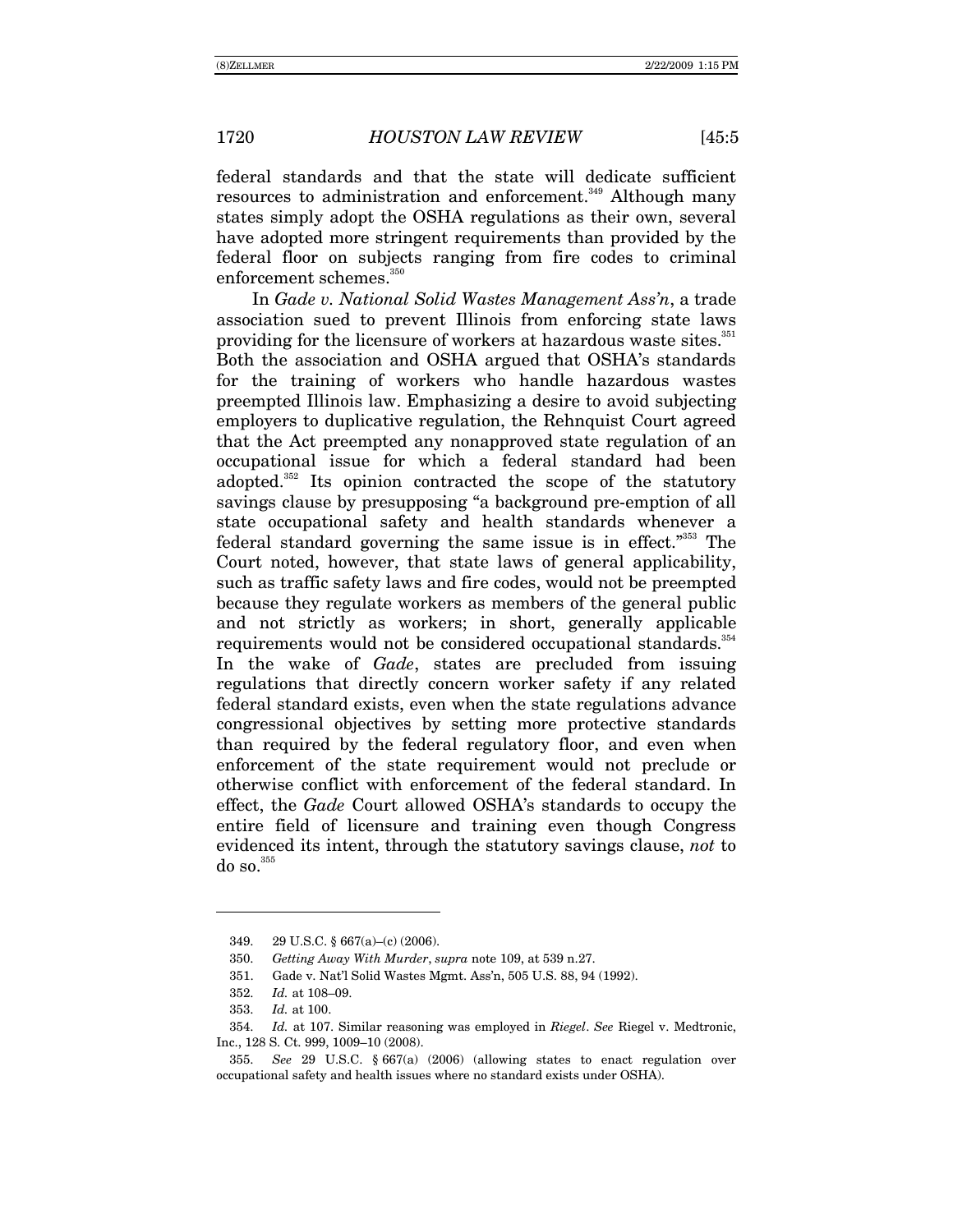federal standards and that the state will dedicate sufficient resources to administration and enforcement.<sup>349</sup> Although many states simply adopt the OSHA regulations as their own, several have adopted more stringent requirements than provided by the federal floor on subjects ranging from fire codes to criminal enforcement schemes.<sup>350</sup>

In *Gade v. National Solid Wastes Management Assín*, a trade association sued to prevent Illinois from enforcing state laws providing for the licensure of workers at hazardous waste sites.<sup>351</sup> Both the association and OSHA argued that OSHA's standards for the training of workers who handle hazardous wastes preempted Illinois law. Emphasizing a desire to avoid subjecting employers to duplicative regulation, the Rehnquist Court agreed that the Act preempted any nonapproved state regulation of an occupational issue for which a federal standard had been adopted.<sup>352</sup> Its opinion contracted the scope of the statutory savings clause by presupposing "a background pre-emption of all state occupational safety and health standards whenever a federal standard governing the same issue is in effect. $\frac{353}{100}$  The Court noted, however, that state laws of general applicability, such as traffic safety laws and fire codes, would not be preempted because they regulate workers as members of the general public and not strictly as workers; in short, generally applicable requirements would not be considered occupational standards.<sup>354</sup> In the wake of *Gade*, states are precluded from issuing regulations that directly concern worker safety if any related federal standard exists, even when the state regulations advance congressional objectives by setting more protective standards than required by the federal regulatory floor, and even when enforcement of the state requirement would not preclude or otherwise conflict with enforcement of the federal standard. In effect, the *Gade* Court allowed OSHAís standards to occupy the entire field of licensure and training even though Congress evidenced its intent, through the statutory savings clause, *not* to do so. $355$ 

<sup>349. 29</sup> U.S.C.  $§ 667(a)–(c) (2006)$ .

 <sup>350.</sup> *Getting Away With Murder*, *supra* note 109, at 539 n.27.

 <sup>351.</sup> Gade v. Natíl Solid Wastes Mgmt. Assín, 505 U.S. 88, 94 (1992).

<sup>352.</sup> *Id.* at 108-09.

<sup>353.</sup> *Id.* at 100.

<sup>354.</sup> *Id.* at 107. Similar reasoning was employed in *Riegel*. *See* Riegel v. Medtronic, Inc., 128 S. Ct. 999, 1009-10 (2008).

<sup>355.</sup> *See* 29 U.S.C. ß 667(a) (2006) (allowing states to enact regulation over occupational safety and health issues where no standard exists under OSHA).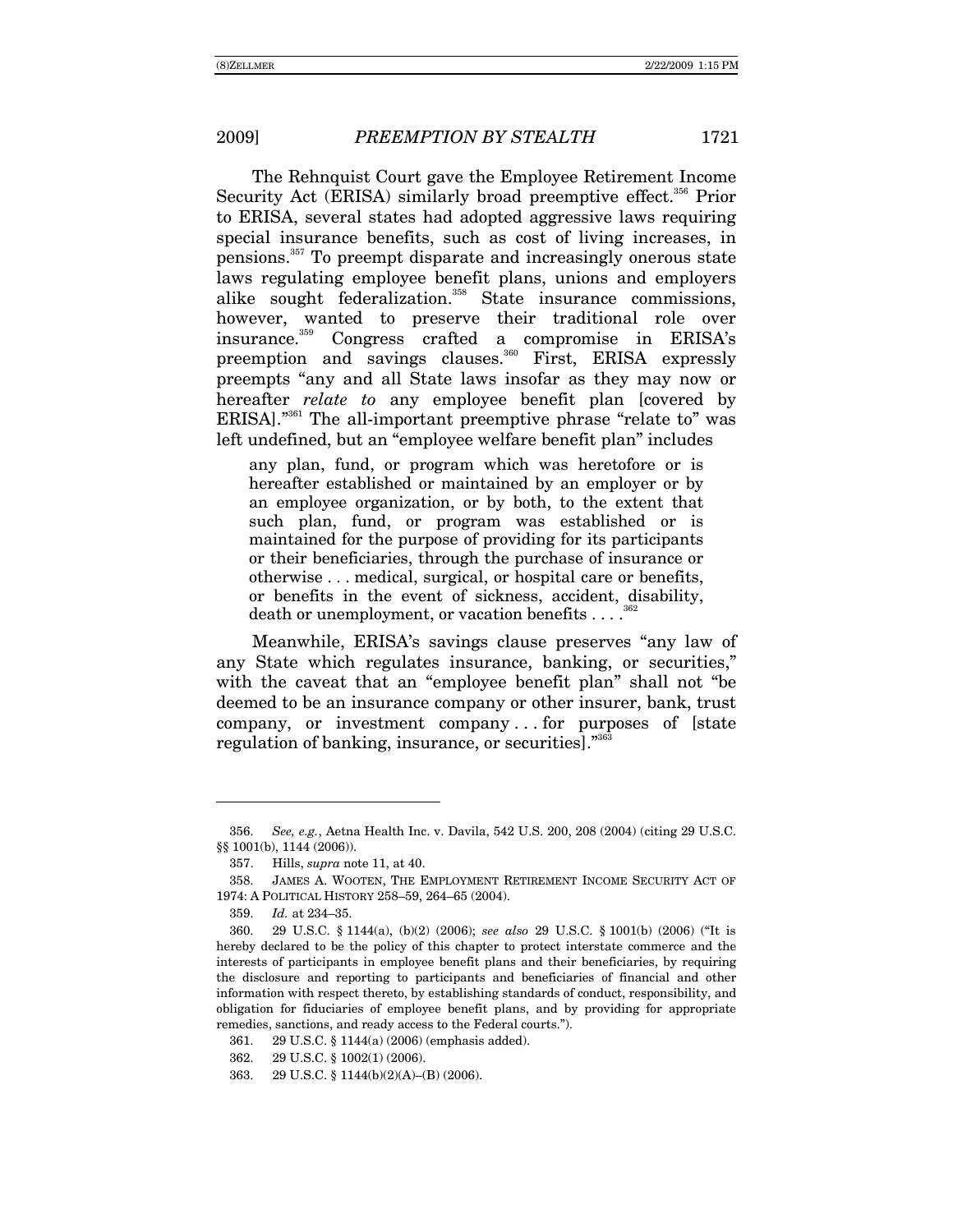The Rehnquist Court gave the Employee Retirement Income Security Act (ERISA) similarly broad preemptive effect.<sup>356</sup> Prior to ERISA, several states had adopted aggressive laws requiring special insurance benefits, such as cost of living increases, in pensions.<sup>357</sup> To preempt disparate and increasingly onerous state laws regulating employee benefit plans, unions and employers alike sought federalization.<sup>358</sup> State insurance commissions, however, wanted to preserve their traditional role over insurance.<sup>359</sup> Congress crafted a compromise in ERISA's preemption and savings clauses.<sup>360</sup> First, ERISA expressly preempts "any and all State laws insofar as they may now or hereafter *relate* to any employee benefit plan [covered by ERISA]."<sup>361</sup> The all-important preemptive phrase "relate to" was left undefined, but an "employee welfare benefit plan" includes

any plan, fund, or program which was heretofore or is hereafter established or maintained by an employer or by an employee organization, or by both, to the extent that such plan, fund, or program was established or is maintained for the purpose of providing for its participants or their beneficiaries, through the purchase of insurance or otherwise . . . medical, surgical, or hospital care or benefits, or benefits in the event of sickness, accident, disability, death or unemployment, or vacation benefits . . . .

Meanwhile, ERISA's savings clause preserves "any law of any State which regulates insurance, banking, or securities," with the caveat that an "employee benefit plan" shall not "be" deemed to be an insurance company or other insurer, bank, trust company, or investment company...for purposes of [state regulation of banking, insurance, or securities."<sup>36:</sup>

See, e.g., Aetna Health Inc. v. Davila, 542 U.S. 200, 208 (2004) (citing 29 U.S.C. 356. §§ 1001(b), 1144 (2006)).

<sup>357.</sup> Hills, *supra* note 11, at 40.

<sup>358.</sup> JAMES A. WOOTEN, THE EMPLOYMENT RETIREMENT INCOME SECURITY ACT OF 1974: A POLITICAL HISTORY 258-59, 264-65 (2004).

<sup>359.</sup> Id. at 234-35.

<sup>360.</sup> 29 U.S.C. § 1144(a), (b)(2) (2006); see also 29 U.S.C. § 1001(b) (2006) ("It is hereby declared to be the policy of this chapter to protect interstate commerce and the interests of participants in employee benefit plans and their beneficiaries, by requiring the disclosure and reporting to participants and beneficiaries of financial and other information with respect thereto, by establishing standards of conduct, responsibility, and obligation for fiduciaries of employee benefit plans, and by providing for appropriate remedies, sanctions, and ready access to the Federal courts.").

<sup>361.</sup> 29 U.S.C. § 1144(a) (2006) (emphasis added).

<sup>362.</sup> 29 U.S.C. § 1002(1) (2006).

<sup>363.</sup> 29 U.S.C. § 1144(b)(2)(A)–(B) (2006).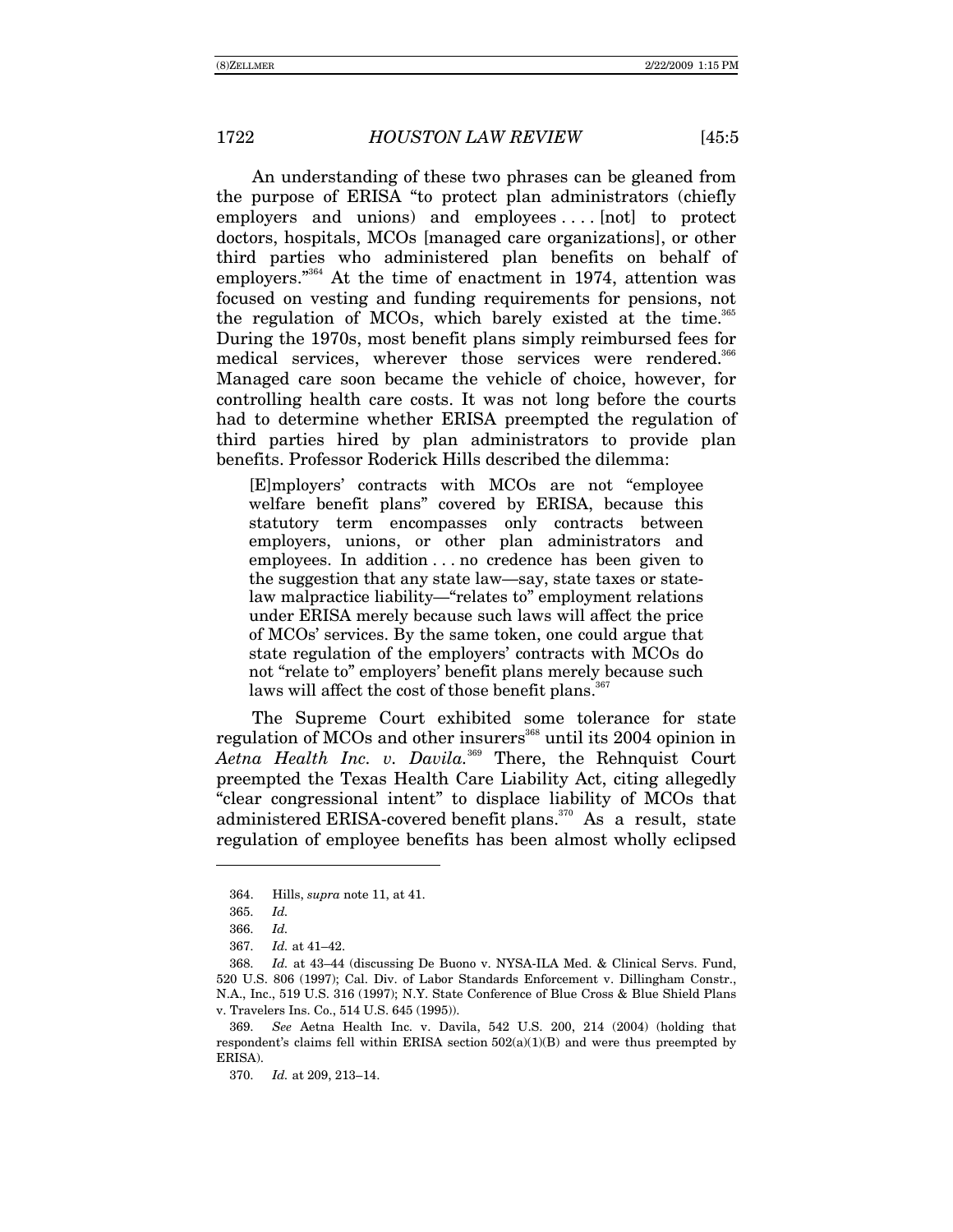An understanding of these two phrases can be gleaned from the purpose of ERISA "to protect plan administrators (chiefly employers and unions) and employees ... . [not] to protect doctors, hospitals, MCOs [managed care organizations], or other third parties who administered plan benefits on behalf of employers."<sup>364</sup> At the time of enactment in 1974, attention was focused on vesting and funding requirements for pensions, not the regulation of MCOs, which barely existed at the time.<sup>365</sup> During the 1970s, most benefit plans simply reimbursed fees for medical services, wherever those services were rendered.<sup>366</sup> Managed care soon became the vehicle of choice, however, for controlling health care costs. It was not long before the courts had to determine whether ERISA preempted the regulation of third parties hired by plan administrators to provide plan benefits. Professor Roderick Hills described the dilemma:

[E]mployers' contracts with MCOs are not "employee welfare benefit plans" covered by ERISA, because this statutory term encompasses only contracts between employers, unions, or other plan administrators and employees. In addition . . . no credence has been given to the suggestion that any state law—say, state taxes or statelaw malpractice liability—"relates to" employment relations under ERISA merely because such laws will affect the price of MCOsí services. By the same token, one could argue that state regulation of the employers' contracts with MCOs do not "relate to" employers' benefit plans merely because such laws will affect the cost of those benefit plans.<sup>367</sup>

The Supreme Court exhibited some tolerance for state regulation of MCOs and other insurers<sup>368</sup> until its 2004 opinion in *Aetna Health Inc. v. Davila.*<sup>369</sup> There, the Rehnquist Court preempted the Texas Health Care Liability Act, citing allegedly ìclear congressional intentî to displace liability of MCOs that administered ERISA-covered benefit plans.<sup>370</sup> As a result, state regulation of employee benefits has been almost wholly eclipsed

 $\overline{a}$ 

370. *Id.* at 209, 213-14.

 <sup>364.</sup> Hills, *supra* note 11, at 41.

<sup>365.</sup> *Id.*

<sup>366.</sup> *Id.*

<sup>367.</sup> *Id.* at 41-42.

<sup>368.</sup> *Id.* at 43–44 (discussing De Buono v. NYSA-ILA Med. & Clinical Servs. Fund, 520 U.S. 806 (1997); Cal. Div. of Labor Standards Enforcement v. Dillingham Constr., N.A., Inc., 519 U.S. 316 (1997); N.Y. State Conference of Blue Cross & Blue Shield Plans v. Travelers Ins. Co., 514 U.S. 645 (1995)).

<sup>369.</sup> *See* Aetna Health Inc. v. Davila, 542 U.S. 200, 214 (2004) (holding that respondent's claims fell within ERISA section  $502(a)(1)(B)$  and were thus preempted by ERISA).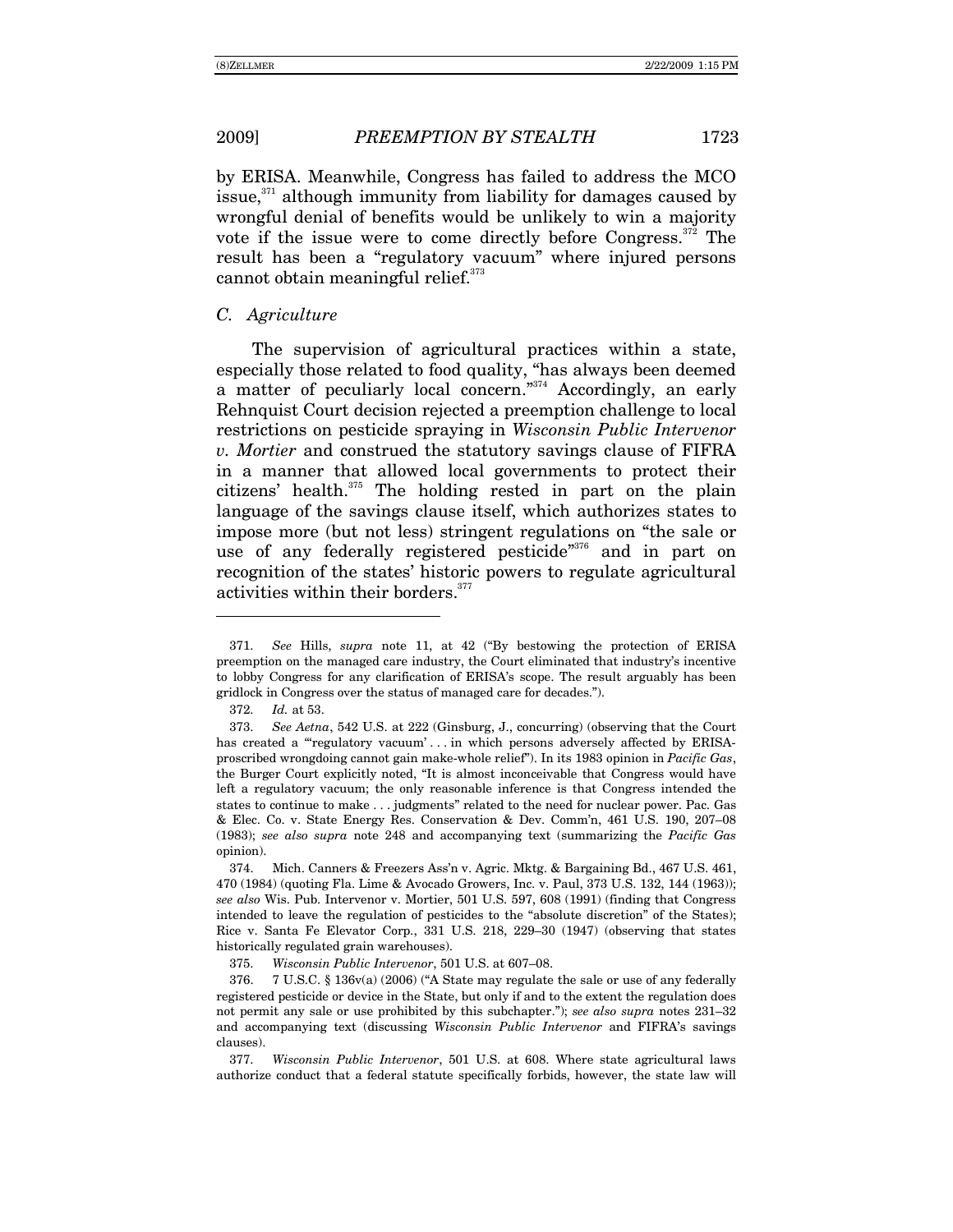2009]

by ERISA. Meanwhile, Congress has failed to address the MCO issue,<sup>371</sup> although immunity from liability for damages caused by wrongful denial of benefits would be unlikely to win a majority vote if the issue were to come directly before Congress.<sup>372</sup> The result has been a "regulatory vacuum" where injured persons cannot obtain meaningful relief.<sup>373</sup>

## C. Agriculture

The supervision of agricultural practices within a state, especially those related to food quality, "has always been deemed a matter of peculiarly local concern."<sup>374</sup> Accordingly, an early Rehnquist Court decision rejected a preemption challenge to local restrictions on pesticide spraying in Wisconsin Public Intervenor v. Mortier and construed the statutory savings clause of FIFRA in a manner that allowed local governments to protect their citizens' health.<sup>375</sup> The holding rested in part on the plain language of the savings clause itself, which authorizes states to impose more (but not less) stringent regulations on "the sale or use of any federally registered pesticide"<sup>376</sup> and in part on recognition of the states' historic powers to regulate agricultural activities within their borders.<sup>377</sup>

See Hills, supra note 11, at 42 ("By bestowing the protection of ERISA 371. preemption on the managed care industry, the Court eliminated that industry's incentive to lobby Congress for any clarification of ERISA's scope. The result arguably has been gridlock in Congress over the status of managed care for decades.").

<sup>372.</sup> Id. at 53.

<sup>373.</sup> See Aetna, 542 U.S. at 222 (Ginsburg, J., concurring) (observing that the Court has created a "regulatory vacuum'... in which persons adversely affected by ERISAproscribed wrongdoing cannot gain make-whole relief"). In its 1983 opinion in Pacific Gas, the Burger Court explicitly noted, "It is almost inconceivable that Congress would have left a regulatory vacuum; the only reasonable inference is that Congress intended the states to continue to make . . . judgments" related to the need for nuclear power. Pac. Gas & Elec. Co. v. State Energy Res. Conservation & Dev. Comm'n, 461 U.S. 190, 207-08 (1983); see also supra note 248 and accompanying text (summarizing the Pacific Gas opinion).

Mich. Canners & Freezers Ass'n v. Agric. Mktg. & Bargaining Bd., 467 U.S. 461, 374. 470 (1984) (quoting Fla. Lime & Avocado Growers, Inc. v. Paul, 373 U.S. 132, 144 (1963)); see also Wis. Pub. Intervenor v. Mortier, 501 U.S. 597, 608 (1991) (finding that Congress intended to leave the regulation of pesticides to the "absolute discretion" of the States); Rice v. Santa Fe Elevator Corp., 331 U.S. 218, 229-30 (1947) (observing that states historically regulated grain warehouses).

<sup>375.</sup> Wisconsin Public Intervenor, 501 U.S. at 607-08.

<sup>376.</sup> 7 U.S.C. § 136v(a) (2006) ("A State may regulate the sale or use of any federally registered pesticide or device in the State, but only if and to the extent the regulation does not permit any sale or use prohibited by this subchapter."); see also supra notes 231-32 and accompanying text (discussing Wisconsin Public Intervenor and FIFRA's savings clauses).

Wisconsin Public Intervenor, 501 U.S. at 608. Where state agricultural laws 377. authorize conduct that a federal statute specifically forbids, however, the state law will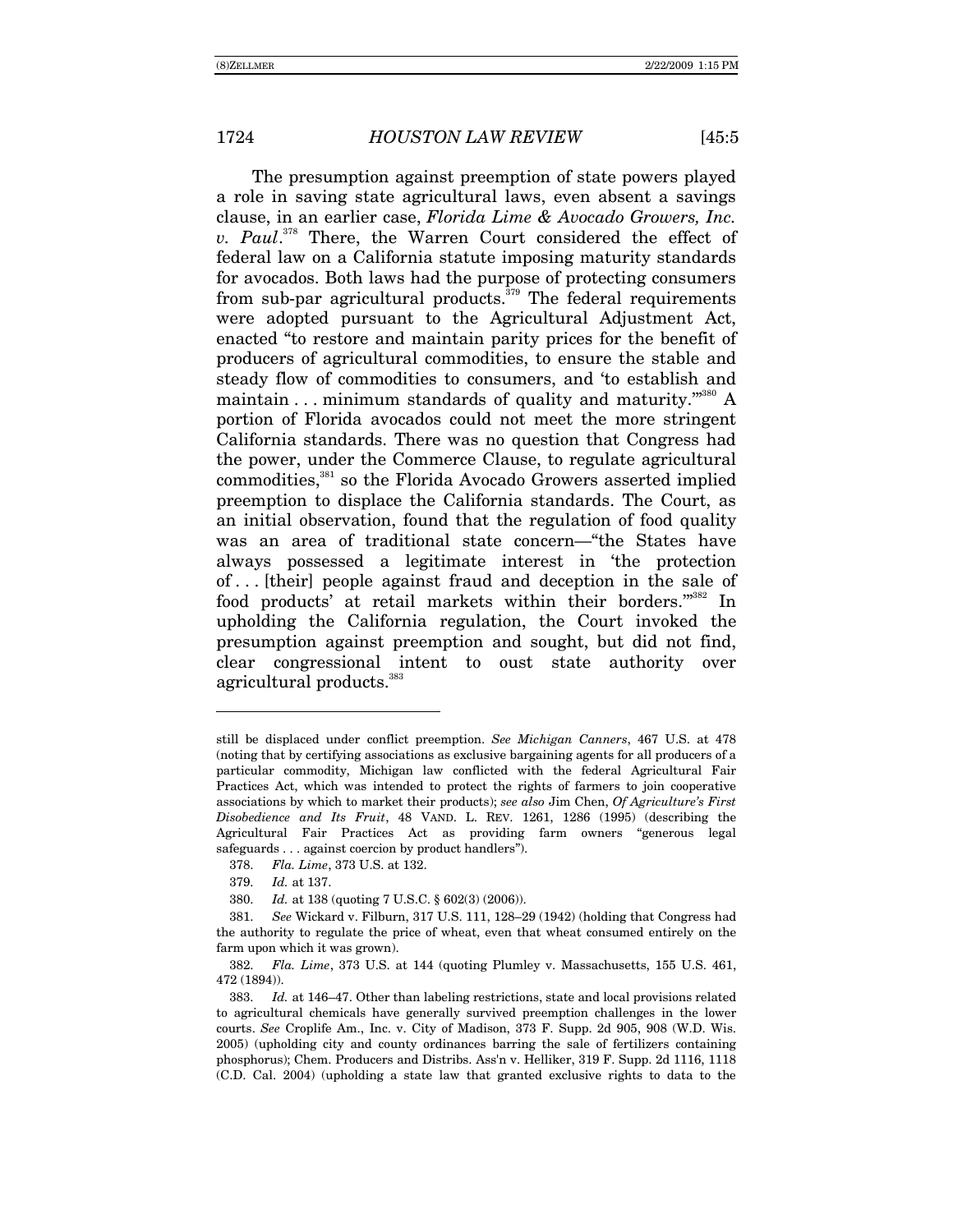The presumption against preemption of state powers played a role in saving state agricultural laws, even absent a savings clause, in an earlier case, *Florida Lime & Avocado Growers, Inc. v. Paul*. 378 There, the Warren Court considered the effect of federal law on a California statute imposing maturity standards for avocados. Both laws had the purpose of protecting consumers from sub-par agricultural products. $379$  The federal requirements were adopted pursuant to the Agricultural Adjustment Act, enacted "to restore and maintain parity prices for the benefit of producers of agricultural commodities, to ensure the stable and steady flow of commodities to consumers, and 'to establish and maintain  $\dots$  minimum standards of quality and maturity."<sup>380</sup> A portion of Florida avocados could not meet the more stringent California standards. There was no question that Congress had the power, under the Commerce Clause, to regulate agricultural commodities,<sup>381</sup> so the Florida Avocado Growers asserted implied preemption to displace the California standards. The Court, as an initial observation, found that the regulation of food quality was an area of traditional state concern—"the States have always possessed a legitimate interest in the protection of . . . [their] people against fraud and deception in the sale of food products' at retail markets within their borders."382 In upholding the California regulation, the Court invoked the presumption against preemption and sought, but did not find, clear congressional intent to oust state authority over agricultural products.  $\real^{383}$ 

still be displaced under conflict preemption. *See Michigan Canners*, 467 U.S. at 478 (noting that by certifying associations as exclusive bargaining agents for all producers of a particular commodity, Michigan law conflicted with the federal Agricultural Fair Practices Act, which was intended to protect the rights of farmers to join cooperative associations by which to market their products); *see also* Jim Chen, *Of Agricultureís First Disobedience and Its Fruit*, 48 VAND. L. REV. 1261, 1286 (1995) (describing the Agricultural Fair Practices Act as providing farm owners "generous legal  $s$ afeguards  $\ldots$  against coercion by product handlers").

<sup>378.</sup> *Fla. Lime*, 373 U.S. at 132.

<sup>379.</sup> *Id.* at 137.

<sup>380.</sup> *Id.* at 138 (quoting 7 U.S.C. ß 602(3) (2006)).

<sup>381.</sup> *See* Wickard v. Filburn, 317 U.S. 111, 128-29 (1942) (holding that Congress had the authority to regulate the price of wheat, even that wheat consumed entirely on the farm upon which it was grown).

<sup>382.</sup> *Fla. Lime*, 373 U.S. at 144 (quoting Plumley v. Massachusetts, 155 U.S. 461, 472 (1894)).

<sup>383.</sup> *Id.* at 146–47. Other than labeling restrictions, state and local provisions related to agricultural chemicals have generally survived preemption challenges in the lower courts. *See* Croplife Am., Inc. v. City of Madison, 373 F. Supp. 2d 905, 908 (W.D. Wis. 2005) (upholding city and county ordinances barring the sale of fertilizers containing phosphorus); Chem. Producers and Distribs. Ass'n v. Helliker, 319 F. Supp. 2d 1116, 1118 (C.D. Cal. 2004) (upholding a state law that granted exclusive rights to data to the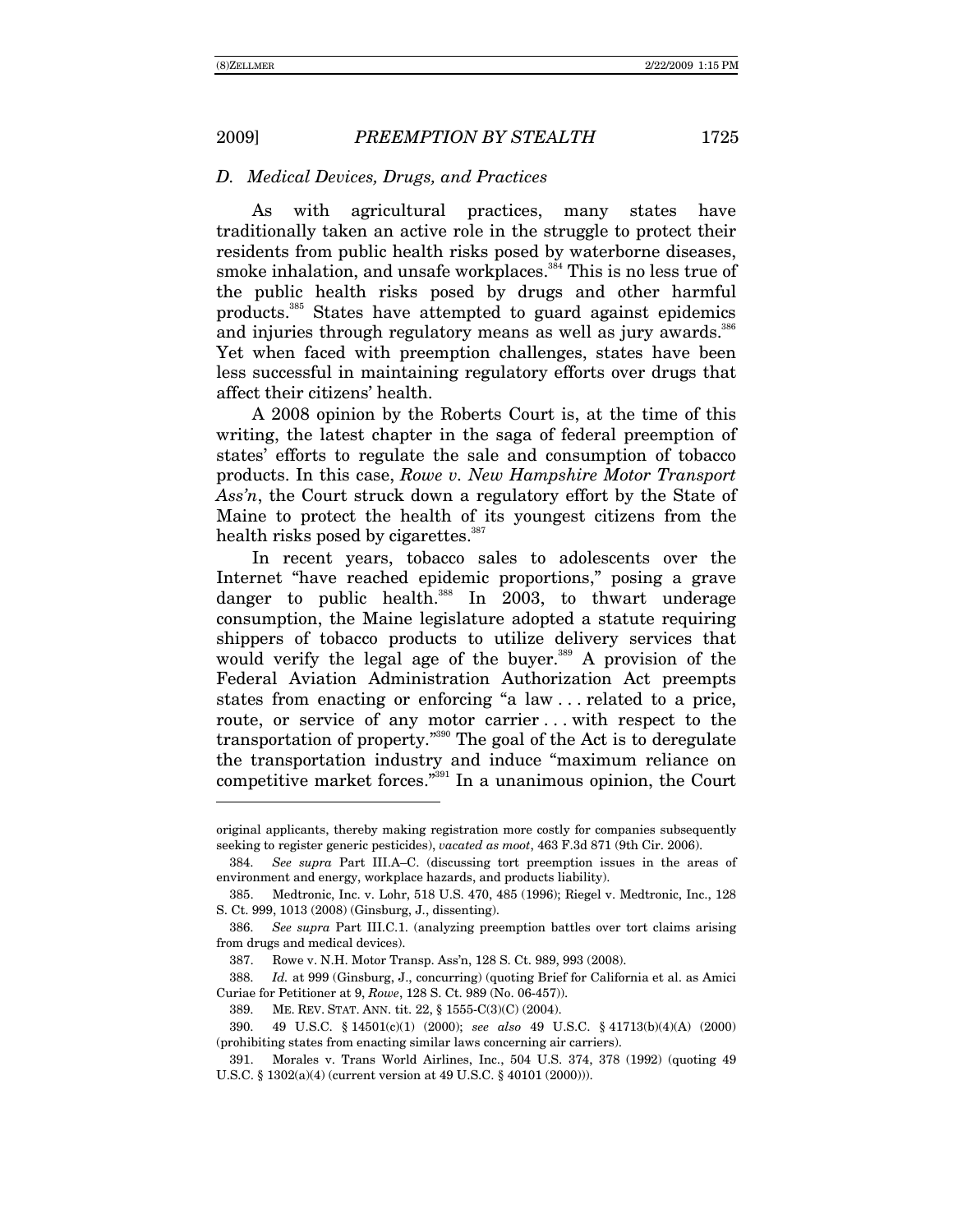-

#### *D. Medical Devices, Drugs, and Practices*

As with agricultural practices, many states have traditionally taken an active role in the struggle to protect their residents from public health risks posed by waterborne diseases, smoke inhalation, and unsafe workplaces.<sup>384</sup> This is no less true of the public health risks posed by drugs and other harmful products.385 States have attempted to guard against epidemics and injuries through regulatory means as well as jury awards.<sup>386</sup> Yet when faced with preemption challenges, states have been less successful in maintaining regulatory efforts over drugs that affect their citizens' health.

A 2008 opinion by the Roberts Court is, at the time of this writing, the latest chapter in the saga of federal preemption of states' efforts to regulate the sale and consumption of tobacco products. In this case, *Rowe v. New Hampshire Motor Transport*  Ass'n, the Court struck down a regulatory effort by the State of Maine to protect the health of its youngest citizens from the health risks posed by cigarettes.<sup>387</sup>

In recent years, tobacco sales to adolescents over the Internet "have reached epidemic proportions," posing a grave danger to public health. $388$  In 2003, to thwart underage consumption, the Maine legislature adopted a statute requiring shippers of tobacco products to utilize delivery services that would verify the legal age of the buyer.<sup>389</sup> A provision of the Federal Aviation Administration Authorization Act preempts states from enacting or enforcing "a law ... related to a price, route, or service of any motor carrier ... with respect to the transportation of property.<sup> $390$ </sup> The goal of the Act is to deregulate the transportation industry and induce "maximum reliance on competitive market forces.<sup>331</sup> In a unanimous opinion, the Court

original applicants, thereby making registration more costly for companies subsequently seeking to register generic pesticides), *vacated as moot*, 463 F.3d 871 (9th Cir. 2006).

<sup>384.</sup> *See supra* Part III.A–C. (discussing tort preemption issues in the areas of environment and energy, workplace hazards, and products liability).

 <sup>385.</sup> Medtronic, Inc. v. Lohr, 518 U.S. 470, 485 (1996); Riegel v. Medtronic, Inc., 128 S. Ct. 999, 1013 (2008) (Ginsburg, J., dissenting).

<sup>386.</sup> *See supra* Part III.C.1. (analyzing preemption battles over tort claims arising from drugs and medical devices).

 <sup>387.</sup> Rowe v. N.H. Motor Transp. Assín, 128 S. Ct. 989, 993 (2008).

<sup>388.</sup> *Id.* at 999 (Ginsburg, J., concurring) (quoting Brief for California et al. as Amici Curiae for Petitioner at 9, *Rowe*, 128 S. Ct. 989 (No. 06-457)).

 <sup>389.</sup> ME. REV. STAT. ANN. tit. 22, ß 1555-C(3)(C) (2004).

 <sup>390. 49</sup> U.S.C. ß 14501(c)(1) (2000); *see also* 49 U.S.C. ß 41713(b)(4)(A) (2000) (prohibiting states from enacting similar laws concerning air carriers).

 <sup>391.</sup> Morales v. Trans World Airlines, Inc., 504 U.S. 374, 378 (1992) (quoting 49 U.S.C. ß 1302(a)(4) (current version at 49 U.S.C. ß 40101 (2000))).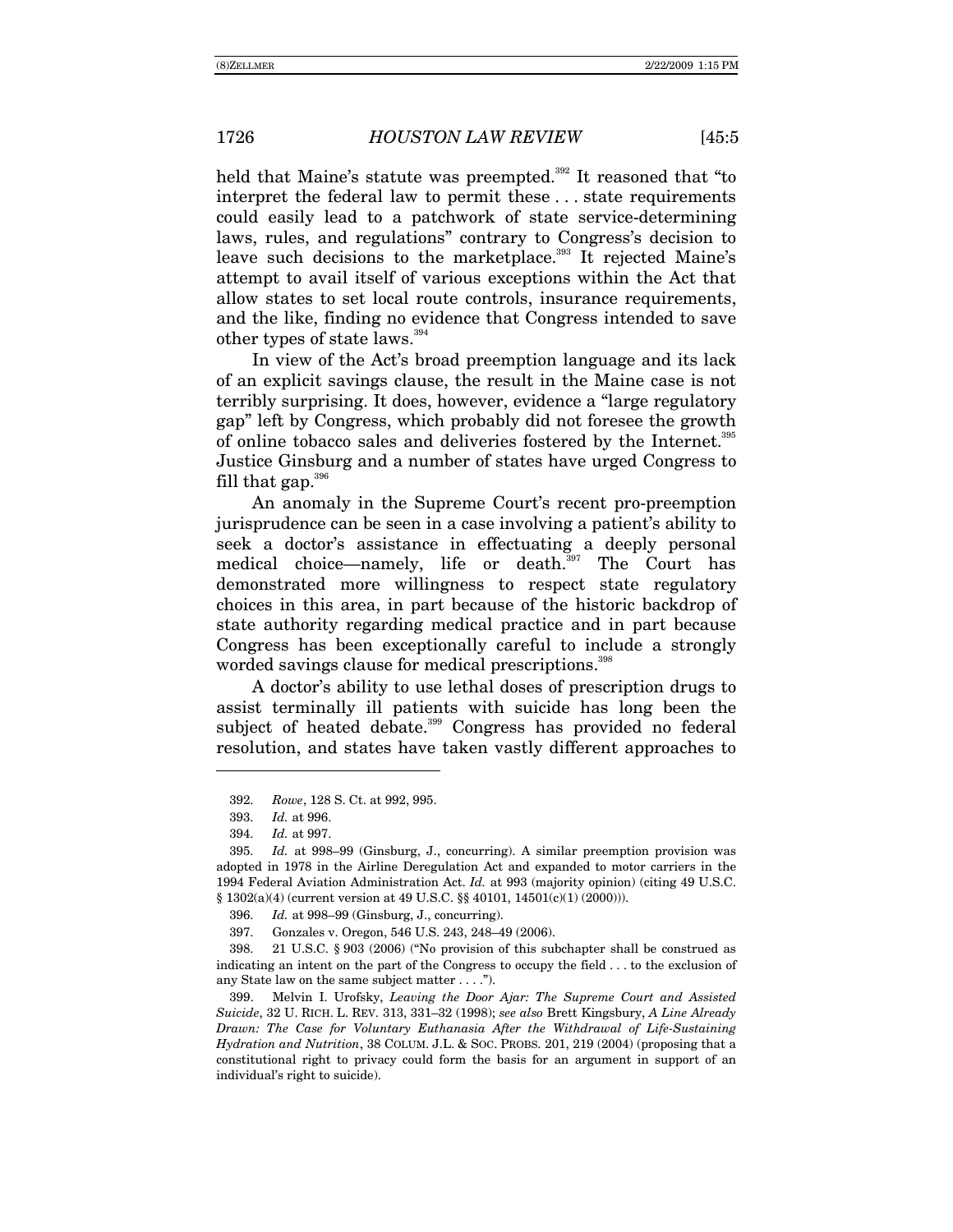held that Maine's statute was preempted.<sup>392</sup> It reasoned that "to interpret the federal law to permit these ... state requirements could easily lead to a patchwork of state service-determining laws, rules, and regulations" contrary to Congress's decision to leave such decisions to the marketplace.<sup>393</sup> It rejected Maine's attempt to avail itself of various exceptions within the Act that allow states to set local route controls, insurance requirements, and the like, finding no evidence that Congress intended to save other types of state laws.<sup>394</sup>

In view of the Act's broad preemption language and its lack of an explicit savings clause, the result in the Maine case is not terribly surprising. It does, however, evidence a "large regulatory" gap" left by Congress, which probably did not foresee the growth of online tobacco sales and deliveries fostered by the Internet.<sup>395</sup> Justice Ginsburg and a number of states have urged Congress to fill that gap.  $396$ 

An anomaly in the Supreme Court's recent pro-preemption jurisprudence can be seen in a case involving a patient's ability to seek a doctor's assistance in effectuating a deeply personal medical choice—namely, life or death.<sup>397</sup> The Court has demonstrated more willingness to respect state regulatory choices in this area, in part because of the historic backdrop of state authority regarding medical practice and in part because Congress has been exceptionally careful to include a strongly worded savings clause for medical prescriptions.<sup>398</sup>

A doctor's ability to use lethal doses of prescription drugs to assist terminally ill patients with suicide has long been the subject of heated debate.<sup>399</sup> Congress has provided no federal resolution, and states have taken vastly different approaches to

Id. at 998-99 (Ginsburg, J., concurring). 396.

398. 21 U.S.C. § 903 (2006) ("No provision of this subchapter shall be construed as indicating an intent on the part of the Congress to occupy the field ... to the exclusion of any State law on the same subject matter  $\dots$ .").

399. Melvin I. Urofsky, Leaving the Door Ajar: The Supreme Court and Assisted Suicide, 32 U. RICH. L. REV. 313, 331-32 (1998); see also Brett Kingsbury, A Line Already Drawn: The Case for Voluntary Euthanasia After the Withdrawal of Life-Sustaining Hydration and Nutrition, 38 COLUM. J.L. & Soc. PROBS. 201, 219 (2004) (proposing that a constitutional right to privacy could form the basis for an argument in support of an individual's right to suicide).

<sup>392.</sup> Rowe, 128 S. Ct. at 992, 995.

<sup>393.</sup> Id. at 996.

<sup>394.</sup> Id. at 997.

<sup>395.</sup> Id. at 998-99 (Ginsburg, J., concurring). A similar preemption provision was adopted in 1978 in the Airline Deregulation Act and expanded to motor carriers in the 1994 Federal Aviation Administration Act. Id. at 993 (majority opinion) (citing 49 U.S.C. § 1302(a)(4) (current version at 49 U.S.C. §§ 40101, 14501(c)(1) (2000))).

<sup>397.</sup> Gonzales v. Oregon, 546 U.S. 243, 248-49 (2006).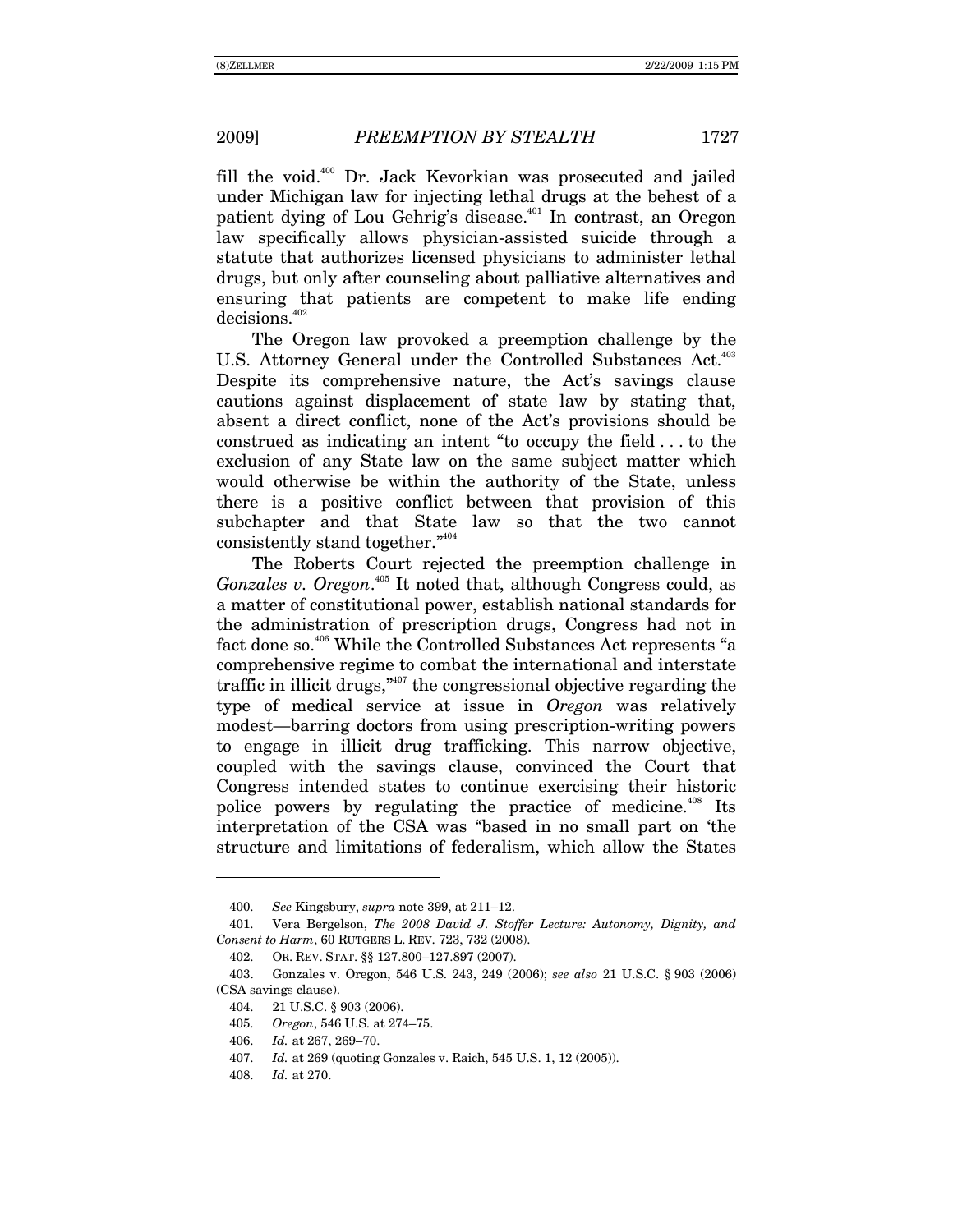fill the void.400 Dr. Jack Kevorkian was prosecuted and jailed under Michigan law for injecting lethal drugs at the behest of a patient dying of Lou Gehrig's disease.<sup>401</sup> In contrast, an Oregon law specifically allows physician-assisted suicide through a statute that authorizes licensed physicians to administer lethal drugs, but only after counseling about palliative alternatives and ensuring that patients are competent to make life ending decisions.<sup>402</sup>

The Oregon law provoked a preemption challenge by the U.S. Attorney General under the Controlled Substances Act.<sup>403</sup> Despite its comprehensive nature, the Act's savings clause cautions against displacement of state law by stating that, absent a direct conflict, none of the Act's provisions should be construed as indicating an intent "to occupy the field  $\dots$  to the exclusion of any State law on the same subject matter which would otherwise be within the authority of the State, unless there is a positive conflict between that provision of this subchapter and that State law so that the two cannot consistently stand together. $i^{404}$ 

The Roberts Court rejected the preemption challenge in Gonzales v. Oregon.<sup>405</sup> It noted that, although Congress could, as a matter of constitutional power, establish national standards for the administration of prescription drugs, Congress had not in fact done so.<sup>406</sup> While the Controlled Substances Act represents "a comprehensive regime to combat the international and interstate traffic in illicit drugs,  $n^{407}$  the congressional objective regarding the type of medical service at issue in *Oregon* was relatively modest—barring doctors from using prescription-writing powers to engage in illicit drug trafficking. This narrow objective, coupled with the savings clause, convinced the Court that Congress intended states to continue exercising their historic police powers by regulating the practice of medicine.<sup>408</sup> Its interpretation of the CSA was "based in no small part on 'the structure and limitations of federalism, which allow the States

<sup>400.</sup> *See Kingsbury, <i>supra* note 399, at 211–12.

 <sup>401.</sup> Vera Bergelson, *The 2008 David J. Stoffer Lecture: Autonomy, Dignity, and Consent to Harm*, 60 RUTGERS L. REV. 723, 732 (2008).

<sup>402.</sup> OR. REV. STAT. §§ 127.800-127.897 (2007).

 <sup>403.</sup> Gonzales v. Oregon, 546 U.S. 243, 249 (2006); *see also* 21 U.S.C. ß 903 (2006) (CSA savings clause).

 <sup>404. 21</sup> U.S.C. ß 903 (2006).

<sup>405.</sup> *Oregon*, 546 U.S. at 274–75.

<sup>406.</sup> *Id.* at 267, 269-70.

<sup>407.</sup> *Id.* at 269 (quoting Gonzales v. Raich, 545 U.S. 1, 12 (2005)).

<sup>408.</sup> *Id.* at 270.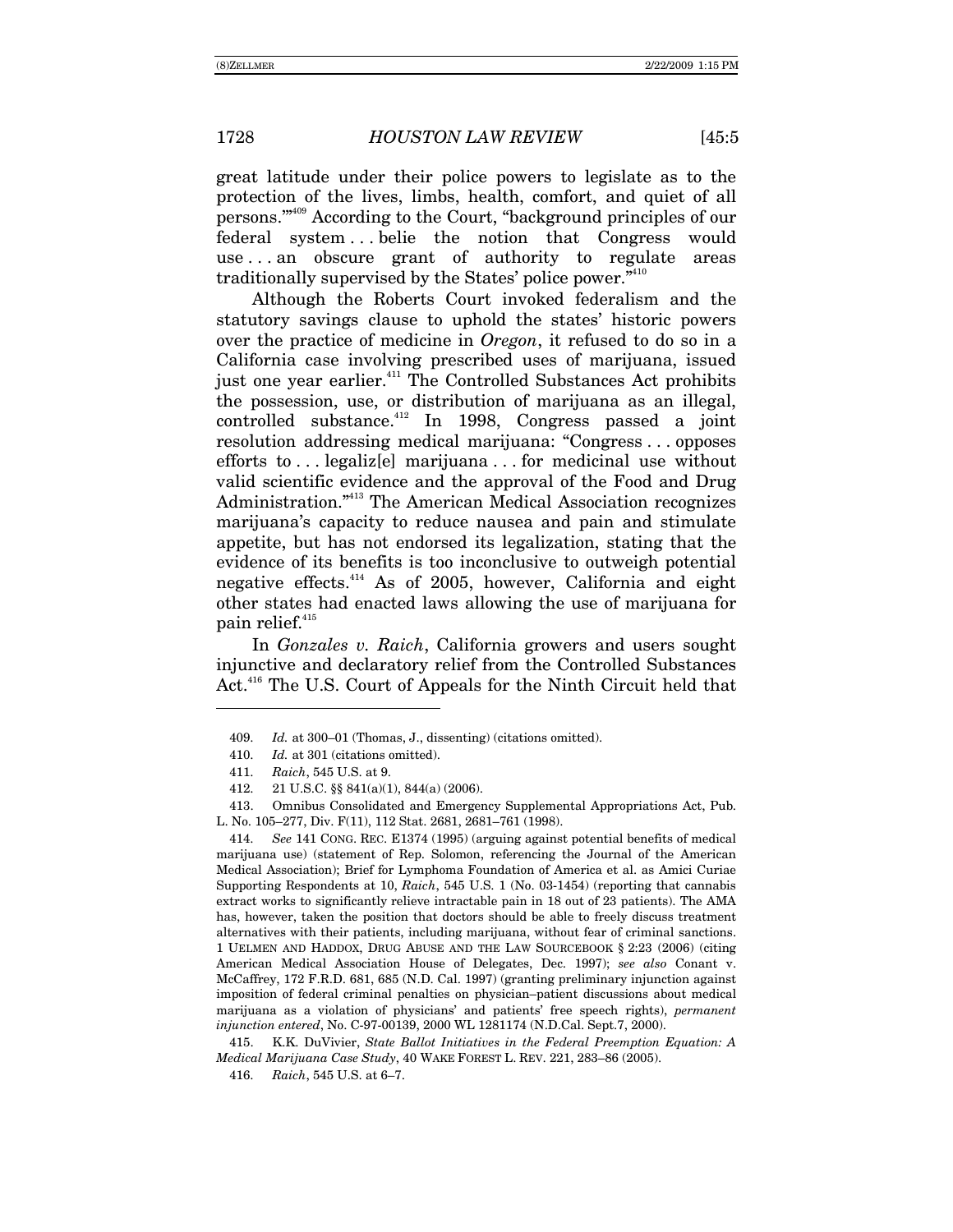great latitude under their police powers to legislate as to the protection of the lives, limbs, health, comfort, and quiet of all persons."<sup>409</sup> According to the Court, "background principles of our federal system...belie the notion that Congress would use...an obscure grant of authority to regulate areas traditionally supervised by the States' police power."<sup>410</sup>

Although the Roberts Court invoked federalism and the statutory savings clause to uphold the states' historic powers over the practice of medicine in Oregon, it refused to do so in a California case involving prescribed uses of marijuana, issued just one year earlier.<sup>411</sup> The Controlled Substances Act prohibits the possession, use, or distribution of marijuana as an illegal, controlled substance.<sup>412</sup> In 1998, Congress passed a joint resolution addressing medical marijuana: "Congress...opposes" efforts to ... legaliz[e] marijuana... for medicinal use without valid scientific evidence and the approval of the Food and Drug Administration."<sup>413</sup> The American Medical Association recognizes marijuana's capacity to reduce nausea and pain and stimulate appetite, but has not endorsed its legalization, stating that the evidence of its benefits is too inconclusive to outweigh potential negative effects.<sup>414</sup> As of 2005, however, California and eight other states had enacted laws allowing the use of marijuana for pain relief.<sup>415</sup>

In Gonzales v. Raich, California growers and users sought injunctive and declaratory relief from the Controlled Substances Act.<sup>416</sup> The U.S. Court of Appeals for the Ninth Circuit held that

See 141 CONG. REC. E1374 (1995) (arguing against potential benefits of medical 414. marijuana use) (statement of Rep. Solomon, referencing the Journal of the American Medical Association); Brief for Lymphoma Foundation of America et al. as Amici Curiae Supporting Respondents at 10, Raich, 545 U.S. 1 (No. 03-1454) (reporting that cannabis extract works to significantly relieve intractable pain in 18 out of 23 patients). The AMA has, however, taken the position that doctors should be able to freely discuss treatment alternatives with their patients, including marijuana, without fear of criminal sanctions. 1 UELMEN AND HADDOX, DRUG ABUSE AND THE LAW SOURCEBOOK § 2:23 (2006) (citing American Medical Association House of Delegates, Dec. 1997); see also Conant v. McCaffrey, 172 F.R.D. 681, 685 (N.D. Cal. 1997) (granting preliminary injunction against imposition of federal criminal penalties on physician–patient discussions about medical marijuana as a violation of physicians' and patients' free speech rights), permanent injunction entered, No. C-97-00139, 2000 WL 1281174 (N.D.Cal. Sept.7, 2000).

K.K. DuVivier, State Ballot Initiatives in the Federal Preemption Equation: A 415. Medical Marijuana Case Study, 40 WAKE FOREST L. REV. 221, 283-86 (2005).

<sup>409.</sup> Id. at 300-01 (Thomas, J., dissenting) (citations omitted).

<sup>410.</sup> Id. at 301 (citations omitted).

<sup>411.</sup> Raich, 545 U.S. at 9.

<sup>412.</sup> 21 U.S.C. §§ 841(a)(1), 844(a) (2006).

<sup>413.</sup> Omnibus Consolidated and Emergency Supplemental Appropriations Act, Pub. L. No. 105-277, Div. F(11), 112 Stat. 2681, 2681-761 (1998).

<sup>416.</sup> Raich, 545 U.S. at 6-7.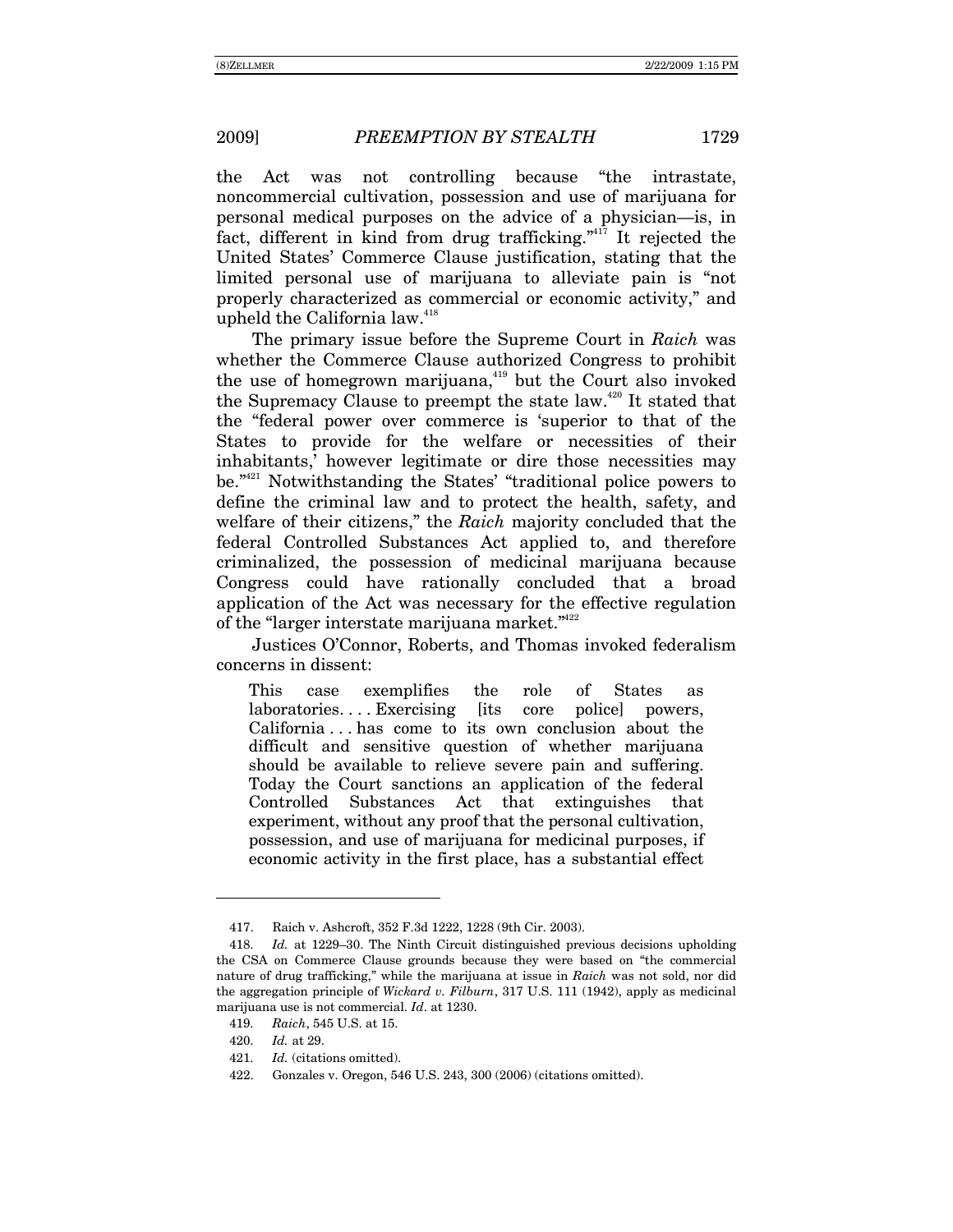the Act was not controlling because "the intrastate, noncommercial cultivation, possession and use of marijuana for personal medical purposes on the advice of a physician—is, in fact, different in kind from drug trafficking. $i^{417}$  It rejected the United States' Commerce Clause justification, stating that the limited personal use of marijuana to alleviate pain is "not properly characterized as commercial or economic activity," and upheld the California law.<sup>418</sup>

The primary issue before the Supreme Court in *Raich* was whether the Commerce Clause authorized Congress to prohibit the use of homegrown marijuana, $419$  but the Court also invoked the Supremacy Clause to preempt the state law.<sup>420</sup> It stated that the "federal power over commerce is 'superior to that of the States to provide for the welfare or necessities of their inhabitants, however legitimate or dire those necessities may be. $1421}$  Notwithstanding the States' "traditional police powers to define the criminal law and to protect the health, safety, and welfare of their citizens," the *Raich* majority concluded that the federal Controlled Substances Act applied to, and therefore criminalized, the possession of medicinal marijuana because Congress could have rationally concluded that a broad application of the Act was necessary for the effective regulation of the "larger interstate marijuana market." $422$ 

Justices O'Connor, Roberts, and Thomas invoked federalism concerns in dissent:

This case exemplifies the role of States as laboratories.... Exercising [its core police] powers, California . . . has come to its own conclusion about the difficult and sensitive question of whether marijuana should be available to relieve severe pain and suffering. Today the Court sanctions an application of the federal Controlled Substances Act that extinguishes that experiment, without any proof that the personal cultivation, possession, and use of marijuana for medicinal purposes, if economic activity in the first place, has a substantial effect

 $\overline{a}$ 

421. *Id.* (citations omitted).

 <sup>417.</sup> Raich v. Ashcroft, 352 F.3d 1222, 1228 (9th Cir. 2003).

<sup>418.</sup> *Id.* at 1229–30. The Ninth Circuit distinguished previous decisions upholding the CSA on Commerce Clause grounds because they were based on "the commercial" nature of drug trafficking,î while the marijuana at issue in *Raich* was not sold, nor did the aggregation principle of *Wickard v. Filburn*, 317 U.S. 111 (1942), apply as medicinal marijuana use is not commercial. *Id*. at 1230.

<sup>419.</sup> *Raich*, 545 U.S. at 15.

<sup>420.</sup> *Id.* at 29.

 <sup>422.</sup> Gonzales v. Oregon, 546 U.S. 243, 300 (2006) (citations omitted).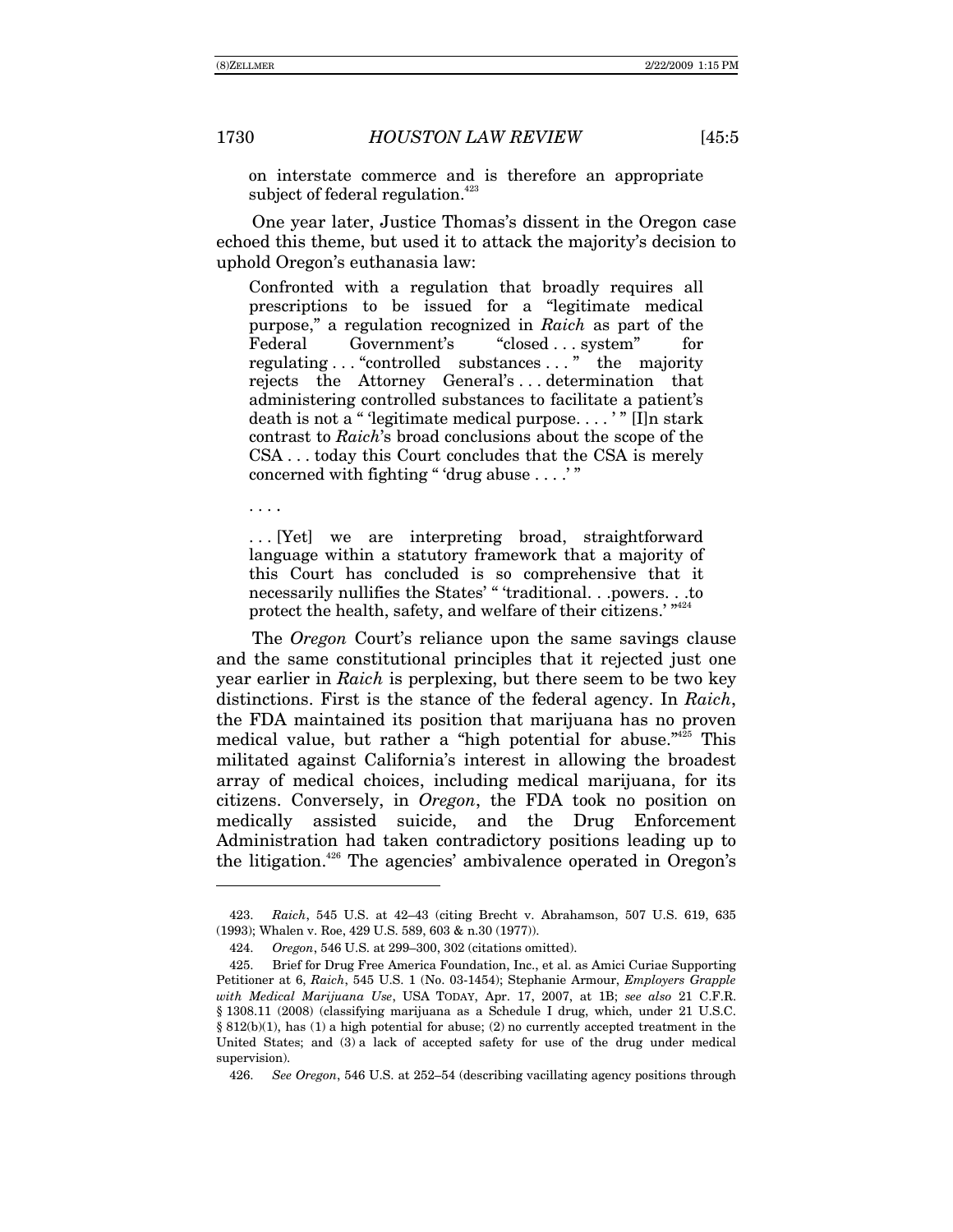on interstate commerce and is therefore an appropriate subject of federal regulation.<sup>423</sup>

One year later, Justice Thomas's dissent in the Oregon case echoed this theme, but used it to attack the majority's decision to uphold Oregon's euthanasia law:

Confronted with a regulation that broadly requires all prescriptions to be issued for a "legitimate medical" purpose," a regulation recognized in Raich as part of the Government's "closed . . . system" Federal for regulating ... "controlled substances ..." the majority rejects the Attorney General's...determination that administering controlled substances to facilitate a patient's death is not a "legitimate medical purpose...." [I] n stark contrast to Raich's broad conclusions about the scope of the CSA...today this Court concludes that the CSA is merely concerned with fighting "'drug abuse  $\dots$ "

 $\cdots$ 

... [Yet] we are interpreting broad, straightforward language within a statutory framework that a majority of this Court has concluded is so comprehensive that it necessarily nullifies the States' "traditional...powers...to protect the health, safety, and welfare of their citizens.' "424

The Oregon Court's reliance upon the same savings clause and the same constitutional principles that it rejected just one year earlier in Raich is perplexing, but there seem to be two key distinctions. First is the stance of the federal agency. In Raich, the FDA maintained its position that marijuana has no proven medical value, but rather a "high potential for abuse."<sup>25</sup> This militated against California's interest in allowing the broadest array of medical choices, including medical marijuana, for its citizens. Conversely, in *Oregon*, the FDA took no position on medically assisted suicide, and the Drug Enforcement Administration had taken contradictory positions leading up to the litigation.<sup>426</sup> The agencies' ambivalence operated in Oregon's

Raich, 545 U.S. at 42-43 (citing Brecht v. Abrahamson, 507 U.S. 619, 635 423. (1993); Whalen v. Roe, 429 U.S. 589, 603 & n.30 (1977)).

Oregon, 546 U.S. at 299-300, 302 (citations omitted). 424.

 $425.$ Brief for Drug Free America Foundation, Inc., et al. as Amici Curiae Supporting Petitioner at 6, Raich, 545 U.S. 1 (No. 03-1454); Stephanie Armour, Employers Grapple with Medical Marijuana Use, USA TODAY, Apr. 17, 2007, at 1B; see also 21 C.F.R. § 1308.11 (2008) (classifying marijuana as a Schedule I drug, which, under 21 U.S.C. §  $812(b)(1)$ , has (1) a high potential for abuse; (2) no currently accepted treatment in the United States; and (3) a lack of accepted safety for use of the drug under medical supervision).

<sup>426.</sup> See Oregon, 546 U.S. at 252–54 (describing vacillating agency positions through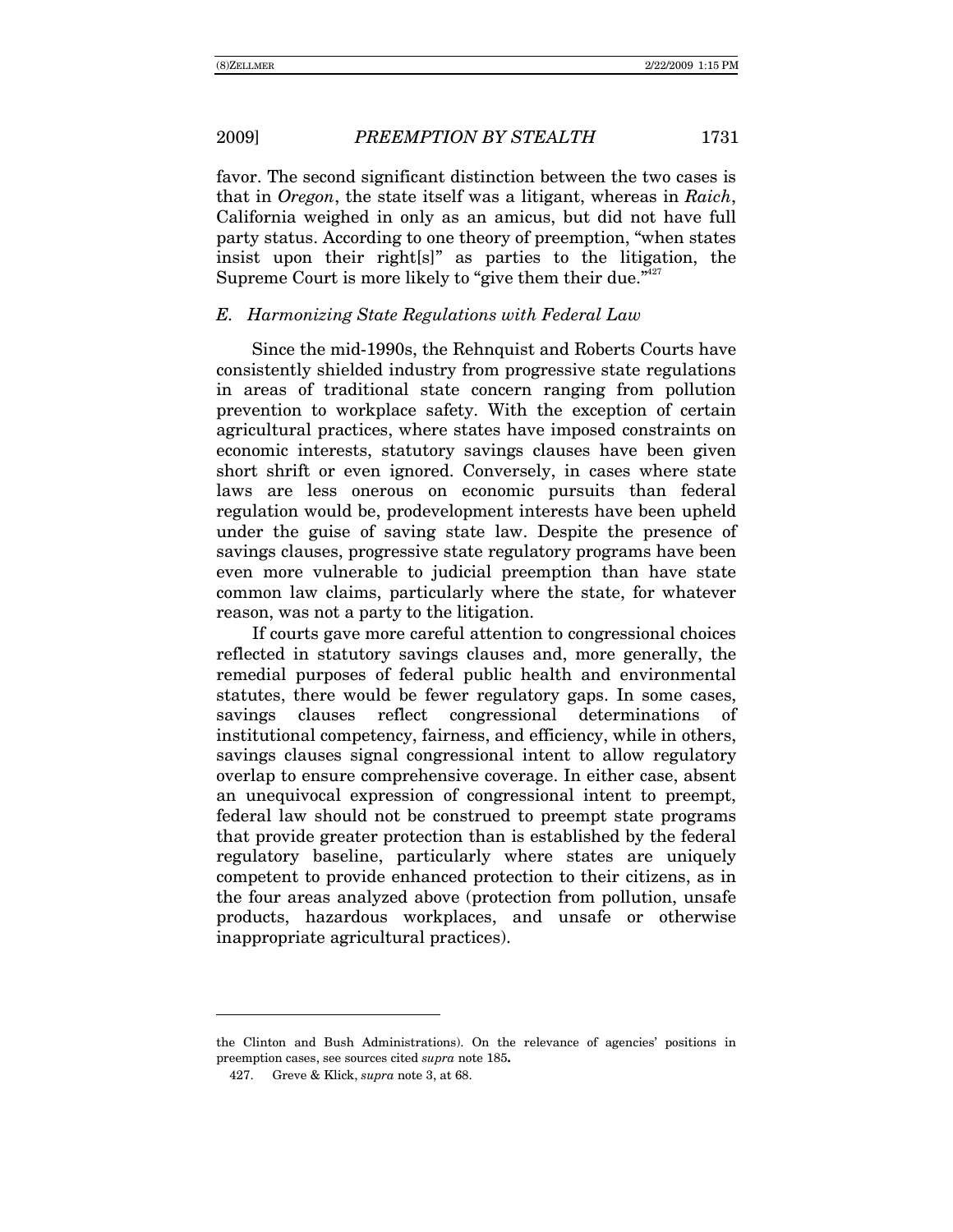favor. The second significant distinction between the two cases is that in *Oregon*, the state itself was a litigant, whereas in *Raich*, California weighed in only as an amicus, but did not have full party status. According to one theory of preemption, "when states" insist upon their right[s]" as parties to the litigation, the Supreme Court is more likely to "give them their due. $1427$ 

## *E. Harmonizing State Regulations with Federal Law*

Since the mid-1990s, the Rehnquist and Roberts Courts have consistently shielded industry from progressive state regulations in areas of traditional state concern ranging from pollution prevention to workplace safety. With the exception of certain agricultural practices, where states have imposed constraints on economic interests, statutory savings clauses have been given short shrift or even ignored. Conversely, in cases where state laws are less onerous on economic pursuits than federal regulation would be, prodevelopment interests have been upheld under the guise of saving state law. Despite the presence of savings clauses, progressive state regulatory programs have been even more vulnerable to judicial preemption than have state common law claims, particularly where the state, for whatever reason, was not a party to the litigation.

If courts gave more careful attention to congressional choices reflected in statutory savings clauses and, more generally, the remedial purposes of federal public health and environmental statutes, there would be fewer regulatory gaps. In some cases, savings clauses reflect congressional determinations of institutional competency, fairness, and efficiency, while in others, savings clauses signal congressional intent to allow regulatory overlap to ensure comprehensive coverage. In either case, absent an unequivocal expression of congressional intent to preempt, federal law should not be construed to preempt state programs that provide greater protection than is established by the federal regulatory baseline, particularly where states are uniquely competent to provide enhanced protection to their citizens, as in the four areas analyzed above (protection from pollution, unsafe products, hazardous workplaces, and unsafe or otherwise inappropriate agricultural practices).

 $\overline{a}$ 

the Clinton and Bush Administrations). On the relevance of agencies' positions in preemption cases, see sources cited *supra* note 185**.**

 <sup>427.</sup> Greve & Klick, *supra* note 3, at 68.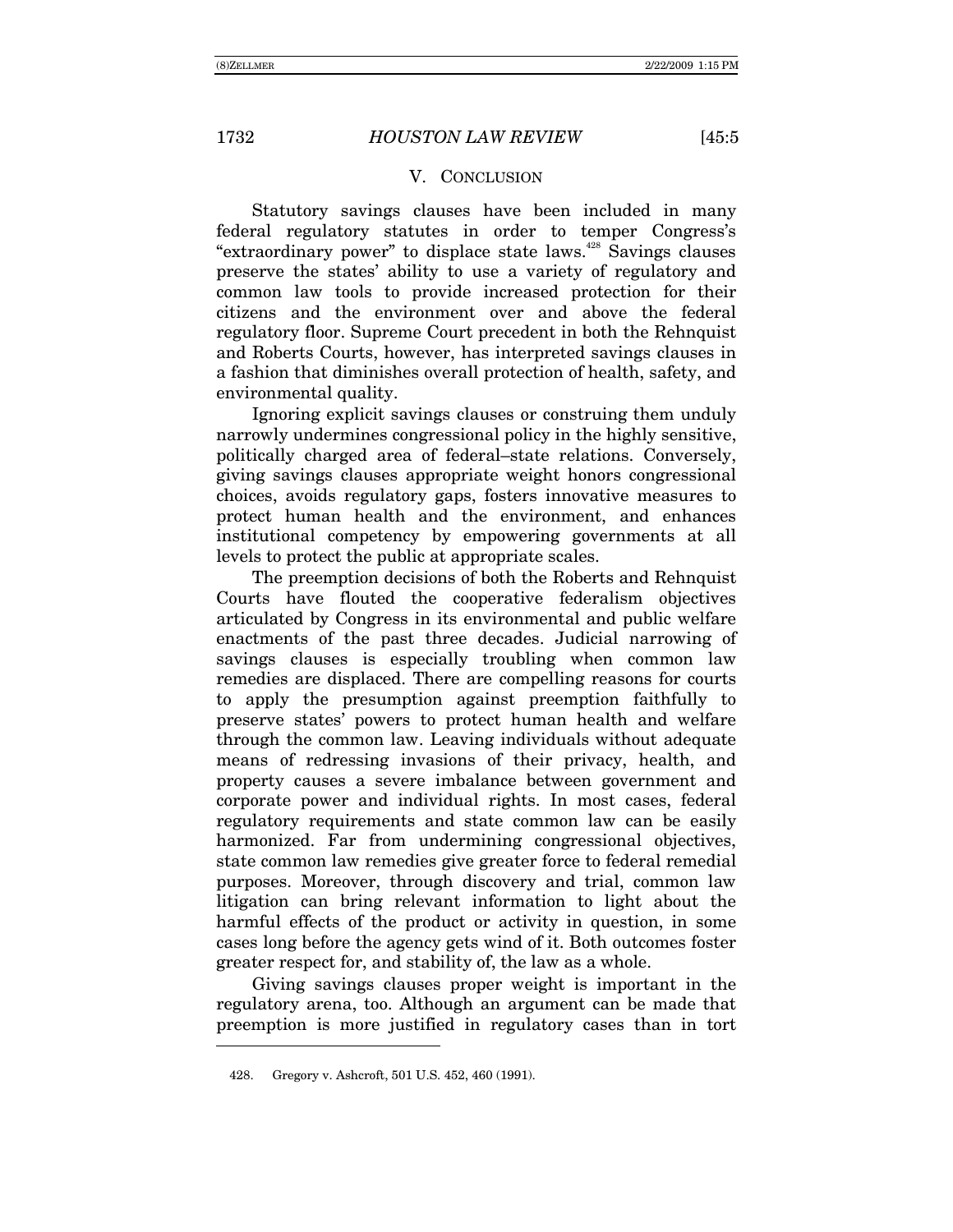## V. CONCLUSION

Statutory savings clauses have been included in many federal regulatory statutes in order to temper Congress's "extraordinary power" to displace state laws.<sup>428</sup> Savings clauses preserve the statesí ability to use a variety of regulatory and common law tools to provide increased protection for their citizens and the environment over and above the federal regulatory floor. Supreme Court precedent in both the Rehnquist and Roberts Courts, however, has interpreted savings clauses in a fashion that diminishes overall protection of health, safety, and environmental quality.

Ignoring explicit savings clauses or construing them unduly narrowly undermines congressional policy in the highly sensitive, politically charged area of federal–state relations. Conversely, giving savings clauses appropriate weight honors congressional choices, avoids regulatory gaps, fosters innovative measures to protect human health and the environment, and enhances institutional competency by empowering governments at all levels to protect the public at appropriate scales.

The preemption decisions of both the Roberts and Rehnquist Courts have flouted the cooperative federalism objectives articulated by Congress in its environmental and public welfare enactments of the past three decades. Judicial narrowing of savings clauses is especially troubling when common law remedies are displaced. There are compelling reasons for courts to apply the presumption against preemption faithfully to preserve statesí powers to protect human health and welfare through the common law. Leaving individuals without adequate means of redressing invasions of their privacy, health, and property causes a severe imbalance between government and corporate power and individual rights. In most cases, federal regulatory requirements and state common law can be easily harmonized. Far from undermining congressional objectives, state common law remedies give greater force to federal remedial purposes. Moreover, through discovery and trial, common law litigation can bring relevant information to light about the harmful effects of the product or activity in question, in some cases long before the agency gets wind of it. Both outcomes foster greater respect for, and stability of, the law as a whole.

Giving savings clauses proper weight is important in the regulatory arena, too. Although an argument can be made that preemption is more justified in regulatory cases than in tort

-

 <sup>428.</sup> Gregory v. Ashcroft, 501 U.S. 452, 460 (1991).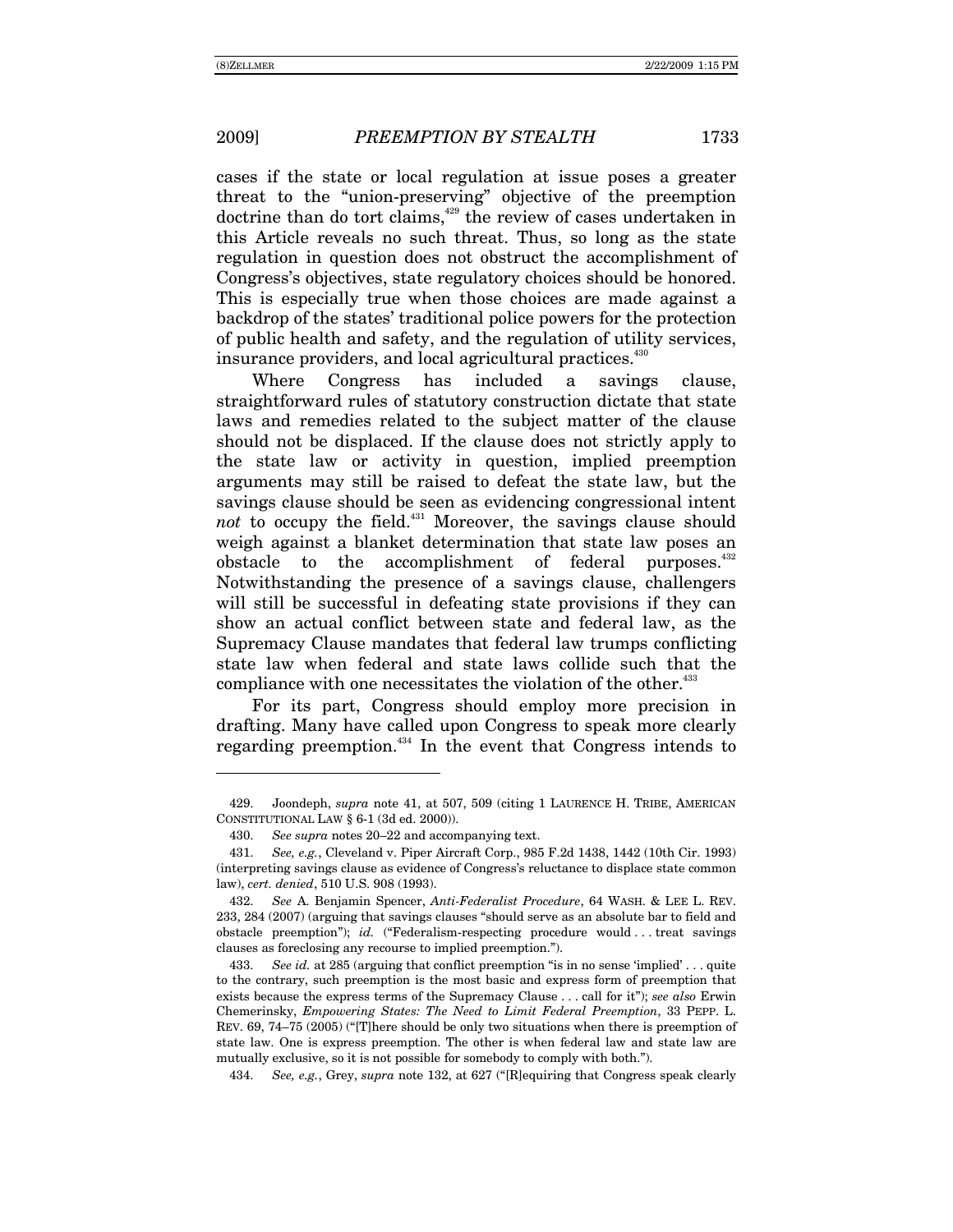-

cases if the state or local regulation at issue poses a greater threat to the "union-preserving" objective of the preemption doctrine than do tort claims,<sup>429</sup> the review of cases undertaken in this Article reveals no such threat. Thus, so long as the state regulation in question does not obstruct the accomplishment of Congress's objectives, state regulatory choices should be honored. This is especially true when those choices are made against a backdrop of the states' traditional police powers for the protection of public health and safety, and the regulation of utility services, insurance providers, and local agricultural practices.<sup>430</sup>

Where Congress has included a savings clause, straightforward rules of statutory construction dictate that state laws and remedies related to the subject matter of the clause should not be displaced. If the clause does not strictly apply to the state law or activity in question, implied preemption arguments may still be raised to defeat the state law, but the savings clause should be seen as evidencing congressional intent *not* to occupy the field.<sup>431</sup> Moreover, the savings clause should weigh against a blanket determination that state law poses an obstacle to the accomplishment of federal purposes.<sup>432</sup> Notwithstanding the presence of a savings clause, challengers will still be successful in defeating state provisions if they can show an actual conflict between state and federal law, as the Supremacy Clause mandates that federal law trumps conflicting state law when federal and state laws collide such that the compliance with one necessitates the violation of the other.<sup>433</sup>

For its part, Congress should employ more precision in drafting. Many have called upon Congress to speak more clearly regarding preemption. $434$  In the event that Congress intends to

 <sup>429.</sup> Joondeph, *supra* note 41, at 507, 509 (citing 1 LAURENCE H. TRIBE, AMERICAN CONSTITUTIONAL LAW ß 6-1 (3d ed. 2000)).

<sup>430.</sup> *See supra* notes 20–22 and accompanying text.

<sup>431.</sup> *See, e.g.*, Cleveland v. Piper Aircraft Corp., 985 F.2d 1438, 1442 (10th Cir. 1993) (interpreting savings clause as evidence of Congressís reluctance to displace state common law), *cert. denied*, 510 U.S. 908 (1993).

<sup>432.</sup> *See* A. Benjamin Spencer, *Anti-Federalist Procedure*, 64 WASH. & LEE L. REV. 233, 284 (2007) (arguing that savings clauses "should serve as an absolute bar to field and obstacle preemption"); *id.* ("Federalism-respecting procedure would . . treat savings clauses as foreclosing any recourse to implied preemption.").

<sup>433.</sup> *See id.* at 285 (arguing that conflict preemption "is in no sense 'implied'... quite to the contrary, such preemption is the most basic and express form of preemption that exists because the express terms of the Supremacy Clause . . . call for itî); *see also* Erwin Chemerinsky, *Empowering States: The Need to Limit Federal Preemption*, 33 PEPP. L. REV. 69, 74–75 (2005) ("[T]here should be only two situations when there is preemption of state law. One is express preemption. The other is when federal law and state law are mutually exclusive, so it is not possible for somebody to comply with both.").

<sup>434.</sup> *See, e.g.*, Grey, *supra* note 132, at 627 ("[R]equiring that Congress speak clearly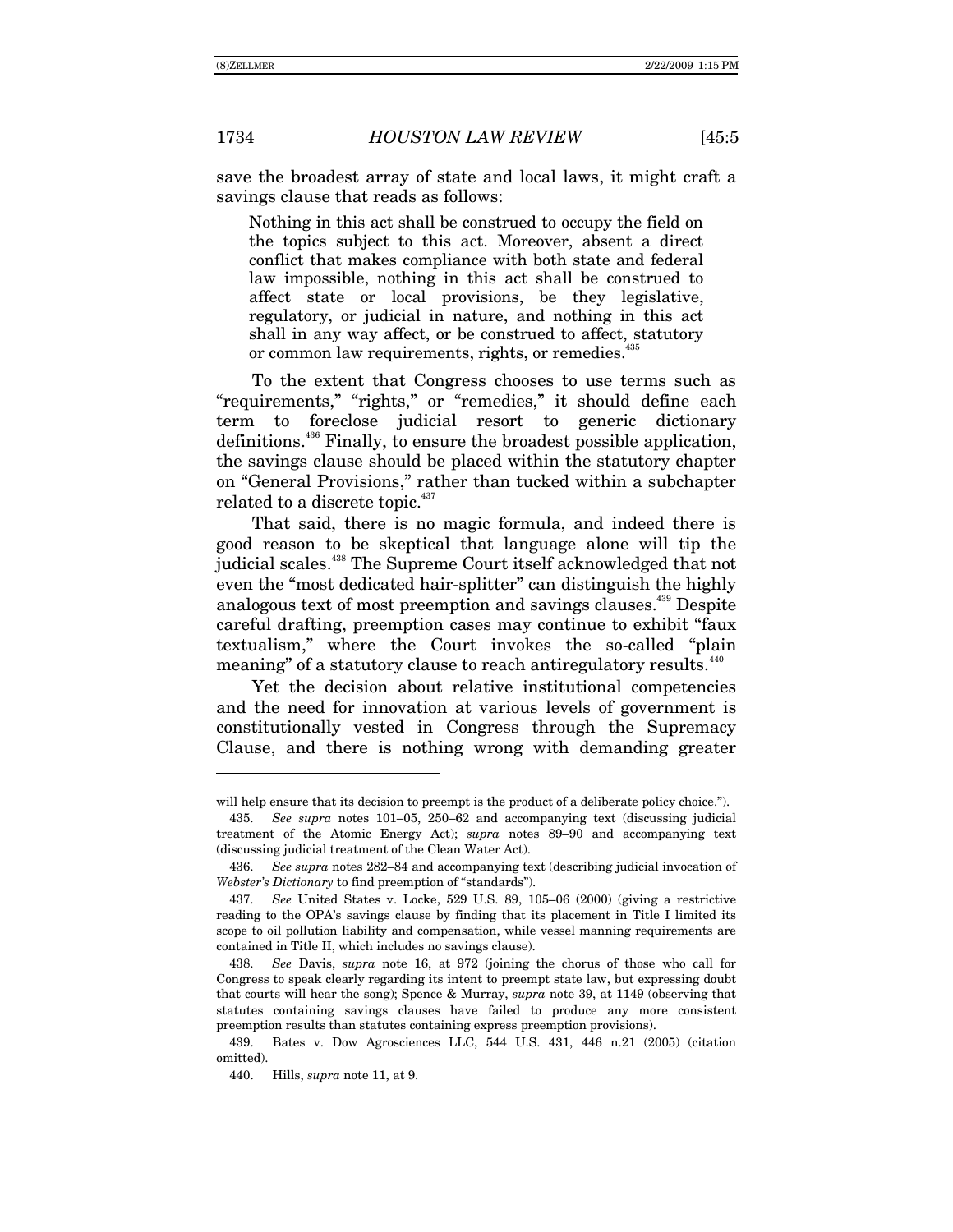save the broadest array of state and local laws, it might craft a savings clause that reads as follows:

Nothing in this act shall be construed to occupy the field on the topics subject to this act. Moreover, absent a direct conflict that makes compliance with both state and federal law impossible, nothing in this act shall be construed to affect state or local provisions, be they legislative, regulatory, or judicial in nature, and nothing in this act shall in any way affect, or be construed to affect, statutory or common law requirements, rights, or remedies.<sup>435</sup>

To the extent that Congress chooses to use terms such as "requirements," "rights," or "remedies," it should define each term to foreclose judicial resort to generic dictionary definitions.436 Finally, to ensure the broadest possible application, the savings clause should be placed within the statutory chapter on "General Provisions," rather than tucked within a subchapter related to a discrete topic.<sup>437</sup>

That said, there is no magic formula, and indeed there is good reason to be skeptical that language alone will tip the judicial scales.<sup>438</sup> The Supreme Court itself acknowledged that not even the "most dedicated hair-splitter" can distinguish the highly analogous text of most preemption and savings clauses.<sup>439</sup> Despite careful drafting, preemption cases may continue to exhibit "faux textualism," where the Court invokes the so-called "plain meaning" of a statutory clause to reach antiregulatory results.<sup>440</sup>

Yet the decision about relative institutional competencies and the need for innovation at various levels of government is constitutionally vested in Congress through the Supremacy Clause, and there is nothing wrong with demanding greater

-

will help ensure that its decision to preempt is the product of a deliberate policy choice.").

<sup>435.</sup> *See supra* notes 101–05, 250–62 and accompanying text (discussing judicial treatment of the Atomic Energy Act); *supra* notes 89–90 and accompanying text (discussing judicial treatment of the Clean Water Act).

<sup>436.</sup> *See supra* notes 282–84 and accompanying text (describing judicial invocation of *Webster's Dictionary* to find preemption of "standards").

<sup>437.</sup> *See* United States v. Locke, 529 U.S. 89, 105-06 (2000) (giving a restrictive reading to the OPA's savings clause by finding that its placement in Title I limited its scope to oil pollution liability and compensation, while vessel manning requirements are contained in Title II, which includes no savings clause).

<sup>438.</sup> *See* Davis, *supra* note 16, at 972 (joining the chorus of those who call for Congress to speak clearly regarding its intent to preempt state law, but expressing doubt that courts will hear the song); Spence & Murray, *supra* note 39, at 1149 (observing that statutes containing savings clauses have failed to produce any more consistent preemption results than statutes containing express preemption provisions).

 <sup>439.</sup> Bates v. Dow Agrosciences LLC, 544 U.S. 431, 446 n.21 (2005) (citation omitted).

 <sup>440.</sup> Hills, *supra* note 11, at 9.